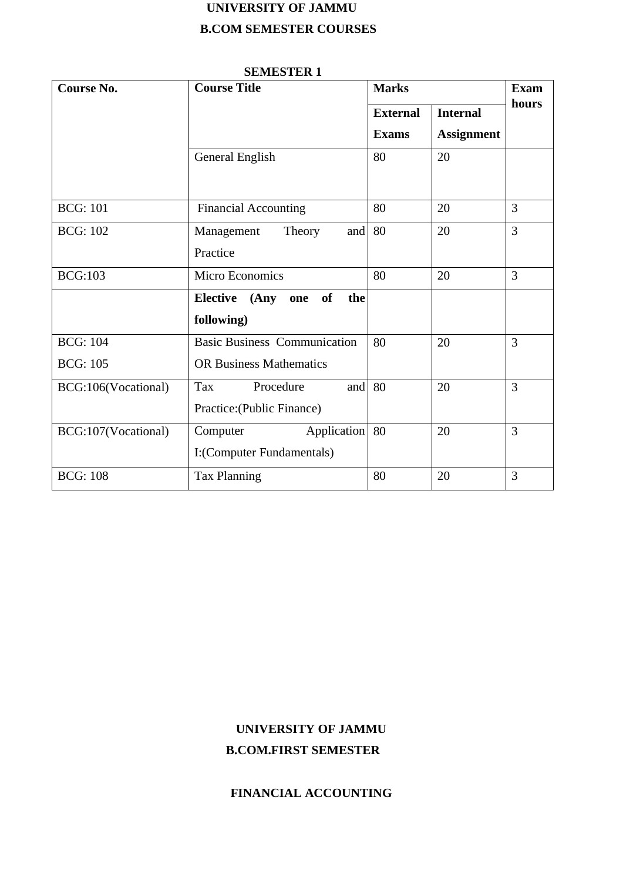# **UNIVERSITY OF JAMMU B.COM SEMESTER COURSES**

| <b>Course No.</b>   | <b>Course Title</b>                                       | <b>Marks</b>    | <b>Exam</b>       |                |
|---------------------|-----------------------------------------------------------|-----------------|-------------------|----------------|
|                     |                                                           | <b>External</b> | <b>Internal</b>   | hours          |
|                     |                                                           | <b>Exams</b>    | <b>Assignment</b> |                |
|                     | General English                                           | 80              | 20                |                |
| <b>BCG: 101</b>     | <b>Financial Accounting</b>                               | 80              | 20                | $\overline{3}$ |
| <b>BCG: 102</b>     | Management<br>Theory<br>and<br>Practice                   | 80              | 20                | $\overline{3}$ |
| <b>BCG:103</b>      | Micro Economics                                           | 80              | 20                | $\overline{3}$ |
|                     | <b>Elective</b><br>of<br>(Any<br>the<br>one<br>following) |                 |                   |                |
| <b>BCG: 104</b>     | <b>Basic Business Communication</b>                       | 80              | 20                | 3              |
| <b>BCG: 105</b>     | <b>OR Business Mathematics</b>                            |                 |                   |                |
| BCG:106(Vocational) | Tax<br>Procedure<br>and<br>Practice: (Public Finance)     | 80              | 20                | $\overline{3}$ |
| BCG:107(Vocational) | Application<br>Computer<br>I:(Computer Fundamentals)      | 80              | 20                | 3              |
| <b>BCG: 108</b>     | <b>Tax Planning</b>                                       | 80              | 20                | 3              |

### **SEMESTER 1**

# **UNIVERSITY OF JAMMU B.COM.FIRST SEMESTER**

# **FINANCIAL ACCOUNTING**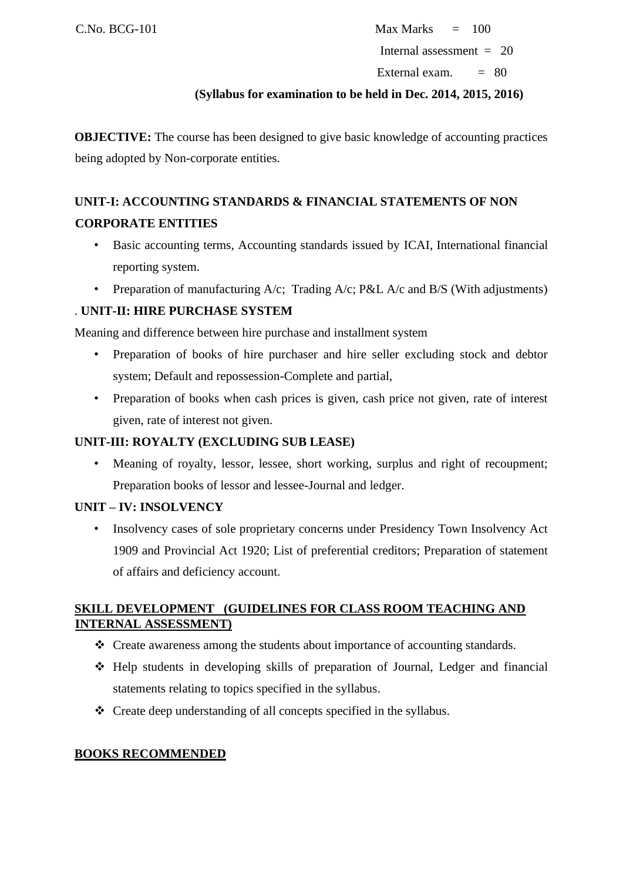$C.No. BCG-101$  Max Marks  $= 100$ Internal assessment = 20

External exam.  $= 80$ 

### **(Syllabus for examination to be held in Dec. 2014, 2015, 2016)**

**OBJECTIVE:** The course has been designed to give basic knowledge of accounting practices being adopted by Non-corporate entities.

# **UNIT-I: ACCOUNTING STANDARDS & FINANCIAL STATEMENTS OF NON CORPORATE ENTITIES**

- Basic accounting terms, Accounting standards issued by ICAI, International financial reporting system.
- Preparation of manufacturing  $A/c$ ; Trading  $A/c$ ; P&L  $A/c$  and B/S (With adjustments)

# . **UNIT-II: HIRE PURCHASE SYSTEM**

Meaning and difference between hire purchase and installment system

- Preparation of books of hire purchaser and hire seller excluding stock and debtor system; Default and repossession-Complete and partial,
- Preparation of books when cash prices is given, cash price not given, rate of interest given, rate of interest not given.

# **UNIT-III: ROYALTY (EXCLUDING SUB LEASE)**

Meaning of royalty, lessor, lessee, short working, surplus and right of recoupment; Preparation books of lessor and lessee-Journal and ledger.

# **UNIT – IV: INSOLVENCY**

• Insolvency cases of sole proprietary concerns under Presidency Town Insolvency Act 1909 and Provincial Act 1920; List of preferential creditors; Preparation of statement of affairs and deficiency account.

# **SKILL DEVELOPMENT (GUIDELINES FOR CLASS ROOM TEACHING AND INTERNAL ASSESSMENT)**

- ❖ Create awareness among the students about importance of accounting standards.
- ❖ Help students in developing skills of preparation of Journal, Ledger and financial statements relating to topics specified in the syllabus.
- ❖ Create deep understanding of all concepts specified in the syllabus.

# **BOOKS RECOMMENDED**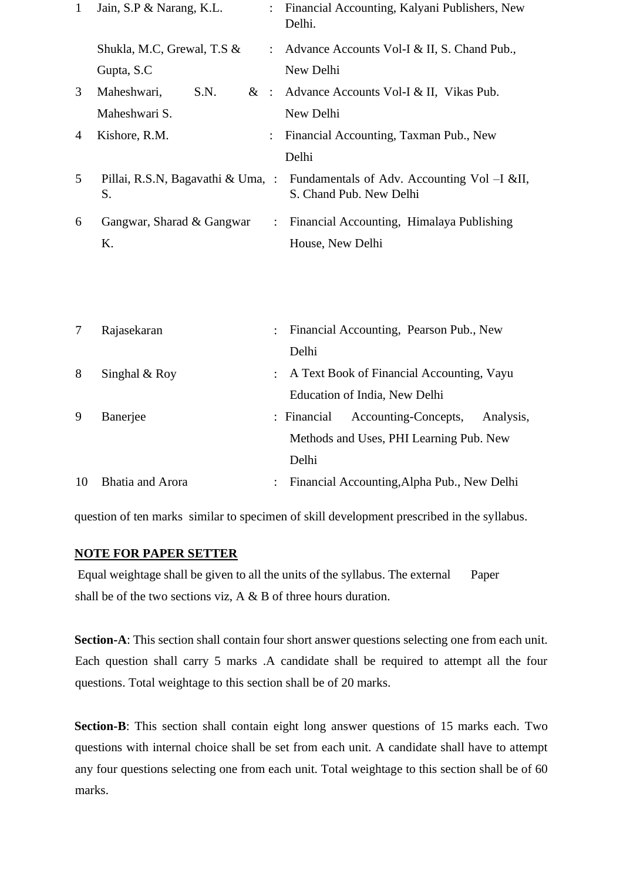| 1 | Jain, S.P & Narang, K.L.   |                      | : Financial Accounting, Kalyani Publishers, New<br>Delhi.                                                  |
|---|----------------------------|----------------------|------------------------------------------------------------------------------------------------------------|
|   | Shukla, M.C, Grewal, T.S & |                      | : Advance Accounts Vol-I & II, S. Chand Pub.,                                                              |
|   | Gupta, S.C.                |                      | New Delhi                                                                                                  |
| 3 | S.N.<br>Maheshwari,        |                      | & : Advance Accounts Vol-I & II, Vikas Pub.                                                                |
|   | Maheshwari S.              |                      | New Delhi                                                                                                  |
| 4 | Kishore, R.M.              |                      | Financial Accounting, Taxman Pub., New                                                                     |
|   |                            |                      | Delhi                                                                                                      |
| 5 | S.                         |                      | Pillai, R.S.N, Bagavathi & Uma, : Fundamentals of Adv. Accounting Vol $-I$ &II,<br>S. Chand Pub. New Delhi |
| 6 | Gangwar, Sharad & Gangwar  | $\ddot{\phantom{0}}$ | Financial Accounting, Himalaya Publishing                                                                  |
|   | K.                         |                      | House, New Delhi                                                                                           |

|    | Rajasekaran      | $\mathcal{L}$ | Financial Accounting, Pearson Pub., New          |
|----|------------------|---------------|--------------------------------------------------|
|    |                  |               | Delhi                                            |
| 8  | Singhal $& Roy$  |               | : A Text Book of Financial Accounting, Vayu      |
|    |                  |               | Education of India, New Delhi                    |
| 9  | Banerjee         |               | Accounting-Concepts,<br>Analysis,<br>: Financial |
|    |                  |               | Methods and Uses, PHI Learning Pub. New          |
|    |                  |               | Delhi                                            |
| 10 | Bhatia and Arora |               | : Financial Accounting, Alpha Pub., New Delhi    |

question of ten marks similar to specimen of skill development prescribed in the syllabus.

### **NOTE FOR PAPER SETTER**

Equal weightage shall be given to all the units of the syllabus. The external Paper shall be of the two sections viz, A & B of three hours duration.

**Section-A**: This section shall contain four short answer questions selecting one from each unit. Each question shall carry 5 marks .A candidate shall be required to attempt all the four questions. Total weightage to this section shall be of 20 marks.

**Section-B**: This section shall contain eight long answer questions of 15 marks each. Two questions with internal choice shall be set from each unit. A candidate shall have to attempt any four questions selecting one from each unit. Total weightage to this section shall be of 60 marks.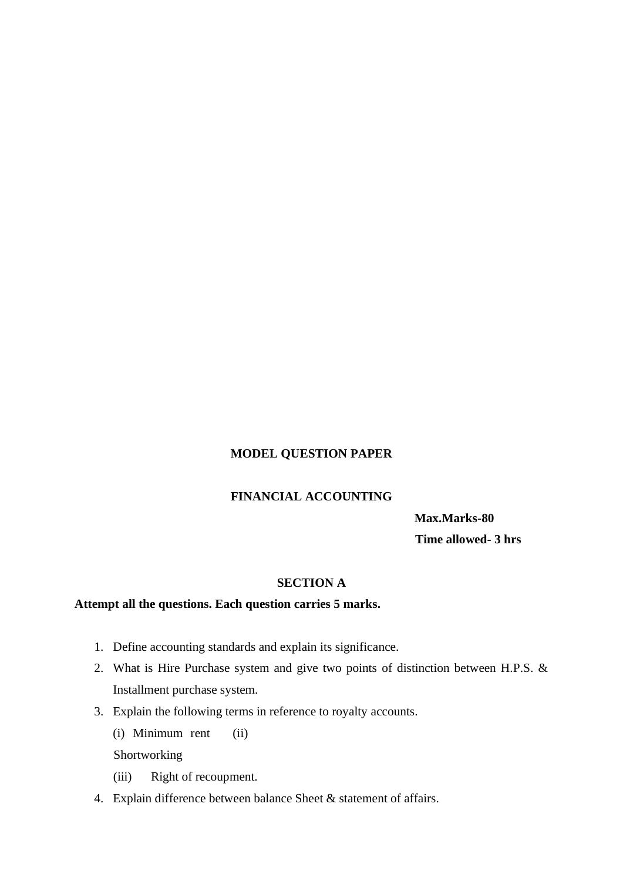# **MODEL QUESTION PAPER**

# **FINANCIAL ACCOUNTING**

**Max.Marks-80 Time allowed- 3 hrs** 

# **SECTION A**

# **Attempt all the questions. Each question carries 5 marks.**

- 1. Define accounting standards and explain its significance.
- 2. What is Hire Purchase system and give two points of distinction between H.P.S. & Installment purchase system.
- 3. Explain the following terms in reference to royalty accounts.
	- (i) Minimum rent (ii)

Shortworking

- (iii) Right of recoupment.
- 4. Explain difference between balance Sheet & statement of affairs.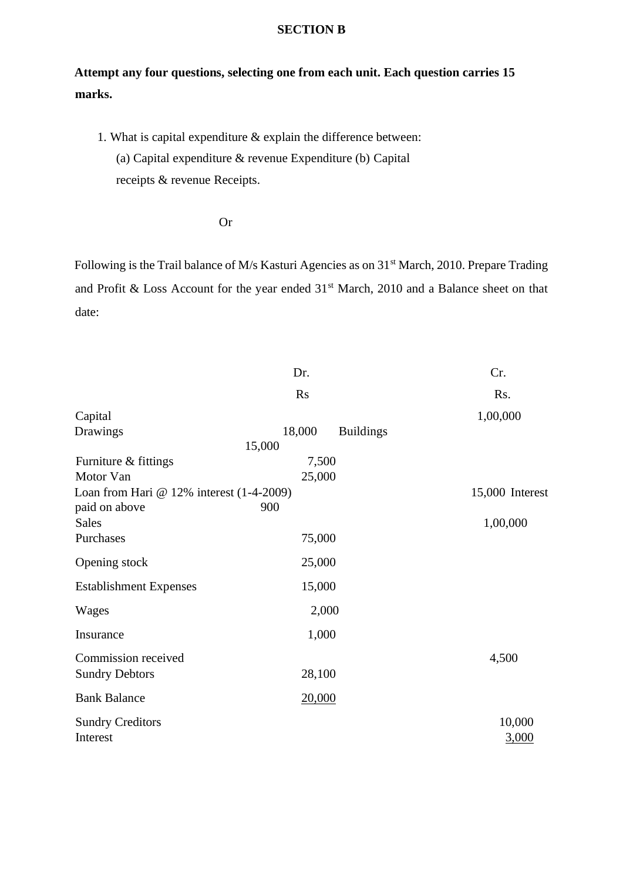# **SECTION B**

# **Attempt any four questions, selecting one from each unit. Each question carries 15 marks.**

1. What is capital expenditure & explain the difference between: (a) Capital expenditure & revenue Expenditure (b) Capital receipts & revenue Receipts.

Or

Following is the Trail balance of M/s Kasturi Agencies as on 31<sup>st</sup> March, 2010. Prepare Trading and Profit & Loss Account for the year ended 31<sup>st</sup> March, 2010 and a Balance sheet on that date:

|                                                 | Dr.                        | Cr.             |
|-------------------------------------------------|----------------------------|-----------------|
|                                                 | <b>Rs</b>                  | Rs.             |
| Capital                                         |                            | 1,00,000        |
| Drawings                                        | 18,000<br><b>Buildings</b> |                 |
|                                                 | 15,000                     |                 |
| Furniture & fittings                            | 7,500                      |                 |
| Motor Van                                       | 25,000                     |                 |
| Loan from Hari $\omega$ 12% interest (1-4-2009) |                            | 15,000 Interest |
| paid on above                                   | 900                        |                 |
| <b>Sales</b>                                    |                            | 1,00,000        |
| Purchases                                       | 75,000                     |                 |
|                                                 |                            |                 |
| Opening stock                                   | 25,000                     |                 |
| <b>Establishment Expenses</b>                   | 15,000                     |                 |
| Wages                                           | 2,000                      |                 |
| Insurance                                       | 1,000                      |                 |
| Commission received                             |                            | 4,500           |
|                                                 | 28,100                     |                 |
| <b>Sundry Debtors</b>                           |                            |                 |
| <b>Bank Balance</b>                             | 20,000                     |                 |
| <b>Sundry Creditors</b>                         |                            | 10,000          |
| Interest                                        |                            | 3,000           |
|                                                 |                            |                 |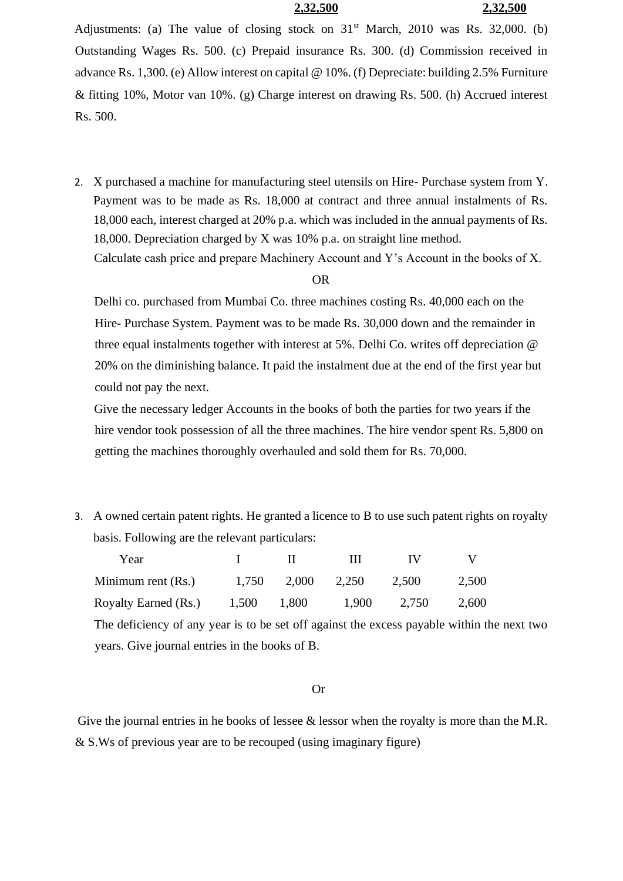### **2,32,500 2,32,500**

Adjustments: (a) The value of closing stock on  $31<sup>st</sup>$  March, 2010 was Rs. 32,000. (b) Outstanding Wages Rs. 500. (c) Prepaid insurance Rs. 300. (d) Commission received in advance Rs. 1,300. (e) Allow interest on capital @ 10%. (f) Depreciate: building 2.5% Furniture & fitting 10%, Motor van 10%. (g) Charge interest on drawing Rs. 500. (h) Accrued interest Rs. 500.

2. X purchased a machine for manufacturing steel utensils on Hire- Purchase system from Y. Payment was to be made as Rs. 18,000 at contract and three annual instalments of Rs. 18,000 each, interest charged at 20% p.a. which was included in the annual payments of Rs. 18,000. Depreciation charged by X was 10% p.a. on straight line method. Calculate cash price and prepare Machinery Account and Y's Account in the books of X.

#### OR

Delhi co. purchased from Mumbai Co. three machines costing Rs. 40,000 each on the Hire- Purchase System. Payment was to be made Rs. 30,000 down and the remainder in three equal instalments together with interest at 5%. Delhi Co. writes off depreciation @ 20% on the diminishing balance. It paid the instalment due at the end of the first year but could not pay the next.

Give the necessary ledger Accounts in the books of both the parties for two years if the hire vendor took possession of all the three machines. The hire vendor spent Rs. 5,800 on getting the machines thoroughly overhauled and sold them for Rs. 70,000.

3. A owned certain patent rights. He granted a licence to B to use such patent rights on royalty basis. Following are the relevant particulars:

| Year                 |       |       |       | 1 V   |       |
|----------------------|-------|-------|-------|-------|-------|
| Minimum rent (Rs.)   | 1,750 | 2.000 | 2,250 | 2,500 | 2,500 |
| Royalty Earned (Rs.) | 1,500 | 1.800 | 1,900 | 2,750 | 2,600 |

The deficiency of any year is to be set off against the excess payable within the next two years. Give journal entries in the books of B.

#### Or

Give the journal entries in he books of lessee  $\&$  lessor when the royalty is more than the M.R. & S.Ws of previous year are to be recouped (using imaginary figure)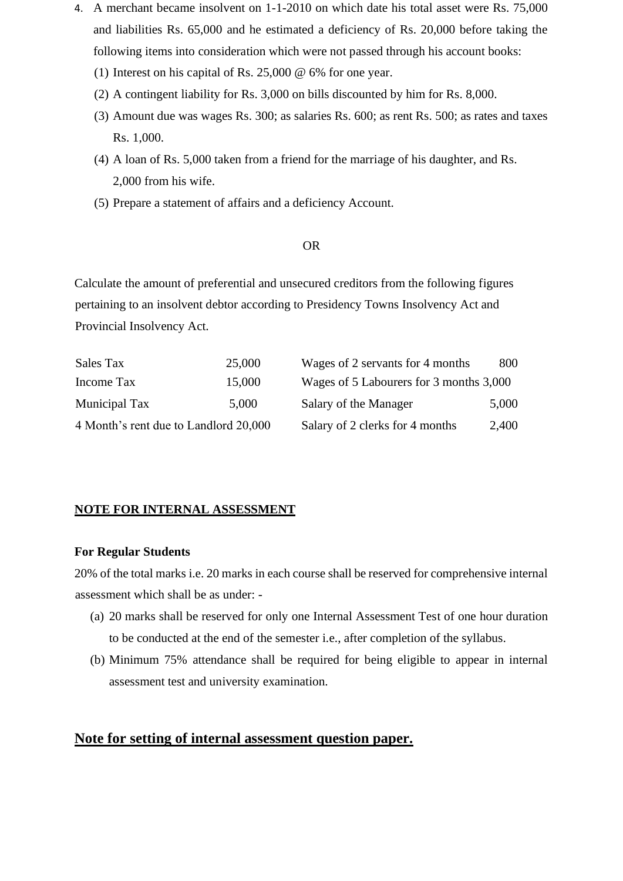- 4. A merchant became insolvent on 1-1-2010 on which date his total asset were Rs. 75,000 and liabilities Rs. 65,000 and he estimated a deficiency of Rs. 20,000 before taking the following items into consideration which were not passed through his account books:
	- (1) Interest on his capital of Rs. 25,000 @ 6% for one year.
	- (2) A contingent liability for Rs. 3,000 on bills discounted by him for Rs. 8,000.
	- (3) Amount due was wages Rs. 300; as salaries Rs. 600; as rent Rs. 500; as rates and taxes Rs. 1,000.
	- (4) A loan of Rs. 5,000 taken from a friend for the marriage of his daughter, and Rs. 2,000 from his wife.
	- (5) Prepare a statement of affairs and a deficiency Account.

### OR

Calculate the amount of preferential and unsecured creditors from the following figures pertaining to an insolvent debtor according to Presidency Towns Insolvency Act and Provincial Insolvency Act.

| Sales Tax                             | 25,000 | Wages of 2 servants for 4 months        | 800   |
|---------------------------------------|--------|-----------------------------------------|-------|
| Income Tax                            | 15,000 | Wages of 5 Labourers for 3 months 3,000 |       |
| Municipal Tax                         | 5,000  | Salary of the Manager                   | 5,000 |
| 4 Month's rent due to Landlord 20,000 |        | Salary of 2 clerks for 4 months         | 2,400 |

### **NOTE FOR INTERNAL ASSESSMENT**

#### **For Regular Students**

20% of the total marks i.e. 20 marks in each course shall be reserved for comprehensive internal assessment which shall be as under: -

- (a) 20 marks shall be reserved for only one Internal Assessment Test of one hour duration to be conducted at the end of the semester i.e., after completion of the syllabus.
- (b) Minimum 75% attendance shall be required for being eligible to appear in internal assessment test and university examination.

# **Note for setting of internal assessment question paper.**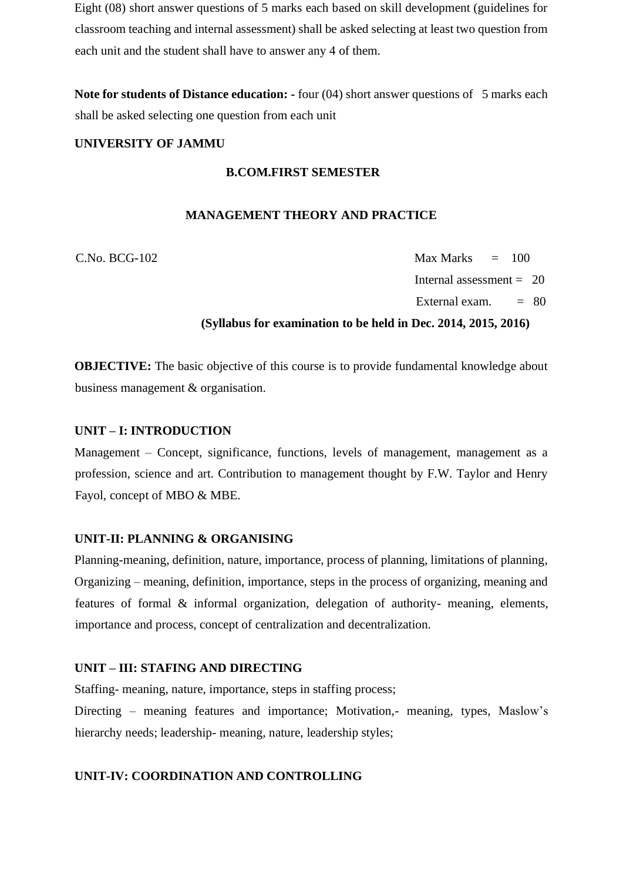Eight (08) short answer questions of 5 marks each based on skill development (guidelines for classroom teaching and internal assessment) shall be asked selecting at least two question from each unit and the student shall have to answer any 4 of them.

**Note for students of Distance education: -** four (04) short answer questions of 5 marks each shall be asked selecting one question from each unit

### **UNIVERSITY OF JAMMU**

# **B.COM.FIRST SEMESTER**

### **MANAGEMENT THEORY AND PRACTICE**

 $C.No. BCG-102$  Max Marks  $= 100$ Internal assessment  $= 20$ External exam.  $= 80$ 

### **(Syllabus for examination to be held in Dec. 2014, 2015, 2016)**

**OBJECTIVE:** The basic objective of this course is to provide fundamental knowledge about business management & organisation.

### **UNIT – I: INTRODUCTION**

Management – Concept, significance, functions, levels of management, management as a profession, science and art. Contribution to management thought by F.W. Taylor and Henry Fayol, concept of MBO & MBE.

### **UNIT-II: PLANNING & ORGANISING**

Planning-meaning, definition, nature, importance, process of planning, limitations of planning, Organizing – meaning, definition, importance, steps in the process of organizing, meaning and features of formal & informal organization, delegation of authority- meaning, elements, importance and process, concept of centralization and decentralization.

#### **UNIT – III: STAFING AND DIRECTING**

Staffing- meaning, nature, importance, steps in staffing process;

Directing – meaning features and importance; Motivation,- meaning, types, Maslow's hierarchy needs; leadership- meaning, nature, leadership styles;

### **UNIT-IV: COORDINATION AND CONTROLLING**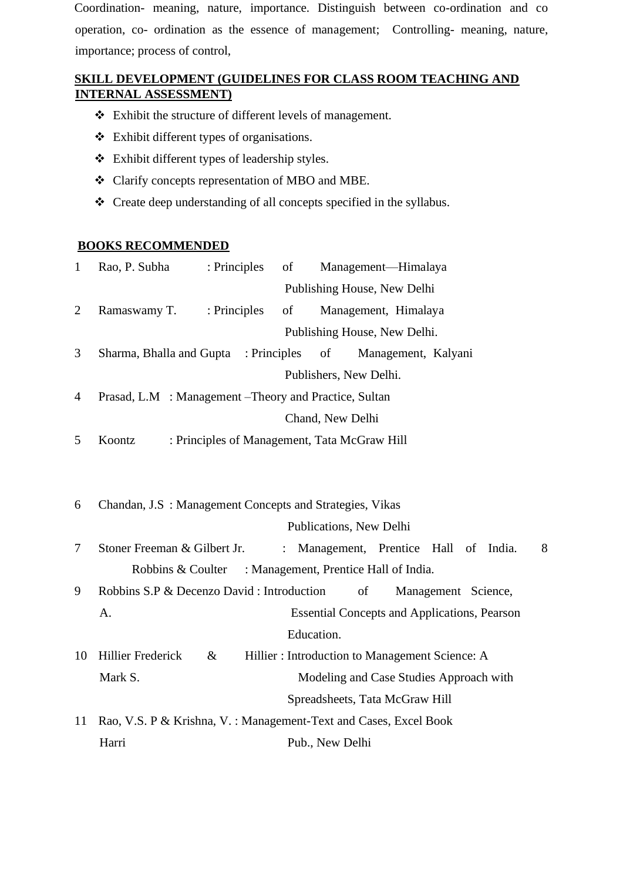Coordination- meaning, nature, importance. Distinguish between co-ordination and co operation, co- ordination as the essence of management; Controlling- meaning, nature, importance; process of control,

# **SKILL DEVELOPMENT (GUIDELINES FOR CLASS ROOM TEACHING AND INTERNAL ASSESSMENT)**

- ❖ Exhibit the structure of different levels of management.
- ❖ Exhibit different types of organisations.
- ❖ Exhibit different types of leadership styles.
- ❖ Clarify concepts representation of MBO and MBE.
- ❖ Create deep understanding of all concepts specified in the syllabus.

### **BOOKS RECOMMENDED**

| $\mathbf{1}$   | Rao, P. Subha<br>: Principles                                    | of | Management-Himalaya                                 |   |
|----------------|------------------------------------------------------------------|----|-----------------------------------------------------|---|
|                |                                                                  |    | Publishing House, New Delhi                         |   |
| $\overline{2}$ | Ramaswamy T.<br>: Principles                                     | of | Management, Himalaya                                |   |
|                |                                                                  |    | Publishing House, New Delhi.                        |   |
| 3              | Sharma, Bhalla and Gupta : Principles                            |    | of<br>Management, Kalyani                           |   |
|                |                                                                  |    | Publishers, New Delhi.                              |   |
| $\overline{4}$ | Prasad, L.M : Management – Theory and Practice, Sultan           |    |                                                     |   |
|                |                                                                  |    | Chand, New Delhi                                    |   |
| 5              | Koontz                                                           |    | : Principles of Management, Tata McGraw Hill        |   |
|                |                                                                  |    |                                                     |   |
|                |                                                                  |    |                                                     |   |
| 6              | Chandan, J.S : Management Concepts and Strategies, Vikas         |    |                                                     |   |
|                |                                                                  |    | Publications, New Delhi                             |   |
| 7              | Stoner Freeman & Gilbert Jr.                                     |    | : Management, Prentice Hall of India.               | 8 |
|                | Robbins & Coulter                                                |    | : Management, Prentice Hall of India.               |   |
| 9              | Robbins S.P & Decenzo David : Introduction                       |    | of<br>Management Science,                           |   |
|                | A.                                                               |    | <b>Essential Concepts and Applications, Pearson</b> |   |
|                |                                                                  |    | Education.                                          |   |
| 10             | <b>Hillier Frederick</b><br>$\&$                                 |    | Hillier: Introduction to Management Science: A      |   |
|                | Mark S.                                                          |    | Modeling and Case Studies Approach with             |   |
|                |                                                                  |    | Spreadsheets, Tata McGraw Hill                      |   |
| 11             | Rao, V.S. P & Krishna, V.: Management-Text and Cases, Excel Book |    |                                                     |   |
|                | Harri                                                            |    | Pub., New Delhi                                     |   |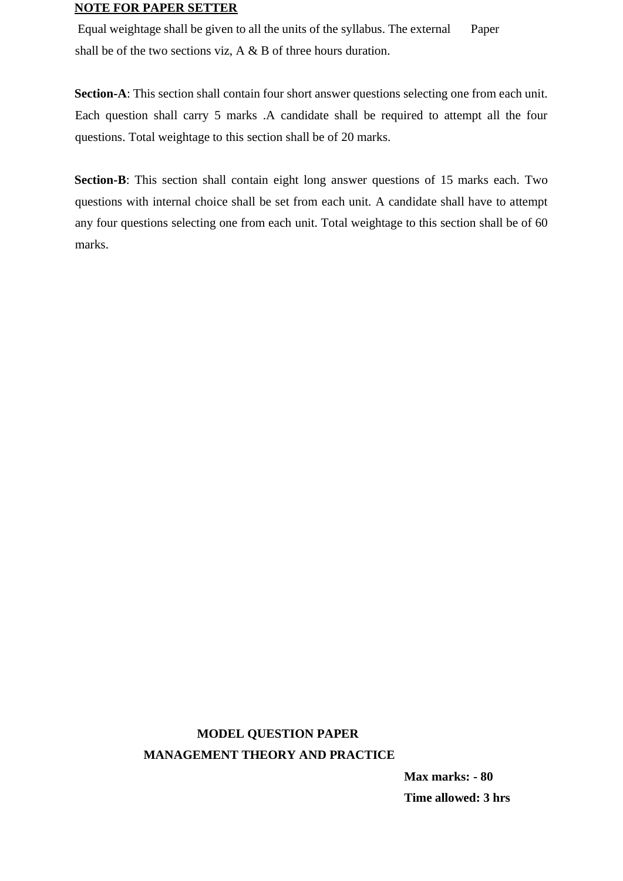### **NOTE FOR PAPER SETTER**

Equal weightage shall be given to all the units of the syllabus. The external Paper shall be of the two sections viz, A & B of three hours duration.

**Section-A**: This section shall contain four short answer questions selecting one from each unit. Each question shall carry 5 marks .A candidate shall be required to attempt all the four questions. Total weightage to this section shall be of 20 marks.

**Section-B**: This section shall contain eight long answer questions of 15 marks each. Two questions with internal choice shall be set from each unit. A candidate shall have to attempt any four questions selecting one from each unit. Total weightage to this section shall be of 60 marks.

# **MODEL QUESTION PAPER MANAGEMENT THEORY AND PRACTICE**

**Max marks: - 80 Time allowed: 3 hrs**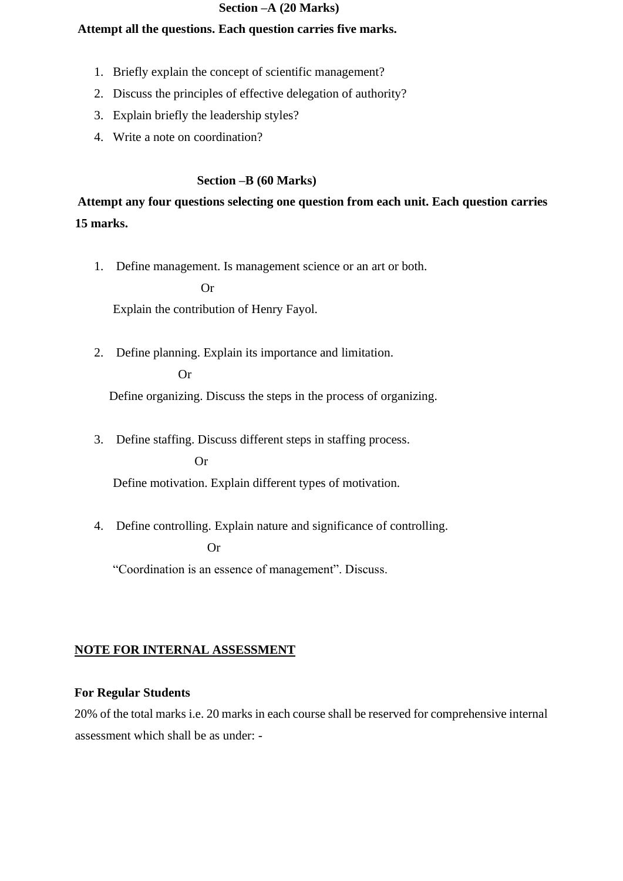### **Section –A (20 Marks)**

### **Attempt all the questions. Each question carries five marks.**

- 1. Briefly explain the concept of scientific management?
- 2. Discuss the principles of effective delegation of authority?
- 3. Explain briefly the leadership styles?
- 4. Write a note on coordination?

### **Section –B (60 Marks)**

**Attempt any four questions selecting one question from each unit. Each question carries 15 marks.** 

1. Define management. Is management science or an art or both.

Or

Explain the contribution of Henry Fayol.

2. Define planning. Explain its importance and limitation.

Or

Define organizing. Discuss the steps in the process of organizing.

3. Define staffing. Discuss different steps in staffing process.

Or

Define motivation. Explain different types of motivation.

4. Define controlling. Explain nature and significance of controlling.

Or

"Coordination is an essence of management". Discuss.

# **NOTE FOR INTERNAL ASSESSMENT**

### **For Regular Students**

20% of the total marks i.e. 20 marks in each course shall be reserved for comprehensive internal assessment which shall be as under: -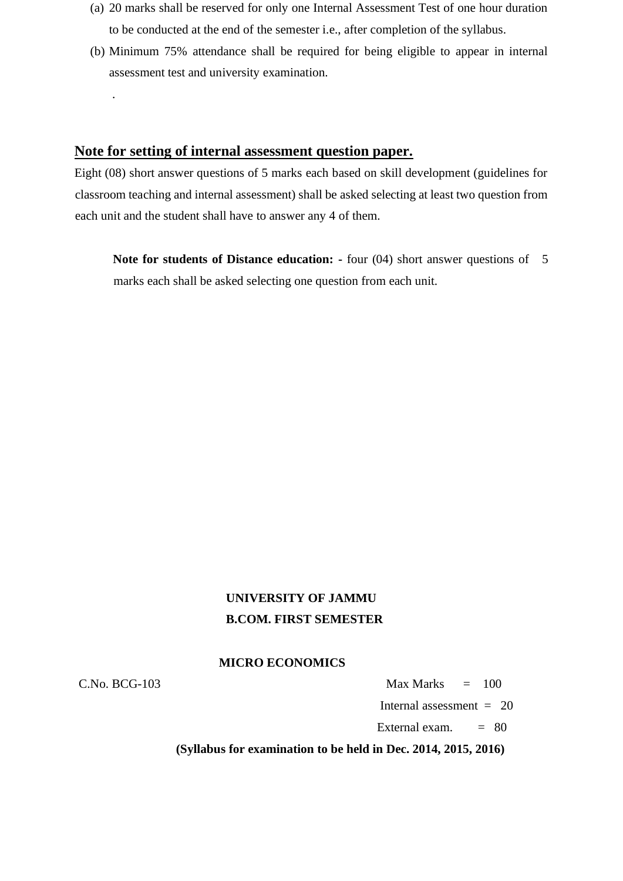- (a) 20 marks shall be reserved for only one Internal Assessment Test of one hour duration to be conducted at the end of the semester i.e., after completion of the syllabus.
- (b) Minimum 75% attendance shall be required for being eligible to appear in internal assessment test and university examination.

# **Note for setting of internal assessment question paper.**

Eight (08) short answer questions of 5 marks each based on skill development (guidelines for classroom teaching and internal assessment) shall be asked selecting at least two question from each unit and the student shall have to answer any 4 of them.

**Note for students of Distance education:** - four (04) short answer questions of 5 marks each shall be asked selecting one question from each unit.

# **UNIVERSITY OF JAMMU B.COM. FIRST SEMESTER**

### **MICRO ECONOMICS**

.

 $C.No. BCG-103$  Max Marks  $= 100$ 

Internal assessment  $= 20$ 

External exam.  $= 80$ 

 **(Syllabus for examination to be held in Dec. 2014, 2015, 2016)**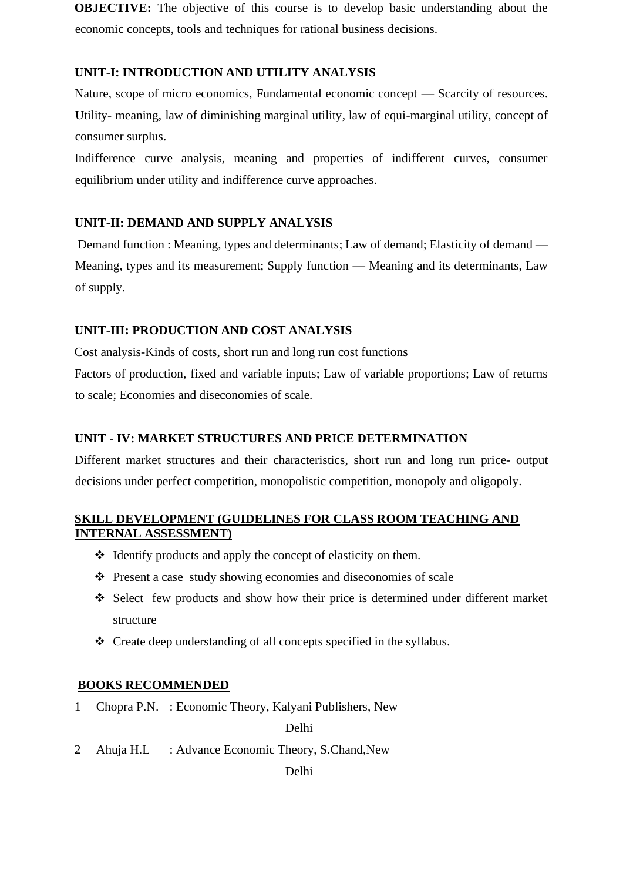**OBJECTIVE:** The objective of this course is to develop basic understanding about the economic concepts, tools and techniques for rational business decisions.

# **UNIT-I: INTRODUCTION AND UTILITY ANALYSIS**

Nature, scope of micro economics, Fundamental economic concept — Scarcity of resources. Utility- meaning, law of diminishing marginal utility, law of equi-marginal utility, concept of consumer surplus.

Indifference curve analysis, meaning and properties of indifferent curves, consumer equilibrium under utility and indifference curve approaches.

# **UNIT-II: DEMAND AND SUPPLY ANALYSIS**

Demand function : Meaning, types and determinants; Law of demand; Elasticity of demand — Meaning, types and its measurement; Supply function — Meaning and its determinants, Law of supply.

# **UNIT-III: PRODUCTION AND COST ANALYSIS**

Cost analysis-Kinds of costs, short run and long run cost functions

Factors of production, fixed and variable inputs; Law of variable proportions; Law of returns to scale; Economies and diseconomies of scale.

# **UNIT - IV: MARKET STRUCTURES AND PRICE DETERMINATION**

Different market structures and their characteristics, short run and long run price- output decisions under perfect competition, monopolistic competition, monopoly and oligopoly.

# **SKILL DEVELOPMENT (GUIDELINES FOR CLASS ROOM TEACHING AND INTERNAL ASSESSMENT)**

- ❖ Identify products and apply the concept of elasticity on them.
- ❖ Present a case study showing economies and diseconomies of scale
- ❖ Select few products and show how their price is determined under different market structure
- ❖ Create deep understanding of all concepts specified in the syllabus.

# **BOOKS RECOMMENDED**

1 Chopra P.N. : Economic Theory, Kalyani Publishers, New

Delhi

2 Ahuja H.L : Advance Economic Theory, S.Chand, New

Delhi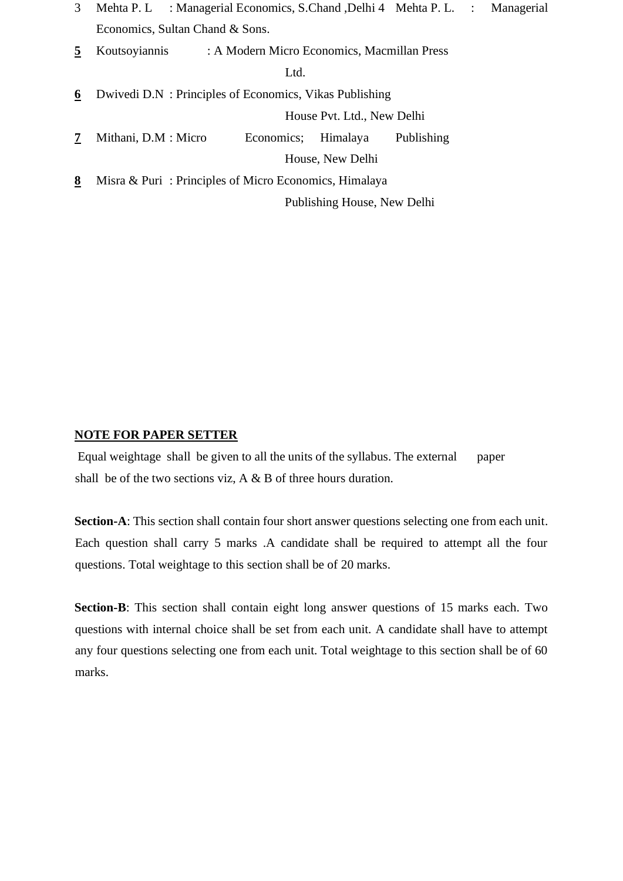- 3 Mehta P. L : Managerial Economics, S.Chand ,Delhi 4 Mehta P. L. : Managerial Economics, Sultan Chand & Sons.
- **5** Koutsoyiannis : A Modern Micro Economics, Macmillan Press

Ltd.

**6** Dwivedi D.N : Principles of Economics, Vikas Publishing House Pvt. Ltd., New Delhi

**7** Mithani, D.M : Micro Economics; Himalaya Publishing House, New Delhi

**8** Misra & Puri : Principles of Micro Economics, Himalaya

Publishing House, New Delhi

### **NOTE FOR PAPER SETTER**

Equal weightage shall be given to all the units of the syllabus. The external paper shall be of the two sections viz, A & B of three hours duration.

**Section-A**: This section shall contain four short answer questions selecting one from each unit. Each question shall carry 5 marks .A candidate shall be required to attempt all the four questions. Total weightage to this section shall be of 20 marks.

**Section-B**: This section shall contain eight long answer questions of 15 marks each. Two questions with internal choice shall be set from each unit. A candidate shall have to attempt any four questions selecting one from each unit. Total weightage to this section shall be of 60 marks.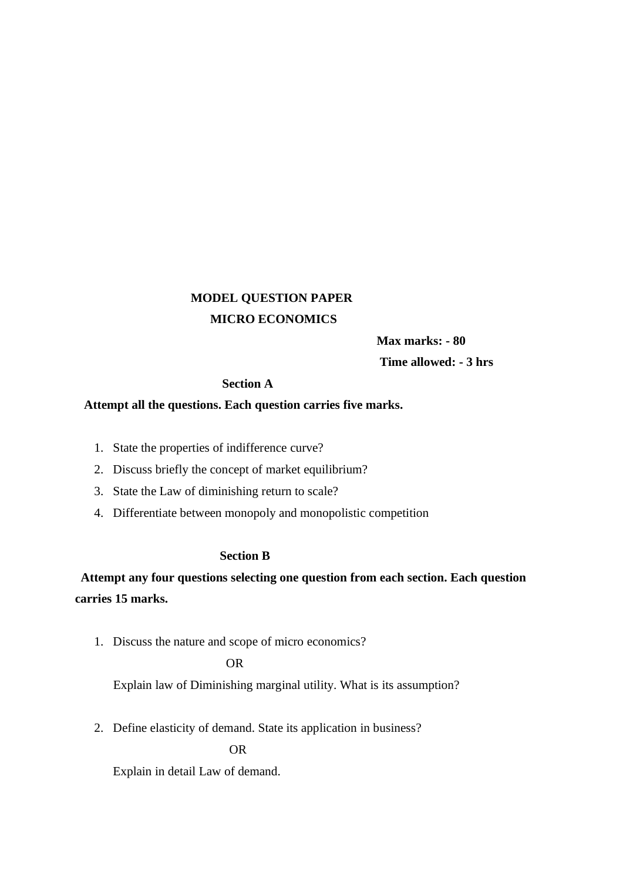# **MODEL QUESTION PAPER MICRO ECONOMICS**

**Max marks: - 80** 

**Time allowed: - 3 hrs** 

### **Section A**

### **Attempt all the questions. Each question carries five marks.**

- 1. State the properties of indifference curve?
- 2. Discuss briefly the concept of market equilibrium?
- 3. State the Law of diminishing return to scale?
- 4. Differentiate between monopoly and monopolistic competition

### **Section B**

# **Attempt any four questions selecting one question from each section. Each question carries 15 marks.**

1. Discuss the nature and scope of micro economics?

### OR

Explain law of Diminishing marginal utility. What is its assumption?

2. Define elasticity of demand. State its application in business?

OR

Explain in detail Law of demand.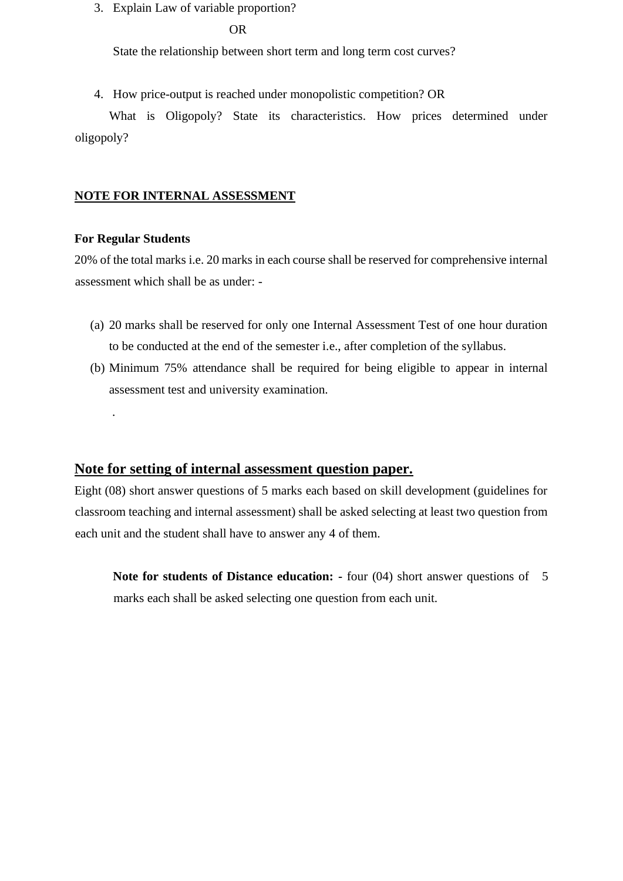3. Explain Law of variable proportion?

### OR

State the relationship between short term and long term cost curves?

4. How price-output is reached under monopolistic competition? OR

What is Oligopoly? State its characteristics. How prices determined under oligopoly?

### **NOTE FOR INTERNAL ASSESSMENT**

### **For Regular Students**

.

20% of the total marks i.e. 20 marks in each course shall be reserved for comprehensive internal assessment which shall be as under: -

- (a) 20 marks shall be reserved for only one Internal Assessment Test of one hour duration to be conducted at the end of the semester i.e., after completion of the syllabus.
- (b) Minimum 75% attendance shall be required for being eligible to appear in internal assessment test and university examination.

### **Note for setting of internal assessment question paper.**

Eight (08) short answer questions of 5 marks each based on skill development (guidelines for classroom teaching and internal assessment) shall be asked selecting at least two question from each unit and the student shall have to answer any 4 of them.

**Note for students of Distance education: -** four (04) short answer questions of 5 marks each shall be asked selecting one question from each unit.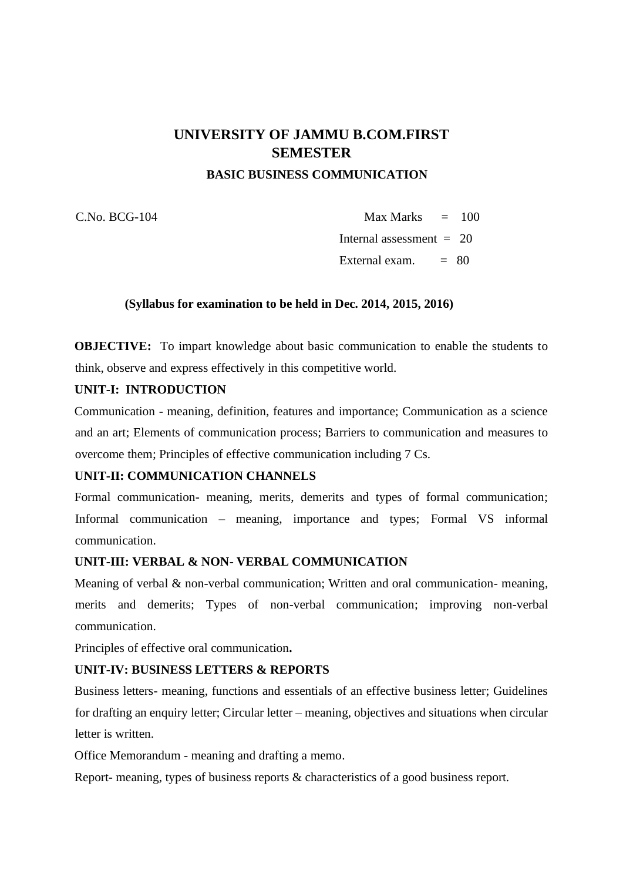# **UNIVERSITY OF JAMMU B.COM.FIRST SEMESTER**

 **BASIC BUSINESS COMMUNICATION** 

 $C. No. BCG-104$  Max Marks  $= 100$ Internal assessment  $= 20$ 

External exam.  $= 80$ 

### **(Syllabus for examination to be held in Dec. 2014, 2015, 2016)**

**OBJECTIVE:** To impart knowledge about basic communication to enable the students to think, observe and express effectively in this competitive world.

### **UNIT-I: INTRODUCTION**

Communication - meaning, definition, features and importance; Communication as a science and an art; Elements of communication process; Barriers to communication and measures to overcome them; Principles of effective communication including 7 Cs.

# **UNIT-II: COMMUNICATION CHANNELS**

Formal communication- meaning, merits, demerits and types of formal communication; Informal communication – meaning, importance and types; Formal VS informal communication.

### **UNIT-III: VERBAL & NON- VERBAL COMMUNICATION**

Meaning of verbal & non-verbal communication; Written and oral communication- meaning, merits and demerits; Types of non-verbal communication; improving non-verbal communication.

Principles of effective oral communication**.** 

### **UNIT-IV: BUSINESS LETTERS & REPORTS**

Business letters- meaning, functions and essentials of an effective business letter; Guidelines for drafting an enquiry letter; Circular letter – meaning, objectives and situations when circular letter is written.

Office Memorandum - meaning and drafting a memo.

Report- meaning, types of business reports & characteristics of a good business report.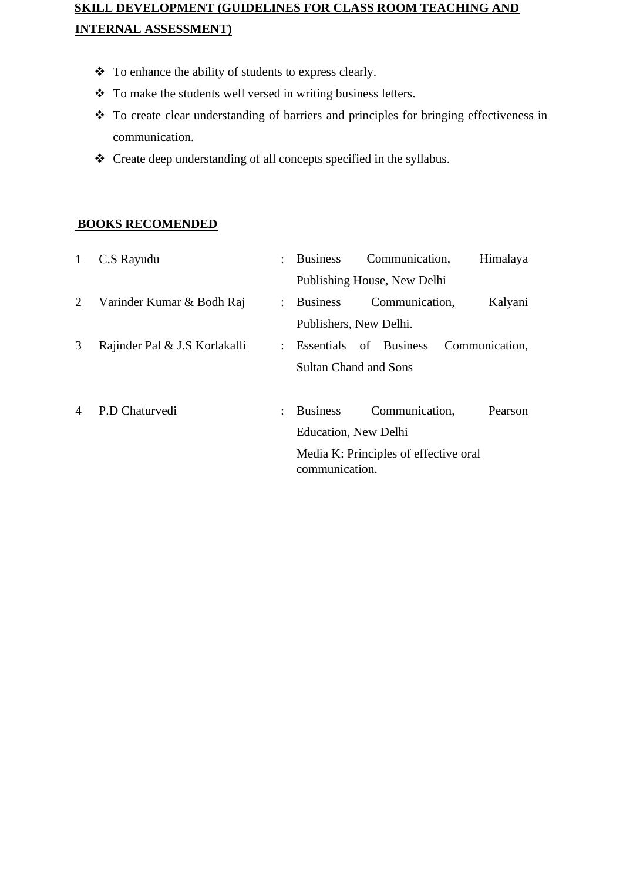# **SKILL DEVELOPMENT (GUIDELINES FOR CLASS ROOM TEACHING AND INTERNAL ASSESSMENT)**

- ❖ To enhance the ability of students to express clearly.
- ❖ To make the students well versed in writing business letters.
- ❖ To create clear understanding of barriers and principles for bringing effectiveness in communication.
- ❖ Create deep understanding of all concepts specified in the syllabus.

# **BOOKS RECOMENDED**

| $\mathbf{1}$ | C.S Rayudu                    | ÷                    | <b>Business</b>              | Communication,                        | Himalaya       |
|--------------|-------------------------------|----------------------|------------------------------|---------------------------------------|----------------|
|              |                               |                      |                              | Publishing House, New Delhi           |                |
| 2            | Varinder Kumar & Bodh Raj     | $\ddot{\phantom{0}}$ | <b>Business</b>              | Communication,                        | Kalyani        |
|              |                               |                      | Publishers, New Delhi.       |                                       |                |
| 3            | Rajinder Pal & J.S Korlakalli | $\ddot{\phantom{0}}$ | Essentials of Business       |                                       | Communication, |
|              |                               |                      | <b>Sultan Chand and Sons</b> |                                       |                |
| 4            | P.D Chaturvedi                |                      | <b>Business</b>              | Communication,                        | Pearson        |
|              |                               |                      | Education, New Delhi         |                                       |                |
|              |                               |                      | communication.               | Media K: Principles of effective oral |                |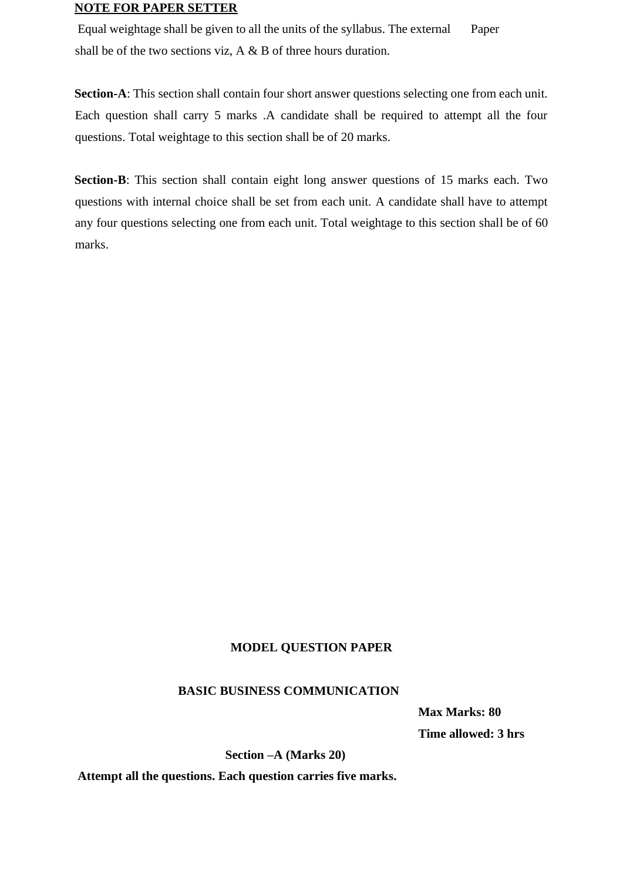### **NOTE FOR PAPER SETTER**

Equal weightage shall be given to all the units of the syllabus. The external Paper shall be of the two sections viz, A & B of three hours duration.

**Section-A**: This section shall contain four short answer questions selecting one from each unit. Each question shall carry 5 marks .A candidate shall be required to attempt all the four questions. Total weightage to this section shall be of 20 marks.

**Section-B**: This section shall contain eight long answer questions of 15 marks each. Two questions with internal choice shall be set from each unit. A candidate shall have to attempt any four questions selecting one from each unit. Total weightage to this section shall be of 60 marks.

### **MODEL QUESTION PAPER**

### **BASIC BUSINESS COMMUNICATION**

**Max Marks: 80 Time allowed: 3 hrs** 

 **Section –A (Marks 20)** 

**Attempt all the questions. Each question carries five marks.**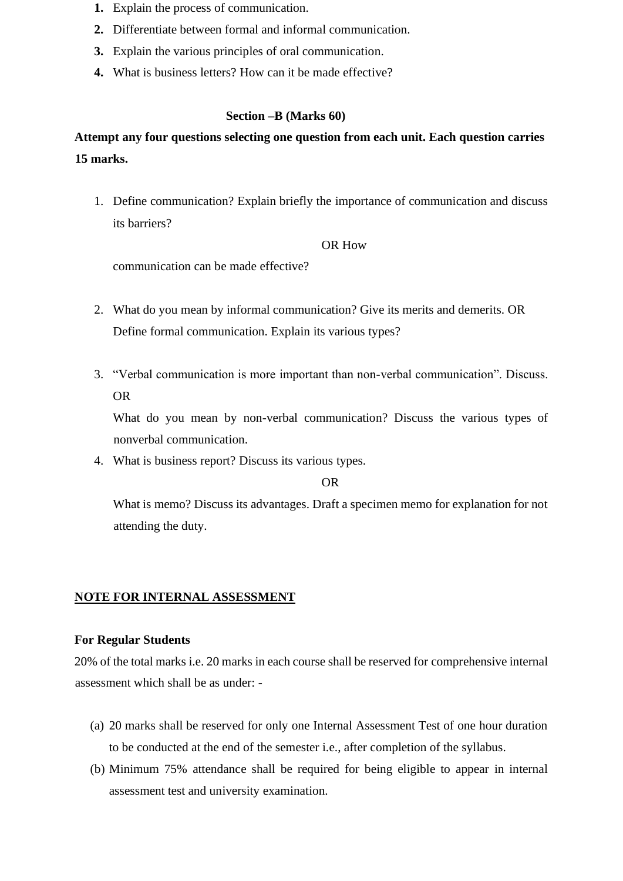- **1.** Explain the process of communication.
- **2.** Differentiate between formal and informal communication.
- **3.** Explain the various principles of oral communication.
- **4.** What is business letters? How can it be made effective?

### **Section –B (Marks 60)**

# **Attempt any four questions selecting one question from each unit. Each question carries 15 marks.**

1. Define communication? Explain briefly the importance of communication and discuss its barriers?

### OR How

communication can be made effective?

- 2. What do you mean by informal communication? Give its merits and demerits. OR Define formal communication. Explain its various types?
- 3. "Verbal communication is more important than non-verbal communication". Discuss. OR

What do you mean by non-verbal communication? Discuss the various types of nonverbal communication.

4. What is business report? Discuss its various types.

#### OR

What is memo? Discuss its advantages. Draft a specimen memo for explanation for not attending the duty.

### **NOTE FOR INTERNAL ASSESSMENT**

### **For Regular Students**

20% of the total marks i.e. 20 marks in each course shall be reserved for comprehensive internal assessment which shall be as under: -

- (a) 20 marks shall be reserved for only one Internal Assessment Test of one hour duration to be conducted at the end of the semester i.e., after completion of the syllabus.
- (b) Minimum 75% attendance shall be required for being eligible to appear in internal assessment test and university examination.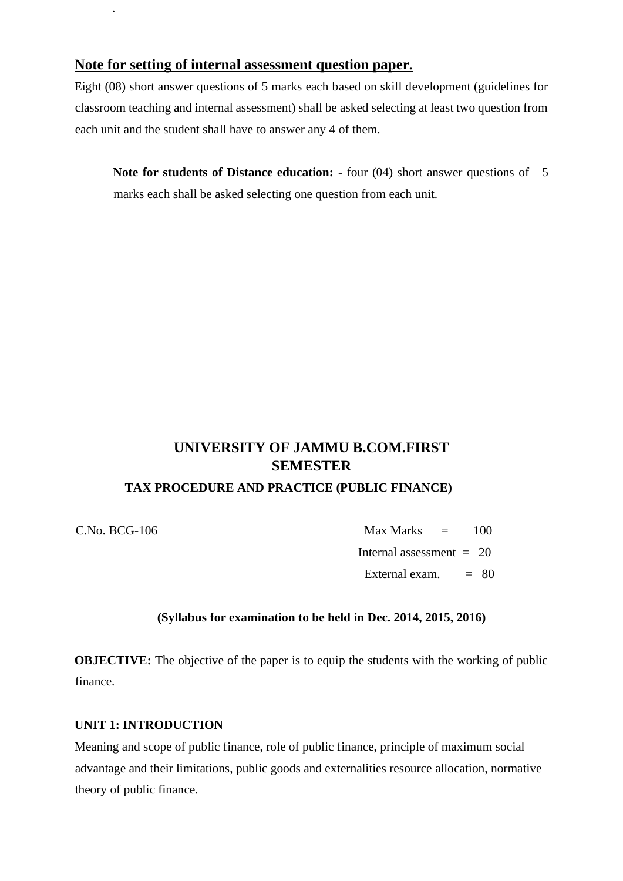# **Note for setting of internal assessment question paper.**

Eight (08) short answer questions of 5 marks each based on skill development (guidelines for classroom teaching and internal assessment) shall be asked selecting at least two question from each unit and the student shall have to answer any 4 of them.

**Note for students of Distance education: -** four (04) short answer questions of 5 marks each shall be asked selecting one question from each unit.

# **UNIVERSITY OF JAMMU B.COM.FIRST SEMESTER**

# **TAX PROCEDURE AND PRACTICE (PUBLIC FINANCE)**

.

C.No. BCG-106 Max Marks = 100 Internal assessment  $= 20$ External exam.  $= 80$ 

# **(Syllabus for examination to be held in Dec. 2014, 2015, 2016)**

**OBJECTIVE:** The objective of the paper is to equip the students with the working of public finance.

# **UNIT 1: INTRODUCTION**

Meaning and scope of public finance, role of public finance, principle of maximum social advantage and their limitations, public goods and externalities resource allocation, normative theory of public finance.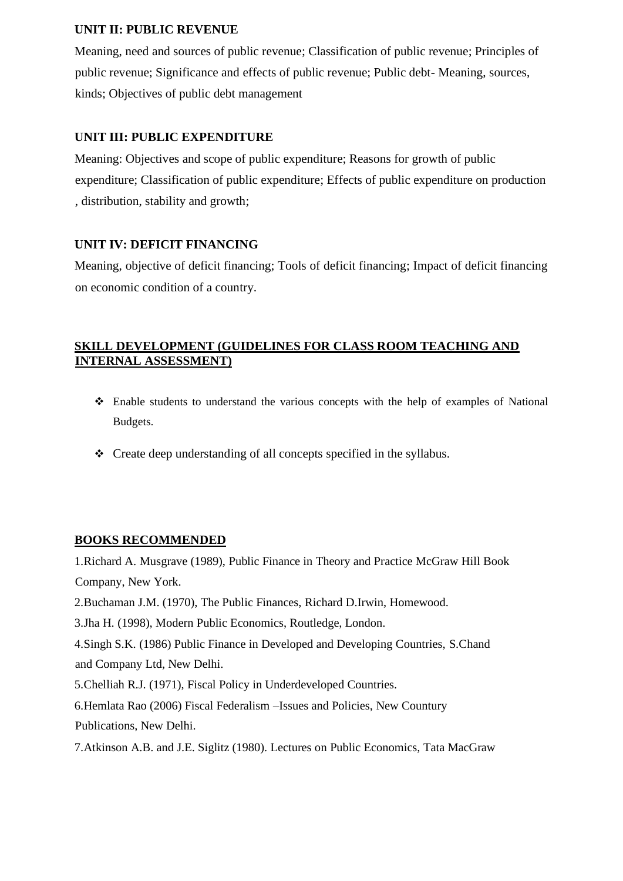# **UNIT II: PUBLIC REVENUE**

Meaning, need and sources of public revenue; Classification of public revenue; Principles of public revenue; Significance and effects of public revenue; Public debt- Meaning, sources, kinds; Objectives of public debt management

# **UNIT III: PUBLIC EXPENDITURE**

Meaning: Objectives and scope of public expenditure; Reasons for growth of public expenditure; Classification of public expenditure; Effects of public expenditure on production , distribution, stability and growth;

# **UNIT IV: DEFICIT FINANCING**

Meaning, objective of deficit financing; Tools of deficit financing; Impact of deficit financing on economic condition of a country.

# **SKILL DEVELOPMENT (GUIDELINES FOR CLASS ROOM TEACHING AND INTERNAL ASSESSMENT)**

- ❖ Enable students to understand the various concepts with the help of examples of National Budgets.
- ❖ Create deep understanding of all concepts specified in the syllabus.

# **BOOKS RECOMMENDED**

1.Richard A. Musgrave (1989), Public Finance in Theory and Practice McGraw Hill Book Company, New York.

2.Buchaman J.M. (1970), The Public Finances, Richard D.Irwin, Homewood.

3.Jha H. (1998), Modern Public Economics, Routledge, London.

4.Singh S.K. (1986) Public Finance in Developed and Developing Countries, S.Chand and Company Ltd, New Delhi.

5.Chelliah R.J. (1971), Fiscal Policy in Underdeveloped Countries.

6.Hemlata Rao (2006) Fiscal Federalism –Issues and Policies, New Countury Publications, New Delhi.

7.Atkinson A.B. and J.E. Siglitz (1980). Lectures on Public Economics, Tata MacGraw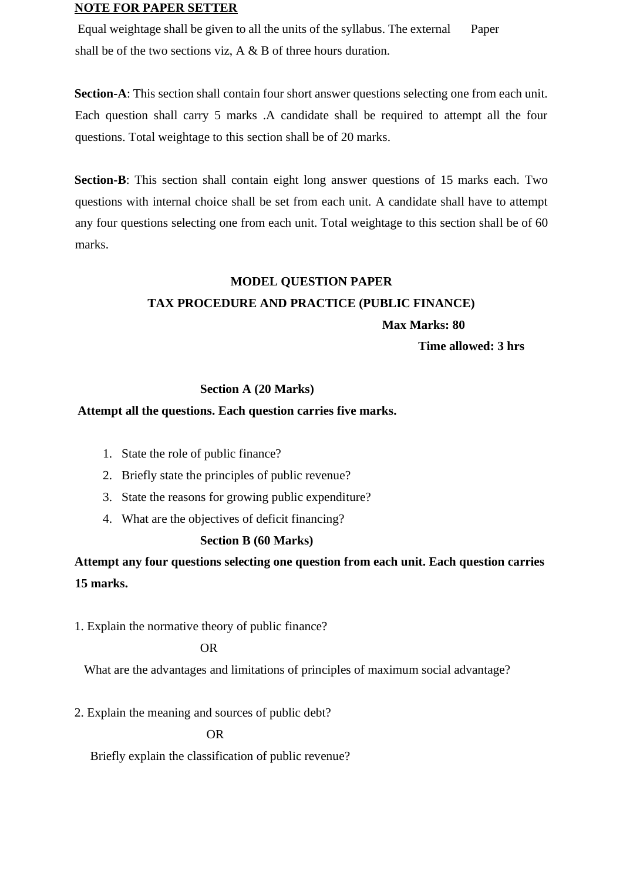### **NOTE FOR PAPER SETTER**

Equal weightage shall be given to all the units of the syllabus. The external Paper shall be of the two sections viz, A & B of three hours duration.

**Section-A**: This section shall contain four short answer questions selecting one from each unit. Each question shall carry 5 marks .A candidate shall be required to attempt all the four questions. Total weightage to this section shall be of 20 marks.

**Section-B**: This section shall contain eight long answer questions of 15 marks each. Two questions with internal choice shall be set from each unit. A candidate shall have to attempt any four questions selecting one from each unit. Total weightage to this section shall be of 60 marks.

### **MODEL QUESTION PAPER**

### **TAX PROCEDURE AND PRACTICE (PUBLIC FINANCE)**

 **Max Marks: 80** 

**Time allowed: 3 hrs** 

### **Section A (20 Marks)**

### **Attempt all the questions. Each question carries five marks.**

- 1. State the role of public finance?
- 2. Briefly state the principles of public revenue?
- 3. State the reasons for growing public expenditure?
- 4. What are the objectives of deficit financing?

### **Section B (60 Marks)**

**Attempt any four questions selecting one question from each unit. Each question carries 15 marks.** 

1. Explain the normative theory of public finance?

### OR

What are the advantages and limitations of principles of maximum social advantage?

2. Explain the meaning and sources of public debt?

OR

Briefly explain the classification of public revenue?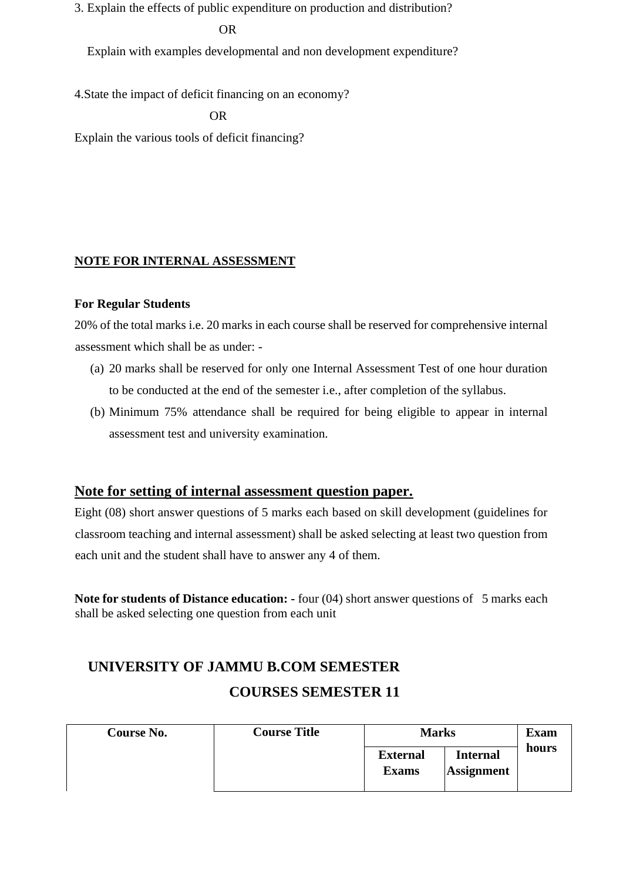3. Explain the effects of public expenditure on production and distribution?

# OR

Explain with examples developmental and non development expenditure?

4.State the impact of deficit financing on an economy?

OR

Explain the various tools of deficit financing?

# **NOTE FOR INTERNAL ASSESSMENT**

### **For Regular Students**

20% of the total marks i.e. 20 marks in each course shall be reserved for comprehensive internal assessment which shall be as under: -

- (a) 20 marks shall be reserved for only one Internal Assessment Test of one hour duration to be conducted at the end of the semester i.e., after completion of the syllabus.
- (b) Minimum 75% attendance shall be required for being eligible to appear in internal assessment test and university examination.

# **Note for setting of internal assessment question paper.**

Eight (08) short answer questions of 5 marks each based on skill development (guidelines for classroom teaching and internal assessment) shall be asked selecting at least two question from each unit and the student shall have to answer any 4 of them.

**Note for students of Distance education: -** four (04) short answer questions of 5 marks each shall be asked selecting one question from each unit

# **UNIVERSITY OF JAMMU B.COM SEMESTER COURSES SEMESTER 11**

| Course No. | <b>Course Title</b> | <b>Marks</b>                    | <b>Exam</b>                          |       |
|------------|---------------------|---------------------------------|--------------------------------------|-------|
|            |                     | <b>External</b><br><b>Exams</b> | <b>Internal</b><br><b>Assignment</b> | hours |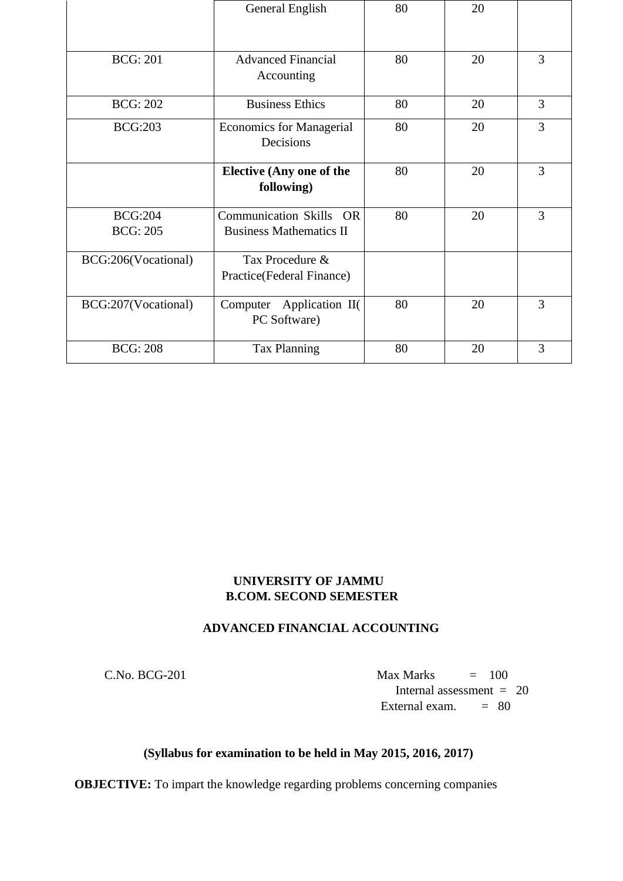|                                   | General English                                           | 80 | 20 |   |
|-----------------------------------|-----------------------------------------------------------|----|----|---|
| <b>BCG: 201</b>                   | <b>Advanced Financial</b><br>Accounting                   | 80 | 20 | 3 |
| <b>BCG: 202</b>                   | <b>Business Ethics</b>                                    | 80 | 20 | 3 |
| <b>BCG:203</b>                    | <b>Economics for Managerial</b><br>Decisions              | 80 | 20 | 3 |
|                                   | <b>Elective (Any one of the</b><br>following)             | 80 | 20 | 3 |
| <b>BCG:204</b><br><b>BCG: 205</b> | Communication Skills OR<br><b>Business Mathematics II</b> | 80 | 20 | 3 |
| BCG:206(Vocational)               | Tax Procedure &<br>Practice(Federal Finance)              |    |    |   |
| BCG:207(Vocational)               | Computer Application II(<br>PC Software)                  | 80 | 20 | 3 |
| <b>BCG: 208</b>                   | <b>Tax Planning</b>                                       | 80 | 20 | 3 |

# **UNIVERSITY OF JAMMU B.COM. SECOND SEMESTER**

# **ADVANCED FINANCIAL ACCOUNTING**

 $C.No. BCG-201$  Max Marks  $= 100$  Internal assessment = 20 External exam.  $= 80$ 

# **(Syllabus for examination to be held in May 2015, 2016, 2017)**

**OBJECTIVE:** To impart the knowledge regarding problems concerning companies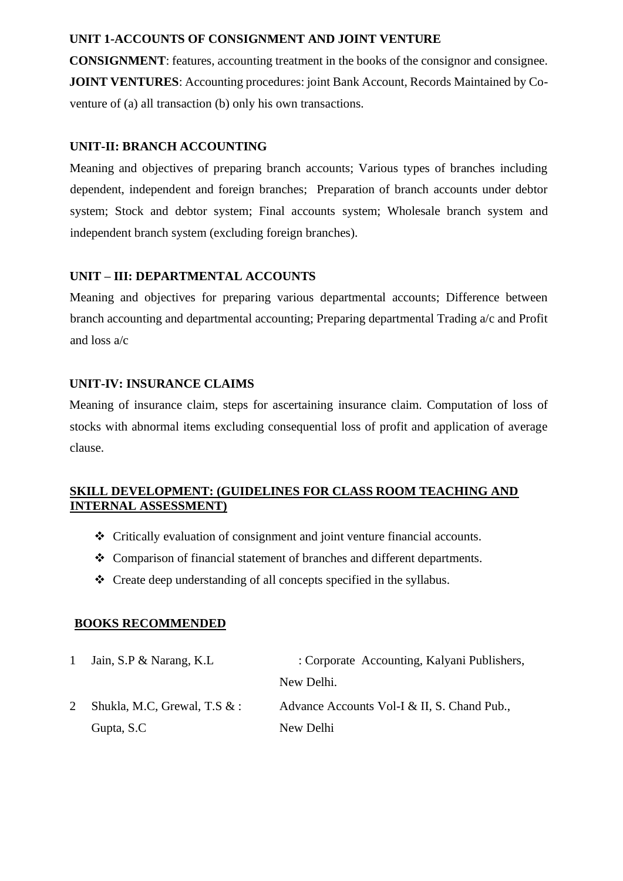# **UNIT 1-ACCOUNTS OF CONSIGNMENT AND JOINT VENTURE**

**CONSIGNMENT**: features, accounting treatment in the books of the consignor and consignee. **JOINT VENTURES:** Accounting procedures: joint Bank Account, Records Maintained by Coventure of (a) all transaction (b) only his own transactions.

# **UNIT-II: BRANCH ACCOUNTING**

Meaning and objectives of preparing branch accounts; Various types of branches including dependent, independent and foreign branches; Preparation of branch accounts under debtor system; Stock and debtor system; Final accounts system; Wholesale branch system and independent branch system (excluding foreign branches).

# **UNIT – III: DEPARTMENTAL ACCOUNTS**

Meaning and objectives for preparing various departmental accounts; Difference between branch accounting and departmental accounting; Preparing departmental Trading a/c and Profit and loss a/c

# **UNIT-IV: INSURANCE CLAIMS**

Meaning of insurance claim, steps for ascertaining insurance claim. Computation of loss of stocks with abnormal items excluding consequential loss of profit and application of average clause.

# **SKILL DEVELOPMENT: (GUIDELINES FOR CLASS ROOM TEACHING AND INTERNAL ASSESSMENT)**

- ❖ Critically evaluation of consignment and joint venture financial accounts.
- ❖ Comparison of financial statement of branches and different departments.
- ❖ Create deep understanding of all concepts specified in the syllabus.

# **BOOKS RECOMMENDED**

| Jain, S.P & Narang, K.L.       | : Corporate Accounting, Kalyani Publishers, |
|--------------------------------|---------------------------------------------|
|                                | New Delhi.                                  |
| Shukla, M.C, Grewal, T.S $&$ : | Advance Accounts Vol-I & II, S. Chand Pub., |
| Gupta, S.C.                    | New Delhi                                   |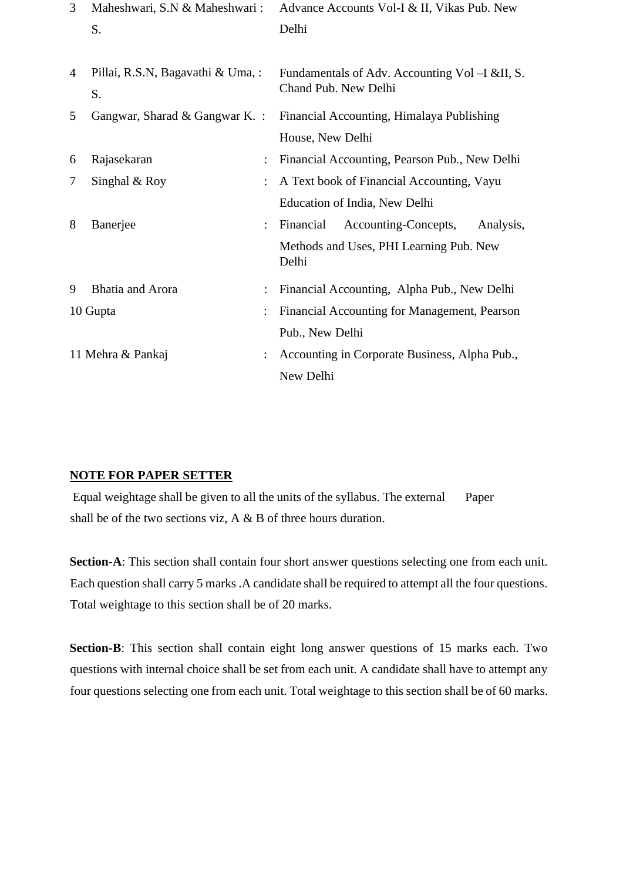| 3 | Maheshwari, S.N & Maheshwari:           |                | Advance Accounts Vol-I & II, Vikas Pub. New                            |
|---|-----------------------------------------|----------------|------------------------------------------------------------------------|
|   | S.                                      |                | Delhi                                                                  |
| 4 | Pillai, R.S.N, Bagavathi & Uma, :<br>S. |                | Fundamentals of Adv. Accounting Vol –I &II, S.<br>Chand Pub. New Delhi |
| 5 | Gangwar, Sharad & Gangwar K. :          |                | Financial Accounting, Himalaya Publishing                              |
|   |                                         |                | House, New Delhi                                                       |
| 6 | Rajasekaran                             | $\ddot{\cdot}$ | Financial Accounting, Pearson Pub., New Delhi                          |
| 7 | Singhal & Roy                           |                | A Text book of Financial Accounting, Vayu                              |
|   |                                         |                | Education of India, New Delhi                                          |
| 8 | Banerjee                                |                | Financial<br>Accounting-Concepts,<br>Analysis,                         |
|   |                                         |                | Methods and Uses, PHI Learning Pub. New<br>Delhi                       |
| 9 | <b>Bhatia</b> and Arora                 |                | Financial Accounting, Alpha Pub., New Delhi                            |
|   | 10 Gupta                                |                | Financial Accounting for Management, Pearson                           |
|   |                                         |                | Pub., New Delhi                                                        |
|   | 11 Mehra & Pankaj                       |                | Accounting in Corporate Business, Alpha Pub.,                          |
|   |                                         |                | New Delhi                                                              |

# **NOTE FOR PAPER SETTER**

Equal weightage shall be given to all the units of the syllabus. The external Paper shall be of the two sections viz, A & B of three hours duration.

**Section-A**: This section shall contain four short answer questions selecting one from each unit. Each question shall carry 5 marks .A candidate shall be required to attempt all the four questions. Total weightage to this section shall be of 20 marks.

**Section-B**: This section shall contain eight long answer questions of 15 marks each. Two questions with internal choice shall be set from each unit. A candidate shall have to attempt any four questions selecting one from each unit. Total weightage to this section shall be of 60 marks.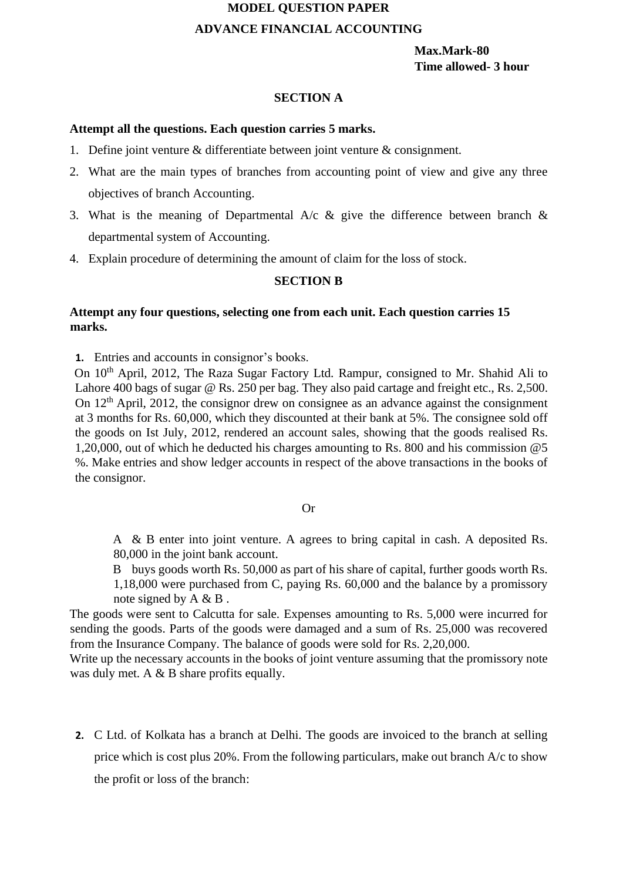# **MODEL QUESTION PAPER**

# **ADVANCE FINANCIAL ACCOUNTING**

**Max.Mark-80 Time allowed- 3 hour** 

### **SECTION A**

### **Attempt all the questions. Each question carries 5 marks.**

- 1. Define joint venture & differentiate between joint venture & consignment.
- 2. What are the main types of branches from accounting point of view and give any three objectives of branch Accounting.
- 3. What is the meaning of Departmental A/c  $\&$  give the difference between branch  $\&$ departmental system of Accounting.
- 4. Explain procedure of determining the amount of claim for the loss of stock.

### **SECTION B**

# **Attempt any four questions, selecting one from each unit. Each question carries 15 marks.**

**1.** Entries and accounts in consignor's books.

On 10<sup>th</sup> April, 2012, The Raza Sugar Factory Ltd. Rampur, consigned to Mr. Shahid Ali to Lahore 400 bags of sugar @ Rs. 250 per bag. They also paid cartage and freight etc., Rs. 2,500. On 12<sup>th</sup> April, 2012, the consignor drew on consignee as an advance against the consignment at 3 months for Rs. 60,000, which they discounted at their bank at 5%. The consignee sold off the goods on Ist July, 2012, rendered an account sales, showing that the goods realised Rs. 1,20,000, out of which he deducted his charges amounting to Rs. 800 and his commission @5 %. Make entries and show ledger accounts in respect of the above transactions in the books of the consignor.

#### Or

A & B enter into joint venture. A agrees to bring capital in cash. A deposited Rs. 80,000 in the joint bank account.

B buys goods worth Rs. 50,000 as part of his share of capital, further goods worth Rs. 1,18,000 were purchased from C, paying Rs. 60,000 and the balance by a promissory note signed by A & B .

The goods were sent to Calcutta for sale. Expenses amounting to Rs. 5,000 were incurred for sending the goods. Parts of the goods were damaged and a sum of Rs. 25,000 was recovered from the Insurance Company. The balance of goods were sold for Rs. 2,20,000.

Write up the necessary accounts in the books of joint venture assuming that the promissory note was duly met. A & B share profits equally.

**2.** C Ltd. of Kolkata has a branch at Delhi. The goods are invoiced to the branch at selling price which is cost plus 20%. From the following particulars, make out branch A/c to show the profit or loss of the branch: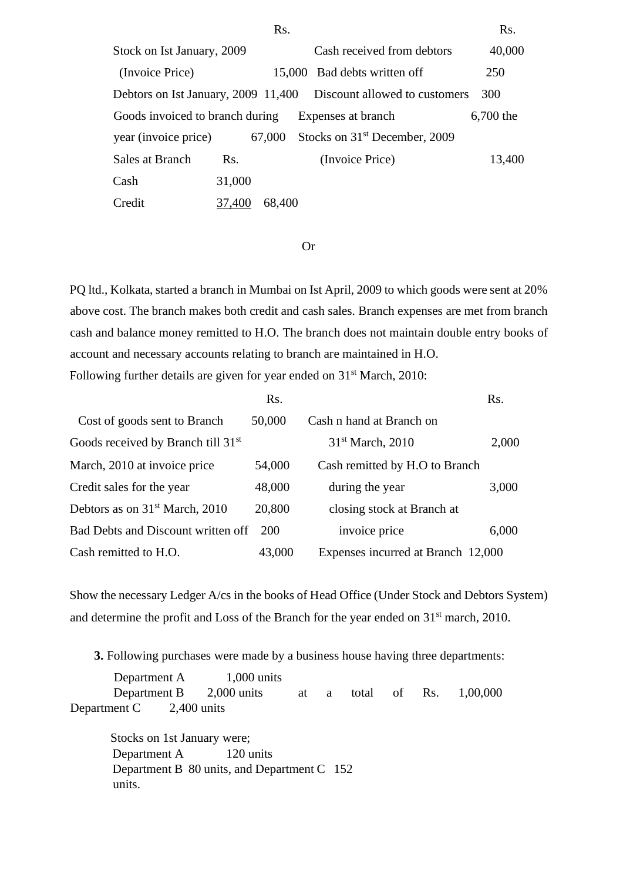|                                 |        | Rs.    |                                                                   | Rs.       |
|---------------------------------|--------|--------|-------------------------------------------------------------------|-----------|
| Stock on Ist January, 2009      |        |        | Cash received from debtors                                        | 40,000    |
| (Invoice Price)                 |        |        | 15,000 Bad debts written off                                      | 250       |
|                                 |        |        | Debtors on Ist January, 2009 11,400 Discount allowed to customers | 300       |
| Goods invoiced to branch during |        |        | Expenses at branch                                                | 6,700 the |
| year (invoice price)            |        | 67,000 | Stocks on 31 <sup>st</sup> December, 2009                         |           |
| Sales at Branch                 | Rs.    |        | (Invoice Price)                                                   | 13,400    |
| Cash                            | 31,000 |        |                                                                   |           |
| Credit                          | 37,400 | 68,400 |                                                                   |           |

#### Or

PQ ltd., Kolkata, started a branch in Mumbai on Ist April, 2009 to which goods were sent at 20% above cost. The branch makes both credit and cash sales. Branch expenses are met from branch cash and balance money remitted to H.O. The branch does not maintain double entry books of account and necessary accounts relating to branch are maintained in H.O. Following further details are given for year ended on 31<sup>st</sup> March, 2010:

|                                                | Rs.    |                                    | Rs.   |
|------------------------------------------------|--------|------------------------------------|-------|
| Cost of goods sent to Branch                   | 50,000 | Cash n hand at Branch on           |       |
| Goods received by Branch till 31 <sup>st</sup> |        | 31 <sup>st</sup> March, 2010       | 2,000 |
| March, 2010 at invoice price                   | 54,000 | Cash remitted by H.O to Branch     |       |
| Credit sales for the year                      | 48,000 | during the year                    | 3,000 |
| Debtors as on 31 <sup>st</sup> March, 2010     | 20,800 | closing stock at Branch at         |       |
| Bad Debts and Discount written off             | 200    | invoice price                      | 6,000 |
| Cash remitted to H.O.                          | 43,000 | Expenses incurred at Branch 12,000 |       |

Show the necessary Ledger A/cs in the books of Head Office (Under Stock and Debtors System) and determine the profit and Loss of the Branch for the year ended on 31<sup>st</sup> march, 2010.

**3.** Following purchases were made by a business house having three departments:

Department A 1,000 units Department B 2,000 units at a total of Rs. 1,00,000 Department C 2,400 units

 Stocks on 1st January were; Department A 120 units Department B 80 units, and Department C 152 units.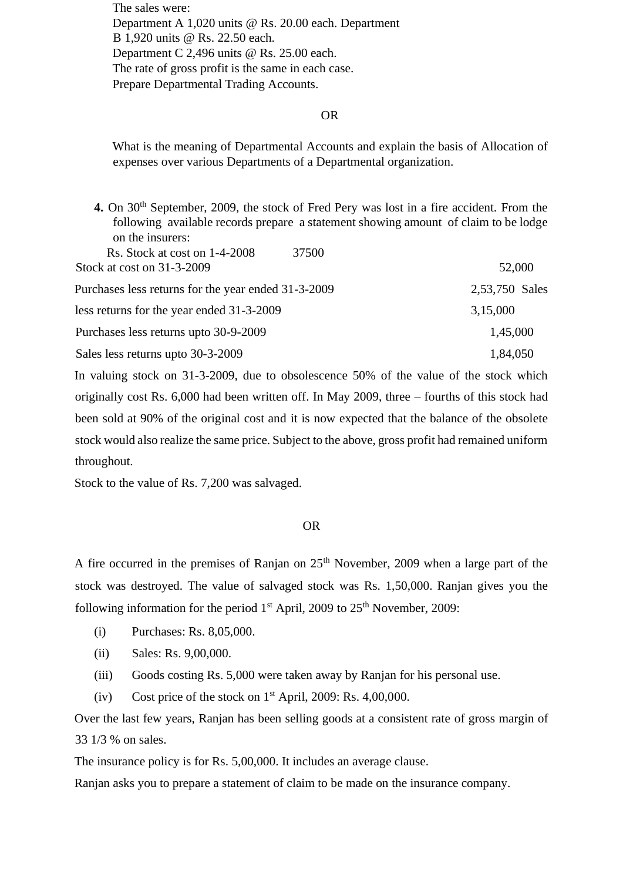The sales were: Department A 1,020 units @ Rs. 20.00 each. Department B 1,920 units @ Rs. 22.50 each. Department C 2,496 units @ Rs. 25.00 each. The rate of gross profit is the same in each case. Prepare Departmental Trading Accounts.

#### OR

What is the meaning of Departmental Accounts and explain the basis of Allocation of expenses over various Departments of a Departmental organization.

4. On 30<sup>th</sup> September, 2009, the stock of Fred Pery was lost in a fire accident. From the following available records prepare a statement showing amount of claim to be lodge on the insurers: Rs. Stock at cost on 1-4-2008 37500 Stock at cost on 31-3-2009 52,000 Purchases less returns for the year ended 31-3-2009 2,53,750 Sales

less returns for the year ended 31-3-2009 3,15,000 Purchases less returns upto 30-9-2009 1,45,000 Sales less returns upto 30-3-2009 1,84,050

In valuing stock on 31-3-2009, due to obsolescence 50% of the value of the stock which originally cost Rs. 6,000 had been written off. In May 2009, three – fourths of this stock had been sold at 90% of the original cost and it is now expected that the balance of the obsolete stock would also realize the same price. Subject to the above, gross profit had remained uniform throughout.

Stock to the value of Rs. 7,200 was salvaged.

#### OR

A fire occurred in the premises of Ranjan on 25<sup>th</sup> November, 2009 when a large part of the stock was destroyed. The value of salvaged stock was Rs. 1,50,000. Ranjan gives you the following information for the period  $1<sup>st</sup>$  April, 2009 to  $25<sup>th</sup>$  November, 2009:

- (i) Purchases: Rs. 8,05,000.
- (ii) Sales: Rs. 9,00,000.
- (iii) Goods costing Rs. 5,000 were taken away by Ranjan for his personal use.
- (iv) Cost price of the stock on  $1<sup>st</sup>$  April, 2009: Rs. 4,00,000.

Over the last few years, Ranjan has been selling goods at a consistent rate of gross margin of 33 1/3 % on sales.

The insurance policy is for Rs. 5,00,000. It includes an average clause.

Ranjan asks you to prepare a statement of claim to be made on the insurance company.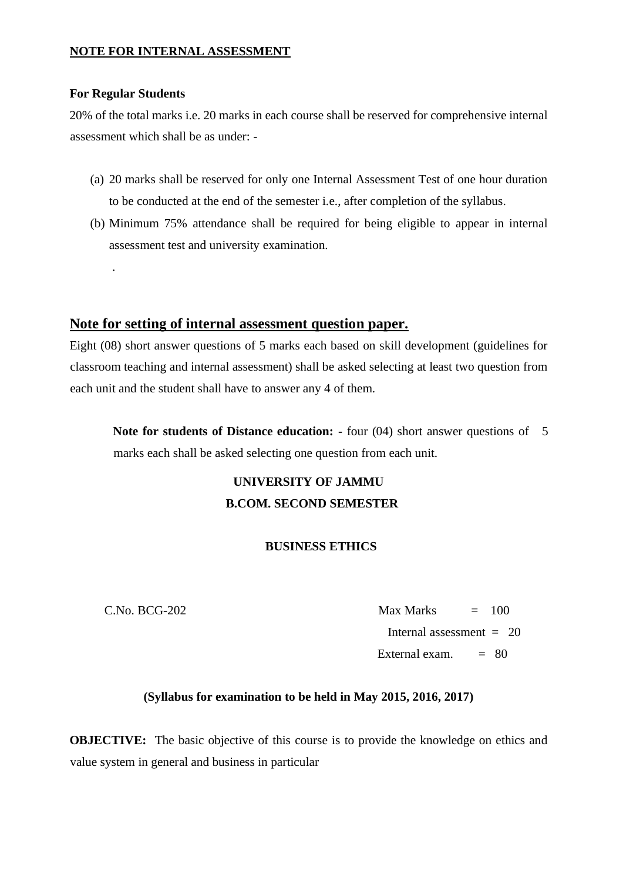# **NOTE FOR INTERNAL ASSESSMENT**

### **For Regular Students**

.

20% of the total marks i.e. 20 marks in each course shall be reserved for comprehensive internal assessment which shall be as under: -

- (a) 20 marks shall be reserved for only one Internal Assessment Test of one hour duration to be conducted at the end of the semester i.e., after completion of the syllabus.
- (b) Minimum 75% attendance shall be required for being eligible to appear in internal assessment test and university examination.

# **Note for setting of internal assessment question paper.**

Eight (08) short answer questions of 5 marks each based on skill development (guidelines for classroom teaching and internal assessment) shall be asked selecting at least two question from each unit and the student shall have to answer any 4 of them.

**Note for students of Distance education: -** four (04) short answer questions of 5 marks each shall be asked selecting one question from each unit.

# **UNIVERSITY OF JAMMU B.COM. SECOND SEMESTER**

# **BUSINESS ETHICS**

 $C.No. BCG-202$   $Max Marks = 100$ Internal assessment  $= 20$ External exam.  $= 80$ 

# **(Syllabus for examination to be held in May 2015, 2016, 2017)**

**OBJECTIVE:** The basic objective of this course is to provide the knowledge on ethics and value system in general and business in particular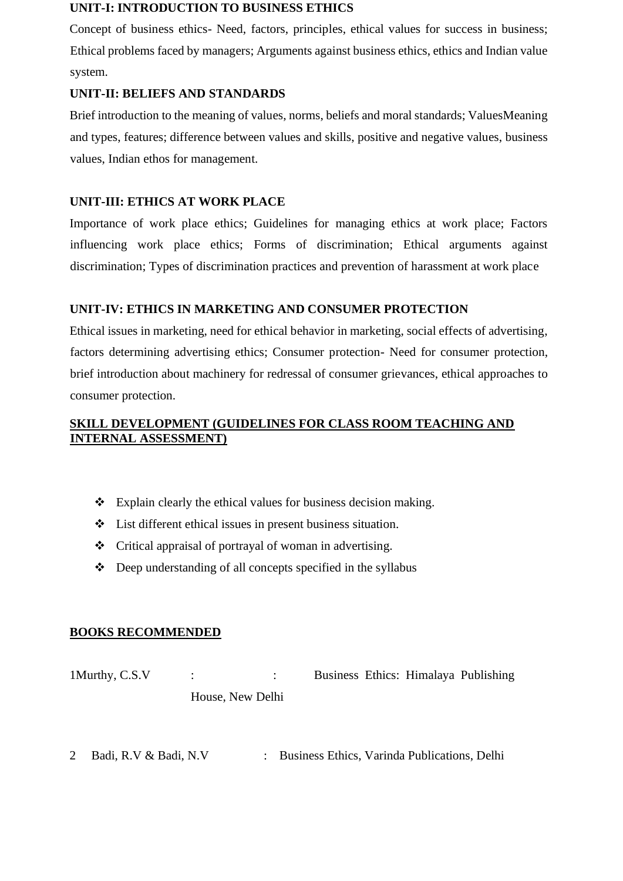### **UNIT-I: INTRODUCTION TO BUSINESS ETHICS**

Concept of business ethics- Need, factors, principles, ethical values for success in business; Ethical problems faced by managers; Arguments against business ethics, ethics and Indian value system.

# **UNIT-II: BELIEFS AND STANDARDS**

Brief introduction to the meaning of values, norms, beliefs and moral standards; ValuesMeaning and types, features; difference between values and skills, positive and negative values, business values, Indian ethos for management.

# **UNIT-III: ETHICS AT WORK PLACE**

Importance of work place ethics; Guidelines for managing ethics at work place; Factors influencing work place ethics; Forms of discrimination; Ethical arguments against discrimination; Types of discrimination practices and prevention of harassment at work place

# **UNIT-IV: ETHICS IN MARKETING AND CONSUMER PROTECTION**

Ethical issues in marketing, need for ethical behavior in marketing, social effects of advertising, factors determining advertising ethics; Consumer protection- Need for consumer protection, brief introduction about machinery for redressal of consumer grievances, ethical approaches to consumer protection.

# **SKILL DEVELOPMENT (GUIDELINES FOR CLASS ROOM TEACHING AND INTERNAL ASSESSMENT)**

- ❖ Explain clearly the ethical values for business decision making.
- ❖ List different ethical issues in present business situation.
- ❖ Critical appraisal of portrayal of woman in advertising.
- ❖ Deep understanding of all concepts specified in the syllabus

# **BOOKS RECOMMENDED**

1Murthy, C.S.V : : Business Ethics: Himalaya Publishing House, New Delhi

2 Badi, R.V & Badi, N.V : Business Ethics, Varinda Publications, Delhi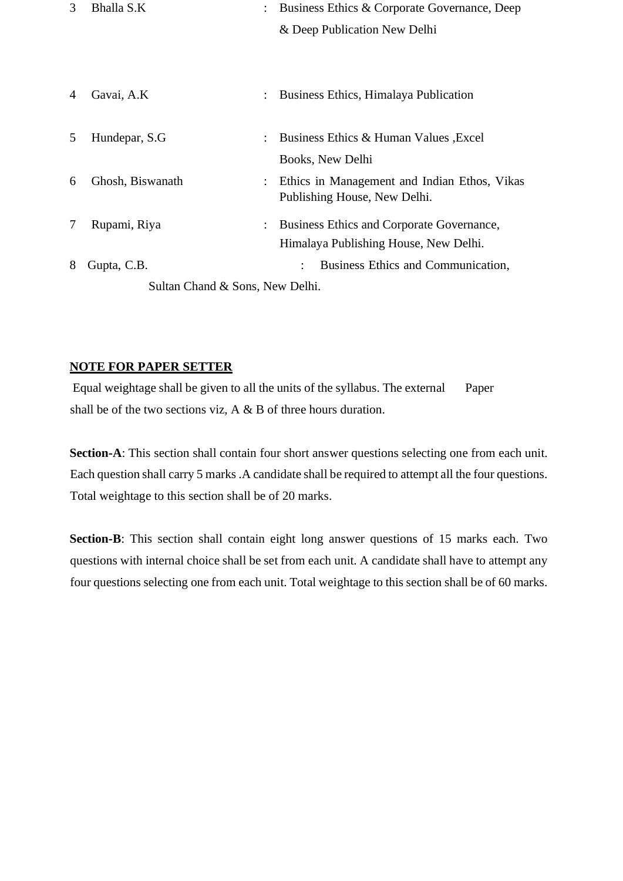| 3                               | Bhalla S.K       |  | Business Ethics & Corporate Governance, Deep |  |  |
|---------------------------------|------------------|--|----------------------------------------------|--|--|
|                                 |                  |  | & Deep Publication New Delhi                 |  |  |
|                                 |                  |  |                                              |  |  |
|                                 |                  |  |                                              |  |  |
| 4                               | Gavai, A.K       |  | Business Ethics, Himalaya Publication        |  |  |
|                                 |                  |  |                                              |  |  |
| 5                               | Hundepar, S.G.   |  | Business Ethics & Human Values, Excel        |  |  |
|                                 |                  |  | Books, New Delhi                             |  |  |
| 6                               | Ghosh, Biswanath |  | Ethics in Management and Indian Ethos, Vikas |  |  |
|                                 |                  |  | Publishing House, New Delhi.                 |  |  |
| 7                               | Rupami, Riya     |  | Business Ethics and Corporate Governance,    |  |  |
|                                 |                  |  | Himalaya Publishing House, New Delhi.        |  |  |
| 8                               | Gupta, C.B.      |  | Business Ethics and Communication,           |  |  |
| Sultan Chand & Sons, New Delhi. |                  |  |                                              |  |  |

# **NOTE FOR PAPER SETTER**

Equal weightage shall be given to all the units of the syllabus. The external Paper shall be of the two sections viz, A & B of three hours duration.

**Section-A**: This section shall contain four short answer questions selecting one from each unit. Each question shall carry 5 marks .A candidate shall be required to attempt all the four questions. Total weightage to this section shall be of 20 marks.

**Section-B**: This section shall contain eight long answer questions of 15 marks each. Two questions with internal choice shall be set from each unit. A candidate shall have to attempt any four questions selecting one from each unit. Total weightage to this section shall be of 60 marks.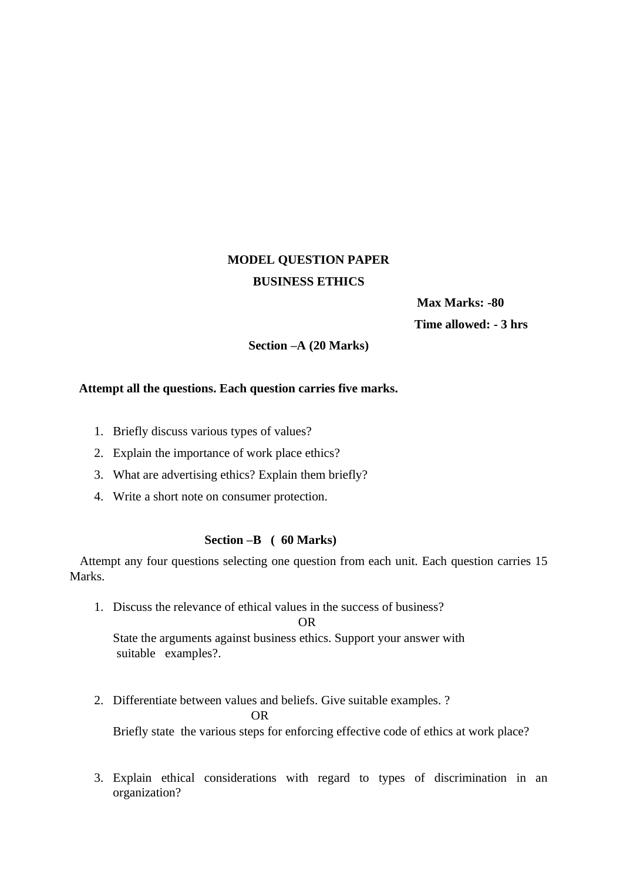# **MODEL QUESTION PAPER BUSINESS ETHICS**

 **Max Marks: -80 Time allowed: - 3 hrs** 

**Section –A (20 Marks)** 

### **Attempt all the questions. Each question carries five marks.**

- 1. Briefly discuss various types of values?
- 2. Explain the importance of work place ethics?
- 3. What are advertising ethics? Explain them briefly?
- 4. Write a short note on consumer protection.

### **Section –B ( 60 Marks)**

Attempt any four questions selecting one question from each unit. Each question carries 15 Marks.

1. Discuss the relevance of ethical values in the success of business?

OR

State the arguments against business ethics. Support your answer with suitable examples?.

- 2. Differentiate between values and beliefs. Give suitable examples. ? OR Briefly state the various steps for enforcing effective code of ethics at work place?
- 3. Explain ethical considerations with regard to types of discrimination in an organization?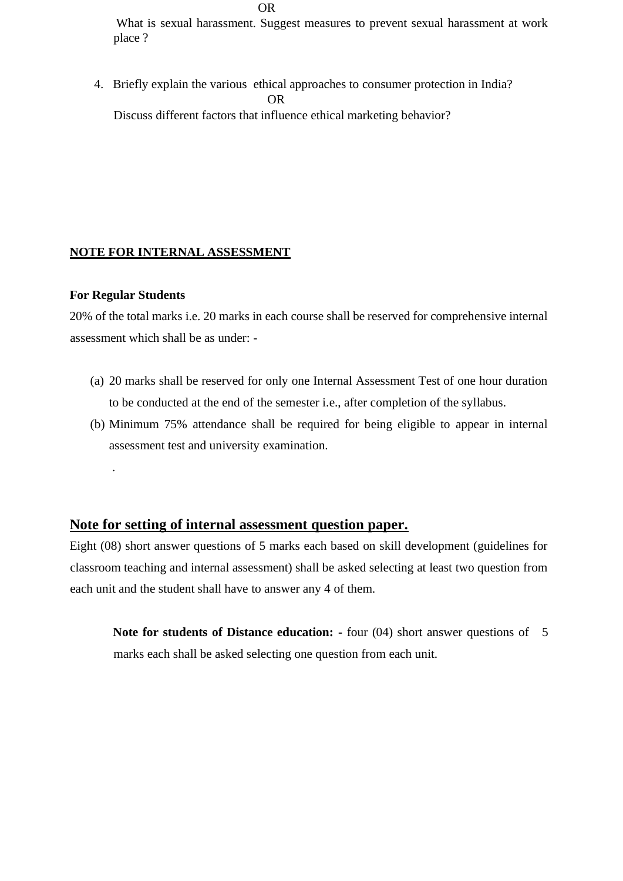What is sexual harassment. Suggest measures to prevent sexual harassment at work place ?

4. Briefly explain the various ethical approaches to consumer protection in India? OR Discuss different factors that influence ethical marketing behavior?

### **NOTE FOR INTERNAL ASSESSMENT**

### **For Regular Students**

.

20% of the total marks i.e. 20 marks in each course shall be reserved for comprehensive internal assessment which shall be as under: -

- (a) 20 marks shall be reserved for only one Internal Assessment Test of one hour duration to be conducted at the end of the semester i.e., after completion of the syllabus.
- (b) Minimum 75% attendance shall be required for being eligible to appear in internal assessment test and university examination.

# **Note for setting of internal assessment question paper.**

Eight (08) short answer questions of 5 marks each based on skill development (guidelines for classroom teaching and internal assessment) shall be asked selecting at least two question from each unit and the student shall have to answer any 4 of them.

**Note for students of Distance education:** - four (04) short answer questions of 5 marks each shall be asked selecting one question from each unit.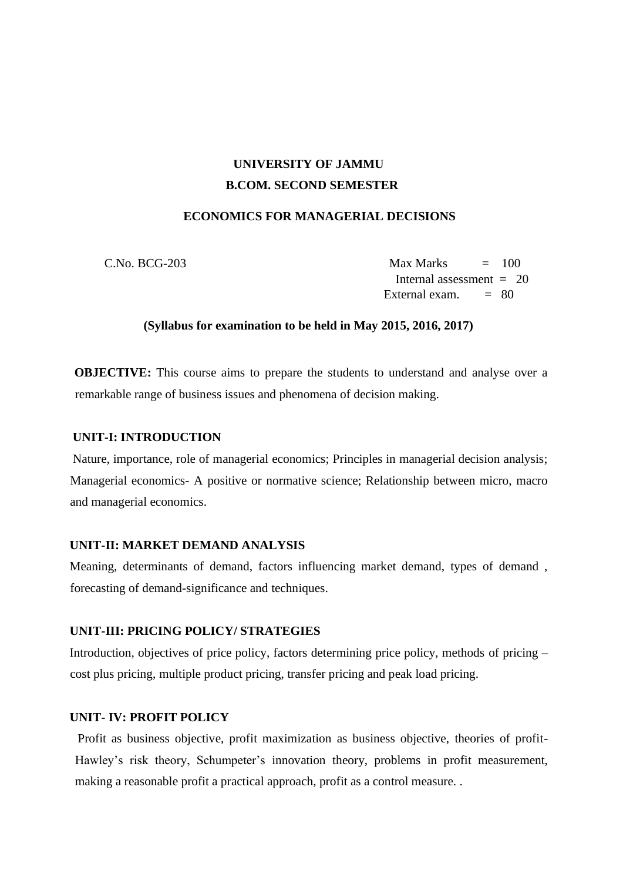# **UNIVERSITY OF JAMMU B.COM. SECOND SEMESTER**

### **ECONOMICS FOR MANAGERIAL DECISIONS**

 $C.No. BCG-203$   $Max Marks = 100$ Internal assessment  $= 20$ External exam.  $= 80$ 

### **(Syllabus for examination to be held in May 2015, 2016, 2017)**

**OBJECTIVE:** This course aims to prepare the students to understand and analyse over a remarkable range of business issues and phenomena of decision making.

### **UNIT-I: INTRODUCTION**

Nature, importance, role of managerial economics; Principles in managerial decision analysis; Managerial economics- A positive or normative science; Relationship between micro, macro and managerial economics.

### **UNIT-II: MARKET DEMAND ANALYSIS**

Meaning, determinants of demand, factors influencing market demand, types of demand , forecasting of demand-significance and techniques.

### **UNIT-III: PRICING POLICY/ STRATEGIES**

Introduction, objectives of price policy, factors determining price policy, methods of pricing – cost plus pricing, multiple product pricing, transfer pricing and peak load pricing.

### **UNIT- IV: PROFIT POLICY**

Profit as business objective, profit maximization as business objective, theories of profit-Hawley's risk theory, Schumpeter's innovation theory, problems in profit measurement, making a reasonable profit a practical approach, profit as a control measure. .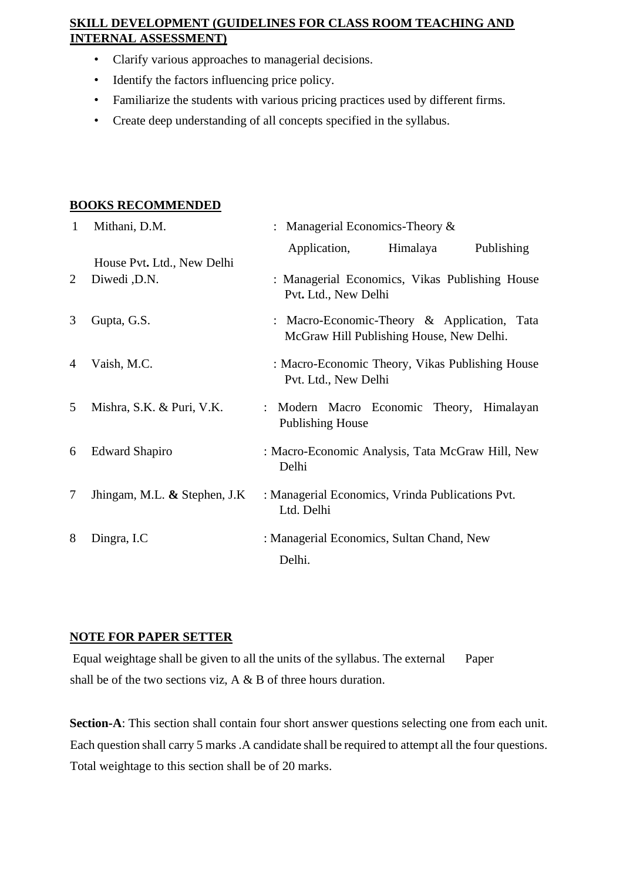# **SKILL DEVELOPMENT (GUIDELINES FOR CLASS ROOM TEACHING AND INTERNAL ASSESSMENT)**

- Clarify various approaches to managerial decisions.
- Identify the factors influencing price policy.
- Familiarize the students with various pricing practices used by different firms.
- Create deep understanding of all concepts specified in the syllabus.

# **BOOKS RECOMMENDED**

| 1 | Mithani, D.M.                   | : Managerial Economics-Theory $\&$                                                      |  |  |
|---|---------------------------------|-----------------------------------------------------------------------------------------|--|--|
|   | House Pvt. Ltd., New Delhi      | Application,<br>Himalaya<br>Publishing                                                  |  |  |
| 2 | Diwedi, D.N.                    | : Managerial Economics, Vikas Publishing House<br>Pvt. Ltd., New Delhi                  |  |  |
| 3 | Gupta, G.S.                     | : Macro-Economic-Theory & Application, Tata<br>McGraw Hill Publishing House, New Delhi. |  |  |
| 4 | Vaish, M.C.                     | : Macro-Economic Theory, Vikas Publishing House<br>Pvt. Ltd., New Delhi                 |  |  |
| 5 | Mishra, S.K. & Puri, V.K.       | : Modern Macro Economic Theory, Himalayan<br><b>Publishing House</b>                    |  |  |
| 6 | <b>Edward Shapiro</b>           | : Macro-Economic Analysis, Tata McGraw Hill, New<br>Delhi                               |  |  |
| 7 | Jhingam, M.L. $\&$ Stephen, J.K | : Managerial Economics, Vrinda Publications Pvt.<br>Ltd. Delhi                          |  |  |
| 8 | Dingra, I.C                     | : Managerial Economics, Sultan Chand, New<br>Delhi.                                     |  |  |

# **NOTE FOR PAPER SETTER**

Equal weightage shall be given to all the units of the syllabus. The external Paper shall be of the two sections viz, A & B of three hours duration.

**Section-A**: This section shall contain four short answer questions selecting one from each unit. Each question shall carry 5 marks .A candidate shall be required to attempt all the four questions. Total weightage to this section shall be of 20 marks.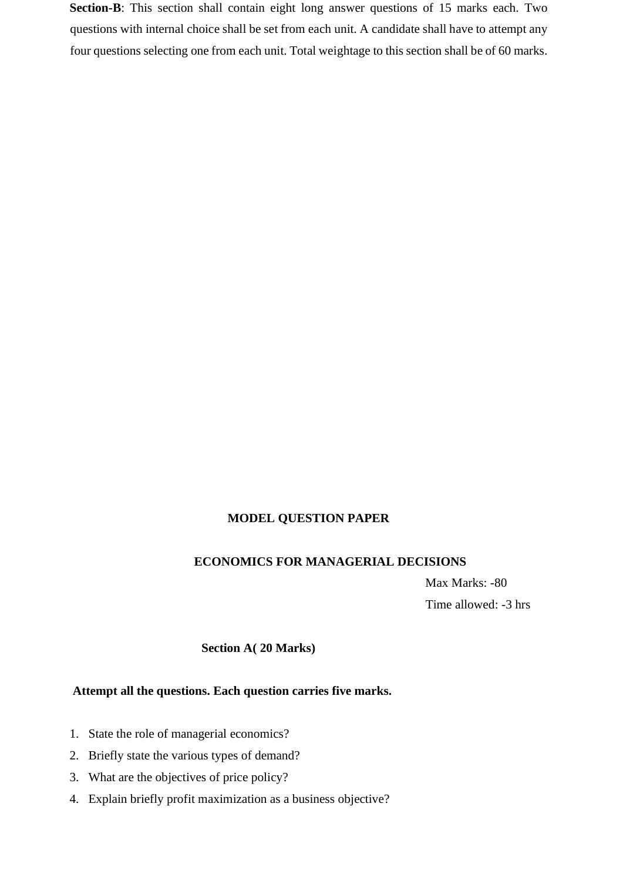**Section-B**: This section shall contain eight long answer questions of 15 marks each. Two questions with internal choice shall be set from each unit. A candidate shall have to attempt any four questions selecting one from each unit. Total weightage to this section shall be of 60 marks.

## **MODEL QUESTION PAPER**

#### **ECONOMICS FOR MANAGERIAL DECISIONS**

Max Marks: -80 Time allowed: -3 hrs

### **Section A( 20 Marks)**

#### **Attempt all the questions. Each question carries five marks.**

- 1. State the role of managerial economics?
- 2. Briefly state the various types of demand?
- 3. What are the objectives of price policy?
- 4. Explain briefly profit maximization as a business objective?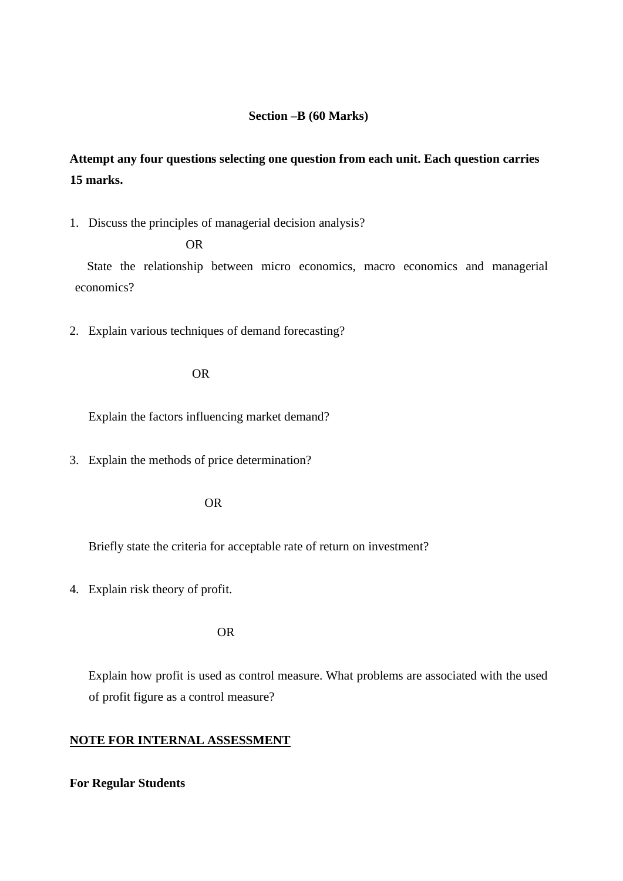### **Section –B (60 Marks)**

# **Attempt any four questions selecting one question from each unit. Each question carries 15 marks.**

1. Discuss the principles of managerial decision analysis?

#### OR

 State the relationship between micro economics, macro economics and managerial economics?

2. Explain various techniques of demand forecasting?

#### OR

Explain the factors influencing market demand?

3. Explain the methods of price determination?

#### OR

Briefly state the criteria for acceptable rate of return on investment?

4. Explain risk theory of profit.

OR

Explain how profit is used as control measure. What problems are associated with the used of profit figure as a control measure?

### **NOTE FOR INTERNAL ASSESSMENT**

#### **For Regular Students**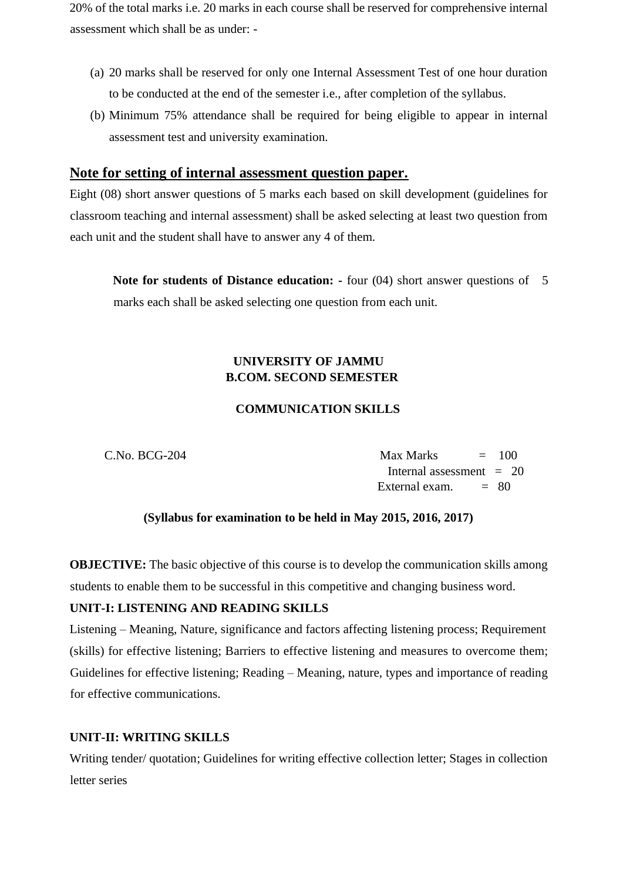20% of the total marks i.e. 20 marks in each course shall be reserved for comprehensive internal assessment which shall be as under: -

- (a) 20 marks shall be reserved for only one Internal Assessment Test of one hour duration to be conducted at the end of the semester i.e., after completion of the syllabus.
- (b) Minimum 75% attendance shall be required for being eligible to appear in internal assessment test and university examination.

# **Note for setting of internal assessment question paper.**

Eight (08) short answer questions of 5 marks each based on skill development (guidelines for classroom teaching and internal assessment) shall be asked selecting at least two question from each unit and the student shall have to answer any 4 of them.

**Note for students of Distance education: -** four (04) short answer questions of 5 marks each shall be asked selecting one question from each unit.

# **UNIVERSITY OF JAMMU B.COM. SECOND SEMESTER**

## **COMMUNICATION SKILLS**

 $C.No. BCG-204$  Max Marks  $= 100$ Internal assessment  $= 20$ External exam.  $= 80$ 

## **(Syllabus for examination to be held in May 2015, 2016, 2017)**

**OBJECTIVE:** The basic objective of this course is to develop the communication skills among students to enable them to be successful in this competitive and changing business word.

## **UNIT-I: LISTENING AND READING SKILLS**

Listening – Meaning, Nature, significance and factors affecting listening process; Requirement (skills) for effective listening; Barriers to effective listening and measures to overcome them; Guidelines for effective listening; Reading – Meaning, nature, types and importance of reading for effective communications.

## **UNIT-II: WRITING SKILLS**

Writing tender/ quotation; Guidelines for writing effective collection letter; Stages in collection letter series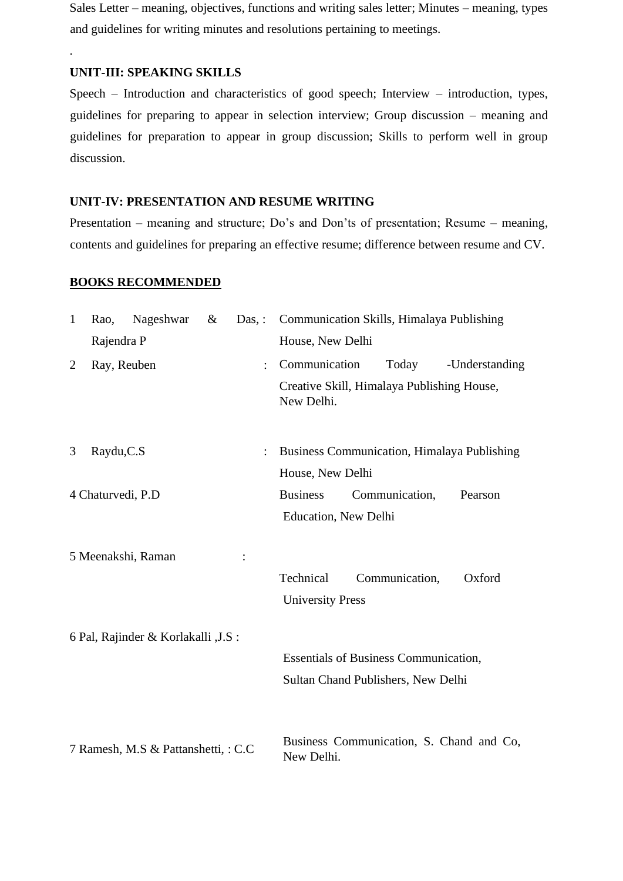Sales Letter – meaning, objectives, functions and writing sales letter; Minutes – meaning, types and guidelines for writing minutes and resolutions pertaining to meetings.

#### **UNIT-III: SPEAKING SKILLS**

.

Speech – Introduction and characteristics of good speech; Interview – introduction, types, guidelines for preparing to appear in selection interview; Group discussion – meaning and guidelines for preparation to appear in group discussion; Skills to perform well in group discussion.

## **UNIT-IV: PRESENTATION AND RESUME WRITING**

Presentation – meaning and structure; Do's and Don'ts of presentation; Resume – meaning, contents and guidelines for preparing an effective resume; difference between resume and CV.

#### **BOOKS RECOMMENDED**

| $\mathbf{1}$   | Rao,              | Nageshwar                            | $\&$<br>$Das.$ : |                      | Communication Skills, Himalaya Publishing                |
|----------------|-------------------|--------------------------------------|------------------|----------------------|----------------------------------------------------------|
|                | Rajendra P        |                                      |                  |                      | House, New Delhi                                         |
| $\overline{2}$ | Ray, Reuben       |                                      |                  | $\ddot{\phantom{a}}$ | Communication<br>Today<br>-Understanding                 |
|                |                   |                                      |                  |                      | Creative Skill, Himalaya Publishing House,<br>New Delhi. |
| 3              | Raydu, C.S        |                                      |                  |                      | <b>Business Communication, Himalaya Publishing</b>       |
|                |                   |                                      |                  |                      | House, New Delhi                                         |
|                | 4 Chaturvedi, P.D |                                      |                  |                      | <b>Business</b><br>Communication,<br>Pearson             |
|                |                   |                                      |                  |                      | <b>Education</b> , New Delhi                             |
|                |                   | 5 Meenakshi, Raman                   |                  |                      |                                                          |
|                |                   |                                      |                  |                      | Technical<br>Communication,<br>Oxford                    |
|                |                   |                                      |                  |                      | <b>University Press</b>                                  |
|                |                   | 6 Pal, Rajinder & Korlakalli , J.S : |                  |                      |                                                          |
|                |                   |                                      |                  |                      | <b>Essentials of Business Communication,</b>             |
|                |                   |                                      |                  |                      | Sultan Chand Publishers, New Delhi                       |
|                |                   |                                      |                  |                      |                                                          |
|                |                   | 7 Ramesh, M.S & Pattanshetti, : C.C. |                  |                      | Business Communication, S. Chand and Co,<br>New Delhi.   |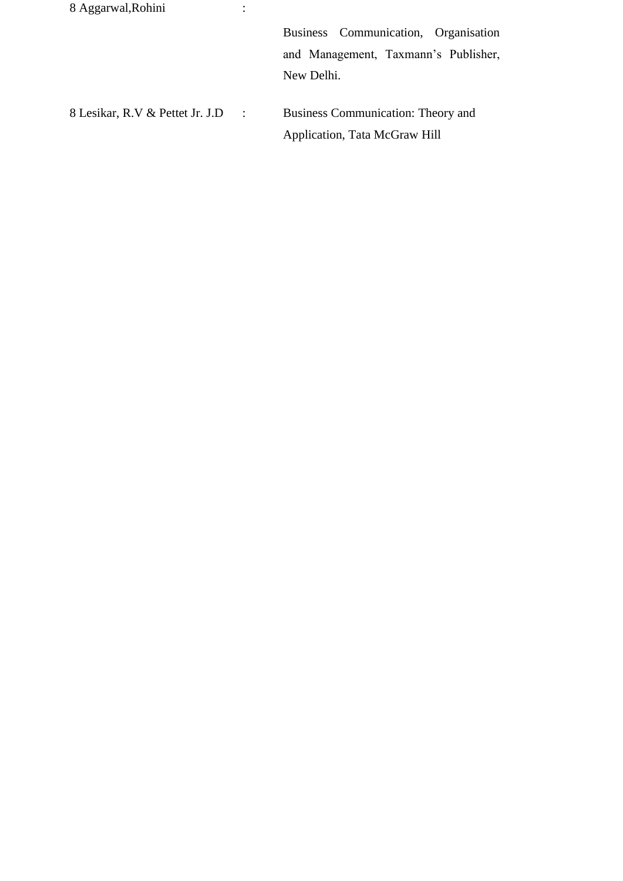| 8 Aggarwal, Rohini                           |                                      |
|----------------------------------------------|--------------------------------------|
|                                              | Business Communication, Organisation |
|                                              | and Management, Taxmann's Publisher, |
|                                              | New Delhi.                           |
|                                              |                                      |
| 8 Lesikar, R.V & Pettet Jr. J.D<br>$\sim$ 1. | Business Communication: Theory and   |
|                                              | Application, Tata McGraw Hill        |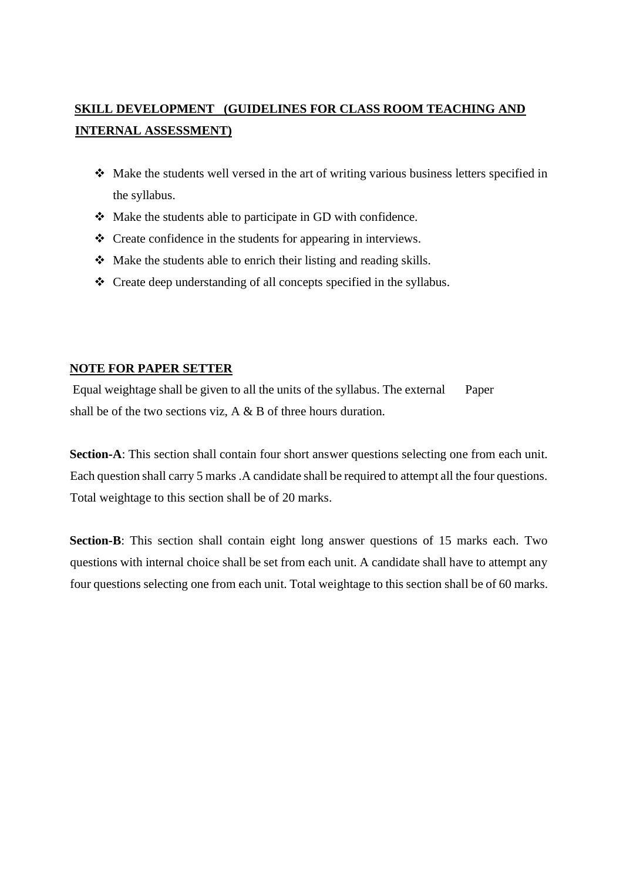# **SKILL DEVELOPMENT (GUIDELINES FOR CLASS ROOM TEACHING AND INTERNAL ASSESSMENT)**

- ❖ Make the students well versed in the art of writing various business letters specified in the syllabus.
- ❖ Make the students able to participate in GD with confidence.
- ❖ Create confidence in the students for appearing in interviews.
- ❖ Make the students able to enrich their listing and reading skills.
- ❖ Create deep understanding of all concepts specified in the syllabus.

## **NOTE FOR PAPER SETTER**

Equal weightage shall be given to all the units of the syllabus. The external Paper shall be of the two sections viz, A & B of three hours duration.

**Section-A**: This section shall contain four short answer questions selecting one from each unit. Each question shall carry 5 marks .A candidate shall be required to attempt all the four questions. Total weightage to this section shall be of 20 marks.

**Section-B**: This section shall contain eight long answer questions of 15 marks each. Two questions with internal choice shall be set from each unit. A candidate shall have to attempt any four questions selecting one from each unit. Total weightage to this section shall be of 60 marks.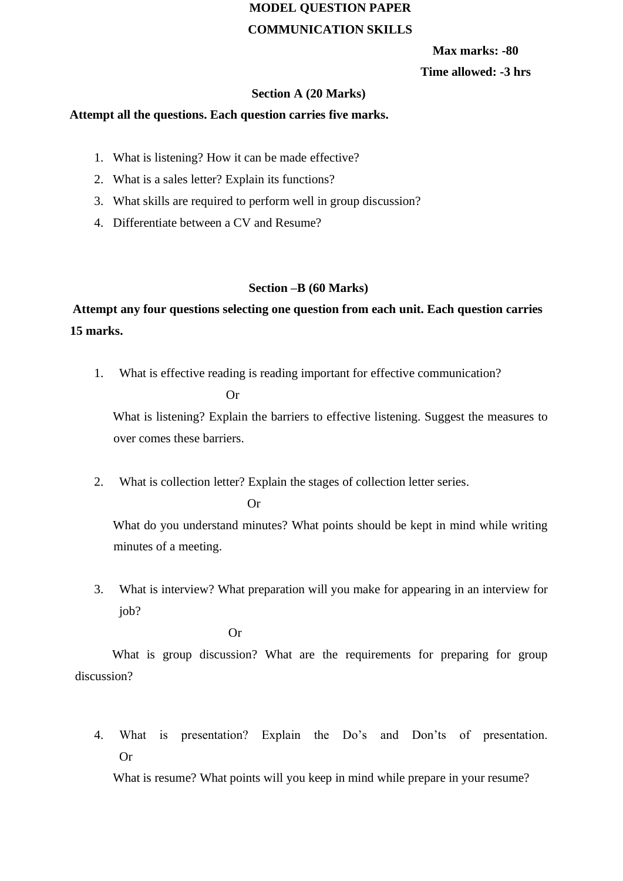# **MODEL QUESTION PAPER COMMUNICATION SKILLS**

**Max marks: -80 Time allowed: -3 hrs** 

#### **Section A (20 Marks)**

#### **Attempt all the questions. Each question carries five marks.**

- 1. What is listening? How it can be made effective?
- 2. What is a sales letter? Explain its functions?
- 3. What skills are required to perform well in group discussion?
- 4. Differentiate between a CV and Resume?

#### **Section –B (60 Marks)**

# **Attempt any four questions selecting one question from each unit. Each question carries 15 marks.**

1. What is effective reading is reading important for effective communication?

Or

What is listening? Explain the barriers to effective listening. Suggest the measures to over comes these barriers.

2. What is collection letter? Explain the stages of collection letter series.

Or

What do you understand minutes? What points should be kept in mind while writing minutes of a meeting.

3. What is interview? What preparation will you make for appearing in an interview for job?

Or

What is group discussion? What are the requirements for preparing for group discussion?

4. What is presentation? Explain the Do's and Don'ts of presentation. Or

What is resume? What points will you keep in mind while prepare in your resume?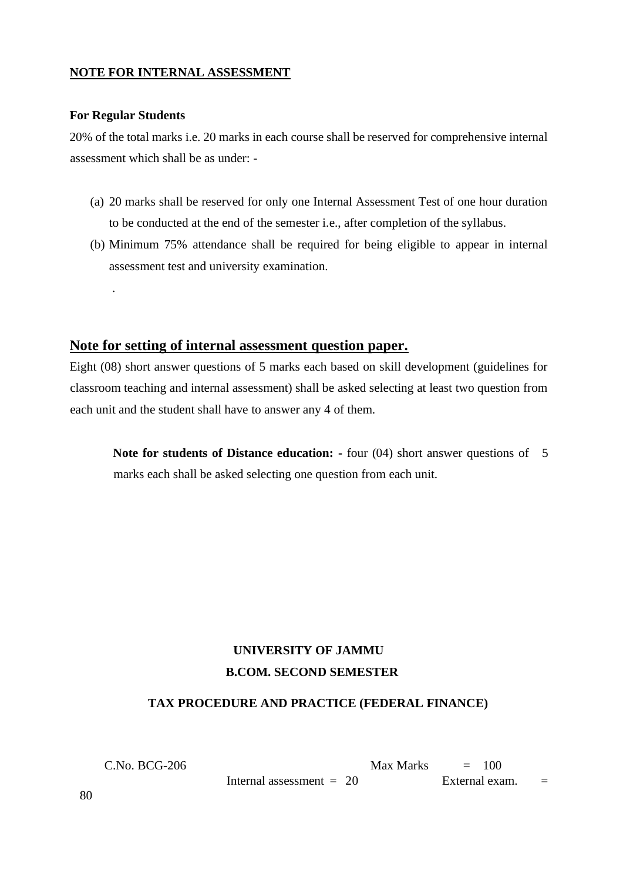### **NOTE FOR INTERNAL ASSESSMENT**

#### **For Regular Students**

.

20% of the total marks i.e. 20 marks in each course shall be reserved for comprehensive internal assessment which shall be as under: -

- (a) 20 marks shall be reserved for only one Internal Assessment Test of one hour duration to be conducted at the end of the semester i.e., after completion of the syllabus.
- (b) Minimum 75% attendance shall be required for being eligible to appear in internal assessment test and university examination.

### **Note for setting of internal assessment question paper.**

Eight (08) short answer questions of 5 marks each based on skill development (guidelines for classroom teaching and internal assessment) shall be asked selecting at least two question from each unit and the student shall have to answer any 4 of them.

**Note for students of Distance education: -** four (04) short answer questions of 5 marks each shall be asked selecting one question from each unit.

# **UNIVERSITY OF JAMMU B.COM. SECOND SEMESTER**

#### **TAX PROCEDURE AND PRACTICE (FEDERAL FINANCE)**

 $C.No. BCG-206$  Max Marks  $= 100$ Internal assessment  $= 20$  External exam.  $=$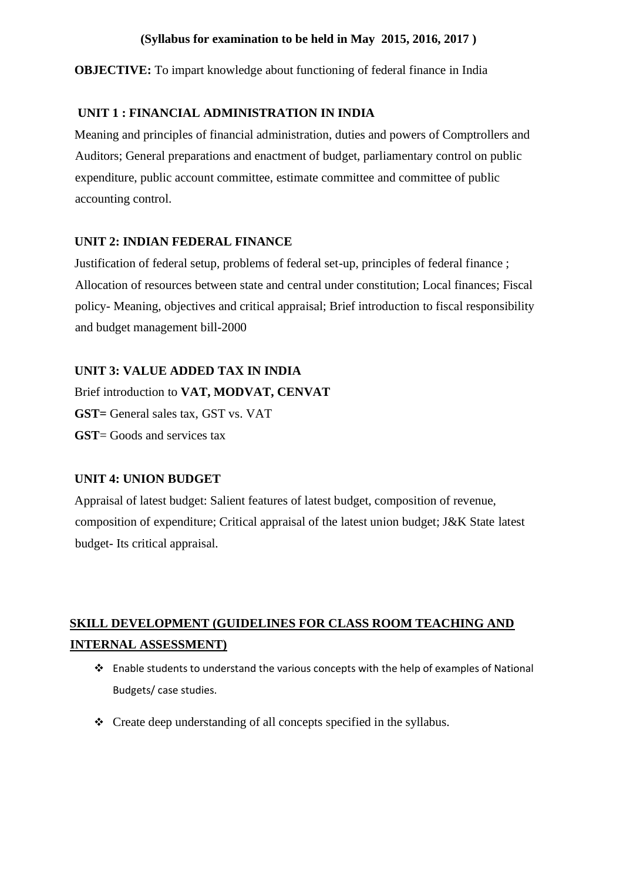## **(Syllabus for examination to be held in May 2015, 2016, 2017 )**

**OBJECTIVE:** To impart knowledge about functioning of federal finance in India

## **UNIT 1 : FINANCIAL ADMINISTRATION IN INDIA**

Meaning and principles of financial administration, duties and powers of Comptrollers and Auditors; General preparations and enactment of budget, parliamentary control on public expenditure, public account committee, estimate committee and committee of public accounting control.

## **UNIT 2: INDIAN FEDERAL FINANCE**

Justification of federal setup, problems of federal set-up, principles of federal finance ; Allocation of resources between state and central under constitution; Local finances; Fiscal policy- Meaning, objectives and critical appraisal; Brief introduction to fiscal responsibility and budget management bill-2000

# **UNIT 3: VALUE ADDED TAX IN INDIA**

Brief introduction to **VAT, MODVAT, CENVAT GST=** General sales tax, GST vs. VAT **GST**= Goods and services tax

## **UNIT 4: UNION BUDGET**

Appraisal of latest budget: Salient features of latest budget, composition of revenue, composition of expenditure; Critical appraisal of the latest union budget; J&K State latest budget- Its critical appraisal.

# **SKILL DEVELOPMENT (GUIDELINES FOR CLASS ROOM TEACHING AND INTERNAL ASSESSMENT)**

- ❖ Enable students to understand the various concepts with the help of examples of National Budgets/ case studies.
- ❖ Create deep understanding of all concepts specified in the syllabus.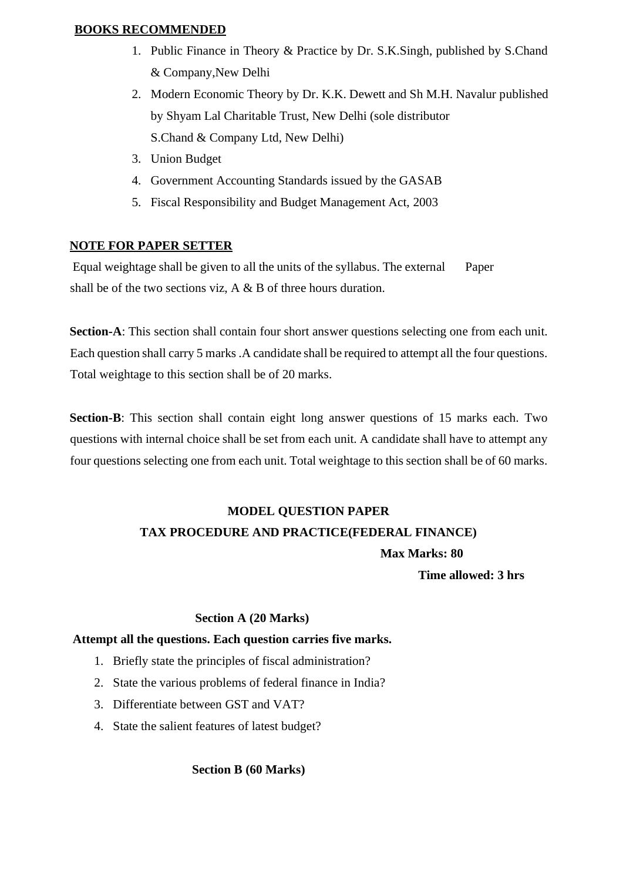## **BOOKS RECOMMENDED**

- 1. Public Finance in Theory & Practice by Dr. S.K.Singh, published by S.Chand & Company,New Delhi
- 2. Modern Economic Theory by Dr. K.K. Dewett and Sh M.H. Navalur published by Shyam Lal Charitable Trust, New Delhi (sole distributor S.Chand & Company Ltd, New Delhi)
- 3. Union Budget
- 4. Government Accounting Standards issued by the GASAB
- 5. Fiscal Responsibility and Budget Management Act, 2003

## **NOTE FOR PAPER SETTER**

Equal weightage shall be given to all the units of the syllabus. The external Paper shall be of the two sections viz,  $A \& B$  of three hours duration.

**Section-A**: This section shall contain four short answer questions selecting one from each unit. Each question shall carry 5 marks .A candidate shall be required to attempt all the four questions. Total weightage to this section shall be of 20 marks.

**Section-B**: This section shall contain eight long answer questions of 15 marks each. Two questions with internal choice shall be set from each unit. A candidate shall have to attempt any four questions selecting one from each unit. Total weightage to this section shall be of 60 marks.

# **MODEL QUESTION PAPER TAX PROCEDURE AND PRACTICE(FEDERAL FINANCE)**

 **Max Marks: 80** 

**Time allowed: 3 hrs** 

#### **Section A (20 Marks)**

#### **Attempt all the questions. Each question carries five marks.**

- 1. Briefly state the principles of fiscal administration?
- 2. State the various problems of federal finance in India?
- 3. Differentiate between GST and VAT?
- 4. State the salient features of latest budget?

## **Section B (60 Marks)**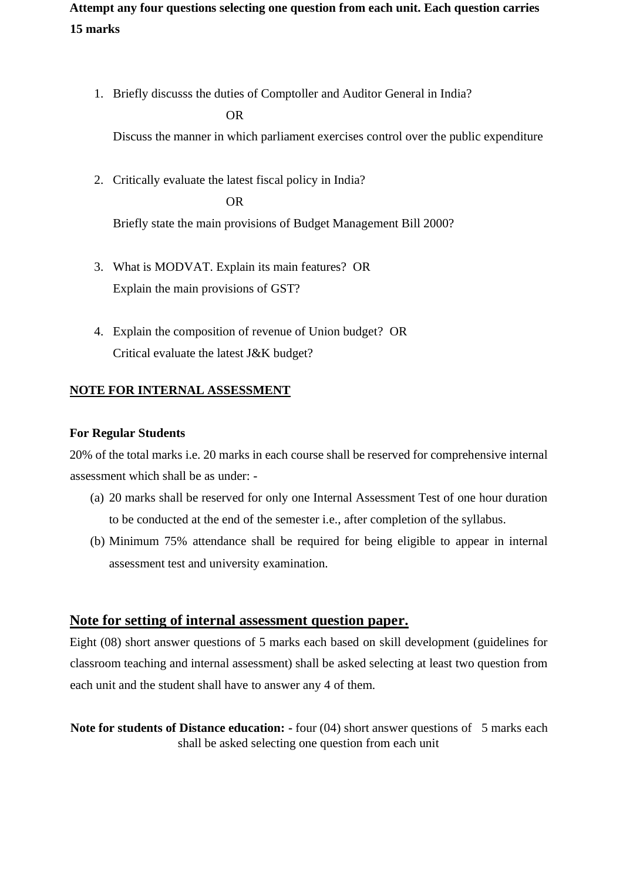# **Attempt any four questions selecting one question from each unit. Each question carries 15 marks**

1. Briefly discusss the duties of Comptoller and Auditor General in India?

### OR

Discuss the manner in which parliament exercises control over the public expenditure

2. Critically evaluate the latest fiscal policy in India? OR

Briefly state the main provisions of Budget Management Bill 2000?

- 3. What is MODVAT. Explain its main features? OR Explain the main provisions of GST?
- 4. Explain the composition of revenue of Union budget? OR Critical evaluate the latest J&K budget?

# **NOTE FOR INTERNAL ASSESSMENT**

## **For Regular Students**

20% of the total marks i.e. 20 marks in each course shall be reserved for comprehensive internal assessment which shall be as under: -

- (a) 20 marks shall be reserved for only one Internal Assessment Test of one hour duration to be conducted at the end of the semester i.e., after completion of the syllabus.
- (b) Minimum 75% attendance shall be required for being eligible to appear in internal assessment test and university examination.

# **Note for setting of internal assessment question paper.**

Eight (08) short answer questions of 5 marks each based on skill development (guidelines for classroom teaching and internal assessment) shall be asked selecting at least two question from each unit and the student shall have to answer any 4 of them.

**Note for students of Distance education: -** four (04) short answer questions of 5 marks each shall be asked selecting one question from each unit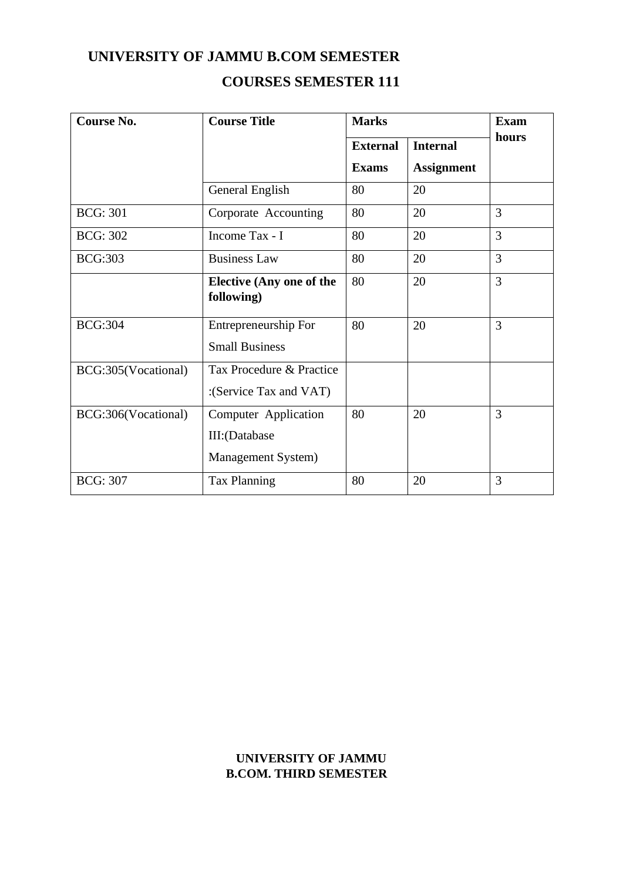# **UNIVERSITY OF JAMMU B.COM SEMESTER**

# **COURSES SEMESTER 111**

| <b>Course No.</b>   | <b>Course Title</b>                                                | <b>Marks</b>    | <b>Exam</b>       |                |
|---------------------|--------------------------------------------------------------------|-----------------|-------------------|----------------|
|                     |                                                                    | <b>External</b> | <b>Internal</b>   | hours          |
|                     |                                                                    | <b>Exams</b>    | <b>Assignment</b> |                |
|                     | General English                                                    | 80              | 20                |                |
| <b>BCG: 301</b>     | Corporate Accounting                                               | 80              | 20                | 3              |
| <b>BCG: 302</b>     | Income Tax - I                                                     | 80              | 20                | 3              |
| <b>BCG:303</b>      | <b>Business Law</b>                                                | 80              | 20                | 3              |
|                     | <b>Elective (Any one of the</b><br>following)                      | 80              | 20                | $\overline{3}$ |
| <b>BCG:304</b>      | Entrepreneurship For<br><b>Small Business</b>                      | 80              | 20                | 3              |
| BCG:305(Vocational) | Tax Procedure & Practice<br>:(Service Tax and VAT)                 |                 |                   |                |
| BCG:306(Vocational) | <b>Computer Application</b><br>III:(Database<br>Management System) | 80              | 20                | 3              |
| <b>BCG: 307</b>     | <b>Tax Planning</b>                                                | 80              | 20                | 3              |

# **UNIVERSITY OF JAMMU B.COM. THIRD SEMESTER**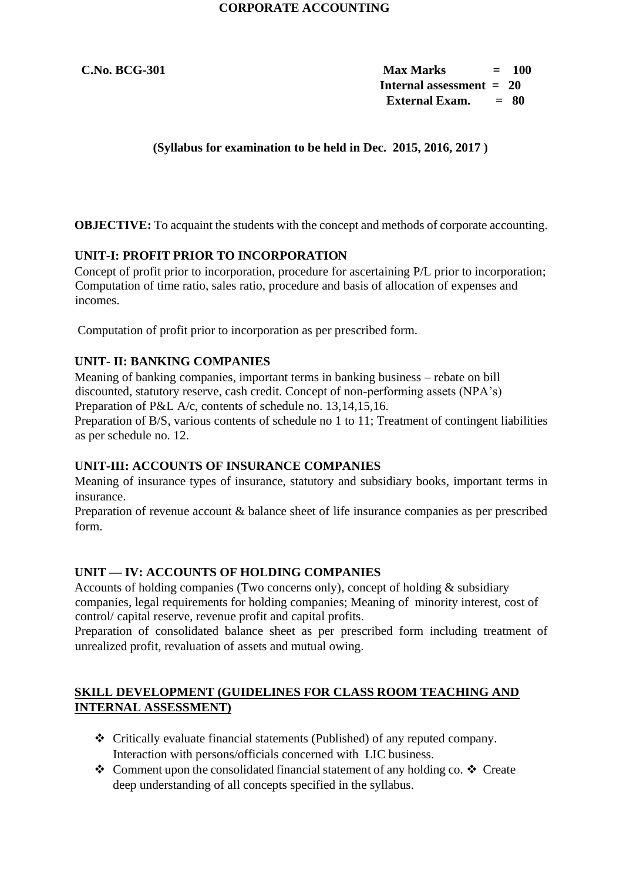**C.No. BCG-301 Max Marks = 100 Internal assessment = 20 External Exam. = 80** 

 **(Syllabus for examination to be held in Dec. 2015, 2016, 2017 )** 

**OBJECTIVE:** To acquaint the students with the concept and methods of corporate accounting.

## **UNIT-I: PROFIT PRIOR TO INCORPORATION**

Concept of profit prior to incorporation, procedure for ascertaining P/L prior to incorporation; Computation of time ratio, sales ratio, procedure and basis of allocation of expenses and incomes.

Computation of profit prior to incorporation as per prescribed form.

## **UNIT- II: BANKING COMPANIES**

Meaning of banking companies, important terms in banking business – rebate on bill discounted, statutory reserve, cash credit. Concept of non-performing assets (NPA's) Preparation of P&L A/c, contents of schedule no. 13,14,15,16.

Preparation of B/S, various contents of schedule no 1 to 11; Treatment of contingent liabilities as per schedule no. 12.

#### **UNIT-III: ACCOUNTS OF INSURANCE COMPANIES**

Meaning of insurance types of insurance, statutory and subsidiary books, important terms in insurance.

Preparation of revenue account & balance sheet of life insurance companies as per prescribed form.

#### **UNIT — IV: ACCOUNTS OF HOLDING COMPANIES**

Accounts of holding companies (Two concerns only), concept of holding & subsidiary companies, legal requirements for holding companies; Meaning of minority interest, cost of control/ capital reserve, revenue profit and capital profits.

Preparation of consolidated balance sheet as per prescribed form including treatment of unrealized profit, revaluation of assets and mutual owing.

### **SKILL DEVELOPMENT (GUIDELINES FOR CLASS ROOM TEACHING AND INTERNAL ASSESSMENT)**

- ❖ Critically evaluate financial statements (Published) of any reputed company. Interaction with persons/officials concerned with LIC business.
- ❖ Comment upon the consolidated financial statement of any holding co. ❖ Create deep understanding of all concepts specified in the syllabus.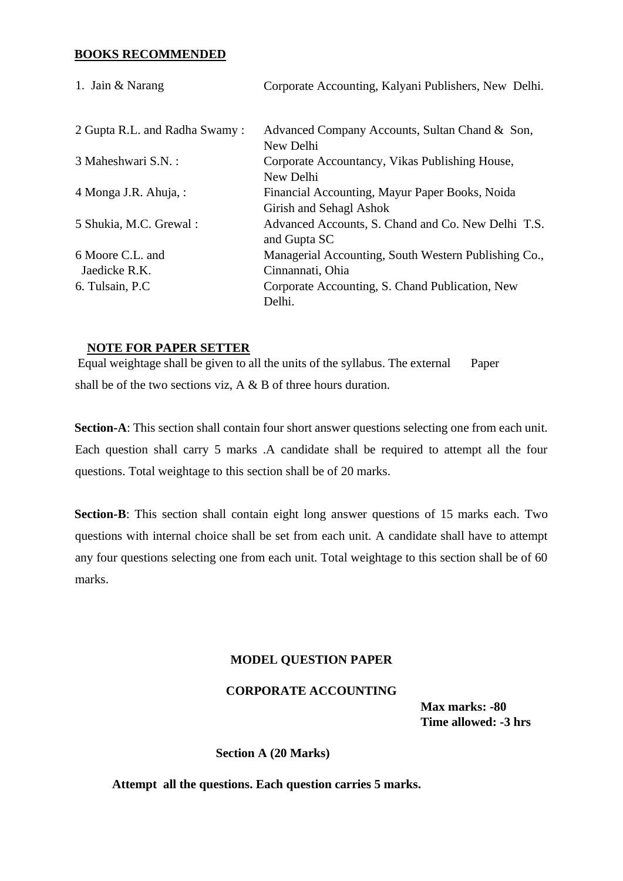#### **BOOKS RECOMMENDED**

| 1. Jain & Narang              | Corporate Accounting, Kalyani Publishers, New Delhi.               |
|-------------------------------|--------------------------------------------------------------------|
| 2 Gupta R.L. and Radha Swamy: | Advanced Company Accounts, Sultan Chand & Son,                     |
|                               | New Delhi                                                          |
| 3 Maheshwari S.N. :           | Corporate Accountancy, Vikas Publishing House,<br>New Delhi        |
| 4 Monga J.R. Ahuja, :         | Financial Accounting, Mayur Paper Books, Noida                     |
|                               | Girish and Sehagl Ashok                                            |
| 5 Shukia, M.C. Grewal:        | Advanced Accounts, S. Chand and Co. New Delhi T.S.<br>and Gupta SC |
| 6 Moore C.L. and              | Managerial Accounting, South Western Publishing Co.,               |
| Jaedicke R.K.                 | Cinnannati, Ohia                                                   |
| 6. Tulsain, P.C.              | Corporate Accounting, S. Chand Publication, New<br>Delhi.          |

#### **NOTE FOR PAPER SETTER**

Equal weightage shall be given to all the units of the syllabus. The external Paper shall be of the two sections viz, A & B of three hours duration.

**Section-A**: This section shall contain four short answer questions selecting one from each unit. Each question shall carry 5 marks .A candidate shall be required to attempt all the four questions. Total weightage to this section shall be of 20 marks.

**Section-B**: This section shall contain eight long answer questions of 15 marks each. Two questions with internal choice shall be set from each unit. A candidate shall have to attempt any four questions selecting one from each unit. Total weightage to this section shall be of 60 marks.

#### **MODEL QUESTION PAPER**

#### **CORPORATE ACCOUNTING**

**Max marks: -80 Time allowed: -3 hrs** 

**Section A (20 Marks)** 

 **Attempt all the questions. Each question carries 5 marks.**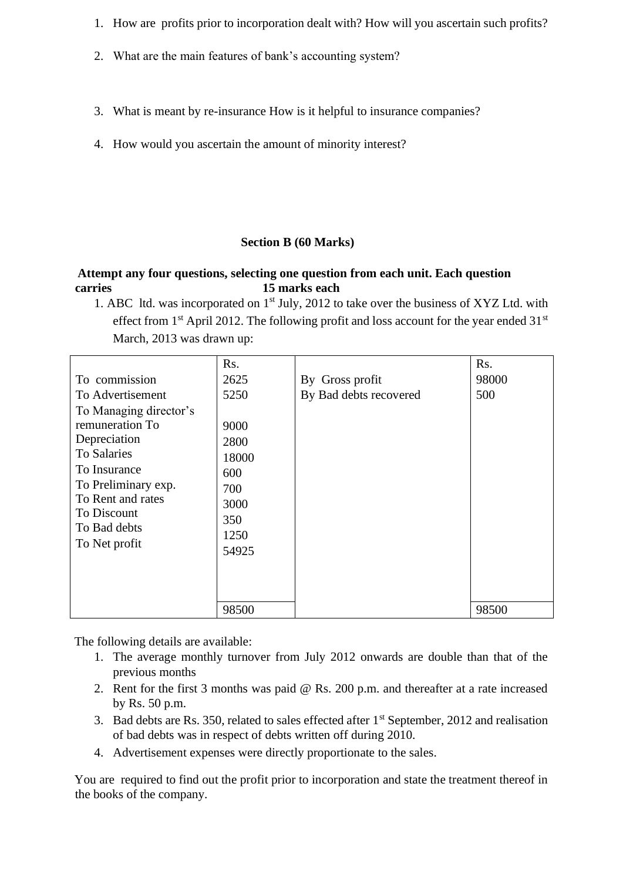- 1. How are profits prior to incorporation dealt with? How will you ascertain such profits?
- 2. What are the main features of bank's accounting system?
- 3. What is meant by re-insurance How is it helpful to insurance companies?
- 4. How would you ascertain the amount of minority interest?

### **Section B (60 Marks)**

## **Attempt any four questions, selecting one question from each unit. Each question carries 15 marks each**

1. ABC ltd. was incorporated on 1<sup>st</sup> July, 2012 to take over the business of XYZ Ltd. with effect from  $1<sup>st</sup>$  April 2012. The following profit and loss account for the year ended 31 $<sup>st</sup>$ </sup> March, 2013 was drawn up:

|                        | Rs.   |                        | Rs.   |
|------------------------|-------|------------------------|-------|
| To commission          | 2625  | By Gross profit        | 98000 |
| To Advertisement       | 5250  | By Bad debts recovered | 500   |
| To Managing director's |       |                        |       |
| remuneration To        | 9000  |                        |       |
| Depreciation           | 2800  |                        |       |
| To Salaries            | 18000 |                        |       |
| To Insurance           | 600   |                        |       |
| To Preliminary exp.    | 700   |                        |       |
| To Rent and rates      | 3000  |                        |       |
| To Discount            | 350   |                        |       |
| To Bad debts           | 1250  |                        |       |
| To Net profit          | 54925 |                        |       |
|                        |       |                        |       |
|                        |       |                        |       |
|                        |       |                        |       |
|                        | 98500 |                        | 98500 |

The following details are available:

- 1. The average monthly turnover from July 2012 onwards are double than that of the previous months
- 2. Rent for the first 3 months was paid @ Rs. 200 p.m. and thereafter at a rate increased by Rs. 50 p.m.
- 3. Bad debts are Rs. 350, related to sales effected after  $1<sup>st</sup>$  September, 2012 and realisation of bad debts was in respect of debts written off during 2010.
- 4. Advertisement expenses were directly proportionate to the sales.

You are required to find out the profit prior to incorporation and state the treatment thereof in the books of the company.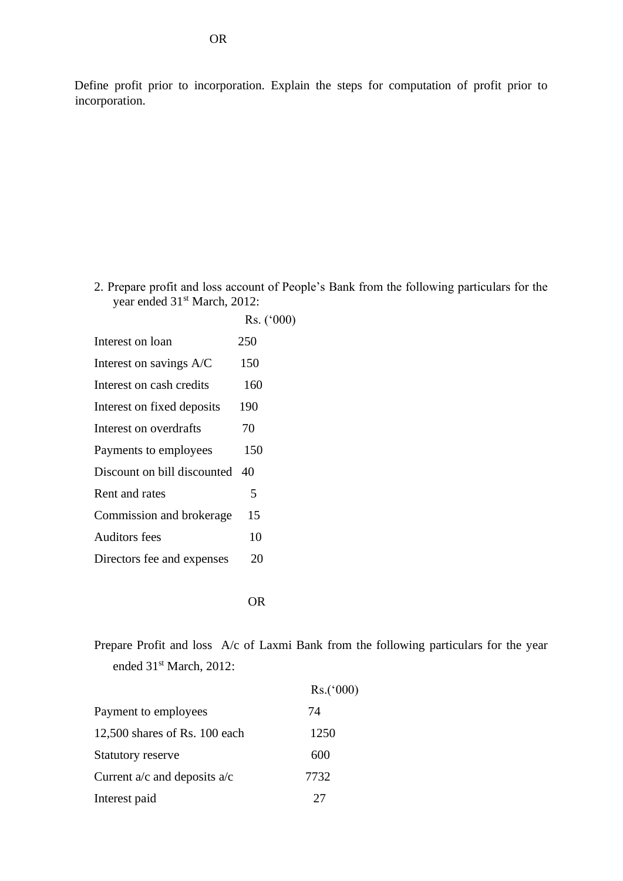Define profit prior to incorporation. Explain the steps for computation of profit prior to incorporation.

2. Prepare profit and loss account of People's Bank from the following particulars for the year ended 31<sup>st</sup> March, 2012:

|                             | $Rs.$ ('000) |
|-----------------------------|--------------|
| Interest on loan            | 250          |
| Interest on savings A/C     | 150          |
| Interest on cash credits    | 160          |
| Interest on fixed deposits  | 190          |
| Interest on overdrafts      | 70           |
| Payments to employees       | 150          |
| Discount on bill discounted | 40           |
| Rent and rates              | 5            |
| Commission and brokerage    | 15           |
| <b>Auditors fees</b>        | 10           |
| Directors fee and expenses  | 20           |
|                             |              |

OR

Prepare Profit and loss A/c of Laxmi Bank from the following particulars for the year ended 31<sup>st</sup> March, 2012:

|                                  | Rs.(000) |
|----------------------------------|----------|
| Payment to employees             | 74       |
| 12,500 shares of Rs. $100$ each  | 1250     |
| Statutory reserve                | 600      |
| Current $a/c$ and deposits $a/c$ | 7732     |
| Interest paid                    | 27       |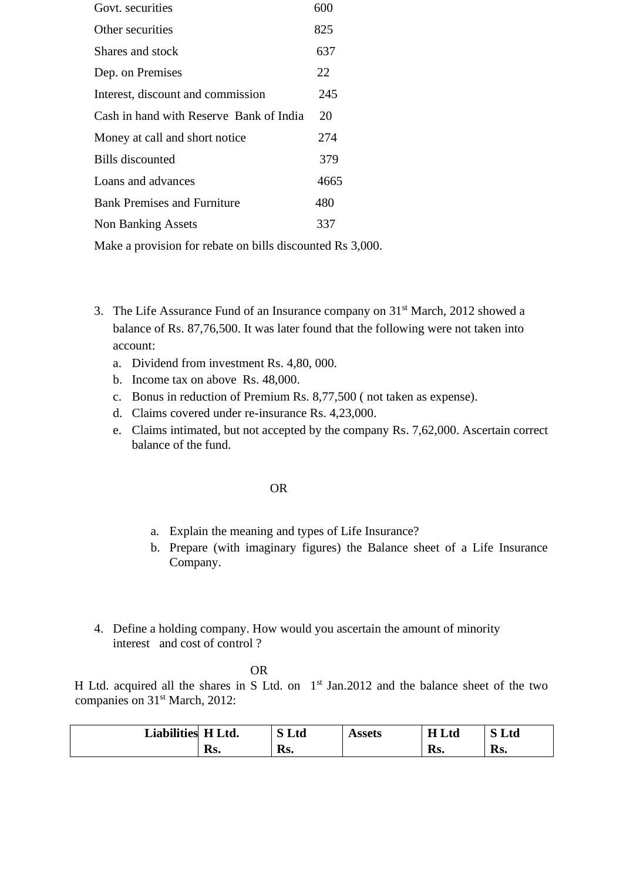| Govt. securities                        | 600  |
|-----------------------------------------|------|
| Other securities                        | 825  |
| Shares and stock                        | 637  |
| Dep. on Premises                        | 22   |
| Interest, discount and commission       | 245  |
| Cash in hand with Reserve Bank of India | 20   |
| Money at call and short notice          | 274  |
| Bills discounted                        | 379  |
| Loans and advances                      | 4665 |
| <b>Bank Premises and Furniture</b>      | 480  |
| Non Banking Assets                      | 337  |
|                                         |      |

Make a provision for rebate on bills discounted Rs 3,000.

- 3. The Life Assurance Fund of an Insurance company on  $31<sup>st</sup>$  March, 2012 showed a balance of Rs. 87,76,500. It was later found that the following were not taken into account:
	- a. Dividend from investment Rs. 4,80, 000.
	- b. Income tax on above Rs. 48,000.
	- c. Bonus in reduction of Premium Rs. 8,77,500 ( not taken as expense).
	- d. Claims covered under re-insurance Rs. 4,23,000.
	- e. Claims intimated, but not accepted by the company Rs. 7,62,000. Ascertain correct balance of the fund.

#### OR

- a. Explain the meaning and types of Life Insurance?
- b. Prepare (with imaginary figures) the Balance sheet of a Life Insurance Company.
- 4. Define a holding company. How would you ascertain the amount of minority interest and cost of control ?

#### OR

H Ltd. acquired all the shares in S Ltd. on  $1<sup>st</sup>$  Jan.2012 and the balance sheet of the two companies on 31<sup>st</sup> March, 2012:

| <b>Liabilities</b> | H Ltd. | Ltd | Assets | H Ltd | Ltd |
|--------------------|--------|-----|--------|-------|-----|
|                    | Rs.    | Rs. |        | Rs.   | Rs. |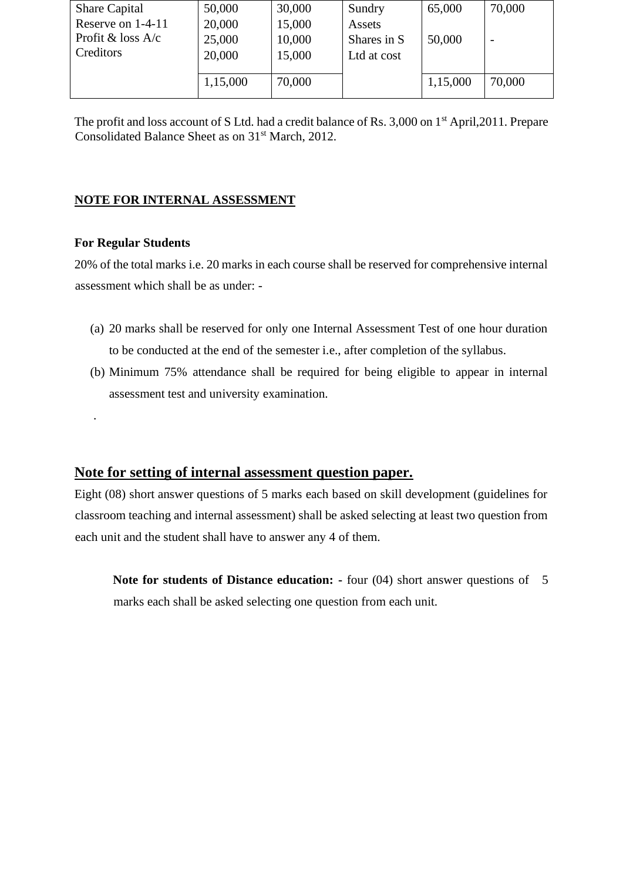| 50,000   | 30,000 | Sundry      | 65,000   | 70,000 |
|----------|--------|-------------|----------|--------|
| 20,000   | 15,000 | Assets      |          |        |
| 25,000   | 10,000 | Shares in S | 50,000   |        |
| 20,000   | 15,000 | Ltd at cost |          |        |
|          |        |             |          |        |
| 1,15,000 | 70,000 |             | 1,15,000 | 70,000 |
|          |        |             |          |        |

The profit and loss account of S Ltd. had a credit balance of Rs. 3,000 on 1<sup>st</sup> April, 2011. Prepare Consolidated Balance Sheet as on 31<sup>st</sup> March, 2012.

# **NOTE FOR INTERNAL ASSESSMENT**

### **For Regular Students**

.

20% of the total marks i.e. 20 marks in each course shall be reserved for comprehensive internal assessment which shall be as under: -

- (a) 20 marks shall be reserved for only one Internal Assessment Test of one hour duration to be conducted at the end of the semester i.e., after completion of the syllabus.
- (b) Minimum 75% attendance shall be required for being eligible to appear in internal assessment test and university examination.

# **Note for setting of internal assessment question paper.**

Eight (08) short answer questions of 5 marks each based on skill development (guidelines for classroom teaching and internal assessment) shall be asked selecting at least two question from each unit and the student shall have to answer any 4 of them.

**Note for students of Distance education:** - four (04) short answer questions of 5 marks each shall be asked selecting one question from each unit.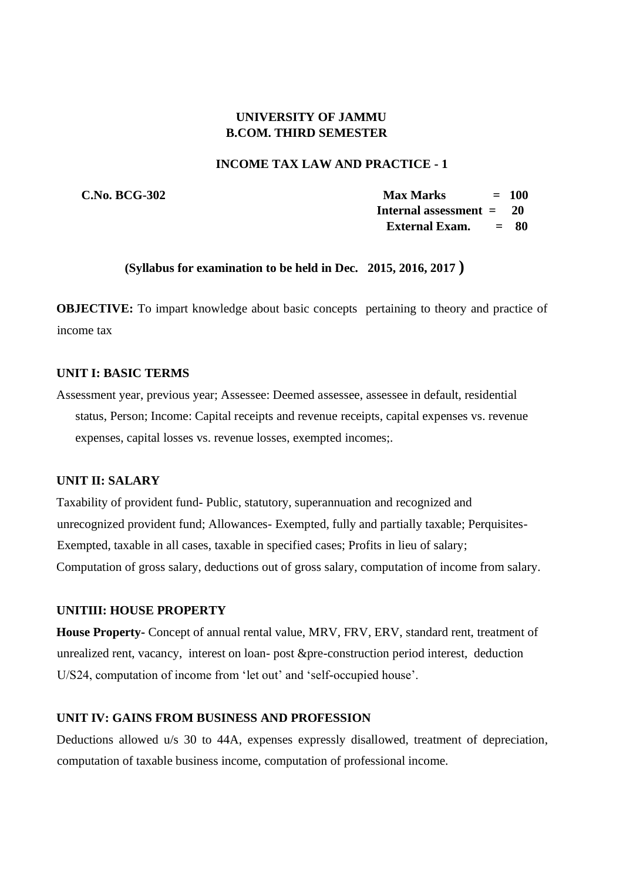## **UNIVERSITY OF JAMMU B.COM. THIRD SEMESTER**

#### **INCOME TAX LAW AND PRACTICE - 1**

 **C.No. BCG-302 Max Marks = 100 Internal assessment = 20 External Exam. = 80** 

#### **(Syllabus for examination to be held in Dec. 2015, 2016, 2017 )**

**OBJECTIVE:** To impart knowledge about basic concepts pertaining to theory and practice of income tax

#### **UNIT I: BASIC TERMS**

Assessment year, previous year; Assessee: Deemed assessee, assessee in default, residential status, Person; Income: Capital receipts and revenue receipts, capital expenses vs. revenue expenses, capital losses vs. revenue losses, exempted incomes;.

## **UNIT II: SALARY**

Taxability of provident fund- Public, statutory, superannuation and recognized and unrecognized provident fund; Allowances- Exempted, fully and partially taxable; Perquisites-Exempted, taxable in all cases, taxable in specified cases; Profits in lieu of salary; Computation of gross salary, deductions out of gross salary, computation of income from salary.

#### **UNITIII: HOUSE PROPERTY**

**House Property-** Concept of annual rental value, MRV, FRV, ERV, standard rent, treatment of unrealized rent, vacancy, interest on loan- post &pre-construction period interest, deduction U/S24, computation of income from 'let out' and 'self-occupied house'.

#### **UNIT IV: GAINS FROM BUSINESS AND PROFESSION**

Deductions allowed u/s 30 to 44A, expenses expressly disallowed, treatment of depreciation, computation of taxable business income, computation of professional income.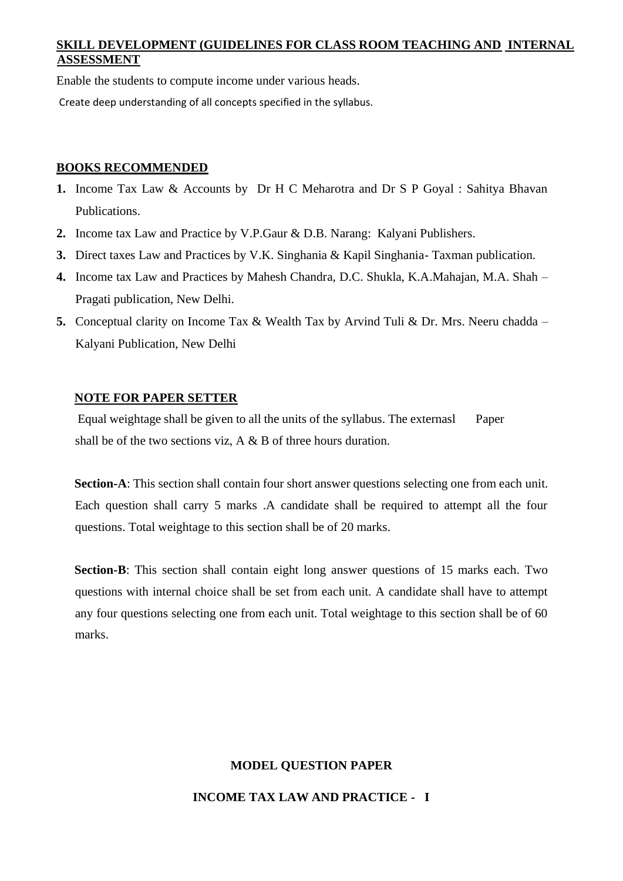# **SKILL DEVELOPMENT (GUIDELINES FOR CLASS ROOM TEACHING AND INTERNAL ASSESSMENT**

Enable the students to compute income under various heads.

Create deep understanding of all concepts specified in the syllabus.

### **BOOKS RECOMMENDED**

- **1.** Income Tax Law & Accounts by Dr H C Meharotra and Dr S P Goyal : Sahitya Bhavan Publications.
- **2.** Income tax Law and Practice by V.P.Gaur & D.B. Narang: Kalyani Publishers.
- **3.** Direct taxes Law and Practices by V.K. Singhania & Kapil Singhania- Taxman publication.
- **4.** Income tax Law and Practices by Mahesh Chandra, D.C. Shukla, K.A.Mahajan, M.A. Shah Pragati publication, New Delhi.
- **5.** Conceptual clarity on Income Tax & Wealth Tax by Arvind Tuli & Dr. Mrs. Neeru chadda Kalyani Publication, New Delhi

## **NOTE FOR PAPER SETTER**

Equal weightage shall be given to all the units of the syllabus. The externasl Paper shall be of the two sections viz, A & B of three hours duration.

**Section-A**: This section shall contain four short answer questions selecting one from each unit. Each question shall carry 5 marks .A candidate shall be required to attempt all the four questions. Total weightage to this section shall be of 20 marks.

**Section-B**: This section shall contain eight long answer questions of 15 marks each. Two questions with internal choice shall be set from each unit. A candidate shall have to attempt any four questions selecting one from each unit. Total weightage to this section shall be of 60 marks.

## **MODEL QUESTION PAPER**

**INCOME TAX LAW AND PRACTICE - I**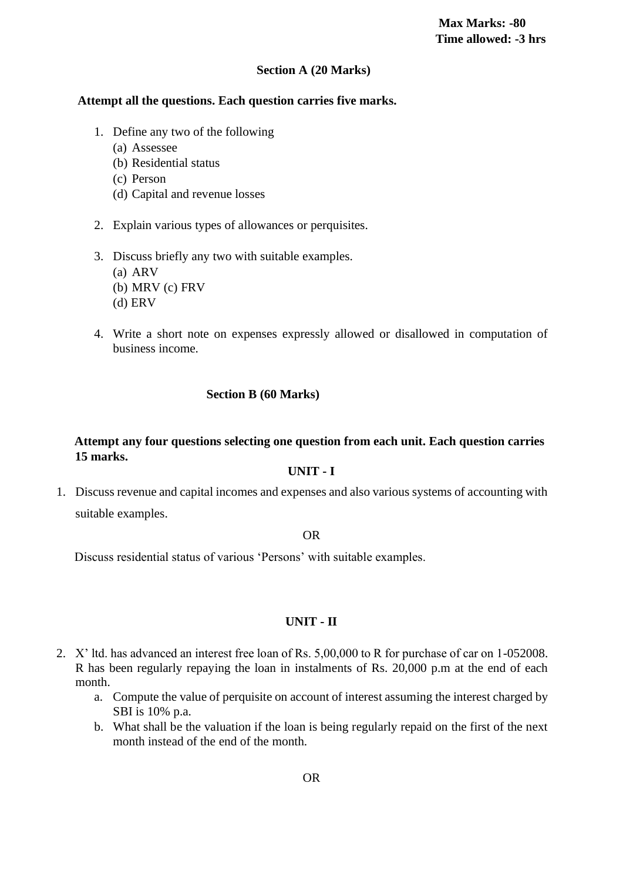#### **Section A (20 Marks)**

# **Attempt all the questions. Each question carries five marks.**

- 1. Define any two of the following
	- (a) Assessee
	- (b) Residential status
	- (c) Person
	- (d) Capital and revenue losses
- 2. Explain various types of allowances or perquisites.
- 3. Discuss briefly any two with suitable examples.
	- (a) ARV
	- (b) MRV (c) FRV
	- (d) ERV
- 4. Write a short note on expenses expressly allowed or disallowed in computation of business income.

# **Section B (60 Marks)**

# **Attempt any four questions selecting one question from each unit. Each question carries 15 marks.**

#### **UNIT - I**

1. Discuss revenue and capital incomes and expenses and also various systems of accounting with suitable examples.

#### OR

Discuss residential status of various 'Persons' with suitable examples.

## **UNIT - II**

- 2. X' ltd. has advanced an interest free loan of Rs. 5,00,000 to R for purchase of car on 1-052008. R has been regularly repaying the loan in instalments of Rs. 20,000 p.m at the end of each month.
	- a. Compute the value of perquisite on account of interest assuming the interest charged by SBI is 10% p.a.
	- b. What shall be the valuation if the loan is being regularly repaid on the first of the next month instead of the end of the month.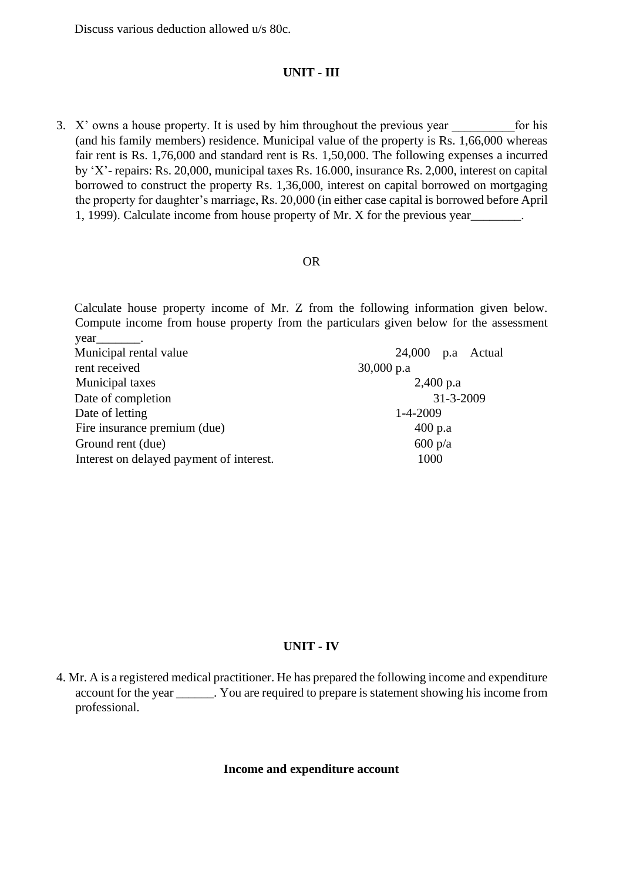Discuss various deduction allowed u/s 80c.

#### **UNIT - III**

3.  $X'$  owns a house property. It is used by him throughout the previous year for his (and his family members) residence. Municipal value of the property is Rs. 1,66,000 whereas fair rent is Rs. 1,76,000 and standard rent is Rs. 1,50,000. The following expenses a incurred by 'X'- repairs: Rs. 20,000, municipal taxes Rs. 16.000, insurance Rs. 2,000, interest on capital borrowed to construct the property Rs. 1,36,000, interest on capital borrowed on mortgaging the property for daughter's marriage, Rs. 20,000 (in either case capital is borrowed before April 1, 1999). Calculate income from house property of Mr. X for the previous year  $\qquad \qquad$ .

#### OR

Calculate house property income of Mr. Z from the following information given below. Compute income from house property from the particulars given below for the assessment year.

| Municipal rental value                   | $24,000$ p.a Actual |
|------------------------------------------|---------------------|
| rent received                            | $30,000$ p.a        |
| Municipal taxes                          | $2,400$ p.a         |
| Date of completion                       | $31 - 3 - 2009$     |
| Date of letting                          | $1 - 4 - 2009$      |
| Fire insurance premium (due)             | $400$ p.a           |
| Ground rent (due)                        | $600 \text{ p/a}$   |
| Interest on delayed payment of interest. | 1000                |

#### **UNIT - IV**

#### **Income and expenditure account**

<sup>4.</sup> Mr. A is a registered medical practitioner. He has prepared the following income and expenditure account for the year Figure . You are required to prepare is statement showing his income from professional.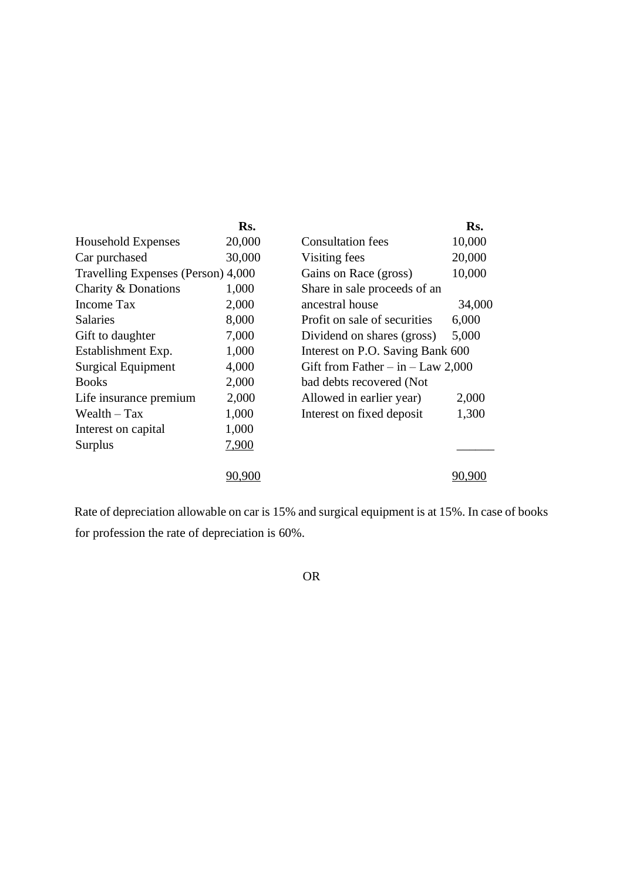|                                    | Rs.    |                                       | Rs.    |
|------------------------------------|--------|---------------------------------------|--------|
| Household Expenses                 | 20,000 | <b>Consultation fees</b>              | 10,000 |
| Car purchased                      | 30,000 | Visiting fees                         | 20,000 |
| Travelling Expenses (Person) 4,000 |        | Gains on Race (gross)                 | 10,000 |
| Charity & Donations                | 1,000  | Share in sale proceeds of an          |        |
| Income Tax                         | 2,000  | ancestral house                       | 34,000 |
| <b>Salaries</b>                    | 8,000  | Profit on sale of securities          | 6,000  |
| Gift to daughter                   | 7,000  | Dividend on shares (gross)            | 5,000  |
| Establishment Exp.                 | 1,000  | Interest on P.O. Saving Bank 600      |        |
| <b>Surgical Equipment</b>          | 4,000  | Gift from Father $-$ in $-$ Law 2,000 |        |
| <b>Books</b>                       | 2,000  | bad debts recovered (Not              |        |
| Life insurance premium             | 2,000  | Allowed in earlier year)              | 2,000  |
| Wealth $-$ Tax                     | 1,000  | Interest on fixed deposit             | 1,300  |
| Interest on capital                | 1,000  |                                       |        |
| Surplus                            | 7,900  |                                       |        |
|                                    | 90.900 |                                       | 90.90  |
|                                    |        |                                       |        |

Rate of depreciation allowable on car is 15% and surgical equipment is at 15%. In case of books for profession the rate of depreciation is 60%.

OR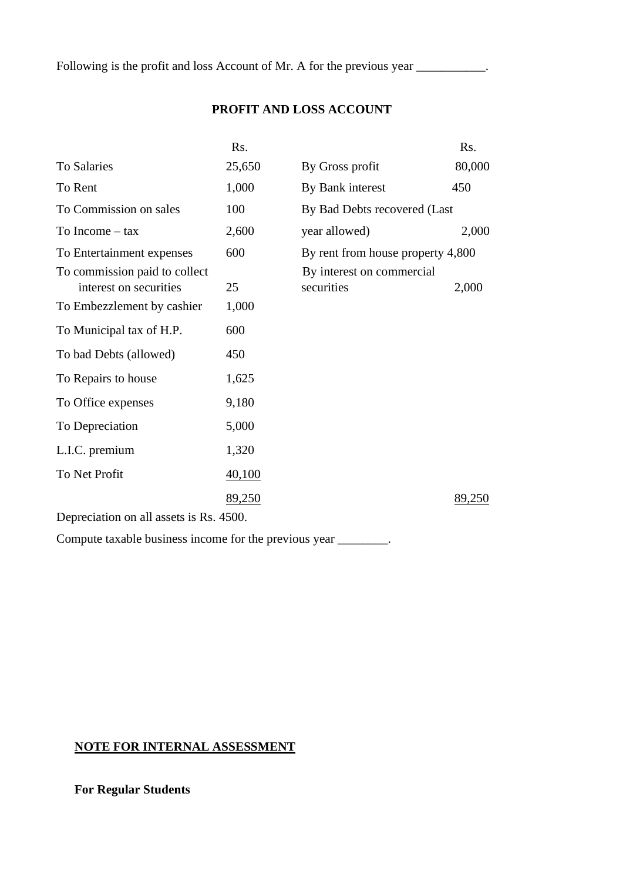Following is the profit and loss Account of Mr. A for the previous year \_\_\_\_\_\_\_\_\_.

## **PROFIT AND LOSS ACCOUNT**

|                                                         | R <sub>s</sub> . |                                         | Rs.    |  |  |
|---------------------------------------------------------|------------------|-----------------------------------------|--------|--|--|
| <b>To Salaries</b>                                      | 25,650           | By Gross profit                         | 80,000 |  |  |
| To Rent                                                 | 1,000            | By Bank interest                        | 450    |  |  |
| To Commission on sales                                  | 100              | By Bad Debts recovered (Last            |        |  |  |
| To Income $-$ tax                                       | 2,600            | year allowed)                           | 2,000  |  |  |
| To Entertainment expenses                               | 600              | By rent from house property 4,800       |        |  |  |
| To commission paid to collect<br>interest on securities | 25               | By interest on commercial<br>securities | 2,000  |  |  |
| To Embezzlement by cashier                              | 1,000            |                                         |        |  |  |
| To Municipal tax of H.P.                                | 600              |                                         |        |  |  |
| To bad Debts (allowed)                                  | 450              |                                         |        |  |  |
| To Repairs to house                                     | 1,625            |                                         |        |  |  |
| To Office expenses                                      | 9,180            |                                         |        |  |  |
| To Depreciation                                         | 5,000            |                                         |        |  |  |
| L.I.C. premium                                          | 1,320            |                                         |        |  |  |
| To Net Profit                                           | 40,100           |                                         |        |  |  |
|                                                         | 89,250           |                                         | 89,250 |  |  |
| Depreciation on all assets is Rs. 4500.                 |                  |                                         |        |  |  |

Compute taxable business income for the previous year \_\_\_\_\_\_\_\_.

# **NOTE FOR INTERNAL ASSESSMENT**

**For Regular Students**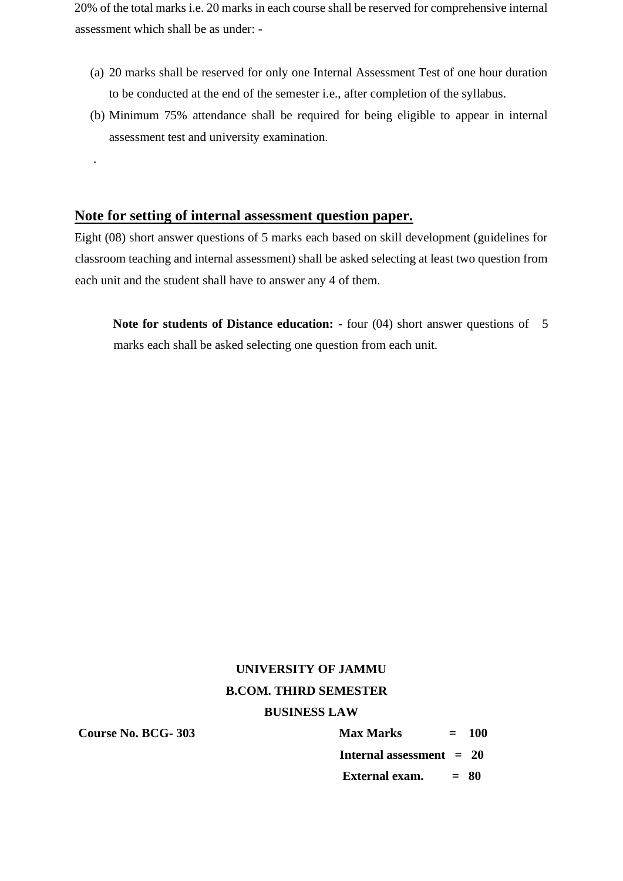20% of the total marks i.e. 20 marks in each course shall be reserved for comprehensive internal assessment which shall be as under: -

- (a) 20 marks shall be reserved for only one Internal Assessment Test of one hour duration to be conducted at the end of the semester i.e., after completion of the syllabus.
- (b) Minimum 75% attendance shall be required for being eligible to appear in internal assessment test and university examination.

## **Note for setting of internal assessment question paper.**

Eight (08) short answer questions of 5 marks each based on skill development (guidelines for classroom teaching and internal assessment) shall be asked selecting at least two question from each unit and the student shall have to answer any 4 of them.

**Note for students of Distance education: -** four (04) short answer questions of 5 marks each shall be asked selecting one question from each unit.

# **UNIVERSITY OF JAMMU B.COM. THIRD SEMESTER BUSINESS LAW**

.

**Course No. BCG- 303 Max Marks = 100 Internal assessment = 20 External exam. = 80**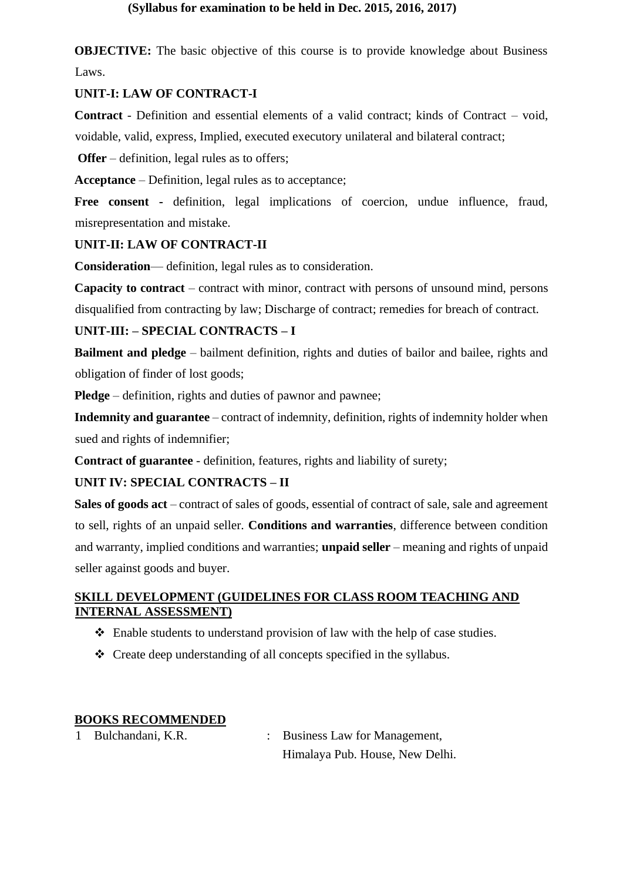**OBJECTIVE:** The basic objective of this course is to provide knowledge about Business Laws.

## **UNIT-I: LAW OF CONTRACT-I**

**Contract** - Definition and essential elements of a valid contract; kinds of Contract – void, voidable, valid, express, Implied, executed executory unilateral and bilateral contract;

**Offer** – definition, legal rules as to offers;

**Acceptance** – Definition, legal rules as to acceptance;

**Free consent -** definition, legal implications of coercion, undue influence, fraud, misrepresentation and mistake.

# **UNIT-II: LAW OF CONTRACT-II**

**Consideration**— definition, legal rules as to consideration.

**Capacity to contract** – contract with minor, contract with persons of unsound mind, persons disqualified from contracting by law; Discharge of contract; remedies for breach of contract.

# **UNIT-III: – SPECIAL CONTRACTS – I**

**Bailment and pledge** – bailment definition, rights and duties of bailor and bailee, rights and obligation of finder of lost goods;

**Pledge** – definition, rights and duties of pawnor and pawnee;

**Indemnity and guarantee** – contract of indemnity, definition, rights of indemnity holder when sued and rights of indemnifier;

**Contract of guarantee** - definition, features, rights and liability of surety;

## **UNIT IV: SPECIAL CONTRACTS – II**

**Sales of goods act** – contract of sales of goods, essential of contract of sale, sale and agreement to sell, rights of an unpaid seller. **Conditions and warranties**, difference between condition and warranty, implied conditions and warranties; **unpaid seller** – meaning and rights of unpaid seller against goods and buyer.

# **SKILL DEVELOPMENT (GUIDELINES FOR CLASS ROOM TEACHING AND INTERNAL ASSESSMENT)**

- ❖ Enable students to understand provision of law with the help of case studies.
- ❖ Create deep understanding of all concepts specified in the syllabus.

## **BOOKS RECOMMENDED**

- 
- 1 Bulchandani, K.R. : Business Law for Management, Himalaya Pub. House, New Delhi.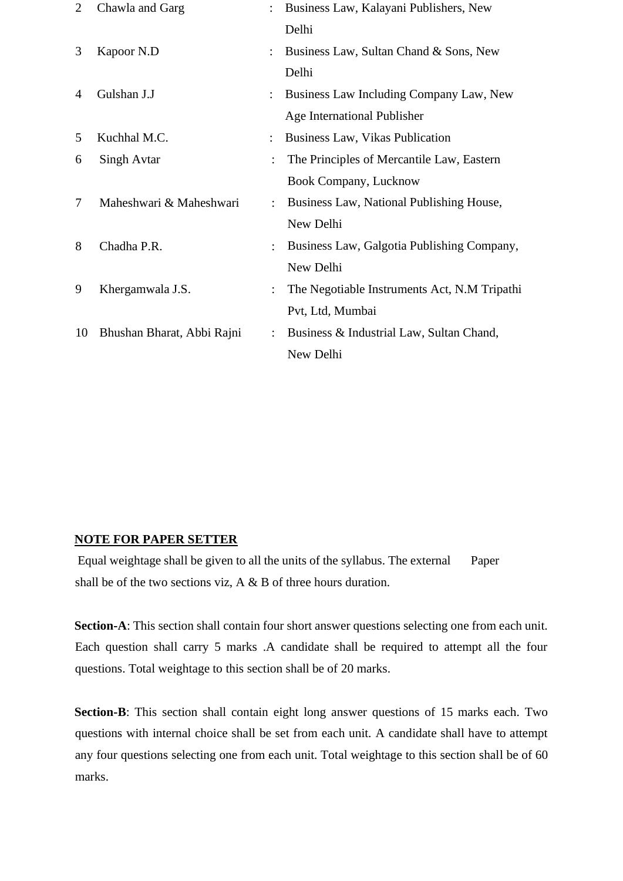| $\overline{2}$ | Chawla and Garg            |                      | Business Law, Kalayani Publishers, New       |
|----------------|----------------------------|----------------------|----------------------------------------------|
|                |                            |                      | Delhi                                        |
| 3              | Kapoor N.D                 | $\ddot{\phantom{0}}$ | Business Law, Sultan Chand & Sons, New       |
|                |                            |                      | Delhi                                        |
| $\overline{4}$ | Gulshan J.J                |                      | Business Law Including Company Law, New      |
|                |                            |                      | Age International Publisher                  |
| 5              | Kuchhal M.C.               | $\ddot{\phantom{0}}$ | Business Law, Vikas Publication              |
| 6              | Singh Avtar                |                      | The Principles of Mercantile Law, Eastern    |
|                |                            |                      | Book Company, Lucknow                        |
| 7              | Maheshwari & Maheshwari    | $\ddot{\cdot}$       | Business Law, National Publishing House,     |
|                |                            |                      | New Delhi                                    |
| 8              | Chadha P.R.                |                      | Business Law, Galgotia Publishing Company,   |
|                |                            |                      | New Delhi                                    |
| 9              | Khergamwala J.S.           |                      | The Negotiable Instruments Act, N.M Tripathi |
|                |                            |                      | Pvt, Ltd, Mumbai                             |
| 10             | Bhushan Bharat, Abbi Rajni |                      | Business & Industrial Law, Sultan Chand,     |
|                |                            |                      | New Delhi                                    |

## **NOTE FOR PAPER SETTER**

Equal weightage shall be given to all the units of the syllabus. The external Paper shall be of the two sections viz, A & B of three hours duration.

**Section-A**: This section shall contain four short answer questions selecting one from each unit. Each question shall carry 5 marks .A candidate shall be required to attempt all the four questions. Total weightage to this section shall be of 20 marks.

**Section-B**: This section shall contain eight long answer questions of 15 marks each. Two questions with internal choice shall be set from each unit. A candidate shall have to attempt any four questions selecting one from each unit. Total weightage to this section shall be of 60 marks.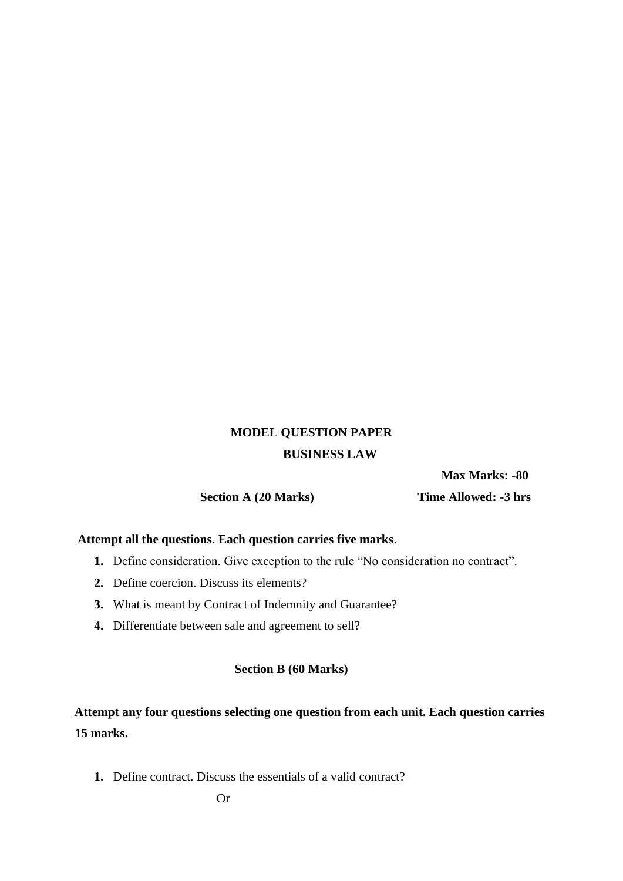# **MODEL QUESTION PAPER BUSINESS LAW**

 **Max Marks: -80** 

 **Section A (20 Marks) Time Allowed: -3 hrs** 

## **Attempt all the questions. Each question carries five marks**.

- **1.** Define consideration. Give exception to the rule "No consideration no contract".
- **2.** Define coercion. Discuss its elements?
- **3.** What is meant by Contract of Indemnity and Guarantee?
- **4.** Differentiate between sale and agreement to sell?

### **Section B (60 Marks)**

# **Attempt any four questions selecting one question from each unit. Each question carries 15 marks.**

**1.** Define contract. Discuss the essentials of a valid contract?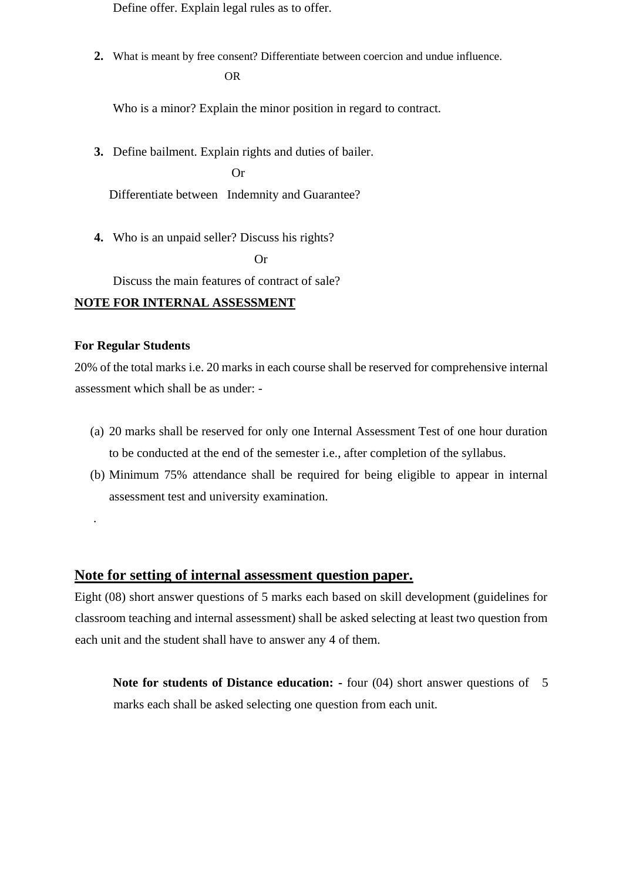Define offer. Explain legal rules as to offer.

**2.** What is meant by free consent? Differentiate between coercion and undue influence. OR

Who is a minor? Explain the minor position in regard to contract.

**3.** Define bailment. Explain rights and duties of bailer.

 Or Differentiate between Indemnity and Guarantee?

**4.** Who is an unpaid seller? Discuss his rights?

**Or** Or

Discuss the main features of contract of sale?

#### **NOTE FOR INTERNAL ASSESSMENT**

## **For Regular Students**

.

20% of the total marks i.e. 20 marks in each course shall be reserved for comprehensive internal assessment which shall be as under: -

- (a) 20 marks shall be reserved for only one Internal Assessment Test of one hour duration to be conducted at the end of the semester i.e., after completion of the syllabus.
- (b) Minimum 75% attendance shall be required for being eligible to appear in internal assessment test and university examination.

# **Note for setting of internal assessment question paper.**

Eight (08) short answer questions of 5 marks each based on skill development (guidelines for classroom teaching and internal assessment) shall be asked selecting at least two question from each unit and the student shall have to answer any 4 of them.

**Note for students of Distance education: -** four (04) short answer questions of 5 marks each shall be asked selecting one question from each unit.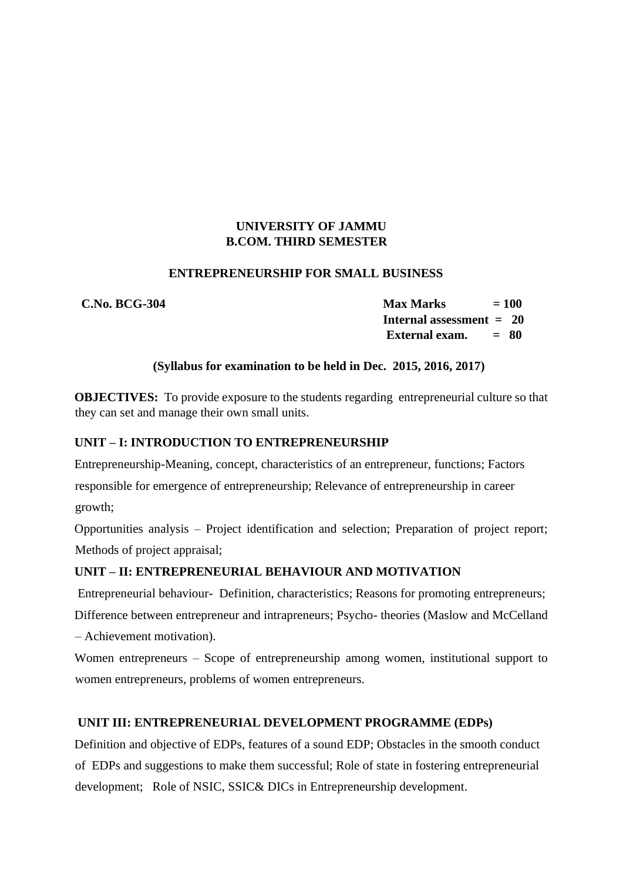# **UNIVERSITY OF JAMMU B.COM. THIRD SEMESTER**

#### **ENTREPRENEURSHIP FOR SMALL BUSINESS**

 **C.No. BCG-304 Max Marks = 100 Internal assessment = 20 External exam. = 80** 

## **(Syllabus for examination to be held in Dec. 2015, 2016, 2017)**

**OBJECTIVES:** To provide exposure to the students regarding entrepreneurial culture so that they can set and manage their own small units.

## **UNIT – I: INTRODUCTION TO ENTREPRENEURSHIP**

Entrepreneurship-Meaning, concept, characteristics of an entrepreneur, functions; Factors

responsible for emergence of entrepreneurship; Relevance of entrepreneurship in career growth;

Opportunities analysis – Project identification and selection; Preparation of project report; Methods of project appraisal;

## **UNIT – II: ENTREPRENEURIAL BEHAVIOUR AND MOTIVATION**

Entrepreneurial behaviour- Definition, characteristics; Reasons for promoting entrepreneurs;

Difference between entrepreneur and intrapreneurs; Psycho- theories (Maslow and McCelland – Achievement motivation).

Women entrepreneurs – Scope of entrepreneurship among women, institutional support to women entrepreneurs, problems of women entrepreneurs.

## **UNIT III: ENTREPRENEURIAL DEVELOPMENT PROGRAMME (EDPs)**

Definition and objective of EDPs, features of a sound EDP; Obstacles in the smooth conduct of EDPs and suggestions to make them successful; Role of state in fostering entrepreneurial development; Role of NSIC, SSIC& DICs in Entrepreneurship development.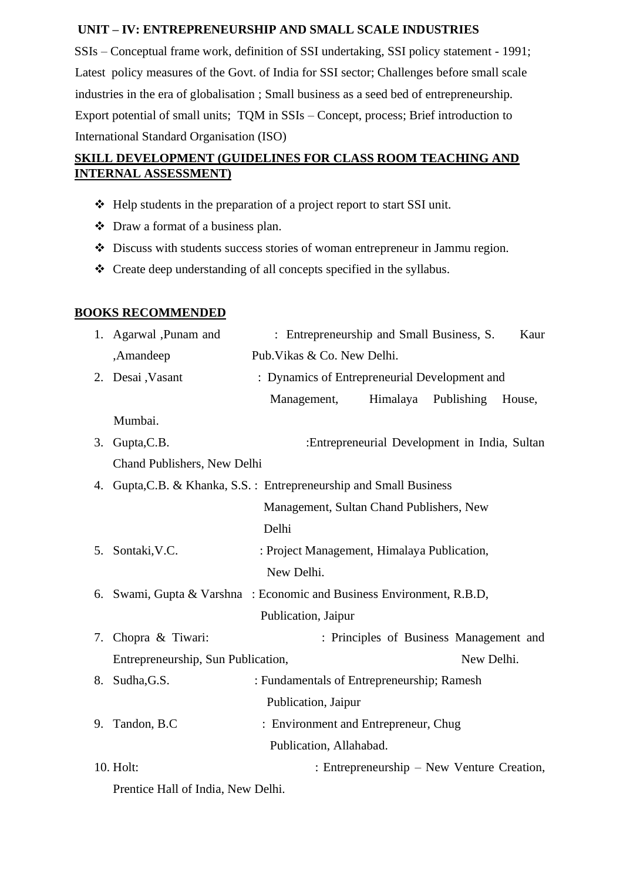## **UNIT – IV: ENTREPRENEURSHIP AND SMALL SCALE INDUSTRIES**

SSIs – Conceptual frame work, definition of SSI undertaking, SSI policy statement - 1991; Latest policy measures of the Govt. of India for SSI sector; Challenges before small scale industries in the era of globalisation ; Small business as a seed bed of entrepreneurship. Export potential of small units; TQM in SSIs – Concept, process; Brief introduction to International Standard Organisation (ISO)

# **SKILL DEVELOPMENT (GUIDELINES FOR CLASS ROOM TEACHING AND INTERNAL ASSESSMENT)**

- ❖ Help students in the preparation of a project report to start SSI unit.
- ❖ Draw a format of a business plan.
- ❖ Discuss with students success stories of woman entrepreneur in Jammu region.
- ❖ Create deep understanding of all concepts specified in the syllabus.

### **BOOKS RECOMMENDED**

|                                                                       | 1. Agarwal ,Punam and                                                                            | : Entrepreneurship and Small Business, S.<br>Kaur |                                               |                     |        |  |
|-----------------------------------------------------------------------|--------------------------------------------------------------------------------------------------|---------------------------------------------------|-----------------------------------------------|---------------------|--------|--|
|                                                                       | ,Amandeep                                                                                        | Pub. Vikas & Co. New Delhi.                       |                                               |                     |        |  |
|                                                                       | 2. Desai , Vasant                                                                                | : Dynamics of Entrepreneurial Development and     |                                               |                     |        |  |
|                                                                       |                                                                                                  | Management,                                       |                                               | Himalaya Publishing | House, |  |
|                                                                       | Mumbai.                                                                                          |                                                   |                                               |                     |        |  |
|                                                                       | 3. Gupta, C.B.                                                                                   |                                                   | :Entrepreneurial Development in India, Sultan |                     |        |  |
|                                                                       | Chand Publishers, New Delhi                                                                      |                                                   |                                               |                     |        |  |
|                                                                       | 4. Gupta, C.B. & Khanka, S.S.: Entrepreneurship and Small Business                               |                                                   |                                               |                     |        |  |
|                                                                       |                                                                                                  | Management, Sultan Chand Publishers, New          |                                               |                     |        |  |
|                                                                       |                                                                                                  | Delhi                                             |                                               |                     |        |  |
|                                                                       | 5. Sontaki, V.C.                                                                                 | : Project Management, Himalaya Publication,       |                                               |                     |        |  |
|                                                                       |                                                                                                  | New Delhi.                                        |                                               |                     |        |  |
| 6. Swami, Gupta & Varshna : Economic and Business Environment, R.B.D, |                                                                                                  |                                                   |                                               |                     |        |  |
| Publication, Jaipur                                                   |                                                                                                  |                                                   |                                               |                     |        |  |
|                                                                       | 7. Chopra & Tiwari:                                                                              |                                                   | : Principles of Business Management and       |                     |        |  |
|                                                                       | Entrepreneurship, Sun Publication,                                                               |                                                   |                                               | New Delhi.          |        |  |
|                                                                       | 8. Sudha, G.S.                                                                                   | : Fundamentals of Entrepreneurship; Ramesh        |                                               |                     |        |  |
|                                                                       |                                                                                                  | Publication, Jaipur                               |                                               |                     |        |  |
|                                                                       | 9. Tandon, B.C                                                                                   | : Environment and Entrepreneur, Chug              |                                               |                     |        |  |
|                                                                       |                                                                                                  | Publication, Allahabad.                           |                                               |                     |        |  |
|                                                                       | 10. Holt:                                                                                        |                                                   | : Entrepreneurship – New Venture Creation,    |                     |        |  |
|                                                                       | $\mathcal{F}$ and $\mathcal{F}$ and $\mathcal{F}$ and $\mathcal{F}$ are the set of $\mathcal{F}$ |                                                   |                                               |                     |        |  |

Prentice Hall of India, New Delhi.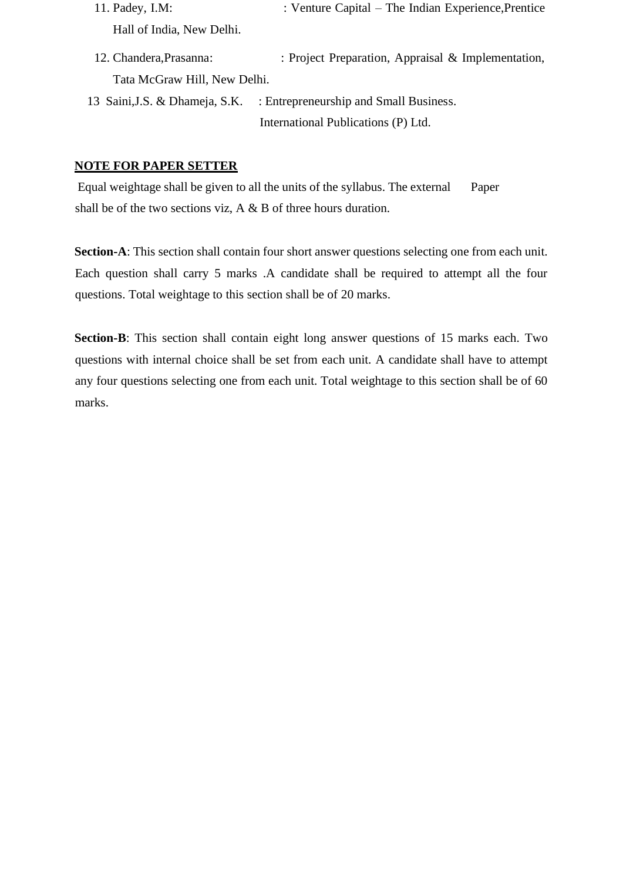- 11. Padey, I.M: : Venture Capital The Indian Experience, Prentice Hall of India, New Delhi.
- 12. Chandera,Prasanna: : Project Preparation, Appraisal & Implementation, Tata McGraw Hill, New Delhi.
- 13 Saini,J.S. & Dhameja, S.K. : Entrepreneurship and Small Business. International Publications (P) Ltd.

#### **NOTE FOR PAPER SETTER**

Equal weightage shall be given to all the units of the syllabus. The external Paper shall be of the two sections viz, A & B of three hours duration.

**Section-A**: This section shall contain four short answer questions selecting one from each unit. Each question shall carry 5 marks .A candidate shall be required to attempt all the four questions. Total weightage to this section shall be of 20 marks.

**Section-B**: This section shall contain eight long answer questions of 15 marks each. Two questions with internal choice shall be set from each unit. A candidate shall have to attempt any four questions selecting one from each unit. Total weightage to this section shall be of 60 marks.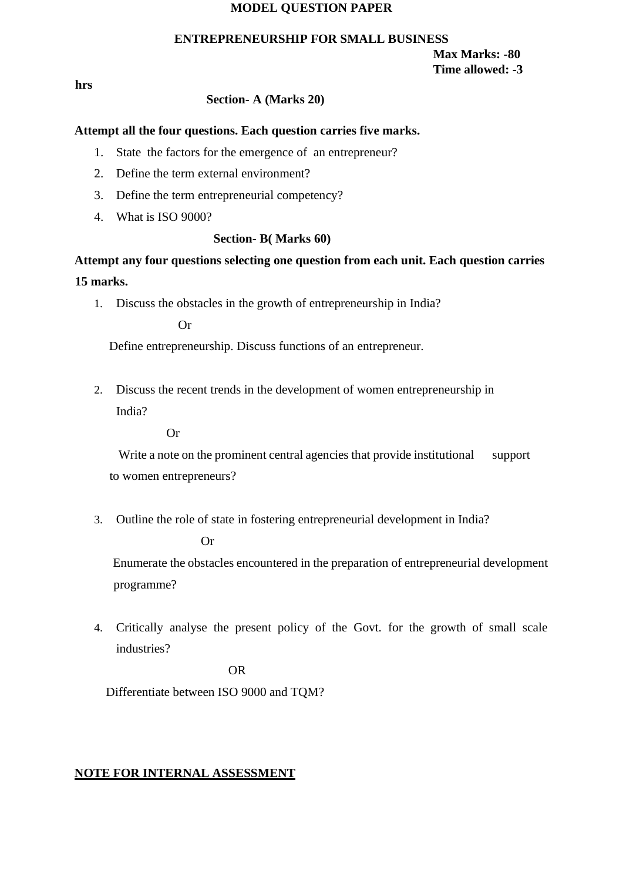#### **MODEL QUESTION PAPER**

#### **ENTREPRENEURSHIP FOR SMALL BUSINESS**

**Max Marks: -80 Time allowed: -3** 

**hrs** 

#### **Section- A (Marks 20)**

#### **Attempt all the four questions. Each question carries five marks.**

- 1. State the factors for the emergence of an entrepreneur?
- 2. Define the term external environment?
- 3. Define the term entrepreneurial competency?
- 4. What is ISO 9000?

#### **Section- B( Marks 60)**

**Attempt any four questions selecting one question from each unit. Each question carries 15 marks.** 

1. Discuss the obstacles in the growth of entrepreneurship in India?

Or

Define entrepreneurship. Discuss functions of an entrepreneur.

2. Discuss the recent trends in the development of women entrepreneurship in India?

Or

Write a note on the prominent central agencies that provide institutional support to women entrepreneurs?

3. Outline the role of state in fostering entrepreneurial development in India?

Or

Enumerate the obstacles encountered in the preparation of entrepreneurial development programme?

4. Critically analyse the present policy of the Govt. for the growth of small scale industries?

OR

Differentiate between ISO 9000 and TQM?

#### **NOTE FOR INTERNAL ASSESSMENT**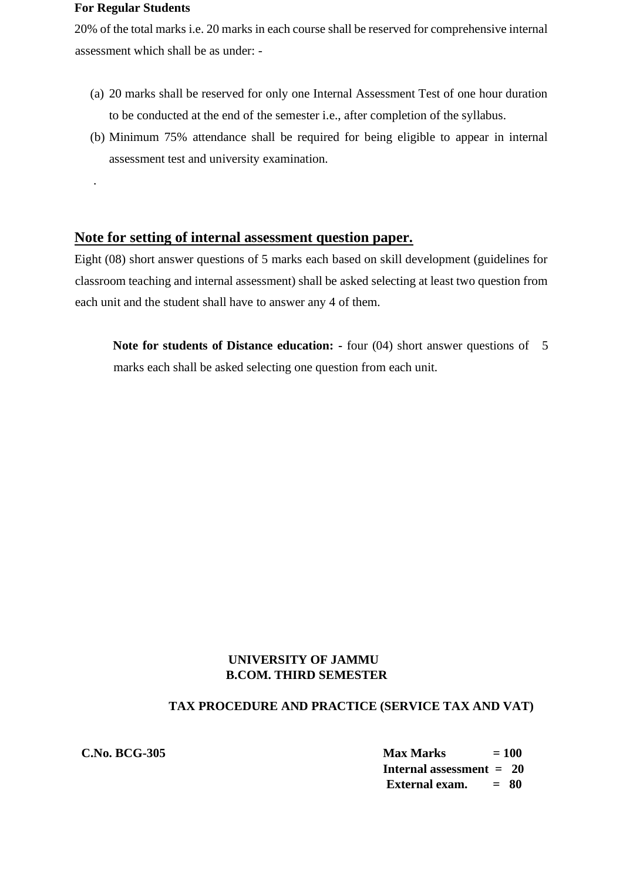#### **For Regular Students**

.

20% of the total marks i.e. 20 marks in each course shall be reserved for comprehensive internal assessment which shall be as under: -

- (a) 20 marks shall be reserved for only one Internal Assessment Test of one hour duration to be conducted at the end of the semester i.e., after completion of the syllabus.
- (b) Minimum 75% attendance shall be required for being eligible to appear in internal assessment test and university examination.

# **Note for setting of internal assessment question paper.**

Eight (08) short answer questions of 5 marks each based on skill development (guidelines for classroom teaching and internal assessment) shall be asked selecting at least two question from each unit and the student shall have to answer any 4 of them.

**Note for students of Distance education: -** four (04) short answer questions of 5 marks each shall be asked selecting one question from each unit.

# **UNIVERSITY OF JAMMU B.COM. THIRD SEMESTER**

# **TAX PROCEDURE AND PRACTICE (SERVICE TAX AND VAT)**

| <b>C.No. BCG-305</b> | <b>Max Marks</b>                | $= 100$ |
|----------------------|---------------------------------|---------|
|                      | <b>Internal assessment = 20</b> |         |
|                      | External exam.                  | $= 80$  |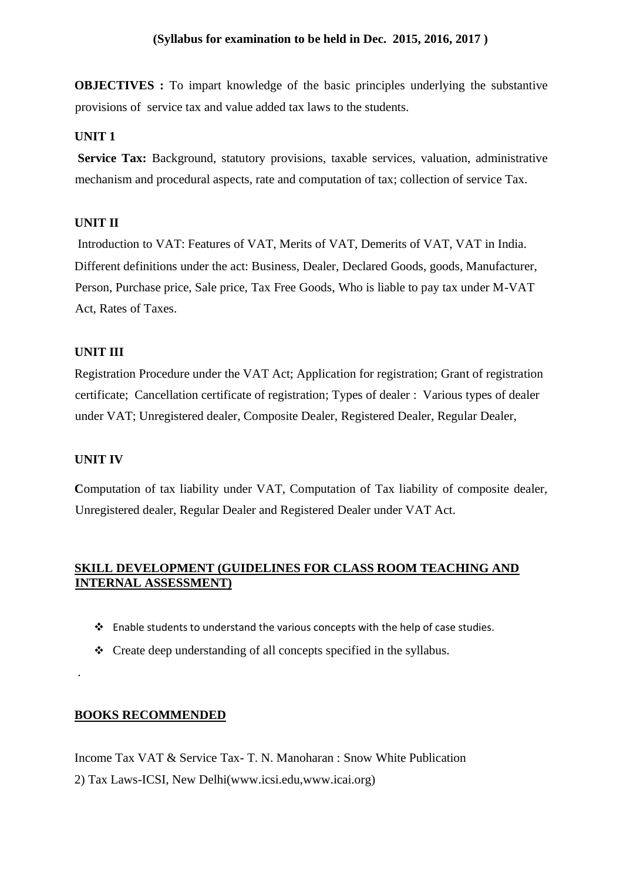**OBJECTIVES :** To impart knowledge of the basic principles underlying the substantive provisions of service tax and value added tax laws to the students.

#### **UNIT 1**

**Service Tax:** Background, statutory provisions, taxable services, valuation, administrative mechanism and procedural aspects, rate and computation of tax; collection of service Tax.

#### **UNIT II**

Introduction to VAT: Features of VAT, Merits of VAT, Demerits of VAT, VAT in India. Different definitions under the act: Business, Dealer, Declared Goods, goods, Manufacturer, Person, Purchase price, Sale price, Tax Free Goods, Who is liable to pay tax under M-VAT Act, Rates of Taxes.

### **UNIT III**

Registration Procedure under the VAT Act; Application for registration; Grant of registration certificate; Cancellation certificate of registration; Types of dealer : Various types of dealer under VAT; Unregistered dealer, Composite Dealer, Registered Dealer, Regular Dealer,

#### **UNIT IV**

.

**C**omputation of tax liability under VAT, Computation of Tax liability of composite dealer, Unregistered dealer, Regular Dealer and Registered Dealer under VAT Act.

# **SKILL DEVELOPMENT (GUIDELINES FOR CLASS ROOM TEACHING AND INTERNAL ASSESSMENT)**

- ❖ Enable students to understand the various concepts with the help of case studies.
- ❖ Create deep understanding of all concepts specified in the syllabus.

#### **BOOKS RECOMMENDED**

Income Tax VAT & Service Tax- T. N. Manoharan : Snow White Publication 2) Tax Laws-ICSI, New Delhi(www.icsi.edu,www.icai.org)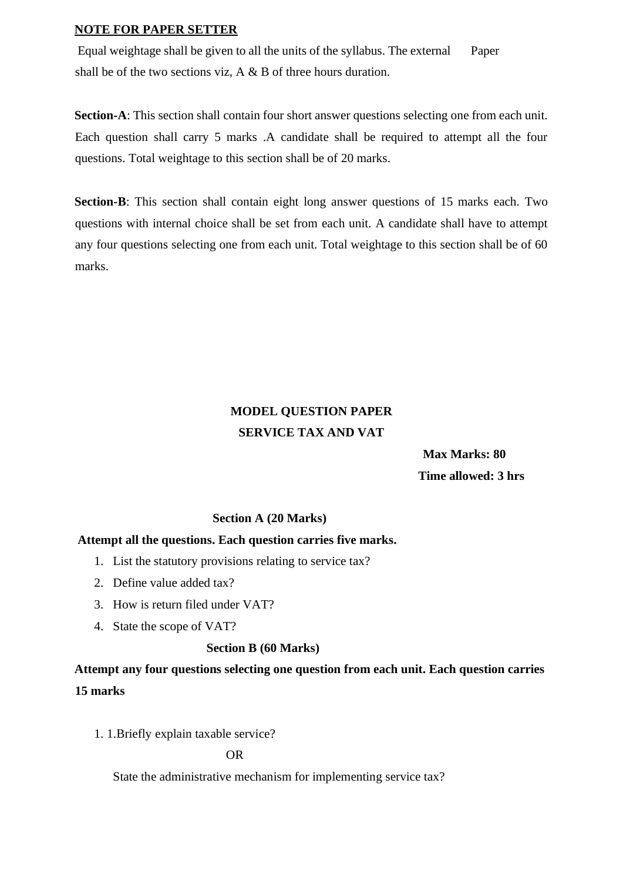#### **NOTE FOR PAPER SETTER**

Equal weightage shall be given to all the units of the syllabus. The external Paper shall be of the two sections viz,  $A \& B$  of three hours duration.

**Section-A**: This section shall contain four short answer questions selecting one from each unit. Each question shall carry 5 marks .A candidate shall be required to attempt all the four questions. Total weightage to this section shall be of 20 marks.

**Section-B**: This section shall contain eight long answer questions of 15 marks each. Two questions with internal choice shall be set from each unit. A candidate shall have to attempt any four questions selecting one from each unit. Total weightage to this section shall be of 60 marks.

# **MODEL QUESTION PAPER SERVICE TAX AND VAT**

 **Max Marks: 80 Time allowed: 3 hrs** 

#### **Section A (20 Marks)**

#### **Attempt all the questions. Each question carries five marks.**

- 1. List the statutory provisions relating to service tax?
- 2. Define value added tax?
- 3. How is return filed under VAT?
- 4. State the scope of VAT?

#### **Section B (60 Marks)**

**Attempt any four questions selecting one question from each unit. Each question carries 15 marks** 

1. 1.Briefly explain taxable service?

OR

State the administrative mechanism for implementing service tax?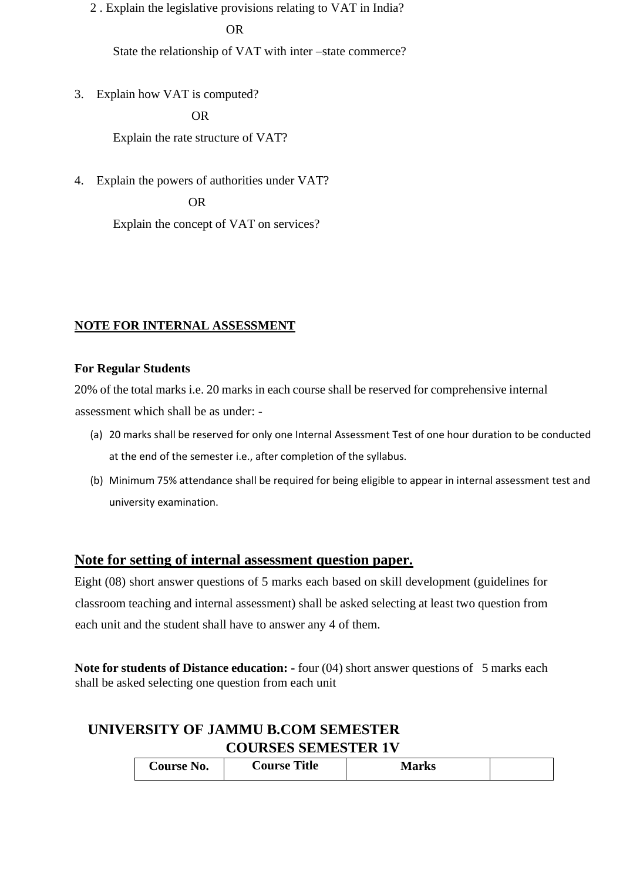2 . Explain the legislative provisions relating to VAT in India?

#### OR

State the relationship of VAT with inter –state commerce?

3. Explain how VAT is computed?

OR

Explain the rate structure of VAT?

4. Explain the powers of authorities under VAT?

OR

Explain the concept of VAT on services?

## **NOTE FOR INTERNAL ASSESSMENT**

## **For Regular Students**

20% of the total marks i.e. 20 marks in each course shall be reserved for comprehensive internal assessment which shall be as under: -

- (a) 20 marks shall be reserved for only one Internal Assessment Test of one hour duration to be conducted at the end of the semester i.e., after completion of the syllabus.
- (b) Minimum 75% attendance shall be required for being eligible to appear in internal assessment test and university examination.

# **Note for setting of internal assessment question paper.**

Eight (08) short answer questions of 5 marks each based on skill development (guidelines for classroom teaching and internal assessment) shall be asked selecting at least two question from each unit and the student shall have to answer any 4 of them.

**Note for students of Distance education: -** four (04) short answer questions of 5 marks each shall be asked selecting one question from each unit

# **UNIVERSITY OF JAMMU B.COM SEMESTER COURSES SEMESTER 1V**

| Title<br><b>Course</b><br><b>course</b><br>$\bf N0.$ | lowlza<br><b>IVIAI NS</b> |  |
|------------------------------------------------------|---------------------------|--|
|------------------------------------------------------|---------------------------|--|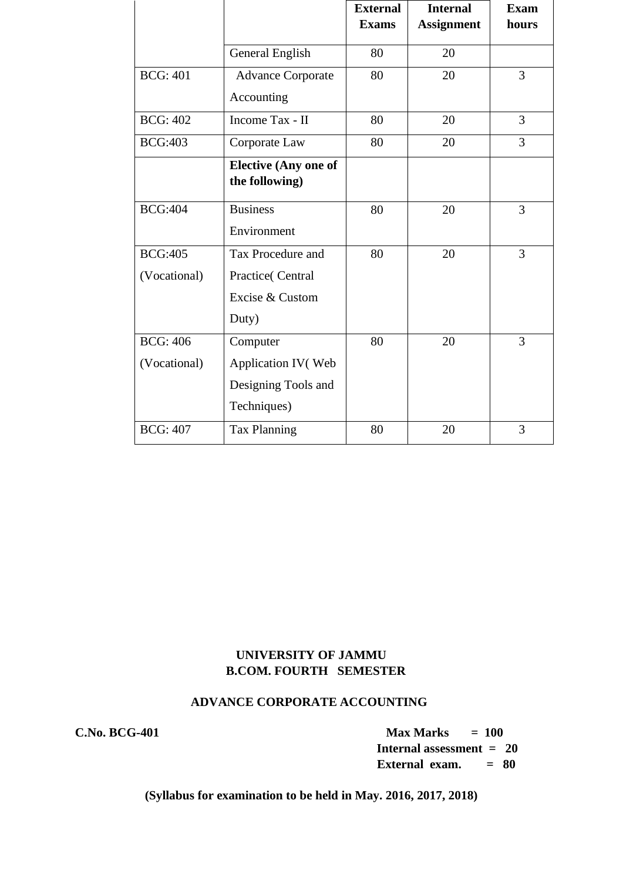|                 |                             | <b>External</b> | <b>Internal</b>   | <b>Exam</b>    |
|-----------------|-----------------------------|-----------------|-------------------|----------------|
|                 |                             | <b>Exams</b>    | <b>Assignment</b> | hours          |
|                 | General English             | 80              | 20                |                |
| <b>BCG: 401</b> | <b>Advance Corporate</b>    | 80              | 20                | $\overline{3}$ |
|                 | Accounting                  |                 |                   |                |
| <b>BCG: 402</b> | Income Tax - II             | 80              | 20                | $\overline{3}$ |
| <b>BCG:403</b>  | Corporate Law               | 80              | 20                | 3              |
|                 | <b>Elective (Any one of</b> |                 |                   |                |
|                 | the following)              |                 |                   |                |
| <b>BCG:404</b>  | <b>Business</b>             | 80              | 20                | 3              |
|                 | Environment                 |                 |                   |                |
| <b>BCG:405</b>  | Tax Procedure and           | 80              | 20                | $\overline{3}$ |
| (Vocational)    | Practice(Central            |                 |                   |                |
|                 | Excise & Custom             |                 |                   |                |
|                 | Duty)                       |                 |                   |                |
| <b>BCG: 406</b> | Computer                    | 80              | 20                | 3              |
| (Vocational)    | Application IV(Web          |                 |                   |                |
|                 | Designing Tools and         |                 |                   |                |
|                 | Techniques)                 |                 |                   |                |
| <b>BCG: 407</b> | <b>Tax Planning</b>         | 80              | 20                | 3              |

# **UNIVERSITY OF JAMMU B.COM. FOURTH SEMESTER**

## **ADVANCE CORPORATE ACCOUNTING**

**C.No. BCG-401 Max Marks = 100 Internal assessment = 20 External exam. = 80**

**(Syllabus for examination to be held in May. 2016, 2017, 2018)**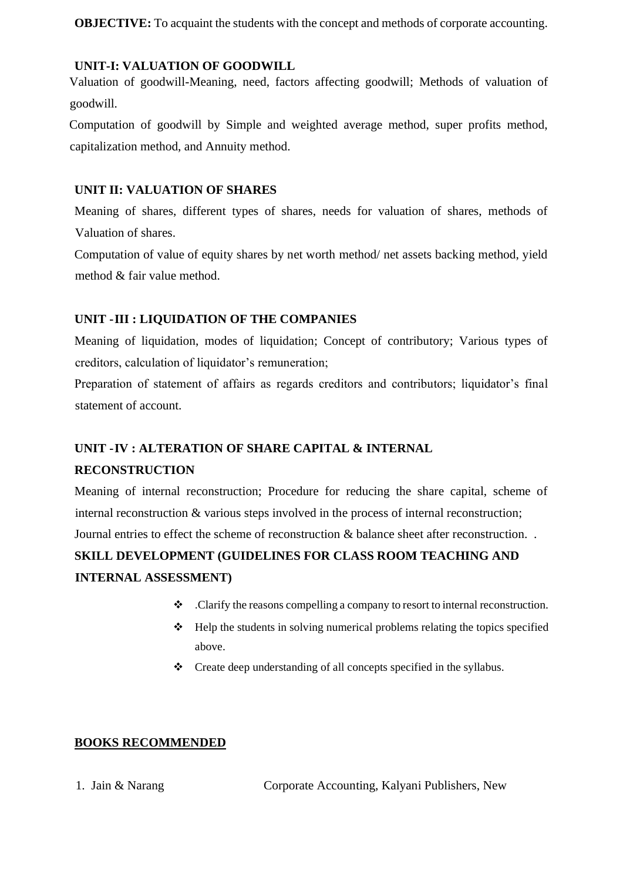**OBJECTIVE:** To acquaint the students with the concept and methods of corporate accounting.

## **UNIT-I: VALUATION OF GOODWILL**

Valuation of goodwill-Meaning, need, factors affecting goodwill; Methods of valuation of goodwill.

Computation of goodwill by Simple and weighted average method, super profits method, capitalization method, and Annuity method.

## **UNIT II: VALUATION OF SHARES**

Meaning of shares, different types of shares, needs for valuation of shares, methods of Valuation of shares.

Computation of value of equity shares by net worth method/ net assets backing method, yield method & fair value method.

# **UNIT -III : LIQUIDATION OF THE COMPANIES**

Meaning of liquidation, modes of liquidation; Concept of contributory; Various types of creditors, calculation of liquidator's remuneration;

Preparation of statement of affairs as regards creditors and contributors; liquidator's final statement of account.

# **UNIT -IV : ALTERATION OF SHARE CAPITAL & INTERNAL RECONSTRUCTION**

Meaning of internal reconstruction; Procedure for reducing the share capital, scheme of internal reconstruction & various steps involved in the process of internal reconstruction; Journal entries to effect the scheme of reconstruction & balance sheet after reconstruction. .

# **SKILL DEVELOPMENT (GUIDELINES FOR CLASS ROOM TEACHING AND INTERNAL ASSESSMENT)**

- ❖ .Clarify the reasons compelling a company to resort to internal reconstruction.
- ❖ Help the students in solving numerical problems relating the topics specified above.
- ❖ Create deep understanding of all concepts specified in the syllabus.

## **BOOKS RECOMMENDED**

1. Jain & Narang Corporate Accounting, Kalyani Publishers, New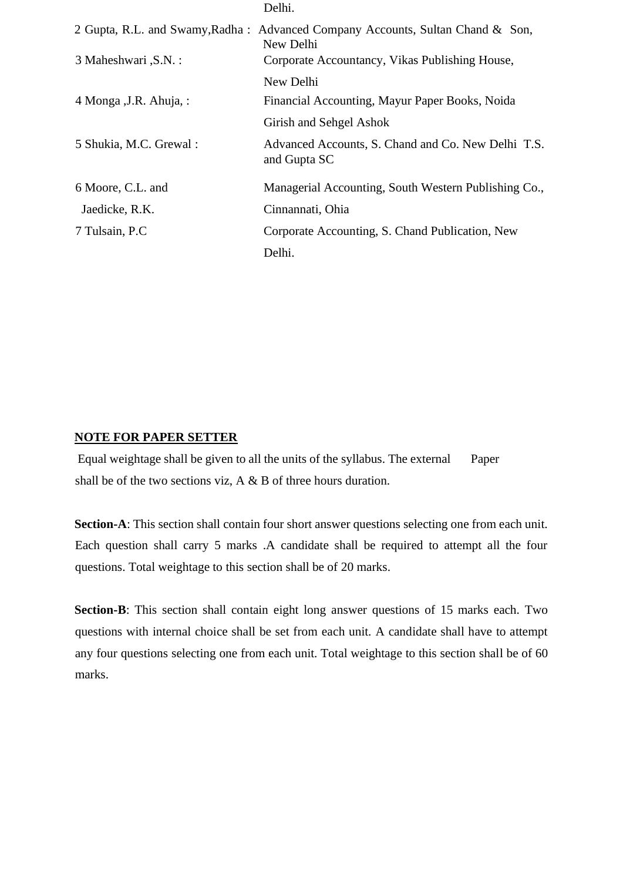|                         | Delhi.                                                                                      |
|-------------------------|---------------------------------------------------------------------------------------------|
|                         | 2 Gupta, R.L. and Swamy, Radha: Advanced Company Accounts, Sultan Chand & Son,<br>New Delhi |
| 3 Maheshwari , S.N. :   | Corporate Accountancy, Vikas Publishing House,                                              |
|                         | New Delhi                                                                                   |
| 4 Monga , J.R. Ahuja, : | Financial Accounting, Mayur Paper Books, Noida                                              |
|                         | Girish and Sehgel Ashok                                                                     |
| 5 Shukia, M.C. Grewal:  | Advanced Accounts, S. Chand and Co. New Delhi T.S.<br>and Gupta SC                          |
| 6 Moore, C.L. and       | Managerial Accounting, South Western Publishing Co.,                                        |
| Jaedicke, R.K.          | Cinnannati, Ohia                                                                            |
| 7 Tulsain, P.C          | Corporate Accounting, S. Chand Publication, New                                             |
|                         | Delhi.                                                                                      |

#### **NOTE FOR PAPER SETTER**

Equal weightage shall be given to all the units of the syllabus. The external Paper shall be of the two sections viz, A & B of three hours duration.

**Section-A**: This section shall contain four short answer questions selecting one from each unit. Each question shall carry 5 marks .A candidate shall be required to attempt all the four questions. Total weightage to this section shall be of 20 marks.

**Section-B**: This section shall contain eight long answer questions of 15 marks each. Two questions with internal choice shall be set from each unit. A candidate shall have to attempt any four questions selecting one from each unit. Total weightage to this section shall be of 60 marks.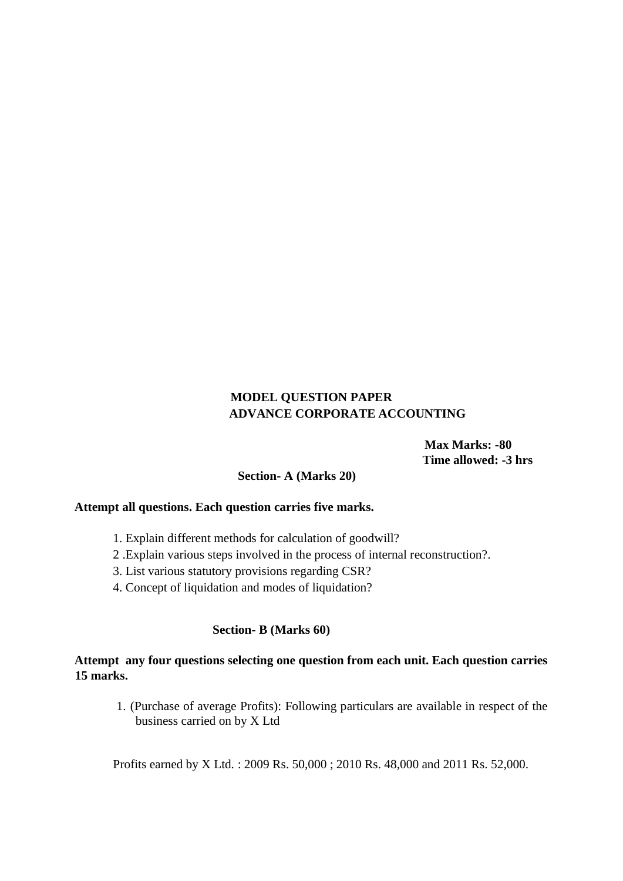## **MODEL QUESTION PAPER ADVANCE CORPORATE ACCOUNTING**

 **Max Marks: -80 Time allowed: -3 hrs** 

## **Section- A (Marks 20)**

### **Attempt all questions. Each question carries five marks.**

- 1. Explain different methods for calculation of goodwill?
- 2 .Explain various steps involved in the process of internal reconstruction?.
- 3. List various statutory provisions regarding CSR?
- 4. Concept of liquidation and modes of liquidation?

#### **Section- B (Marks 60)**

## **Attempt any four questions selecting one question from each unit. Each question carries 15 marks.**

1. (Purchase of average Profits): Following particulars are available in respect of the business carried on by X Ltd

Profits earned by X Ltd. : 2009 Rs. 50,000 ; 2010 Rs. 48,000 and 2011 Rs. 52,000.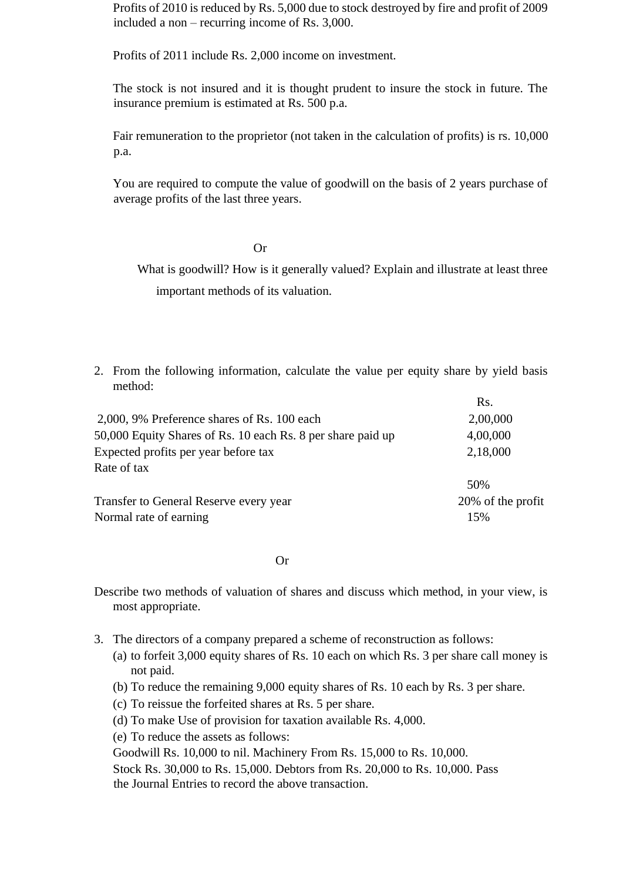Profits of 2010 is reduced by Rs. 5,000 due to stock destroyed by fire and profit of 2009 included a non – recurring income of Rs. 3,000.

Profits of 2011 include Rs. 2,000 income on investment.

The stock is not insured and it is thought prudent to insure the stock in future. The insurance premium is estimated at Rs. 500 p.a.

Fair remuneration to the proprietor (not taken in the calculation of profits) is rs. 10,000 p.a.

You are required to compute the value of goodwill on the basis of 2 years purchase of average profits of the last three years.

Or

What is goodwill? How is it generally valued? Explain and illustrate at least three important methods of its valuation.

 $\mathbf{D}$ 

2. From the following information, calculate the value per equity share by yield basis method:

|                                                             | NS.               |
|-------------------------------------------------------------|-------------------|
| 2,000, 9% Preference shares of Rs. 100 each                 | 2,00,000          |
| 50,000 Equity Shares of Rs. 10 each Rs. 8 per share paid up | 4,00,000          |
| Expected profits per year before tax                        | 2,18,000          |
| Rate of tax                                                 |                   |
|                                                             | 50%               |
| Transfer to General Reserve every year                      | 20% of the profit |
| Normal rate of earning                                      | 15%               |
|                                                             |                   |

Or

Describe two methods of valuation of shares and discuss which method, in your view, is most appropriate.

- 3. The directors of a company prepared a scheme of reconstruction as follows:
	- (a) to forfeit 3,000 equity shares of Rs. 10 each on which Rs. 3 per share call money is not paid.
	- (b) To reduce the remaining 9,000 equity shares of Rs. 10 each by Rs. 3 per share.
	- (c) To reissue the forfeited shares at Rs. 5 per share.
	- (d) To make Use of provision for taxation available Rs. 4,000.
	- (e) To reduce the assets as follows:

Goodwill Rs. 10,000 to nil. Machinery From Rs. 15,000 to Rs. 10,000. Stock Rs. 30,000 to Rs. 15,000. Debtors from Rs. 20,000 to Rs. 10,000. Pass the Journal Entries to record the above transaction.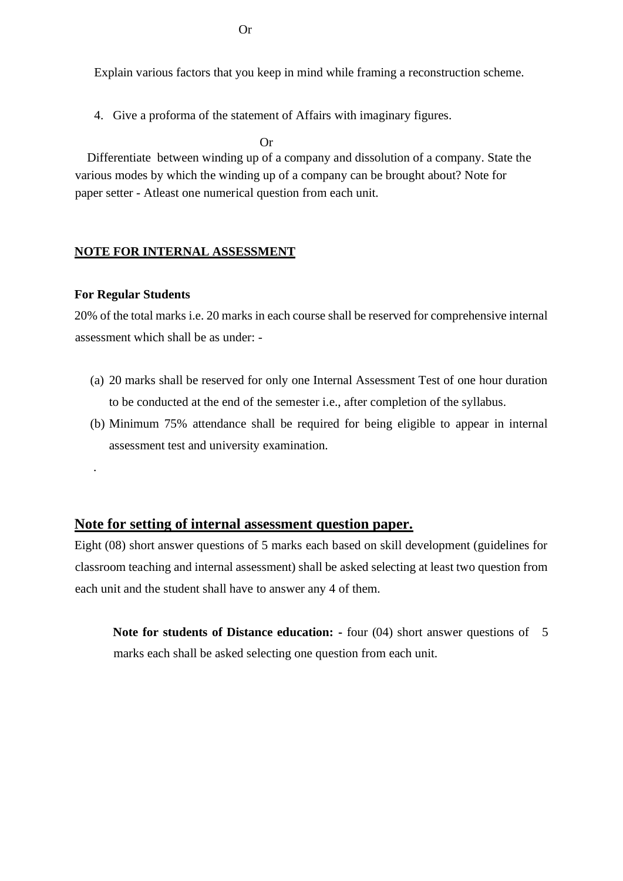Explain various factors that you keep in mind while framing a reconstruction scheme.

4. Give a proforma of the statement of Affairs with imaginary figures.

Or

 Differentiate between winding up of a company and dissolution of a company. State the various modes by which the winding up of a company can be brought about? Note for paper setter - Atleast one numerical question from each unit.

#### **NOTE FOR INTERNAL ASSESSMENT**

#### **For Regular Students**

.

20% of the total marks i.e. 20 marks in each course shall be reserved for comprehensive internal assessment which shall be as under: -

- (a) 20 marks shall be reserved for only one Internal Assessment Test of one hour duration to be conducted at the end of the semester i.e., after completion of the syllabus.
- (b) Minimum 75% attendance shall be required for being eligible to appear in internal assessment test and university examination.

## **Note for setting of internal assessment question paper.**

Eight (08) short answer questions of 5 marks each based on skill development (guidelines for classroom teaching and internal assessment) shall be asked selecting at least two question from each unit and the student shall have to answer any 4 of them.

**Note for students of Distance education:** - four (04) short answer questions of 5 marks each shall be asked selecting one question from each unit.

Or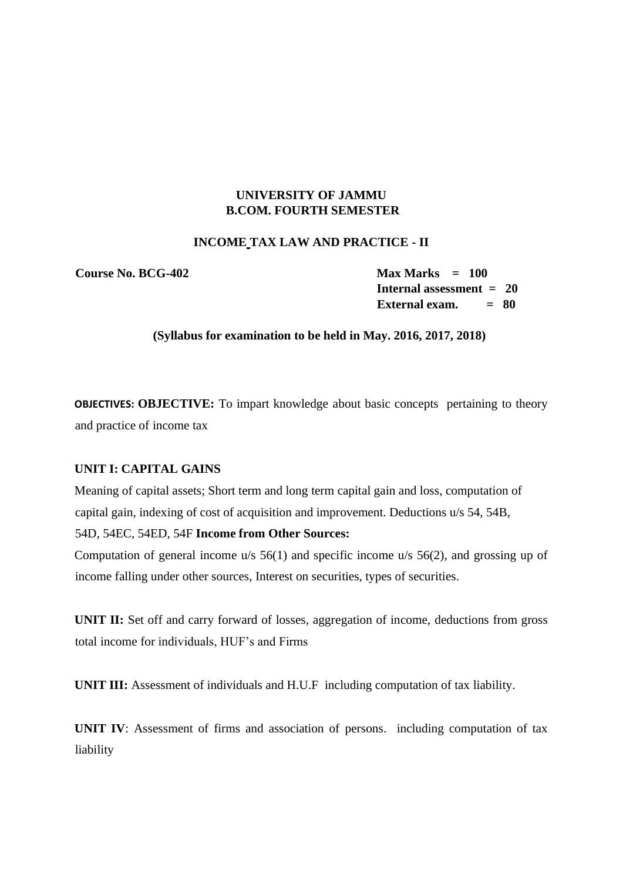## **UNIVERSITY OF JAMMU B.COM. FOURTH SEMESTER**

#### **INCOME TAX LAW AND PRACTICE - II**

**Course No. BCG-402 Max Marks = 100** 

**Internal assessment = 20 External exam. = 80**

#### **(Syllabus for examination to be held in May. 2016, 2017, 2018)**

**OBJECTIVES: OBJECTIVE:** To impart knowledge about basic concepts pertaining to theory and practice of income tax

## **UNIT I: CAPITAL GAINS**

Meaning of capital assets; Short term and long term capital gain and loss, computation of capital gain, indexing of cost of acquisition and improvement. Deductions u/s 54, 54B,

## 54D, 54EC, 54ED, 54F **Income from Other Sources:**

Computation of general income u/s 56(1) and specific income u/s 56(2), and grossing up of income falling under other sources, Interest on securities, types of securities.

**UNIT II:** Set off and carry forward of losses, aggregation of income, deductions from gross total income for individuals, HUF's and Firms

**UNIT III:** Assessment of individuals and H.U.F including computation of tax liability.

**UNIT IV**: Assessment of firms and association of persons. including computation of tax liability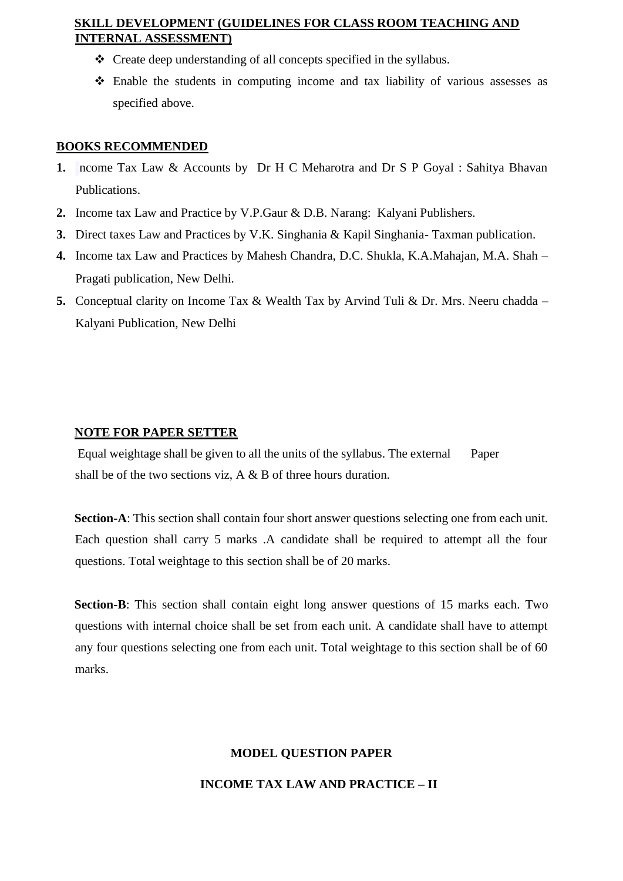## **SKILL DEVELOPMENT (GUIDELINES FOR CLASS ROOM TEACHING AND INTERNAL ASSESSMENT)**

- ❖ Create deep understanding of all concepts specified in the syllabus.
- ❖ Enable the students in computing income and tax liability of various assesses as specified above.

## **BOOKS RECOMMENDED**

- **1.** Income Tax Law & Accounts by Dr H C Meharotra and Dr S P Goyal : Sahitya Bhavan Publications.
- **2.** Income tax Law and Practice by V.P.Gaur & D.B. Narang: Kalyani Publishers.
- **3.** Direct taxes Law and Practices by V.K. Singhania & Kapil Singhania- Taxman publication.
- **4.** Income tax Law and Practices by Mahesh Chandra, D.C. Shukla, K.A.Mahajan, M.A. Shah Pragati publication, New Delhi.
- **5.** Conceptual clarity on Income Tax & Wealth Tax by Arvind Tuli & Dr. Mrs. Neeru chadda Kalyani Publication, New Delhi

## **NOTE FOR PAPER SETTER**

Equal weightage shall be given to all the units of the syllabus. The external Paper shall be of the two sections viz, A & B of three hours duration.

**Section-A**: This section shall contain four short answer questions selecting one from each unit. Each question shall carry 5 marks .A candidate shall be required to attempt all the four questions. Total weightage to this section shall be of 20 marks.

**Section-B**: This section shall contain eight long answer questions of 15 marks each. Two questions with internal choice shall be set from each unit. A candidate shall have to attempt any four questions selecting one from each unit. Total weightage to this section shall be of 60 marks.

## **MODEL QUESTION PAPER**

#### **INCOME TAX LAW AND PRACTICE – II**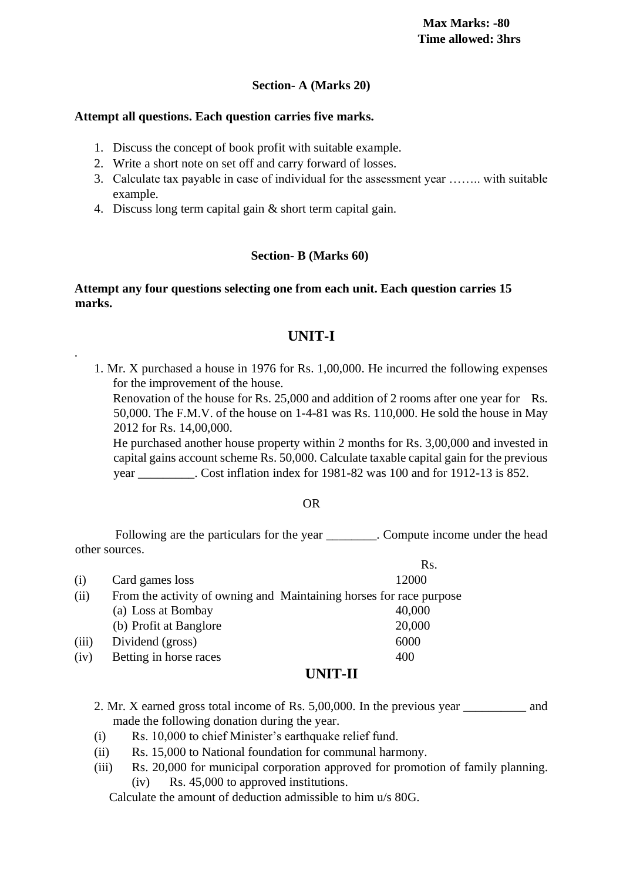## **Section- A (Marks 20)**

#### **Attempt all questions. Each question carries five marks.**

.

- 1. Discuss the concept of book profit with suitable example.
- 2. Write a short note on set off and carry forward of losses.
- 3. Calculate tax payable in case of individual for the assessment year …….. with suitable example.
- 4. Discuss long term capital gain & short term capital gain.

## **Section- B (Marks 60)**

## **Attempt any four questions selecting one from each unit. Each question carries 15 marks.**

# **UNIT-I**

1. Mr. X purchased a house in 1976 for Rs. 1,00,000. He incurred the following expenses for the improvement of the house.

Renovation of the house for Rs. 25,000 and addition of 2 rooms after one year for Rs. 50,000. The F.M.V. of the house on 1-4-81 was Rs. 110,000. He sold the house in May 2012 for Rs. 14,00,000.

He purchased another house property within 2 months for Rs. 3,00,000 and invested in capital gains account scheme Rs. 50,000. Calculate taxable capital gain for the previous year \_\_\_\_\_\_\_\_\_. Cost inflation index for 1981-82 was 100 and for 1912-13 is 852.

 $R<sub>S</sub>$ 

#### OR

Following are the particulars for the year \_\_\_\_\_\_\_\_. Compute income under the head other sources.

| (i)   | Card games loss        | 12000                                                               |
|-------|------------------------|---------------------------------------------------------------------|
| (ii)  |                        | From the activity of owning and Maintaining horses for race purpose |
|       | (a) Loss at Bombay     | 40,000                                                              |
|       | (b) Profit at Banglore | 20,000                                                              |
| (iii) | Dividend (gross)       | 6000                                                                |
| (iv)  | Betting in horse races | 400                                                                 |
|       |                        |                                                                     |

## **UNIT-II**

- 2. Mr. X earned gross total income of Rs. 5,00,000. In the previous year \_\_\_\_\_\_\_\_\_\_ and made the following donation during the year.
- (i) Rs. 10,000 to chief Minister's earthquake relief fund.
- (ii) Rs. 15,000 to National foundation for communal harmony.
- (iii) Rs. 20,000 for municipal corporation approved for promotion of family planning. (iv) Rs. 45,000 to approved institutions.

Calculate the amount of deduction admissible to him u/s 80G.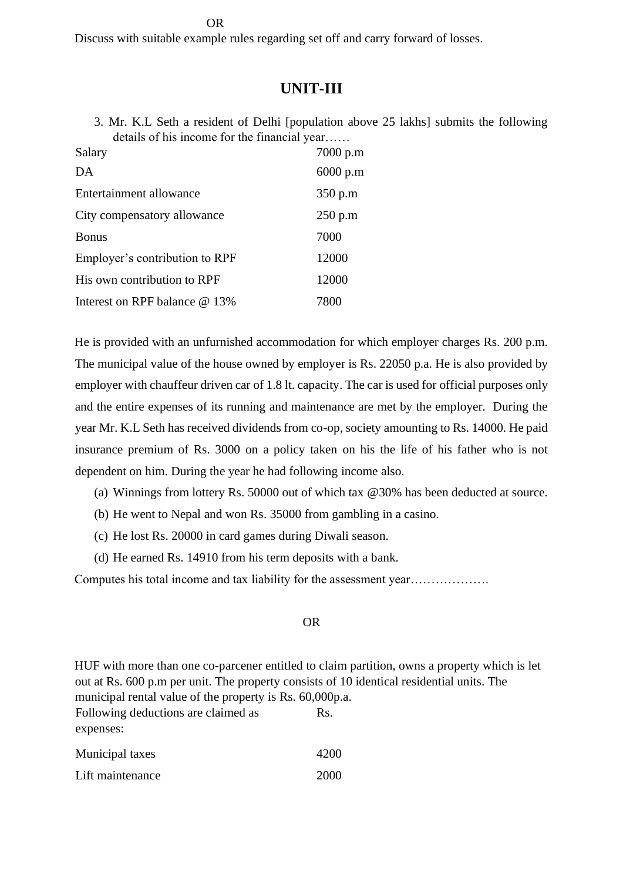OR

Discuss with suitable example rules regarding set off and carry forward of losses.

# **UNIT-III**

3. Mr. K.L Seth a resident of Delhi [population above 25 lakhs] submits the following details of his income for the financial year……

| Salary                          | 7000 p.m |
|---------------------------------|----------|
| DA                              | 6000 p.m |
| Entertainment allowance         | 350 p.m  |
| City compensatory allowance     | 250 p.m  |
| <b>Bonus</b>                    | 7000     |
| Employer's contribution to RPF  | 12000    |
| His own contribution to RPF     | 12000    |
| Interest on RPF balance $@13\%$ | 7800     |

He is provided with an unfurnished accommodation for which employer charges Rs. 200 p.m. The municipal value of the house owned by employer is Rs. 22050 p.a. He is also provided by employer with chauffeur driven car of 1.8 lt. capacity. The car is used for official purposes only and the entire expenses of its running and maintenance are met by the employer. During the year Mr. K.L Seth has received dividends from co-op, society amounting to Rs. 14000. He paid insurance premium of Rs. 3000 on a policy taken on his the life of his father who is not dependent on him. During the year he had following income also.

- (a) Winnings from lottery Rs. 50000 out of which tax @30% has been deducted at source.
- (b) He went to Nepal and won Rs. 35000 from gambling in a casino.
- (c) He lost Rs. 20000 in card games during Diwali season.
- (d) He earned Rs. 14910 from his term deposits with a bank.

Computes his total income and tax liability for the assessment year……………….

#### OR

HUF with more than one co-parcener entitled to claim partition, owns a property which is let out at Rs. 600 p.m per unit. The property consists of 10 identical residential units. The municipal rental value of the property is Rs. 60,000p.a. Following deductions are claimed as expenses: Rs. Municipal taxes 4200

| Lift maintenance | 2000 |
|------------------|------|
|                  |      |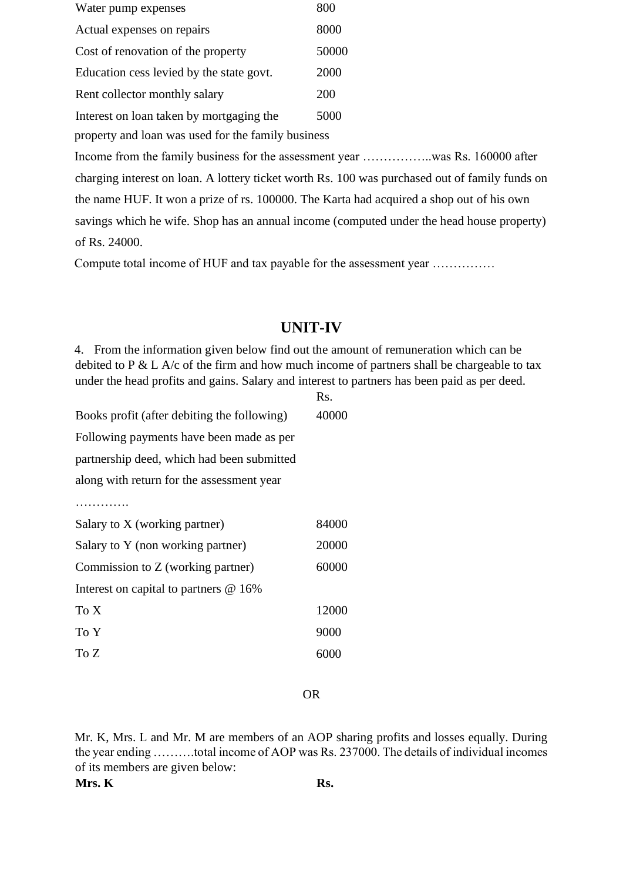| Water pump expenses                                | 800   |
|----------------------------------------------------|-------|
| Actual expenses on repairs                         | 8000  |
| Cost of renovation of the property                 | 50000 |
| Education cess levied by the state govt.           | 2000  |
| Rent collector monthly salary                      | 200   |
| Interest on loan taken by mortgaging the           | 5000  |
| property and loan was used for the family business |       |

Income from the family business for the assessment year .........................was Rs. 160000 after charging interest on loan. A lottery ticket worth Rs. 100 was purchased out of family funds on the name HUF. It won a prize of rs. 100000. The Karta had acquired a shop out of his own savings which he wife. Shop has an annual income (computed under the head house property) of Rs. 24000.

Compute total income of HUF and tax payable for the assessment year ……………

# **UNIT-IV**

4. From the information given below find out the amount of remuneration which can be debited to P & L A/c of the firm and how much income of partners shall be chargeable to tax under the head profits and gains. Salary and interest to partners has been paid as per deed.  $\mathbf{p}_c$ 

|                                             | 119.  |
|---------------------------------------------|-------|
| Books profit (after debiting the following) | 40000 |
| Following payments have been made as per    |       |
| partnership deed, which had been submitted  |       |
| along with return for the assessment year   |       |
| .                                           |       |
| Salary to X (working partner)               | 84000 |
| Salary to Y (non working partner)           | 20000 |
| Commission to Z (working partner)           | 60000 |
| Interest on capital to partners $@16\%$     |       |
| To X                                        | 12000 |
| To Y                                        | 9000  |
| To Z                                        | 6000  |

OR

Mr. K, Mrs. L and Mr. M are members of an AOP sharing profits and losses equally. During the year ending ……….total income of AOP was Rs. 237000. The details of individual incomes of its members are given below:

**Mrs. K** Rs.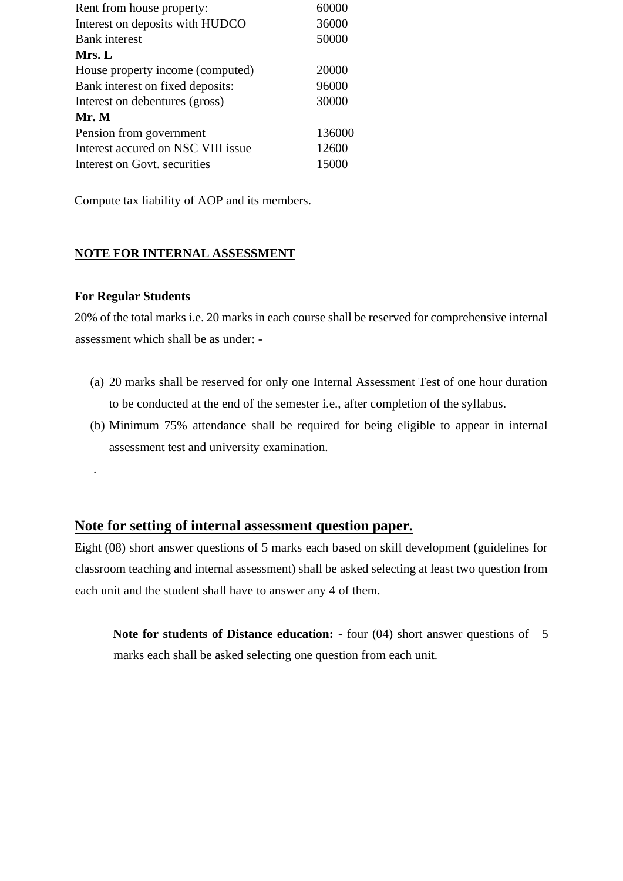| Rent from house property:          | 60000  |
|------------------------------------|--------|
| Interest on deposits with HUDCO    | 36000  |
| <b>Bank</b> interest               | 50000  |
| Mrs. L                             |        |
| House property income (computed)   | 20000  |
| Bank interest on fixed deposits:   | 96000  |
| Interest on debentures (gross)     | 30000  |
| Mr. M                              |        |
| Pension from government            | 136000 |
| Interest accured on NSC VIII issue | 12600  |
| Interest on Govt, securities       | 15000  |

Compute tax liability of AOP and its members.

## **NOTE FOR INTERNAL ASSESSMENT**

#### **For Regular Students**

.

20% of the total marks i.e. 20 marks in each course shall be reserved for comprehensive internal assessment which shall be as under: -

- (a) 20 marks shall be reserved for only one Internal Assessment Test of one hour duration to be conducted at the end of the semester i.e., after completion of the syllabus.
- (b) Minimum 75% attendance shall be required for being eligible to appear in internal assessment test and university examination.

## **Note for setting of internal assessment question paper.**

Eight (08) short answer questions of 5 marks each based on skill development (guidelines for classroom teaching and internal assessment) shall be asked selecting at least two question from each unit and the student shall have to answer any 4 of them.

**Note for students of Distance education:** - four (04) short answer questions of 5 marks each shall be asked selecting one question from each unit.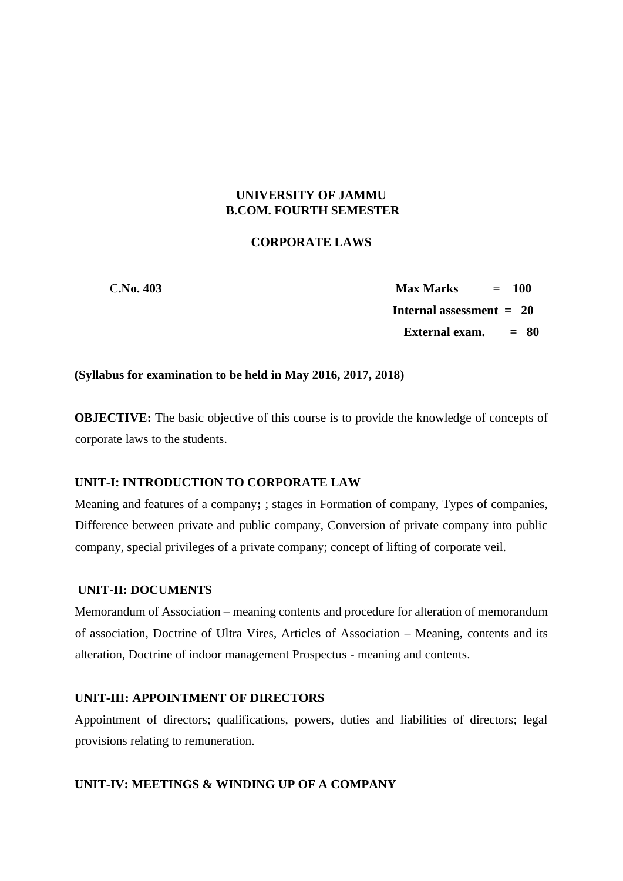## **UNIVERSITY OF JAMMU B.COM. FOURTH SEMESTER**

### **CORPORATE LAWS**

 C**.No. 403 Max Marks = 100 Internal assessment = 20 External exam. = 80**

#### **(Syllabus for examination to be held in May 2016, 2017, 2018)**

**OBJECTIVE:** The basic objective of this course is to provide the knowledge of concepts of corporate laws to the students.

### **UNIT-I: INTRODUCTION TO CORPORATE LAW**

Meaning and features of a company**;** ; stages in Formation of company, Types of companies, Difference between private and public company, Conversion of private company into public company, special privileges of a private company; concept of lifting of corporate veil.

#### **UNIT-II: DOCUMENTS**

Memorandum of Association – meaning contents and procedure for alteration of memorandum of association, Doctrine of Ultra Vires, Articles of Association – Meaning, contents and its alteration, Doctrine of indoor management Prospectus - meaning and contents.

#### **UNIT-III: APPOINTMENT OF DIRECTORS**

Appointment of directors; qualifications, powers, duties and liabilities of directors; legal provisions relating to remuneration.

#### **UNIT-IV: MEETINGS & WINDING UP OF A COMPANY**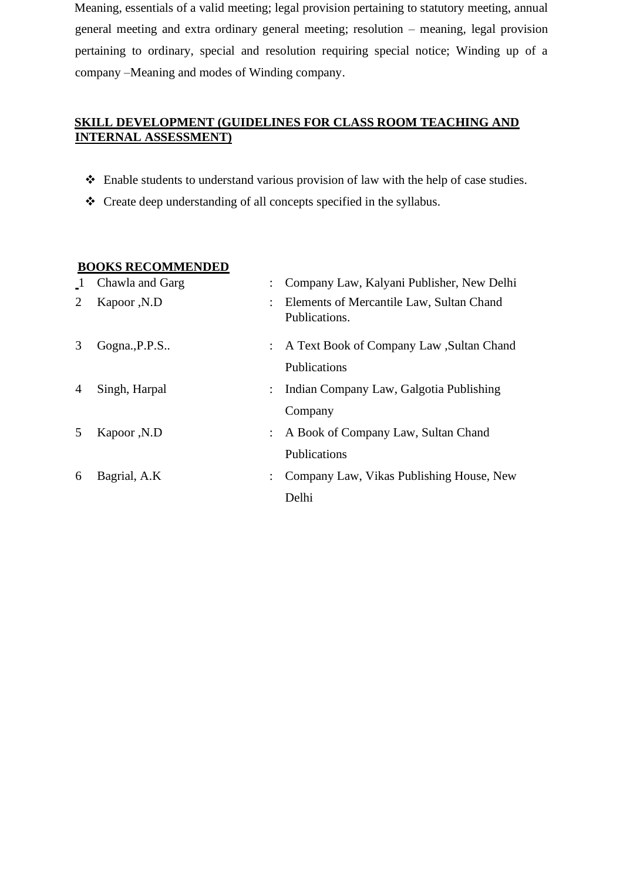Meaning, essentials of a valid meeting; legal provision pertaining to statutory meeting, annual general meeting and extra ordinary general meeting; resolution – meaning, legal provision pertaining to ordinary, special and resolution requiring special notice; Winding up of a company –Meaning and modes of Winding company.

# **SKILL DEVELOPMENT (GUIDELINES FOR CLASS ROOM TEACHING AND INTERNAL ASSESSMENT)**

- ❖ Enable students to understand various provision of law with the help of case studies.
- ❖ Create deep understanding of all concepts specified in the syllabus.

## **BOOKS RECOMMENDED**

| $\mathbf{1}$   | Chawla and Garg | : Company Law, Kalyani Publisher, New Delhi                 |
|----------------|-----------------|-------------------------------------------------------------|
| 2              | Kapoor, N.D     | : Elements of Mercantile Law, Sultan Chand<br>Publications. |
| 3              | Gogna., P.P.S   | : A Text Book of Company Law, Sultan Chand<br>Publications  |
| $\overline{4}$ | Singh, Harpal   | : Indian Company Law, Galgotia Publishing<br>Company        |
| 5              | Kapoor, N.D     | : A Book of Company Law, Sultan Chand<br>Publications       |
| 6              | Bagrial, A.K    | Company Law, Vikas Publishing House, New<br>Delhi           |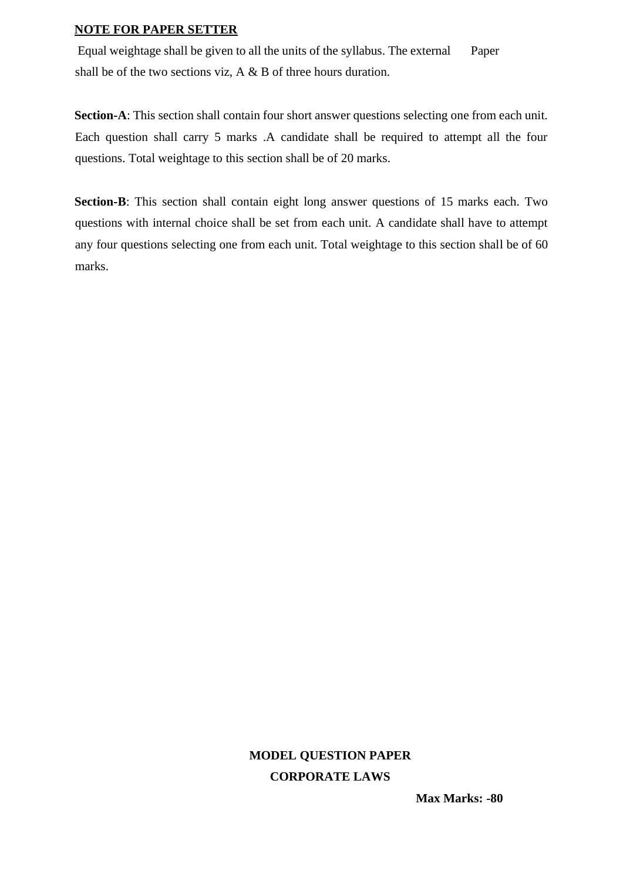#### **NOTE FOR PAPER SETTER**

Equal weightage shall be given to all the units of the syllabus. The external Paper shall be of the two sections viz, A & B of three hours duration.

**Section-A**: This section shall contain four short answer questions selecting one from each unit. Each question shall carry 5 marks .A candidate shall be required to attempt all the four questions. Total weightage to this section shall be of 20 marks.

**Section-B**: This section shall contain eight long answer questions of 15 marks each. Two questions with internal choice shall be set from each unit. A candidate shall have to attempt any four questions selecting one from each unit. Total weightage to this section shall be of 60 marks.

# **MODEL QUESTION PAPER CORPORATE LAWS**

**Max Marks: -80**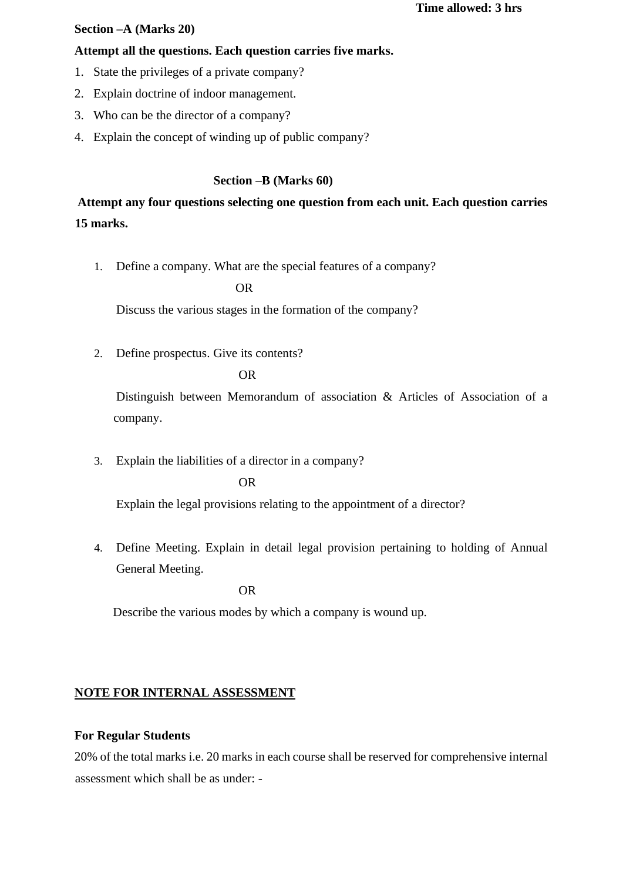#### **Section –A (Marks 20)**

#### **Attempt all the questions. Each question carries five marks.**

- 1. State the privileges of a private company?
- 2. Explain doctrine of indoor management.
- 3. Who can be the director of a company?
- 4. Explain the concept of winding up of public company?

## **Section –B (Marks 60)**

**Attempt any four questions selecting one question from each unit. Each question carries 15 marks.** 

1. Define a company. What are the special features of a company?

#### OR

Discuss the various stages in the formation of the company?

2. Define prospectus. Give its contents?

## OR

Distinguish between Memorandum of association & Articles of Association of a company.

3. Explain the liabilities of a director in a company?

#### OR

Explain the legal provisions relating to the appointment of a director?

4. Define Meeting. Explain in detail legal provision pertaining to holding of Annual General Meeting.

OR

Describe the various modes by which a company is wound up.

## **NOTE FOR INTERNAL ASSESSMENT**

#### **For Regular Students**

20% of the total marks i.e. 20 marks in each course shall be reserved for comprehensive internal assessment which shall be as under: -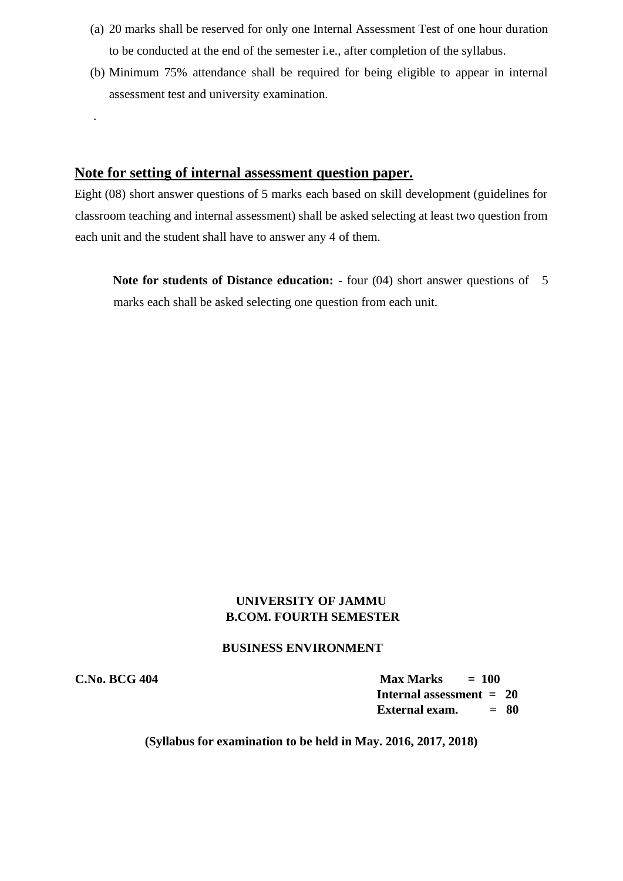- (a) 20 marks shall be reserved for only one Internal Assessment Test of one hour duration to be conducted at the end of the semester i.e., after completion of the syllabus.
- (b) Minimum 75% attendance shall be required for being eligible to appear in internal assessment test and university examination.

## **Note for setting of internal assessment question paper.**

Eight (08) short answer questions of 5 marks each based on skill development (guidelines for classroom teaching and internal assessment) shall be asked selecting at least two question from each unit and the student shall have to answer any 4 of them.

**Note for students of Distance education: -** four (04) short answer questions of 5 marks each shall be asked selecting one question from each unit.

## **UNIVERSITY OF JAMMU B.COM. FOURTH SEMESTER**

#### **BUSINESS ENVIRONMENT**

.

**C.No. BCG 404 Max Marks = 100 Internal assessment = 20 External exam. = 80**

## **(Syllabus for examination to be held in May. 2016, 2017, 2018)**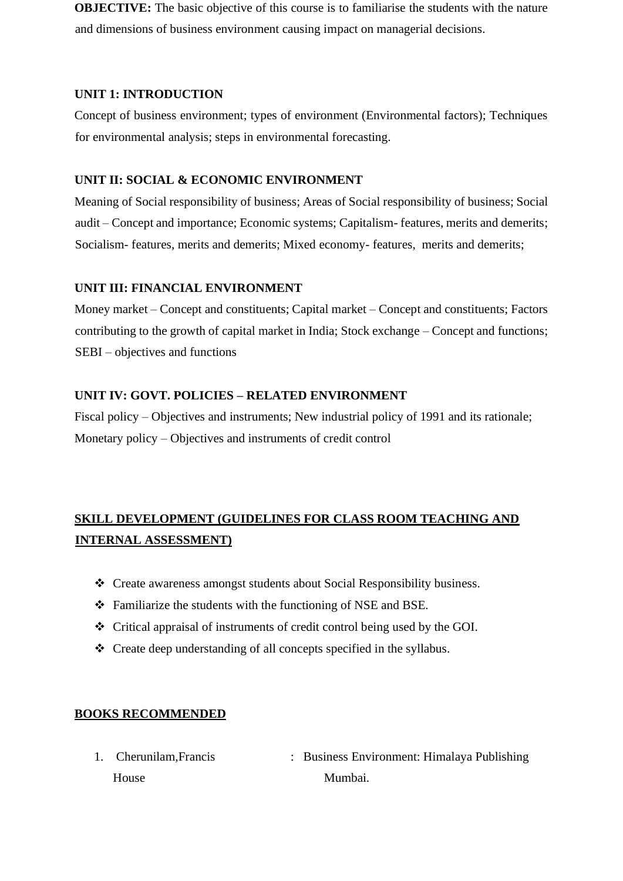**OBJECTIVE:** The basic objective of this course is to familiarise the students with the nature and dimensions of business environment causing impact on managerial decisions.

## **UNIT 1: INTRODUCTION**

Concept of business environment; types of environment (Environmental factors); Techniques for environmental analysis; steps in environmental forecasting.

## **UNIT II: SOCIAL & ECONOMIC ENVIRONMENT**

Meaning of Social responsibility of business; Areas of Social responsibility of business; Social audit – Concept and importance; Economic systems; Capitalism- features, merits and demerits; Socialism- features, merits and demerits; Mixed economy- features, merits and demerits;

## **UNIT III: FINANCIAL ENVIRONMENT**

Money market – Concept and constituents; Capital market – Concept and constituents; Factors contributing to the growth of capital market in India; Stock exchange – Concept and functions; SEBI – objectives and functions

## **UNIT IV: GOVT. POLICIES – RELATED ENVIRONMENT**

Fiscal policy – Objectives and instruments; New industrial policy of 1991 and its rationale; Monetary policy – Objectives and instruments of credit control

# **SKILL DEVELOPMENT (GUIDELINES FOR CLASS ROOM TEACHING AND INTERNAL ASSESSMENT)**

- ❖ Create awareness amongst students about Social Responsibility business.
- ❖ Familiarize the students with the functioning of NSE and BSE.
- ❖ Critical appraisal of instruments of credit control being used by the GOI.
- ❖ Create deep understanding of all concepts specified in the syllabus.

## **BOOKS RECOMMENDED**

1. Cherunilam, Francis : Business Environment: Himalaya Publishing House Mumbai.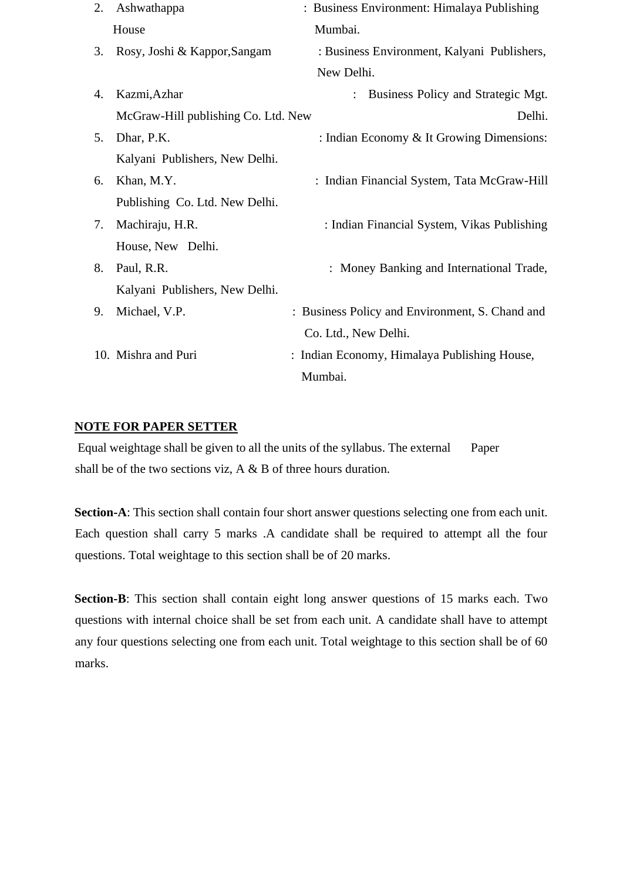| 2. | Ashwathappa                         | : Business Environment: Himalaya Publishing     |
|----|-------------------------------------|-------------------------------------------------|
|    | House                               | Mumbai.                                         |
| 3. | Rosy, Joshi & Kappor, Sangam        | : Business Environment, Kalyani Publishers,     |
|    |                                     | New Delhi.                                      |
| 4. | Kazmi, Azhar                        | Business Policy and Strategic Mgt.              |
|    | McGraw-Hill publishing Co. Ltd. New | Delhi.                                          |
| 5. | Dhar, P.K.                          | : Indian Economy & It Growing Dimensions:       |
|    | Kalyani Publishers, New Delhi.      |                                                 |
| 6. | Khan, M.Y.                          | : Indian Financial System, Tata McGraw-Hill     |
|    | Publishing Co. Ltd. New Delhi.      |                                                 |
| 7. | Machiraju, H.R.                     | : Indian Financial System, Vikas Publishing     |
|    | House, New Delhi.                   |                                                 |
| 8. | Paul, R.R.                          | : Money Banking and International Trade,        |
|    | Kalyani Publishers, New Delhi.      |                                                 |
| 9. | Michael, V.P.                       | : Business Policy and Environment, S. Chand and |
|    |                                     | Co. Ltd., New Delhi.                            |
|    | 10. Mishra and Puri                 | : Indian Economy, Himalaya Publishing House,    |
|    |                                     | Mumbai.                                         |

#### **NOTE FOR PAPER SETTER**

Equal weightage shall be given to all the units of the syllabus. The external Paper shall be of the two sections viz, A & B of three hours duration.

**Section-A**: This section shall contain four short answer questions selecting one from each unit. Each question shall carry 5 marks .A candidate shall be required to attempt all the four questions. Total weightage to this section shall be of 20 marks.

**Section-B**: This section shall contain eight long answer questions of 15 marks each. Two questions with internal choice shall be set from each unit. A candidate shall have to attempt any four questions selecting one from each unit. Total weightage to this section shall be of 60 marks.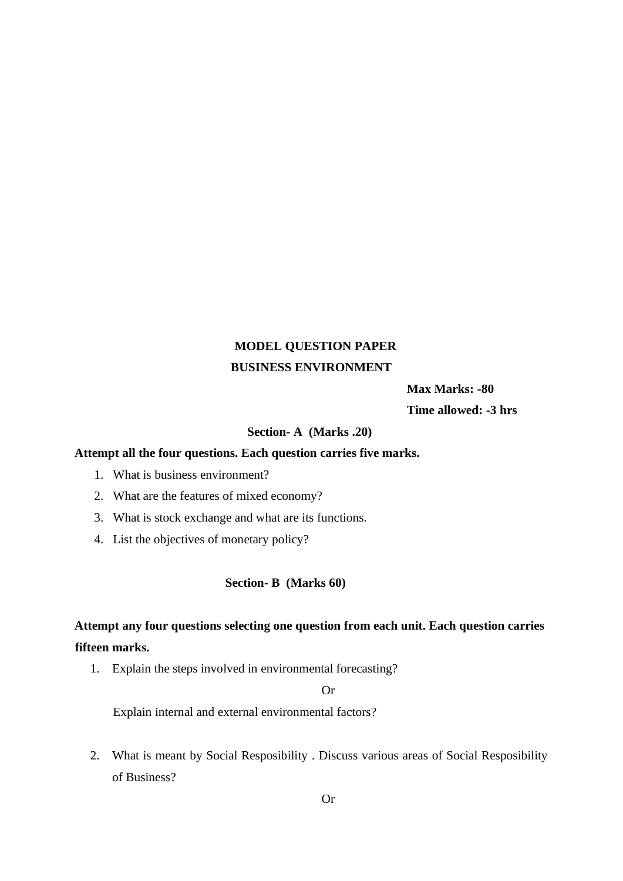# **MODEL QUESTION PAPER BUSINESS ENVIRONMENT**

 **Max Marks: -80** 

**Time allowed: -3 hrs** 

#### **Section- A (Marks .20)**

## **Attempt all the four questions. Each question carries five marks.**

- 1. What is business environment?
- 2. What are the features of mixed economy?
- 3. What is stock exchange and what are its functions.
- 4. List the objectives of monetary policy?

#### **Section- B (Marks 60)**

# **Attempt any four questions selecting one question from each unit. Each question carries fifteen marks.**

1. Explain the steps involved in environmental forecasting?

#### Or

Explain internal and external environmental factors?

2. What is meant by Social Resposibility . Discuss various areas of Social Resposibility of Business?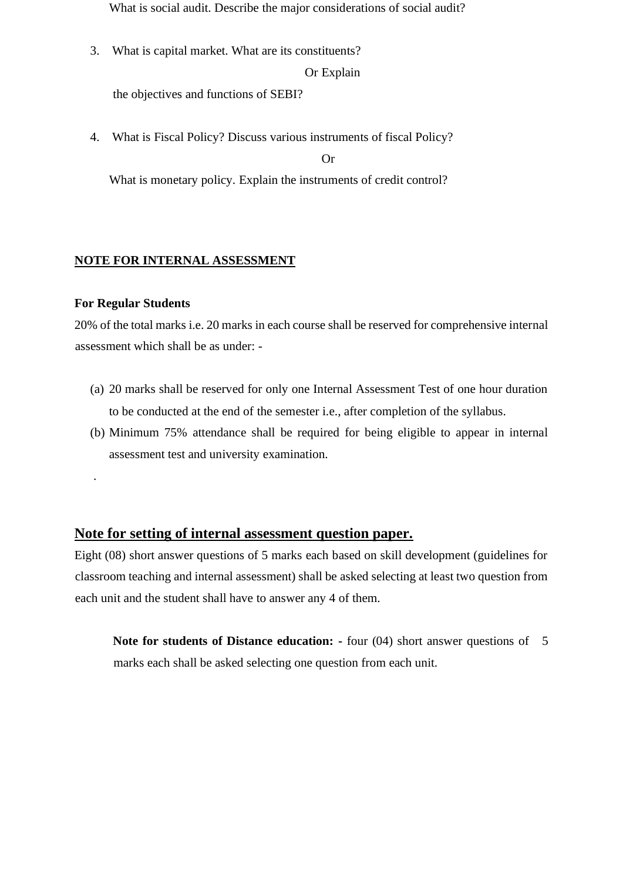What is social audit. Describe the major considerations of social audit?

3. What is capital market. What are its constituents? Or Explain

the objectives and functions of SEBI?

4. What is Fiscal Policy? Discuss various instruments of fiscal Policy? Or

What is monetary policy. Explain the instruments of credit control?

## **NOTE FOR INTERNAL ASSESSMENT**

#### **For Regular Students**

.

20% of the total marks i.e. 20 marks in each course shall be reserved for comprehensive internal assessment which shall be as under: -

- (a) 20 marks shall be reserved for only one Internal Assessment Test of one hour duration to be conducted at the end of the semester i.e., after completion of the syllabus.
- (b) Minimum 75% attendance shall be required for being eligible to appear in internal assessment test and university examination.

## **Note for setting of internal assessment question paper.**

Eight (08) short answer questions of 5 marks each based on skill development (guidelines for classroom teaching and internal assessment) shall be asked selecting at least two question from each unit and the student shall have to answer any 4 of them.

**Note for students of Distance education: -** four (04) short answer questions of 5 marks each shall be asked selecting one question from each unit.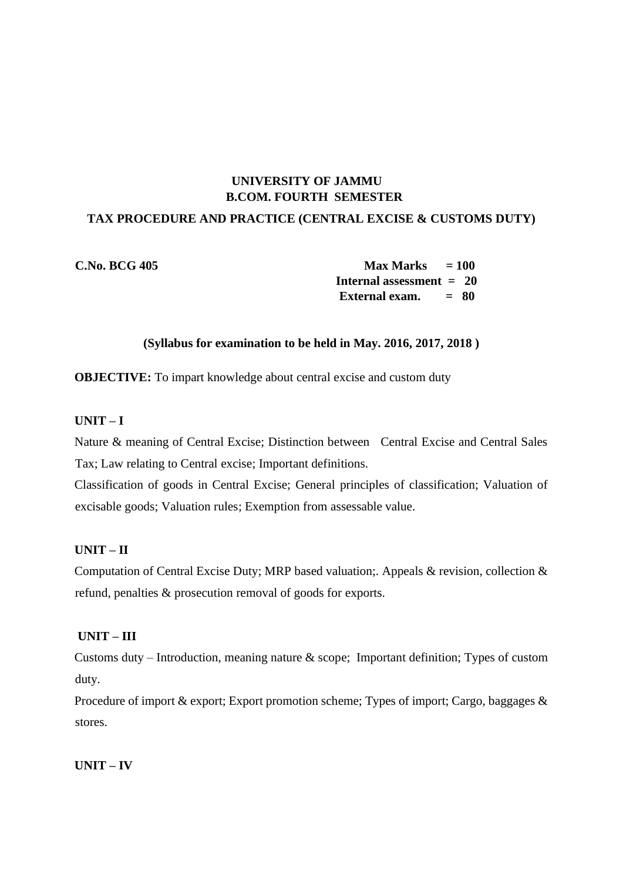## **UNIVERSITY OF JAMMU B.COM. FOURTH SEMESTER**

## **TAX PROCEDURE AND PRACTICE (CENTRAL EXCISE & CUSTOMS DUTY)**

**C.No. BCG 405 Max Marks = 100 Internal assessment = 20 External exam. = 80**

#### **(Syllabus for examination to be held in May. 2016, 2017, 2018 )**

**OBJECTIVE:** To impart knowledge about central excise and custom duty

## **UNIT – I**

Nature & meaning of Central Excise; Distinction between Central Excise and Central Sales Tax; Law relating to Central excise; Important definitions.

Classification of goods in Central Excise; General principles of classification; Valuation of excisable goods; Valuation rules; Exemption from assessable value.

## **UNIT – II**

Computation of Central Excise Duty; MRP based valuation;. Appeals & revision, collection & refund, penalties & prosecution removal of goods for exports.

## **UNIT – III**

Customs duty – Introduction, meaning nature & scope; Important definition; Types of custom duty.

Procedure of import & export; Export promotion scheme; Types of import; Cargo, baggages & stores.

**UNIT – IV**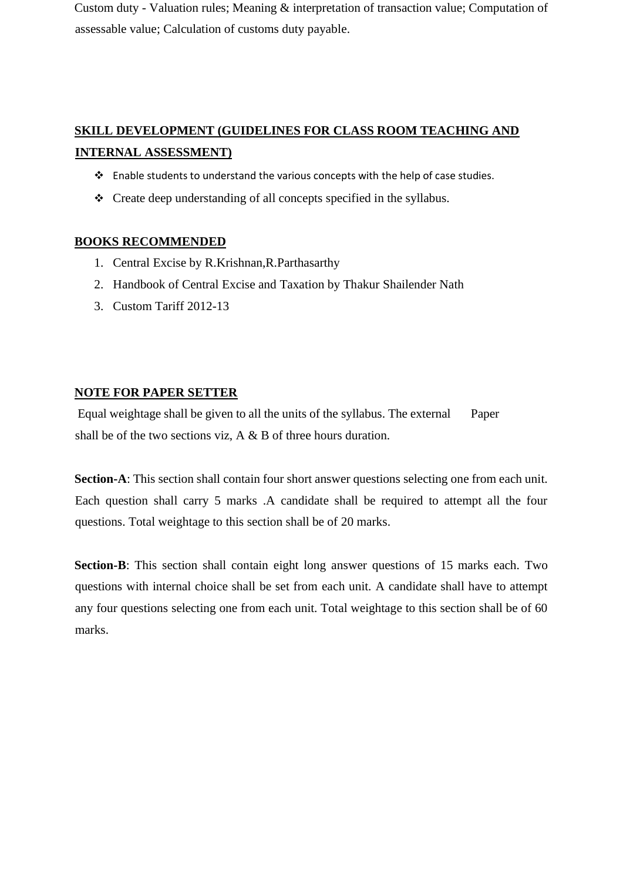Custom duty - Valuation rules; Meaning & interpretation of transaction value; Computation of assessable value; Calculation of customs duty payable.

# **SKILL DEVELOPMENT (GUIDELINES FOR CLASS ROOM TEACHING AND INTERNAL ASSESSMENT)**

- ❖ Enable students to understand the various concepts with the help of case studies.
- ❖ Create deep understanding of all concepts specified in the syllabus.

## **BOOKS RECOMMENDED**

- 1. Central Excise by R.Krishnan,R.Parthasarthy
- 2. Handbook of Central Excise and Taxation by Thakur Shailender Nath
- 3. Custom Tariff 2012-13

## **NOTE FOR PAPER SETTER**

Equal weightage shall be given to all the units of the syllabus. The external Paper shall be of the two sections viz,  $A \& B$  of three hours duration.

**Section-A**: This section shall contain four short answer questions selecting one from each unit. Each question shall carry 5 marks .A candidate shall be required to attempt all the four questions. Total weightage to this section shall be of 20 marks.

**Section-B**: This section shall contain eight long answer questions of 15 marks each. Two questions with internal choice shall be set from each unit. A candidate shall have to attempt any four questions selecting one from each unit. Total weightage to this section shall be of 60 marks.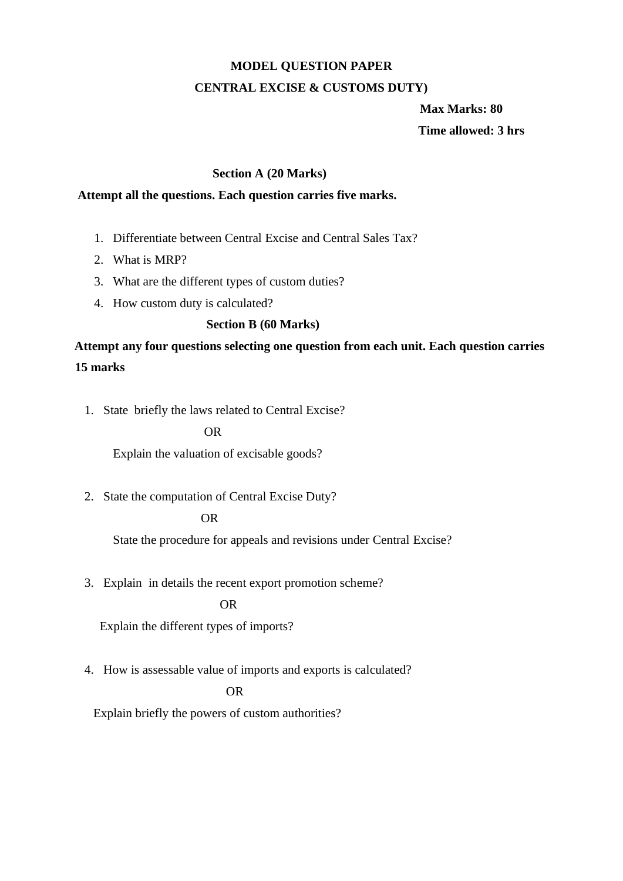# **MODEL QUESTION PAPER**

## **CENTRAL EXCISE & CUSTOMS DUTY)**

 **Max Marks: 80 Time allowed: 3 hrs** 

## **Section A (20 Marks)**

## **Attempt all the questions. Each question carries five marks.**

- 1. Differentiate between Central Excise and Central Sales Tax?
- 2. What is MRP?
- 3. What are the different types of custom duties?
- 4. How custom duty is calculated?

## **Section B (60 Marks)**

# **Attempt any four questions selecting one question from each unit. Each question carries 15 marks**

1. State briefly the laws related to Central Excise?

#### OR

Explain the valuation of excisable goods?

2. State the computation of Central Excise Duty?

## OR

State the procedure for appeals and revisions under Central Excise?

3. Explain in details the recent export promotion scheme?

## OR

Explain the different types of imports?

4. How is assessable value of imports and exports is calculated?

#### OR

Explain briefly the powers of custom authorities?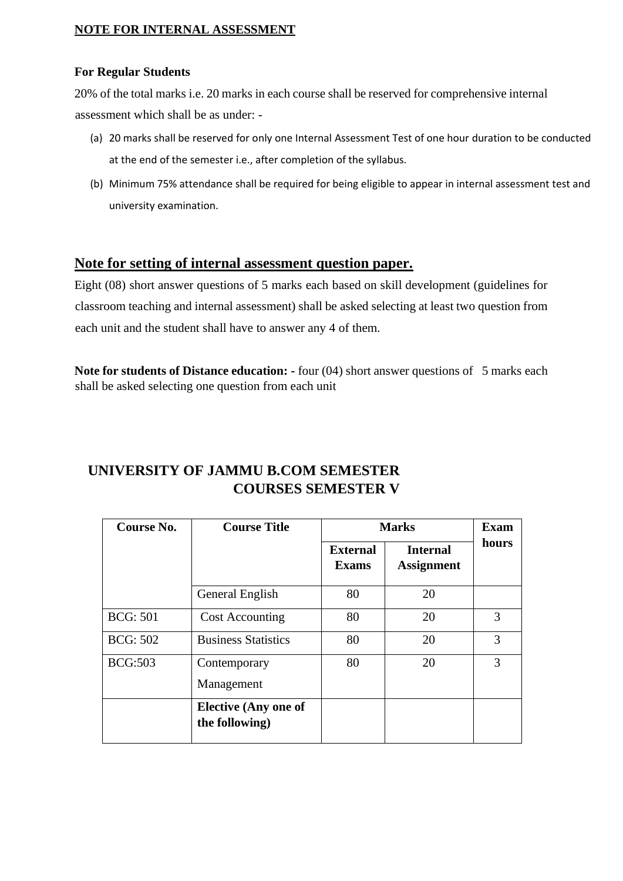## **NOTE FOR INTERNAL ASSESSMENT**

## **For Regular Students**

20% of the total marks i.e. 20 marks in each course shall be reserved for comprehensive internal assessment which shall be as under: -

- (a) 20 marks shall be reserved for only one Internal Assessment Test of one hour duration to be conducted at the end of the semester i.e., after completion of the syllabus.
- (b) Minimum 75% attendance shall be required for being eligible to appear in internal assessment test and university examination.

# **Note for setting of internal assessment question paper.**

Eight (08) short answer questions of 5 marks each based on skill development (guidelines for classroom teaching and internal assessment) shall be asked selecting at least two question from each unit and the student shall have to answer any 4 of them.

**Note for students of Distance education: -** four (04) short answer questions of 5 marks each shall be asked selecting one question from each unit

# **UNIVERSITY OF JAMMU B.COM SEMESTER COURSES SEMESTER V**

| Course No.      | <b>Course Title</b><br><b>Marks</b>           |                                 |                                      | <b>Exam</b> |  |
|-----------------|-----------------------------------------------|---------------------------------|--------------------------------------|-------------|--|
|                 |                                               | <b>External</b><br><b>Exams</b> | <b>Internal</b><br><b>Assignment</b> | hours       |  |
|                 | General English                               | 80                              | 20                                   |             |  |
| <b>BCG: 501</b> | <b>Cost Accounting</b>                        | 80                              | 20                                   | 3           |  |
| <b>BCG: 502</b> | <b>Business Statistics</b>                    | 80                              | 20                                   | 3           |  |
| <b>BCG:503</b>  | Contemporary<br>Management                    |                                 | 20                                   | 3           |  |
|                 | <b>Elective (Any one of</b><br>the following) |                                 |                                      |             |  |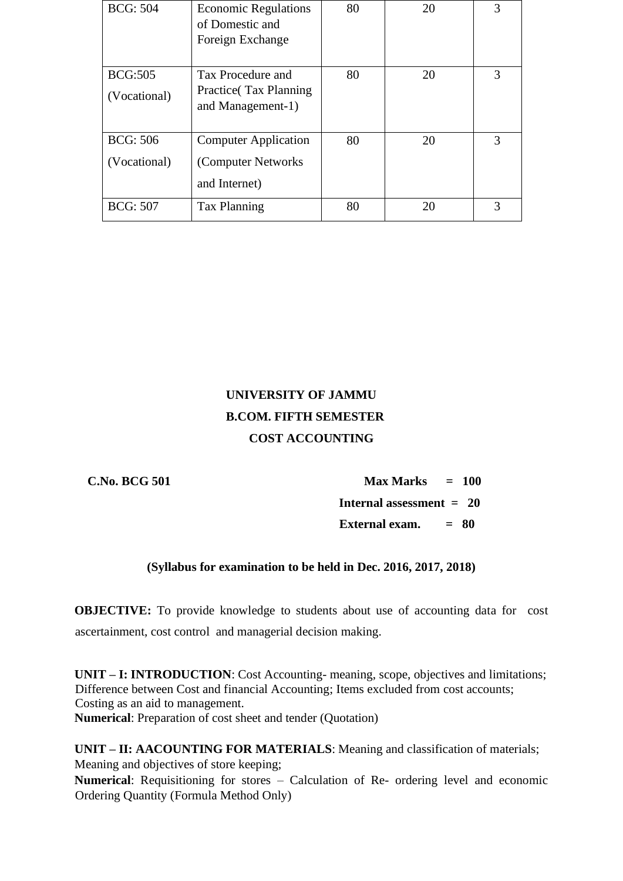| <b>BCG: 504</b>                 | <b>Economic Regulations</b><br>of Domestic and<br>Foreign Exchange  | 80 | 20 | 3 |
|---------------------------------|---------------------------------------------------------------------|----|----|---|
| <b>BCG:505</b><br>(Vocational)  | Tax Procedure and<br>Practice (Tax Planning)<br>and Management-1)   | 80 | 20 | 3 |
| <b>BCG: 506</b><br>(Vocational) | <b>Computer Application</b><br>(Computer Networks)<br>and Internet) | 80 | 20 | 3 |
| <b>BCG: 507</b>                 | <b>Tax Planning</b>                                                 | 80 | 20 | 3 |

# **UNIVERSITY OF JAMMU B.COM. FIFTH SEMESTER COST ACCOUNTING**

 **C.No. BCG 501 Max Marks = 100 Internal assessment = 20 External exam. = 80** 

# **(Syllabus for examination to be held in Dec. 2016, 2017, 2018)**

**OBJECTIVE:** To provide knowledge to students about use of accounting data for cost ascertainment, cost control and managerial decision making.

**UNIT – I: INTRODUCTION**: Cost Accounting- meaning, scope, objectives and limitations; Difference between Cost and financial Accounting; Items excluded from cost accounts; Costing as an aid to management. **Numerical**: Preparation of cost sheet and tender (Quotation)

**UNIT – II: AACOUNTING FOR MATERIALS**: Meaning and classification of materials; Meaning and objectives of store keeping;

**Numerical**: Requisitioning for stores – Calculation of Re- ordering level and economic Ordering Quantity (Formula Method Only)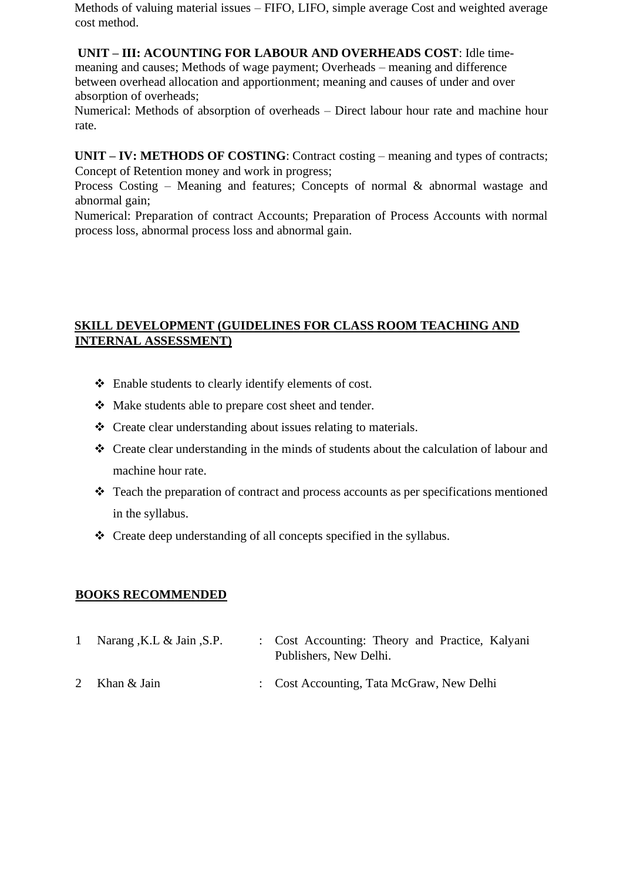Methods of valuing material issues – FIFO, LIFO, simple average Cost and weighted average cost method.

# **UNIT – III: ACOUNTING FOR LABOUR AND OVERHEADS COST**: Idle time-

meaning and causes; Methods of wage payment; Overheads – meaning and difference between overhead allocation and apportionment; meaning and causes of under and over absorption of overheads;

Numerical: Methods of absorption of overheads – Direct labour hour rate and machine hour rate.

**UNIT – IV: METHODS OF COSTING**: Contract costing – meaning and types of contracts; Concept of Retention money and work in progress;

Process Costing – Meaning and features; Concepts of normal & abnormal wastage and abnormal gain;

Numerical: Preparation of contract Accounts; Preparation of Process Accounts with normal process loss, abnormal process loss and abnormal gain.

# **SKILL DEVELOPMENT (GUIDELINES FOR CLASS ROOM TEACHING AND INTERNAL ASSESSMENT)**

- ❖ Enable students to clearly identify elements of cost.
- ❖ Make students able to prepare cost sheet and tender.
- ❖ Create clear understanding about issues relating to materials.
- ❖ Create clear understanding in the minds of students about the calculation of labour and machine hour rate.
- ❖ Teach the preparation of contract and process accounts as per specifications mentioned in the syllabus.
- ❖ Create deep understanding of all concepts specified in the syllabus.

# **BOOKS RECOMMENDED**

- 1 Narang ,K.L & Jain ,S.P. : Cost Accounting: Theory and Practice, Kalyani Publishers, New Delhi.
- 2 Khan & Jain : Cost Accounting, Tata McGraw, New Delhi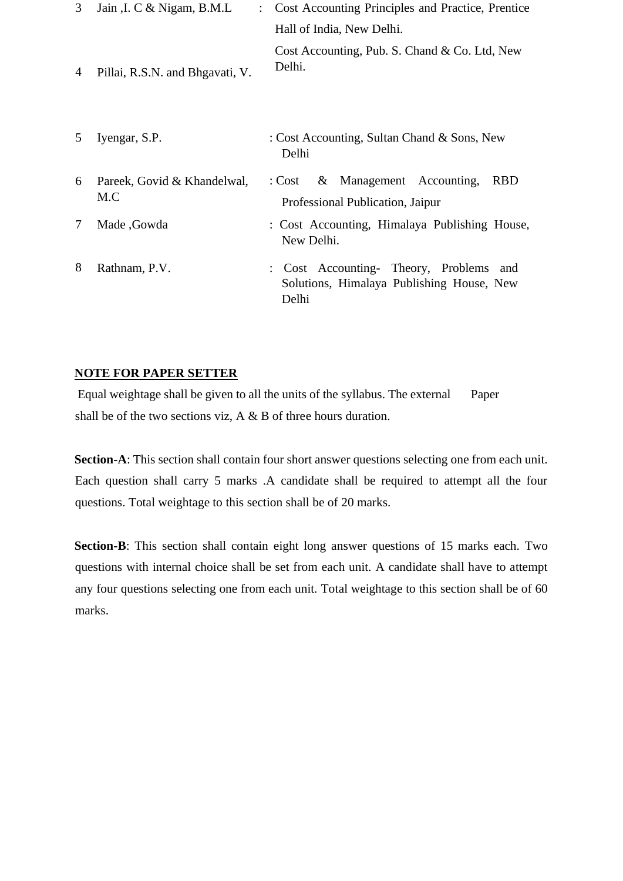| 3      | Jain , I. C & Nigam, B.M.L<br>$\mathcal{L}$ | Cost Accounting Principles and Practice, Prentice                                              |
|--------|---------------------------------------------|------------------------------------------------------------------------------------------------|
|        |                                             | Hall of India, New Delhi.                                                                      |
| 4      | Pillai, R.S.N. and Bhgavati, V.             | Cost Accounting, Pub. S. Chand & Co. Ltd, New<br>Delhi.                                        |
| 5      | Iyengar, S.P.                               | : Cost Accounting, Sultan Chand & Sons, New<br>Delhi                                           |
| 6      | Pareek, Govid & Khandelwal,<br>M.C          | & Management Accounting,<br><b>RBD</b><br>: Cost<br>Professional Publication, Jaipur           |
| $\tau$ | Made, Gowda                                 | : Cost Accounting, Himalaya Publishing House,<br>New Delhi.                                    |
| 8      | Rathnam, P.V.                               | Cost Accounting- Theory, Problems<br>and<br>Solutions, Himalaya Publishing House, New<br>Delhi |

## **NOTE FOR PAPER SETTER**

Equal weightage shall be given to all the units of the syllabus. The external Paper shall be of the two sections viz, A & B of three hours duration.

**Section-A**: This section shall contain four short answer questions selecting one from each unit. Each question shall carry 5 marks .A candidate shall be required to attempt all the four questions. Total weightage to this section shall be of 20 marks.

**Section-B**: This section shall contain eight long answer questions of 15 marks each. Two questions with internal choice shall be set from each unit. A candidate shall have to attempt any four questions selecting one from each unit. Total weightage to this section shall be of 60 marks.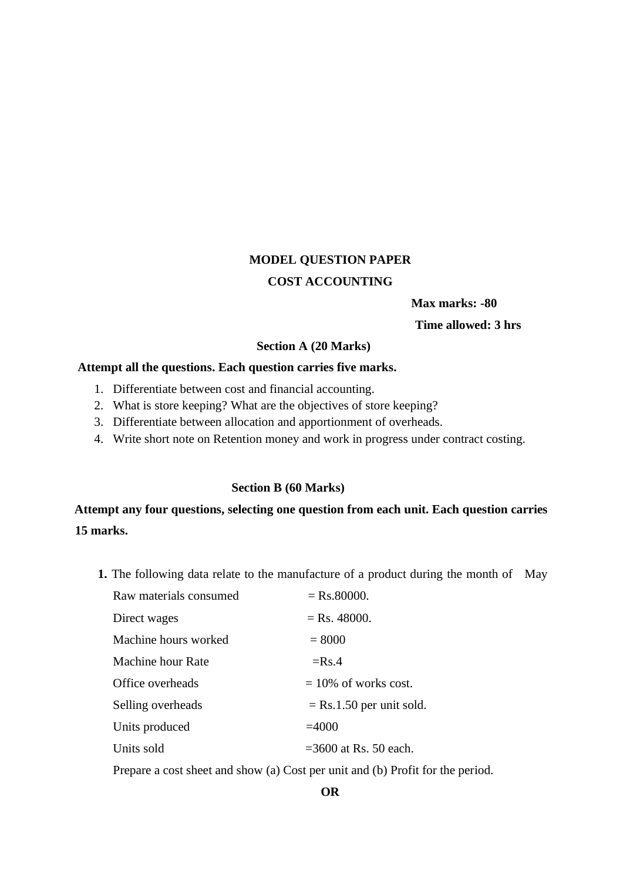# **MODEL QUESTION PAPER COST ACCOUNTING**

 **Max marks: -80** 

**Time allowed: 3 hrs**

#### **Section A (20 Marks)**

### **Attempt all the questions. Each question carries five marks.**

- 1. Differentiate between cost and financial accounting.
- 2. What is store keeping? What are the objectives of store keeping?
- 3. Differentiate between allocation and apportionment of overheads.
- 4. Write short note on Retention money and work in progress under contract costing.

## **Section B (60 Marks)**

# **Attempt any four questions, selecting one question from each unit. Each question carries 15 marks.**

**1.** The following data relate to the manufacture of a product during the month of May

| Raw materials consumed | $=$ Rs.80000.              |  |  |
|------------------------|----------------------------|--|--|
| Direct wages           | $=$ Rs. 48000.             |  |  |
| Machine hours worked   | $= 8000$                   |  |  |
| Machine hour Rate      | $=$ Rs.4                   |  |  |
| Office overheads       | $= 10\%$ of works cost.    |  |  |
| Selling overheads      | $=$ Rs.1.50 per unit sold. |  |  |
| Units produced         | $=4000$                    |  |  |
| Units sold             | $=3600$ at Rs. 50 each.    |  |  |
|                        |                            |  |  |

Prepare a cost sheet and show (a) Cost per unit and (b) Profit for the period.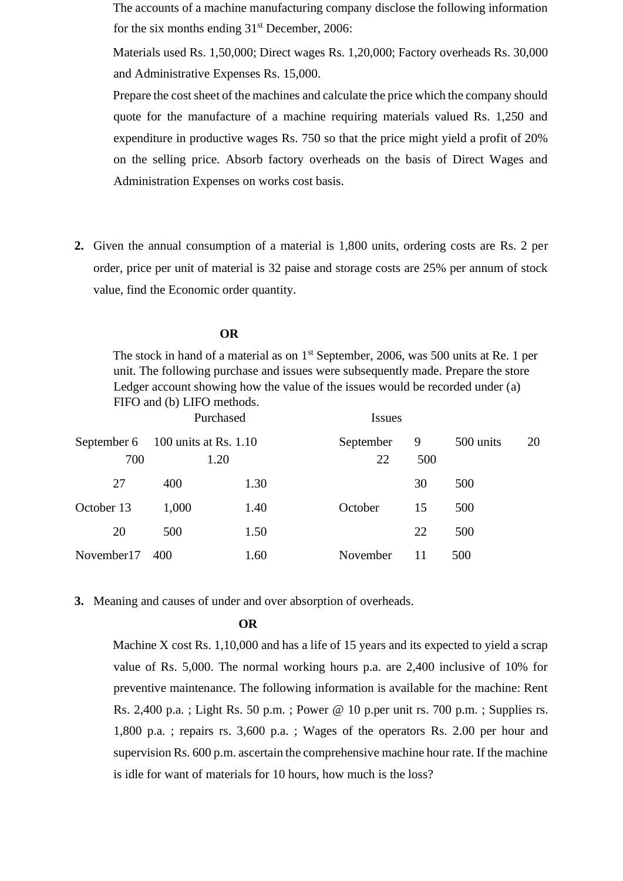The accounts of a machine manufacturing company disclose the following information for the six months ending  $31<sup>st</sup>$  December, 2006:

Materials used Rs. 1,50,000; Direct wages Rs. 1,20,000; Factory overheads Rs. 30,000 and Administrative Expenses Rs. 15,000.

Prepare the cost sheet of the machines and calculate the price which the company should quote for the manufacture of a machine requiring materials valued Rs. 1,250 and expenditure in productive wages Rs. 750 so that the price might yield a profit of 20% on the selling price. Absorb factory overheads on the basis of Direct Wages and Administration Expenses on works cost basis.

**2.** Given the annual consumption of a material is 1,800 units, ordering costs are Rs. 2 per order, price per unit of material is 32 paise and storage costs are 25% per annum of stock value, find the Economic order quantity.

#### **OR**

The stock in hand of a material as on  $1<sup>st</sup>$  September, 2006, was 500 units at Re. 1 per unit. The following purchase and issues were subsequently made. Prepare the store Ledger account showing how the value of the issues would be recorded under (a) FIFO and (b) LIFO methods.

| Purchased                                |       | <i>Issues</i> |                 |          |           |    |
|------------------------------------------|-------|---------------|-----------------|----------|-----------|----|
| September 6 100 units at Rs. 1.10<br>700 |       | 1.20          | September<br>22 | 9<br>500 | 500 units | 20 |
| 27                                       | 400   | 1.30          |                 | 30       | 500       |    |
| October 13                               | 1,000 | 1.40          | October         | 15       | 500       |    |
| 20                                       | 500   | 1.50          |                 | 22       | 500       |    |
| November17                               | 400   | 1.60          | November        | 11       | 500       |    |

**3.** Meaning and causes of under and over absorption of overheads.

#### **OR**

Machine X cost Rs. 1,10,000 and has a life of 15 years and its expected to yield a scrap value of Rs. 5,000. The normal working hours p.a. are 2,400 inclusive of 10% for preventive maintenance. The following information is available for the machine: Rent Rs. 2,400 p.a. ; Light Rs. 50 p.m. ; Power @ 10 p.per unit rs. 700 p.m. ; Supplies rs. 1,800 p.a. ; repairs rs. 3,600 p.a. ; Wages of the operators Rs. 2.00 per hour and supervision Rs. 600 p.m. ascertain the comprehensive machine hour rate. If the machine is idle for want of materials for 10 hours, how much is the loss?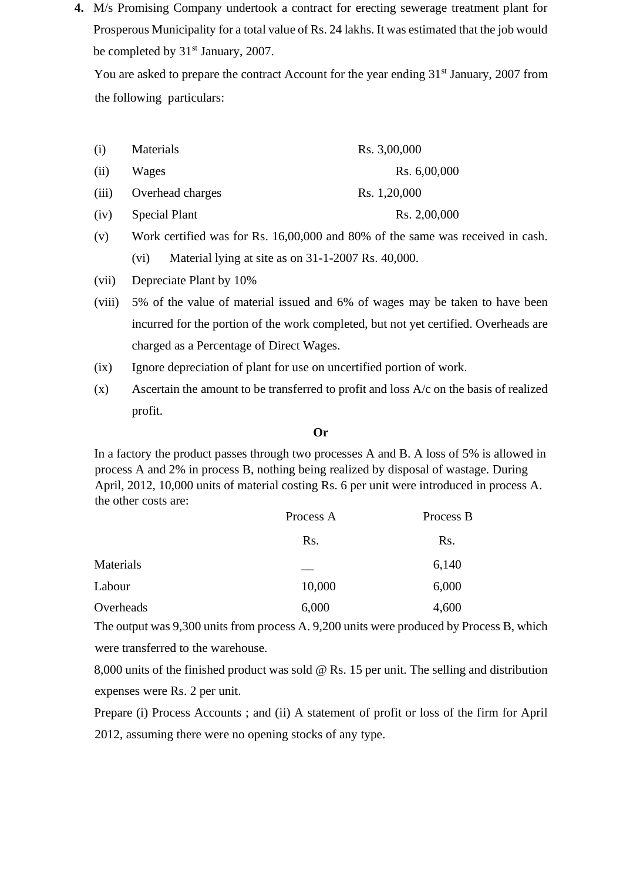**4.** M/s Promising Company undertook a contract for erecting sewerage treatment plant for Prosperous Municipality for a total value of Rs. 24 lakhs. It was estimated that the job would be completed by  $31<sup>st</sup>$  January, 2007.

You are asked to prepare the contract Account for the year ending 31<sup>st</sup> January, 2007 from the following particulars:

| (i)   | Materials            | Rs. 3,00,000 |
|-------|----------------------|--------------|
| (ii)  | Wages                | Rs. 6,00,000 |
| (iii) | Overhead charges     | Rs. 1,20,000 |
| (iv)  | <b>Special Plant</b> | Rs. 2,00,000 |

- (v) Work certified was for Rs. 16,00,000 and 80% of the same was received in cash. (vi) Material lying at site as on 31-1-2007 Rs. 40,000.
- (vii) Depreciate Plant by 10%
- (viii) 5% of the value of material issued and 6% of wages may be taken to have been incurred for the portion of the work completed, but not yet certified. Overheads are charged as a Percentage of Direct Wages.
- (ix) Ignore depreciation of plant for use on uncertified portion of work.
- $(x)$  Ascertain the amount to be transferred to profit and loss  $A/c$  on the basis of realized profit.

#### **Or**

In a factory the product passes through two processes A and B. A loss of 5% is allowed in process A and 2% in process B, nothing being realized by disposal of wastage. During April, 2012, 10,000 units of material costing Rs. 6 per unit were introduced in process A. the other costs are:

|           | Process A | Process B |  |
|-----------|-----------|-----------|--|
|           | Rs.       | Rs.       |  |
| Materials |           | 6,140     |  |
| Labour    | 10,000    | 6,000     |  |
| Overheads | 6,000     | 4,600     |  |

The output was 9,300 units from process A. 9,200 units were produced by Process B, which were transferred to the warehouse.

8,000 units of the finished product was sold @ Rs. 15 per unit. The selling and distribution expenses were Rs. 2 per unit.

Prepare (i) Process Accounts ; and (ii) A statement of profit or loss of the firm for April 2012, assuming there were no opening stocks of any type.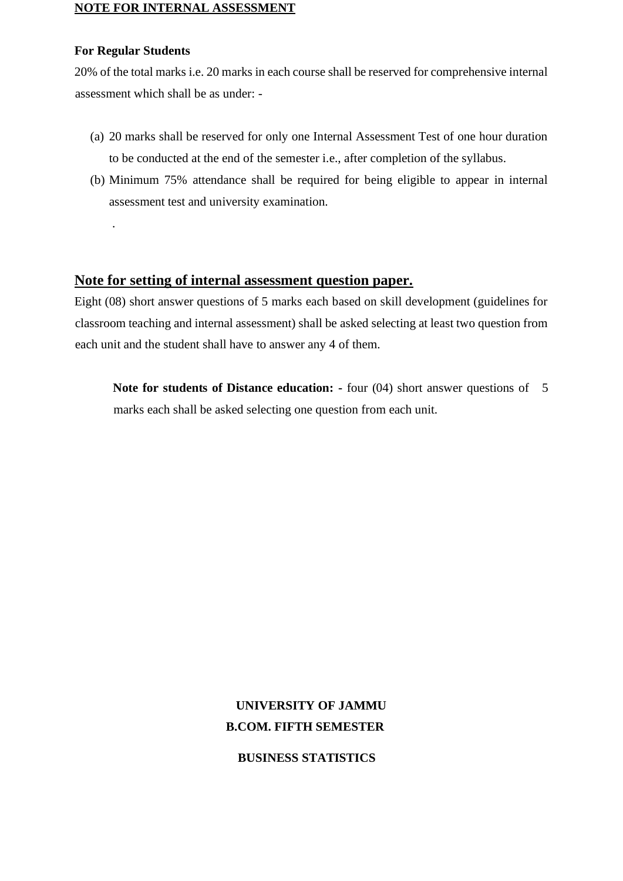#### **NOTE FOR INTERNAL ASSESSMENT**

#### **For Regular Students**

.

20% of the total marks i.e. 20 marks in each course shall be reserved for comprehensive internal assessment which shall be as under: -

- (a) 20 marks shall be reserved for only one Internal Assessment Test of one hour duration to be conducted at the end of the semester i.e., after completion of the syllabus.
- (b) Minimum 75% attendance shall be required for being eligible to appear in internal assessment test and university examination.

## **Note for setting of internal assessment question paper.**

Eight (08) short answer questions of 5 marks each based on skill development (guidelines for classroom teaching and internal assessment) shall be asked selecting at least two question from each unit and the student shall have to answer any 4 of them.

**Note for students of Distance education:** - four (04) short answer questions of 5 marks each shall be asked selecting one question from each unit.

# **UNIVERSITY OF JAMMU B.COM. FIFTH SEMESTER**

 **BUSINESS STATISTICS**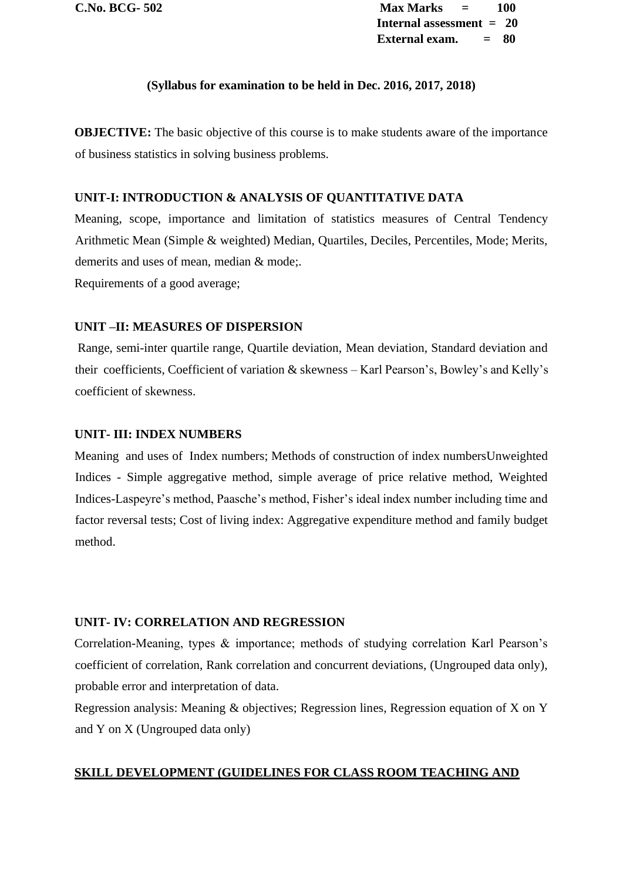**C.No. BCG- 502 Max Marks = 100 Internal assessment = 20 External exam. = 80**

#### **(Syllabus for examination to be held in Dec. 2016, 2017, 2018)**

**OBJECTIVE:** The basic objective of this course is to make students aware of the importance of business statistics in solving business problems.

#### **UNIT-I: INTRODUCTION & ANALYSIS OF QUANTITATIVE DATA**

Meaning, scope, importance and limitation of statistics measures of Central Tendency Arithmetic Mean (Simple & weighted) Median, Quartiles, Deciles, Percentiles, Mode; Merits, demerits and uses of mean, median & mode;. Requirements of a good average;

#### **UNIT –II: MEASURES OF DISPERSION**

Range, semi-inter quartile range, Quartile deviation, Mean deviation, Standard deviation and their coefficients, Coefficient of variation & skewness – Karl Pearson's, Bowley's and Kelly's coefficient of skewness.

#### **UNIT- III: INDEX NUMBERS**

Meaning and uses of Index numbers; Methods of construction of index numbersUnweighted Indices - Simple aggregative method, simple average of price relative method, Weighted Indices-Laspeyre's method, Paasche's method, Fisher's ideal index number including time and factor reversal tests; Cost of living index: Aggregative expenditure method and family budget method.

#### **UNIT- IV: CORRELATION AND REGRESSION**

Correlation-Meaning, types & importance; methods of studying correlation Karl Pearson's coefficient of correlation, Rank correlation and concurrent deviations, (Ungrouped data only), probable error and interpretation of data.

Regression analysis: Meaning & objectives; Regression lines, Regression equation of X on Y and Y on X (Ungrouped data only)

#### **SKILL DEVELOPMENT (GUIDELINES FOR CLASS ROOM TEACHING AND**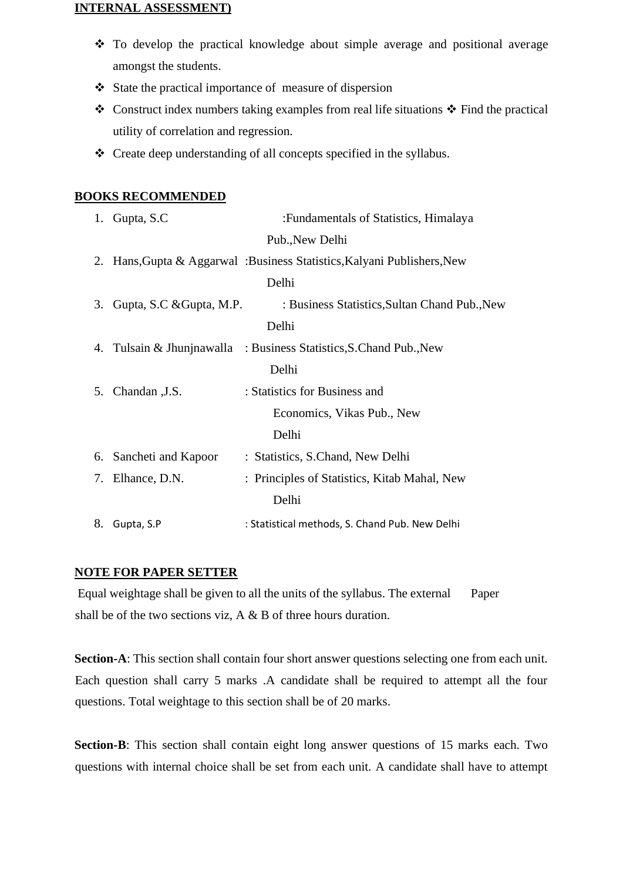#### **INTERNAL ASSESSMENT)**

- ❖ To develop the practical knowledge about simple average and positional average amongst the students.
- ❖ State the practical importance of measure of dispersion
- ❖ Construct index numbers taking examples from real life situations ❖ Find the practical utility of correlation and regression.
- ❖ Create deep understanding of all concepts specified in the syllabus.

## **BOOKS RECOMMENDED**

|    | 1. Gupta, S.C.              | : Fundamentals of Statistics, Himalaya                                  |
|----|-----------------------------|-------------------------------------------------------------------------|
|    |                             | Pub., New Delhi                                                         |
|    |                             | 2. Hans, Gupta & Aggarwal: Business Statistics, Kalyani Publishers, New |
|    |                             | Delhi                                                                   |
|    | 3. Gupta, S.C & Gupta, M.P. | : Business Statistics, Sultan Chand Pub., New                           |
|    |                             | Delhi                                                                   |
|    |                             | 4. Tulsain & Jhunjnawalla : Business Statistics, S. Chand Pub., New     |
|    |                             | Delhi                                                                   |
|    | 5. Chandan , J.S.           | : Statistics for Business and                                           |
|    |                             | Economics, Vikas Pub., New                                              |
|    |                             | Delhi                                                                   |
|    | 6. Sancheti and Kapoor      | : Statistics, S.Chand, New Delhi                                        |
|    | 7. Elhance, D.N.            | : Principles of Statistics, Kitab Mahal, New                            |
|    |                             | Delhi                                                                   |
| 8. | Gupta, S.P                  | : Statistical methods, S. Chand Pub. New Delhi                          |
|    |                             |                                                                         |

## **NOTE FOR PAPER SETTER**

Equal weightage shall be given to all the units of the syllabus. The external Paper shall be of the two sections viz, A & B of three hours duration.

**Section-A**: This section shall contain four short answer questions selecting one from each unit. Each question shall carry 5 marks .A candidate shall be required to attempt all the four questions. Total weightage to this section shall be of 20 marks.

**Section-B**: This section shall contain eight long answer questions of 15 marks each. Two questions with internal choice shall be set from each unit. A candidate shall have to attempt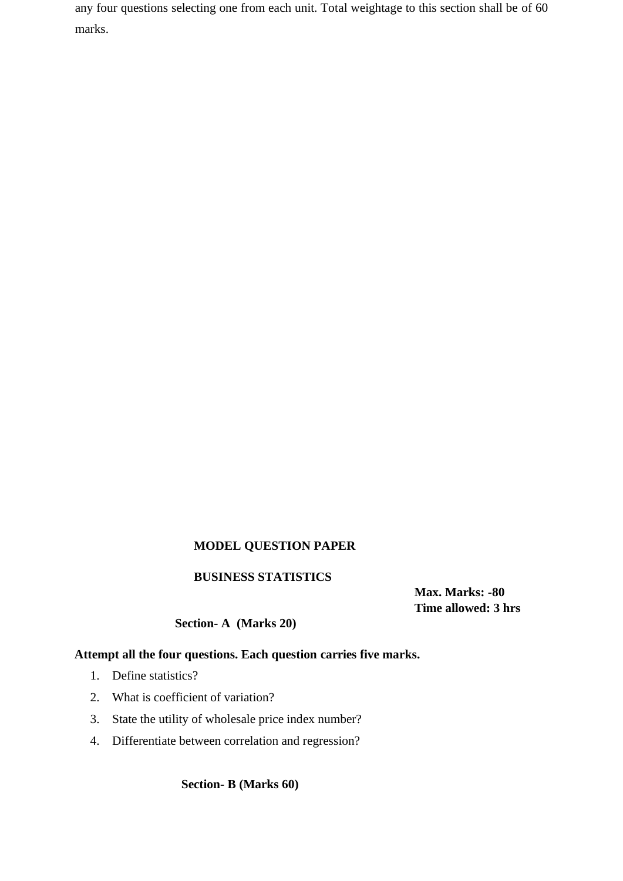any four questions selecting one from each unit. Total weightage to this section shall be of 60 marks.

# **MODEL QUESTION PAPER**

### **BUSINESS STATISTICS**

 **Max. Marks: -80 Time allowed: 3 hrs** 

#### **Section- A (Marks 20)**

# **Attempt all the four questions. Each question carries five marks.**

- 1. Define statistics?
- 2. What is coefficient of variation?
- 3. State the utility of wholesale price index number?
- 4. Differentiate between correlation and regression?

 **Section- B (Marks 60)**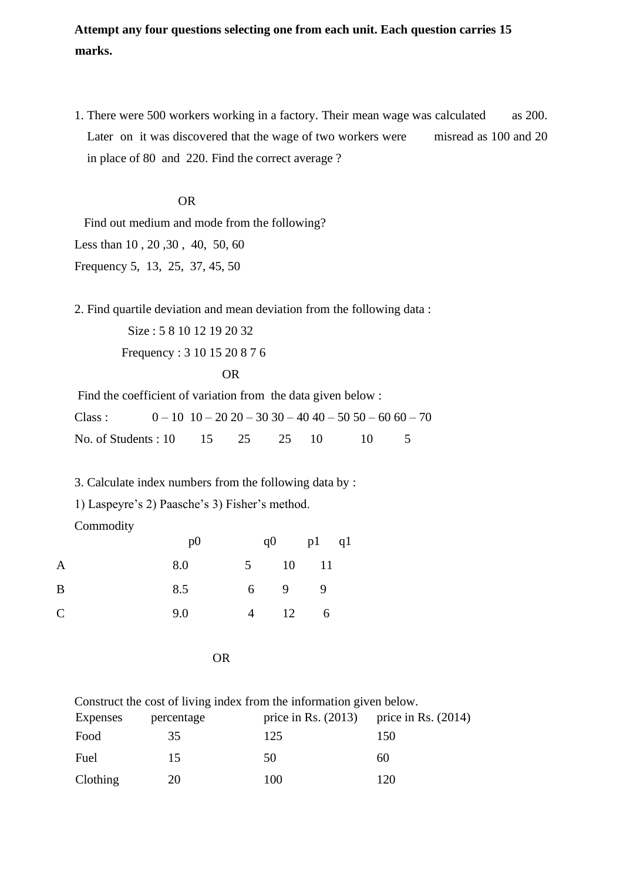**Attempt any four questions selecting one from each unit. Each question carries 15 marks.** 

1. There were 500 workers working in a factory. Their mean wage was calculated as 200. Later on it was discovered that the wage of two workers were misread as 100 and 20 in place of 80 and 220. Find the correct average ?

#### OR

 Find out medium and mode from the following? Less than 10 , 20 ,30 , 40, 50, 60 Frequency 5, 13, 25, 37, 45, 50

2. Find quartile deviation and mean deviation from the following data :

 Size : 5 8 10 12 19 20 32 Frequency : 3 10 15 20 8 7 6

$$
\overline{OR}
$$

Find the coefficient of variation from the data given below : Class :  $0 - 10 \cdot 10 - 20 \cdot 20 - 30 \cdot 30 - 40 \cdot 40 - 50 \cdot 50 - 60 \cdot 60 - 70$ No. of Students : 10 15 25 25 10 10 5

3. Calculate index numbers from the following data by :

1) Laspeyre's 2) Paasche's 3) Fisher's method.

Commodity

|                | p() |                       | $q0$ $p1$ $q1$ |  |
|----------------|-----|-----------------------|----------------|--|
| $\overline{A}$ | 8.0 | 5 10 11               |                |  |
| B              | 8.5 | $6 \qquad 9 \qquad 9$ |                |  |
| $\mathsf{C}$   | 9.0 | $4 \t 12 \t 6$        |                |  |

OR

|          |            | Construct the cost of living index from the information given below. |                                             |
|----------|------------|----------------------------------------------------------------------|---------------------------------------------|
| Expenses | percentage |                                                                      | price in Rs. $(2013)$ price in Rs. $(2014)$ |
| Food     | 35         | 125                                                                  | 150                                         |
| Fuel     | 15         | 50                                                                   | 60                                          |
| Clothing | 20         | 100                                                                  | 120                                         |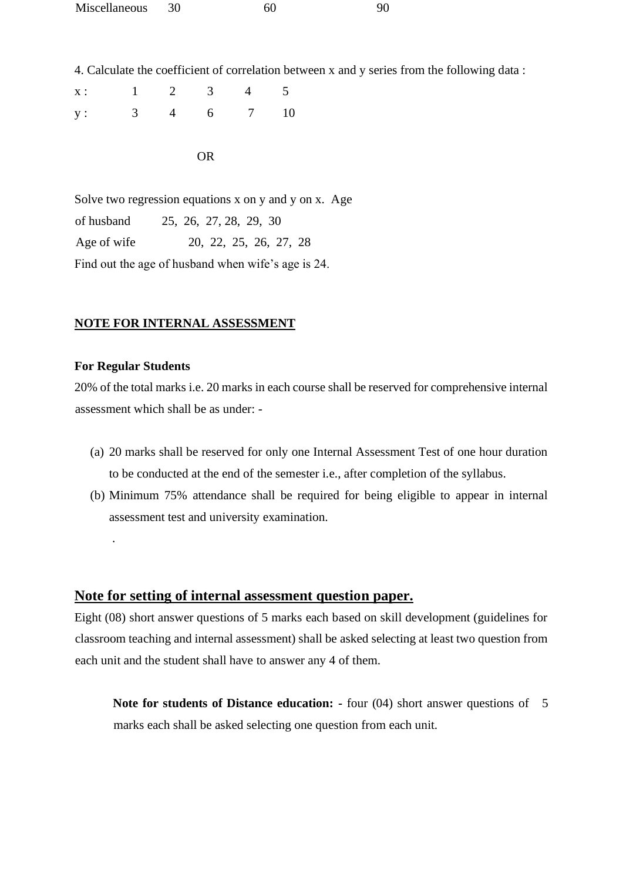| Miscellaneous | 60 |  |
|---------------|----|--|
|               |    |  |

4. Calculate the coefficient of correlation between x and y series from the following data :

| x: 1 2 3 4 5  |  |  |  |
|---------------|--|--|--|
| y: 3 4 6 7 10 |  |  |  |

OR

Solve two regression equations x on y and y on x. Age of husband 25, 26, 27, 28, 29, 30 Age of wife 20, 22, 25, 26, 27, 28 Find out the age of husband when wife's age is 24.

#### **NOTE FOR INTERNAL ASSESSMENT**

#### **For Regular Students**

.

20% of the total marks i.e. 20 marks in each course shall be reserved for comprehensive internal assessment which shall be as under: -

- (a) 20 marks shall be reserved for only one Internal Assessment Test of one hour duration to be conducted at the end of the semester i.e., after completion of the syllabus.
- (b) Minimum 75% attendance shall be required for being eligible to appear in internal assessment test and university examination.

## **Note for setting of internal assessment question paper.**

Eight (08) short answer questions of 5 marks each based on skill development (guidelines for classroom teaching and internal assessment) shall be asked selecting at least two question from each unit and the student shall have to answer any 4 of them.

**Note for students of Distance education: -** four (04) short answer questions of 5 marks each shall be asked selecting one question from each unit.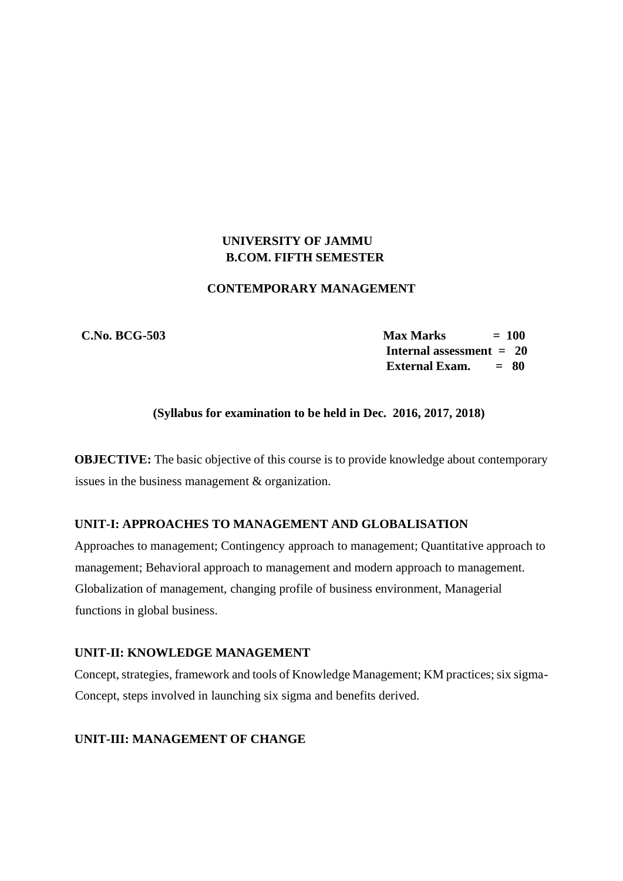## **UNIVERSITY OF JAMMU B.COM. FIFTH SEMESTER**

#### **CONTEMPORARY MANAGEMENT**

 **C.No. BCG-503 Max Marks = 100 Internal assessment = 20 External Exam. = 80**

## **(Syllabus for examination to be held in Dec. 2016, 2017, 2018)**

**OBJECTIVE:** The basic objective of this course is to provide knowledge about contemporary issues in the business management & organization.

## **UNIT-I: APPROACHES TO MANAGEMENT AND GLOBALISATION**

Approaches to management; Contingency approach to management; Quantitative approach to management; Behavioral approach to management and modern approach to management. Globalization of management, changing profile of business environment, Managerial functions in global business.

#### **UNIT-II: KNOWLEDGE MANAGEMENT**

Concept, strategies, framework and tools of Knowledge Management; KM practices; six sigma-Concept, steps involved in launching six sigma and benefits derived.

# **UNIT-III: MANAGEMENT OF CHANGE**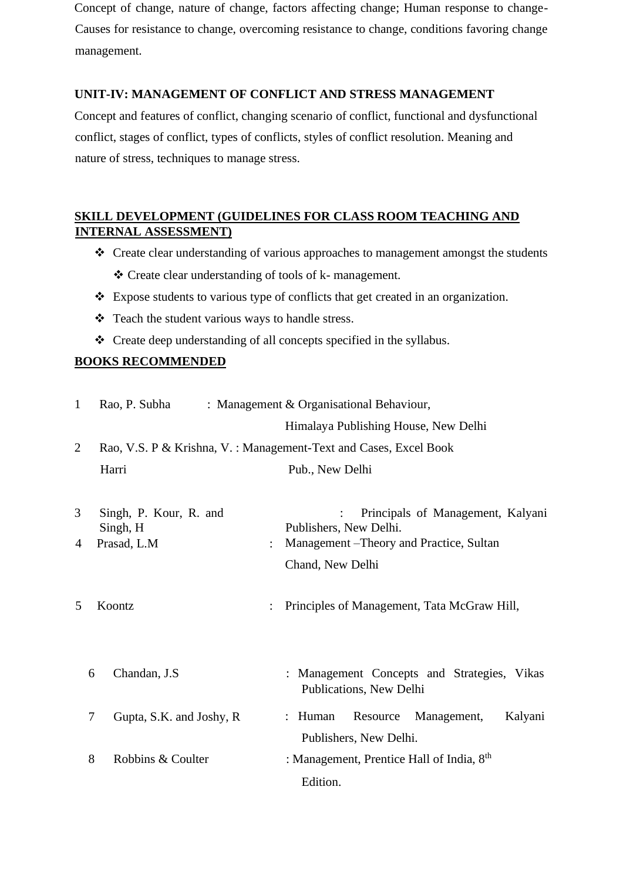Concept of change, nature of change, factors affecting change; Human response to change-Causes for resistance to change, overcoming resistance to change, conditions favoring change management.

## **UNIT-IV: MANAGEMENT OF CONFLICT AND STRESS MANAGEMENT**

Concept and features of conflict, changing scenario of conflict, functional and dysfunctional conflict, stages of conflict, types of conflicts, styles of conflict resolution. Meaning and nature of stress, techniques to manage stress.

# **SKILL DEVELOPMENT (GUIDELINES FOR CLASS ROOM TEACHING AND INTERNAL ASSESSMENT)**

- ❖ Create clear understanding of various approaches to management amongst the students ❖ Create clear understanding of tools of k- management.
- ❖ Expose students to various type of conflicts that get created in an organization.
- ❖ Teach the student various ways to handle stress.
- ❖ Create deep understanding of all concepts specified in the syllabus.

## **BOOKS RECOMMENDED**

| $\mathbf{1}$   |        | Rao, P. Subha                                     | : Management & Organisational Behaviour, |                                                                                                         |  |  |  |
|----------------|--------|---------------------------------------------------|------------------------------------------|---------------------------------------------------------------------------------------------------------|--|--|--|
|                |        |                                                   | Himalaya Publishing House, New Delhi     |                                                                                                         |  |  |  |
| $\overline{2}$ |        |                                                   |                                          | Rao, V.S. P & Krishna, V.: Management-Text and Cases, Excel Book                                        |  |  |  |
|                |        | Harri                                             |                                          | Pub., New Delhi                                                                                         |  |  |  |
| 3<br>4         |        | Singh, P. Kour, R. and<br>Singh, H<br>Prasad, L.M |                                          | Principals of Management, Kalyani<br>Publishers, New Delhi.<br>Management – Theory and Practice, Sultan |  |  |  |
|                |        |                                                   |                                          | Chand, New Delhi                                                                                        |  |  |  |
| 5              |        | Koontz                                            |                                          | Principles of Management, Tata McGraw Hill,                                                             |  |  |  |
|                | 6      | Chandan, J.S                                      |                                          | Management Concepts and Strategies, Vikas<br>Publications, New Delhi                                    |  |  |  |
|                | $\tau$ | Gupta, S.K. and Joshy, R.                         |                                          | Resource<br>Management,<br>Kalyani<br>: Human<br>Publishers, New Delhi.                                 |  |  |  |
|                | 8      | Robbins & Coulter                                 |                                          | : Management, Prentice Hall of India, 8th<br>Edition.                                                   |  |  |  |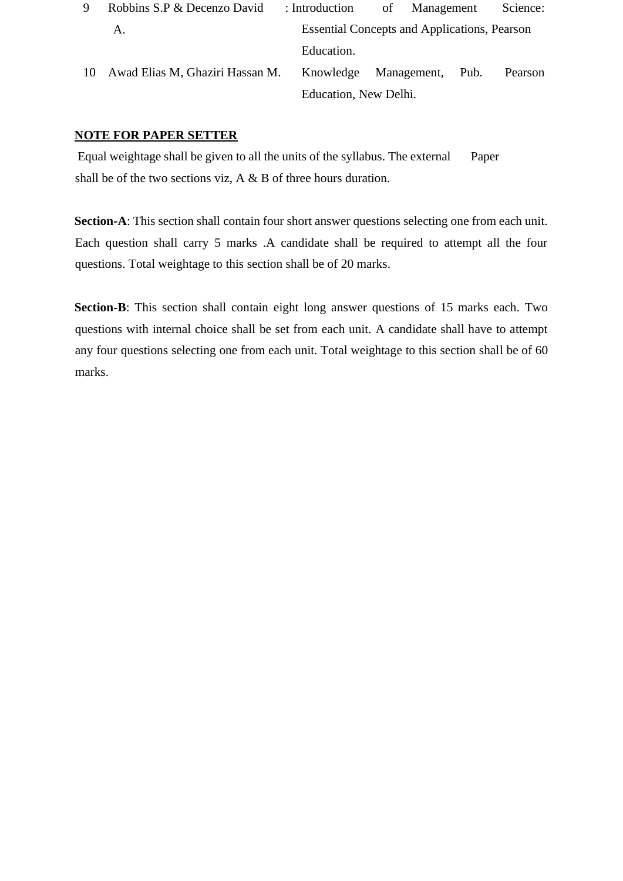| 9 | Robbins S.P & Decenzo David        | : Introduction             | of Management                                       | Science: |
|---|------------------------------------|----------------------------|-----------------------------------------------------|----------|
|   | Α.                                 |                            | <b>Essential Concepts and Applications, Pearson</b> |          |
|   |                                    | Education.                 |                                                     |          |
|   | 10 Awad Elias M, Ghaziri Hassan M. | Knowledge Management, Pub. |                                                     | Pearson  |
|   |                                    | Education, New Delhi.      |                                                     |          |

## **NOTE FOR PAPER SETTER**

Equal weightage shall be given to all the units of the syllabus. The external Paper shall be of the two sections viz, A & B of three hours duration.

**Section-A**: This section shall contain four short answer questions selecting one from each unit. Each question shall carry 5 marks .A candidate shall be required to attempt all the four questions. Total weightage to this section shall be of 20 marks.

**Section-B**: This section shall contain eight long answer questions of 15 marks each. Two questions with internal choice shall be set from each unit. A candidate shall have to attempt any four questions selecting one from each unit. Total weightage to this section shall be of 60 marks.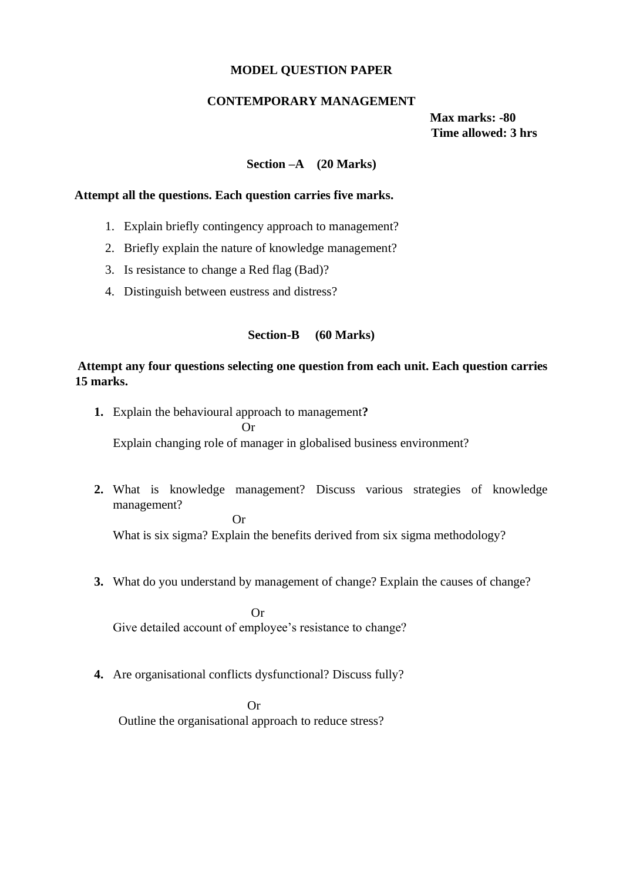#### **MODEL QUESTION PAPER**

#### **CONTEMPORARY MANAGEMENT**

 **Max marks: -80 Time allowed: 3 hrs** 

#### **Section –A (20 Marks)**

## **Attempt all the questions. Each question carries five marks.**

- 1. Explain briefly contingency approach to management?
- 2. Briefly explain the nature of knowledge management?
- 3. Is resistance to change a Red flag (Bad)?
- 4. Distinguish between eustress and distress?

#### **Section-B (60 Marks)**

## **Attempt any four questions selecting one question from each unit. Each question carries 15 marks.**

- **1.** Explain the behavioural approach to management**?** Or Explain changing role of manager in globalised business environment?
- **2.** What is knowledge management? Discuss various strategies of knowledge management?

Or

What is six sigma? Explain the benefits derived from six sigma methodology?

**3.** What do you understand by management of change? Explain the causes of change?

 Or Give detailed account of employee's resistance to change?

**4.** Are organisational conflicts dysfunctional? Discuss fully?

 Or Outline the organisational approach to reduce stress?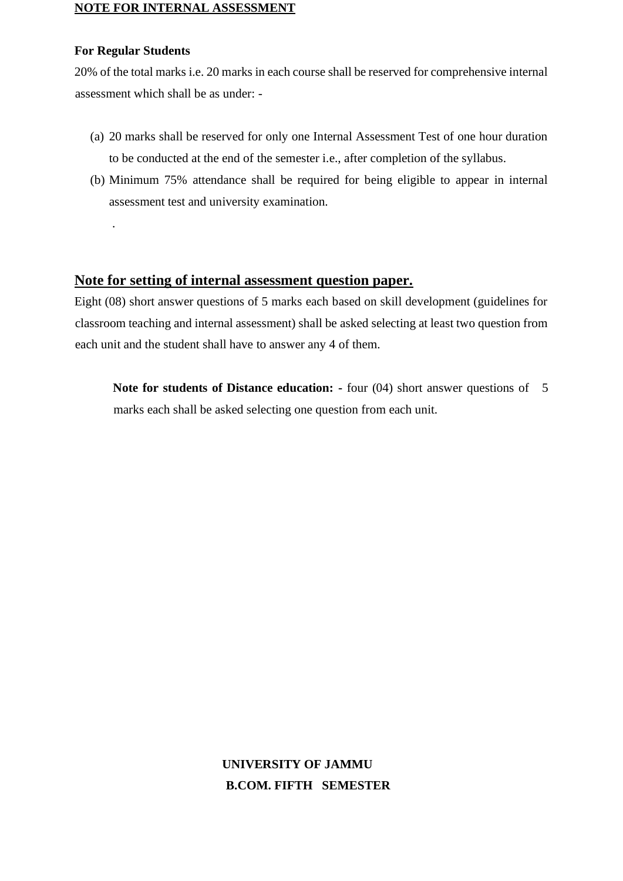#### **NOTE FOR INTERNAL ASSESSMENT**

#### **For Regular Students**

.

20% of the total marks i.e. 20 marks in each course shall be reserved for comprehensive internal assessment which shall be as under: -

- (a) 20 marks shall be reserved for only one Internal Assessment Test of one hour duration to be conducted at the end of the semester i.e., after completion of the syllabus.
- (b) Minimum 75% attendance shall be required for being eligible to appear in internal assessment test and university examination.

## **Note for setting of internal assessment question paper.**

Eight (08) short answer questions of 5 marks each based on skill development (guidelines for classroom teaching and internal assessment) shall be asked selecting at least two question from each unit and the student shall have to answer any 4 of them.

**Note for students of Distance education: -** four (04) short answer questions of 5 marks each shall be asked selecting one question from each unit.

# **UNIVERSITY OF JAMMU B.COM. FIFTH SEMESTER**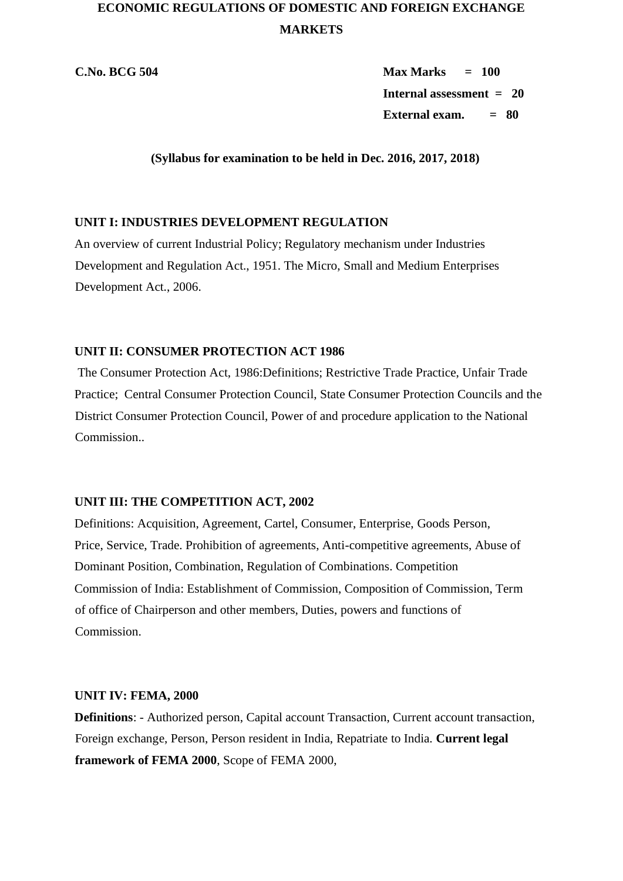# **ECONOMIC REGULATIONS OF DOMESTIC AND FOREIGN EXCHANGE MARKETS**

**C.No. BCG 504 Max Marks = 100 Internal assessment = 20 External exam. = 80**

**(Syllabus for examination to be held in Dec. 2016, 2017, 2018)** 

## **UNIT I: INDUSTRIES DEVELOPMENT REGULATION**

An overview of current Industrial Policy; Regulatory mechanism under Industries Development and Regulation Act., 1951. The Micro, Small and Medium Enterprises Development Act., 2006.

## **UNIT II: CONSUMER PROTECTION ACT 1986**

The Consumer Protection Act, 1986:Definitions; Restrictive Trade Practice, Unfair Trade Practice; Central Consumer Protection Council, State Consumer Protection Councils and the District Consumer Protection Council, Power of and procedure application to the National Commission..

### **UNIT III: THE COMPETITION ACT, 2002**

Definitions: Acquisition, Agreement, Cartel, Consumer, Enterprise, Goods Person, Price, Service, Trade. Prohibition of agreements, Anti-competitive agreements, Abuse of Dominant Position, Combination, Regulation of Combinations. Competition Commission of India: Establishment of Commission, Composition of Commission, Term of office of Chairperson and other members, Duties, powers and functions of Commission.

#### **UNIT IV: FEMA, 2000**

**Definitions**: - Authorized person, Capital account Transaction, Current account transaction, Foreign exchange, Person, Person resident in India, Repatriate to India. **Current legal framework of FEMA 2000**, Scope of FEMA 2000,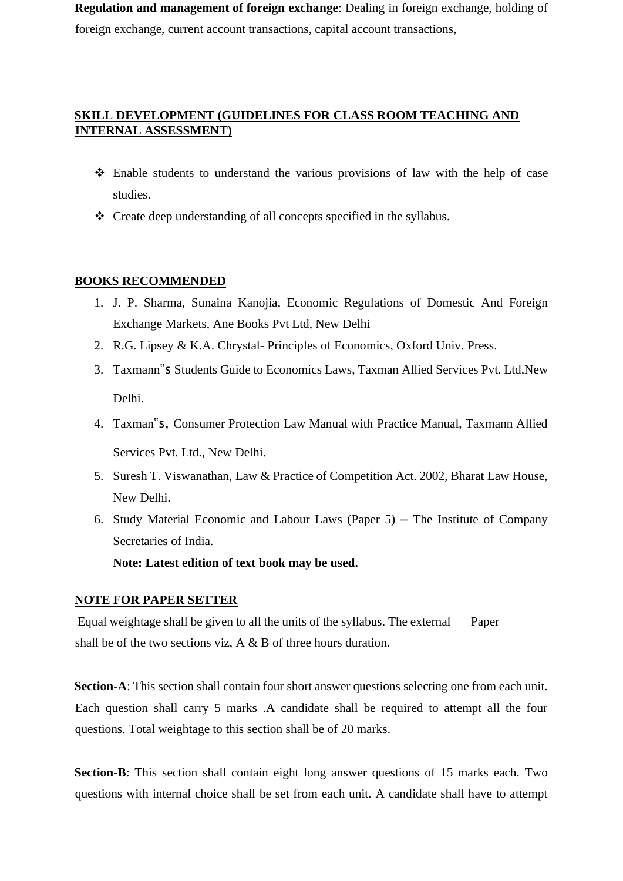**Regulation and management of foreign exchange**: Dealing in foreign exchange, holding of foreign exchange, current account transactions, capital account transactions,

## **SKILL DEVELOPMENT (GUIDELINES FOR CLASS ROOM TEACHING AND INTERNAL ASSESSMENT)**

- ❖ Enable students to understand the various provisions of law with the help of case studies.
- ❖ Create deep understanding of all concepts specified in the syllabus.

## **BOOKS RECOMMENDED**

- 1. J. P. Sharma, Sunaina Kanojia, Economic Regulations of Domestic And Foreign Exchange Markets, Ane Books Pvt Ltd, New Delhi
- 2. R.G. Lipsey & K.A. Chrystal- Principles of Economics, Oxford Univ. Press.
- 3. Taxmann"s Students Guide to Economics Laws, Taxman Allied Services Pvt. Ltd,New Delhi.
- 4. Taxman"s, Consumer Protection Law Manual with Practice Manual, Taxmann Allied Services Pvt. Ltd., New Delhi.
- 5. Suresh T. Viswanathan, Law & Practice of Competition Act. 2002, Bharat Law House, New Delhi.
- 6. Study Material Economic and Labour Laws (Paper 5) The Institute of Company Secretaries of India.

**Note: Latest edition of text book may be used.** 

#### **NOTE FOR PAPER SETTER**

Equal weightage shall be given to all the units of the syllabus. The external Paper shall be of the two sections viz, A & B of three hours duration.

**Section-A**: This section shall contain four short answer questions selecting one from each unit. Each question shall carry 5 marks .A candidate shall be required to attempt all the four questions. Total weightage to this section shall be of 20 marks.

**Section-B**: This section shall contain eight long answer questions of 15 marks each. Two questions with internal choice shall be set from each unit. A candidate shall have to attempt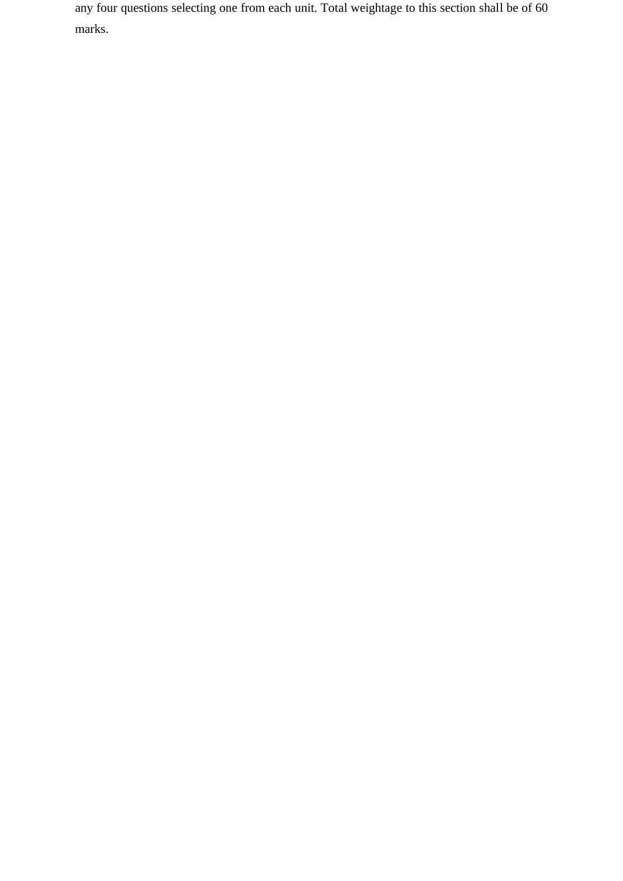any four questions selecting one from each unit. Total weightage to this section shall be of 60 marks.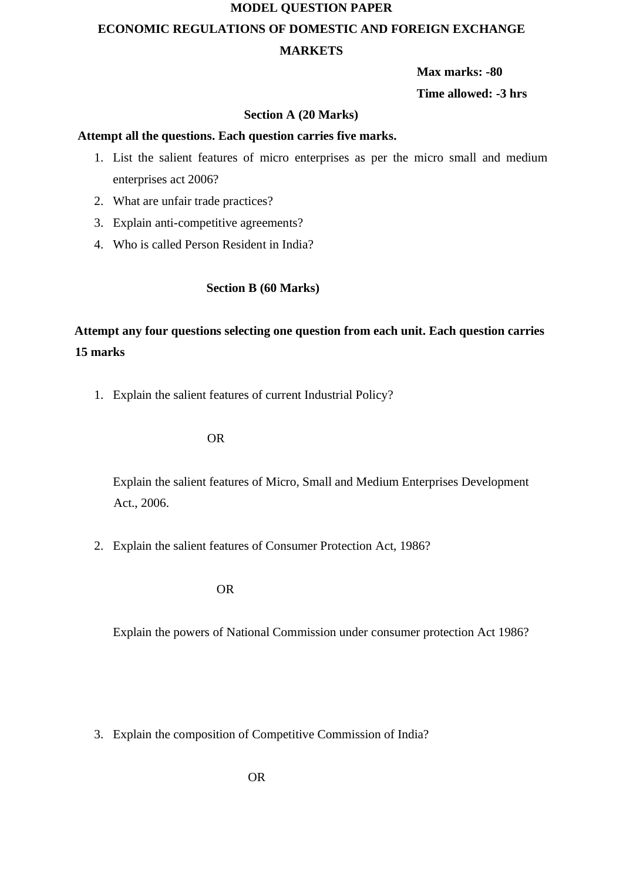# **MODEL QUESTION PAPER ECONOMIC REGULATIONS OF DOMESTIC AND FOREIGN EXCHANGE MARKETS**

**Max marks: -80** 

**Time allowed: -3 hrs** 

## **Section A (20 Marks)**

### **Attempt all the questions. Each question carries five marks.**

- 1. List the salient features of micro enterprises as per the micro small and medium enterprises act 2006?
- 2. What are unfair trade practices?
- 3. Explain anti-competitive agreements?
- 4. Who is called Person Resident in India?

## **Section B (60 Marks)**

# **Attempt any four questions selecting one question from each unit. Each question carries 15 marks**

1. Explain the salient features of current Industrial Policy?

#### OR

Explain the salient features of Micro, Small and Medium Enterprises Development Act., 2006.

2. Explain the salient features of Consumer Protection Act, 1986?

#### OR

Explain the powers of National Commission under consumer protection Act 1986?

3. Explain the composition of Competitive Commission of India?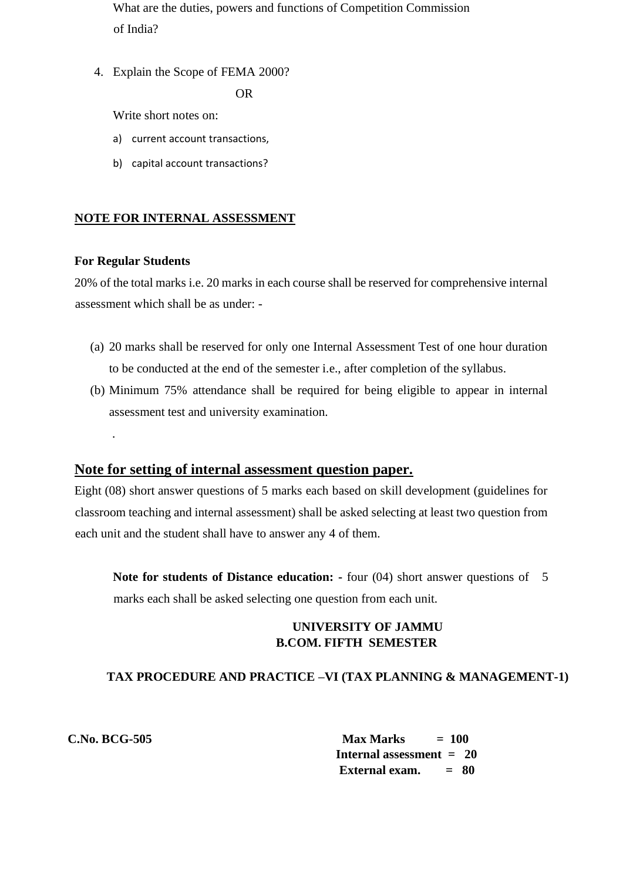What are the duties, powers and functions of Competition Commission of India?

4. Explain the Scope of FEMA 2000?

OR

Write short notes on:

- a) current account transactions,
- b) capital account transactions?

## **NOTE FOR INTERNAL ASSESSMENT**

#### **For Regular Students**

.

20% of the total marks i.e. 20 marks in each course shall be reserved for comprehensive internal assessment which shall be as under: -

- (a) 20 marks shall be reserved for only one Internal Assessment Test of one hour duration to be conducted at the end of the semester i.e., after completion of the syllabus.
- (b) Minimum 75% attendance shall be required for being eligible to appear in internal assessment test and university examination.

## **Note for setting of internal assessment question paper.**

Eight (08) short answer questions of 5 marks each based on skill development (guidelines for classroom teaching and internal assessment) shall be asked selecting at least two question from each unit and the student shall have to answer any 4 of them.

**Note for students of Distance education:** - four (04) short answer questions of 5 marks each shall be asked selecting one question from each unit.

## **UNIVERSITY OF JAMMU B.COM. FIFTH SEMESTER**

## **TAX PROCEDURE AND PRACTICE –VI (TAX PLANNING & MANAGEMENT-1)**

**C.No. BCG-505 Max Marks = 100 Internal assessment = 20 External exam. = 80**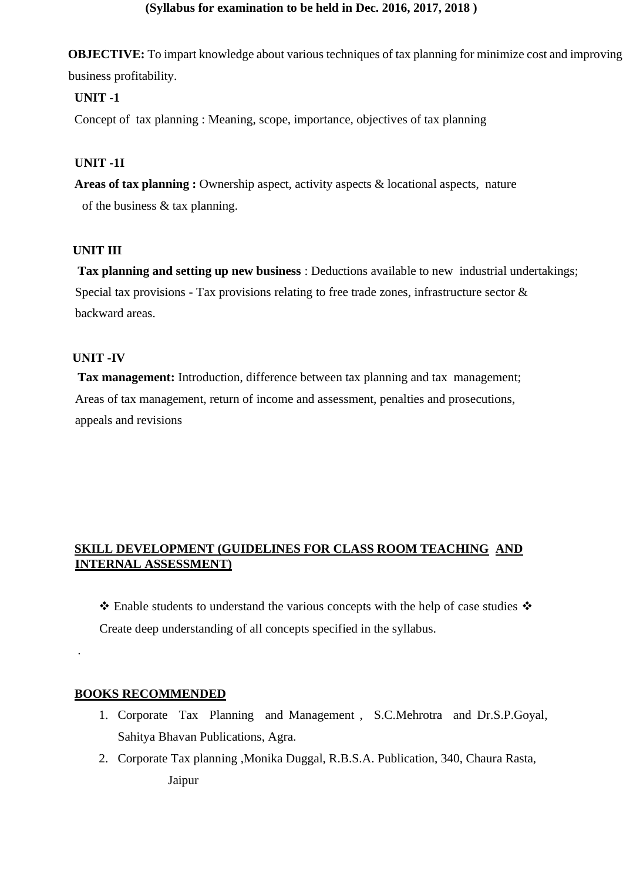## **(Syllabus for examination to be held in Dec. 2016, 2017, 2018 )**

**OBJECTIVE:** To impart knowledge about various techniques of tax planning for minimize cost and improving business profitability.

## **UNIT -1**

Concept of tax planning : Meaning, scope, importance, objectives of tax planning

# **UNIT -1I**

**Areas of tax planning :** Ownership aspect, activity aspects & locational aspects, nature of the business  $&$  tax planning.

## **UNIT III**

**Tax planning and setting up new business** : Deductions available to new industrial undertakings; Special tax provisions - Tax provisions relating to free trade zones, infrastructure sector  $\&$ backward areas.

## **UNIT -IV**

.

**Tax management:** Introduction, difference between tax planning and tax management; Areas of tax management, return of income and assessment, penalties and prosecutions, appeals and revisions

# **SKILL DEVELOPMENT (GUIDELINES FOR CLASS ROOM TEACHING AND INTERNAL ASSESSMENT)**

❖ Enable students to understand the various concepts with the help of case studies ❖ Create deep understanding of all concepts specified in the syllabus.

## **BOOKS RECOMMENDED**

- 1. Corporate Tax Planning and Management , S.C.Mehrotra and Dr.S.P.Goyal, Sahitya Bhavan Publications, Agra.
- 2. Corporate Tax planning ,Monika Duggal, R.B.S.A. Publication, 340, Chaura Rasta, Jaipur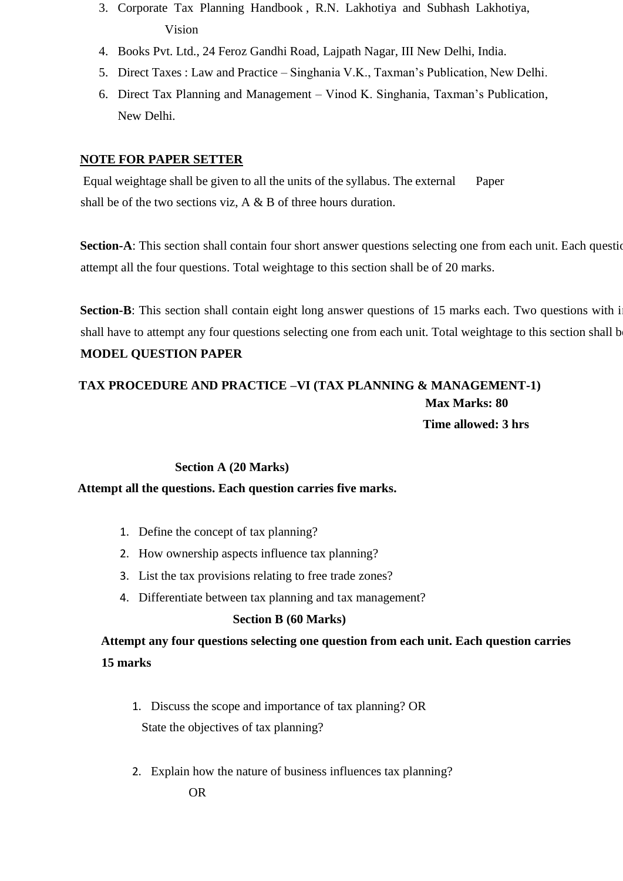- 3. Corporate Tax Planning Handbook , R.N. Lakhotiya and Subhash Lakhotiya, Vision
- 4. Books Pvt. Ltd., 24 Feroz Gandhi Road, Lajpath Nagar, III New Delhi, India.
- 5. Direct Taxes : Law and Practice Singhania V.K., Taxman's Publication, New Delhi.
- 6. Direct Tax Planning and Management Vinod K. Singhania, Taxman's Publication, New Delhi.

## **NOTE FOR PAPER SETTER**

Equal weightage shall be given to all the units of the syllabus. The external Paper shall be of the two sections viz,  $A \& B$  of three hours duration.

**Section-A**: This section shall contain four short answer questions selecting one from each unit. Each question attempt all the four questions. Total weightage to this section shall be of 20 marks.

**Section-B**: This section shall contain eight long answer questions of 15 marks each. Two questions with i shall have to attempt any four questions selecting one from each unit. Total weightage to this section shall be **MODEL QUESTION PAPER** 

# **TAX PROCEDURE AND PRACTICE –VI (TAX PLANNING & MANAGEMENT-1) Max Marks: 80 Time allowed: 3 hrs**

#### **Section A (20 Marks)**

#### **Attempt all the questions. Each question carries five marks.**

- 1. Define the concept of tax planning?
- 2. How ownership aspects influence tax planning?
- 3. List the tax provisions relating to free trade zones?
- 4. Differentiate between tax planning and tax management?

## **Section B (60 Marks)**

**Attempt any four questions selecting one question from each unit. Each question carries 15 marks** 

- 1. Discuss the scope and importance of tax planning? OR State the objectives of tax planning?
- 2. Explain how the nature of business influences tax planning?

OR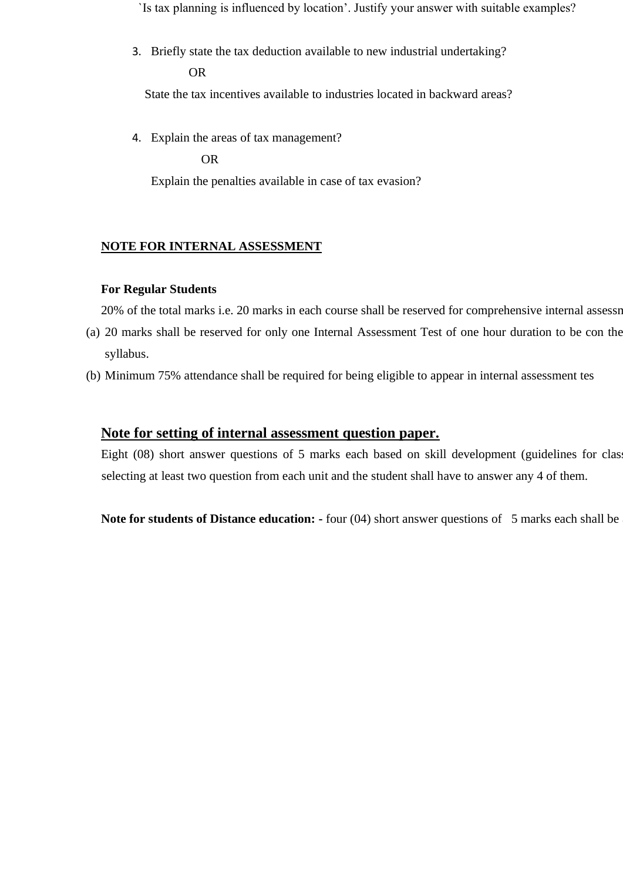`Is tax planning is influenced by location'. Justify your answer with suitable examples?

3. Briefly state the tax deduction available to new industrial undertaking? OR

State the tax incentives available to industries located in backward areas?

4. Explain the areas of tax management?

OR

Explain the penalties available in case of tax evasion?

#### **NOTE FOR INTERNAL ASSESSMENT**

#### **For Regular Students**

20% of the total marks i.e. 20 marks in each course shall be reserved for comprehensive internal assessm

- (a) 20 marks shall be reserved for only one Internal Assessment Test of one hour duration to be con the syllabus.
- (b) Minimum 75% attendance shall be required for being eligible to appear in internal assessment tes

## **Note for setting of internal assessment question paper.**

Eight (08) short answer questions of 5 marks each based on skill development (guidelines for class selecting at least two question from each unit and the student shall have to answer any 4 of them.

**Note for students of Distance education: -** four (04) short answer questions of 5 marks each shall be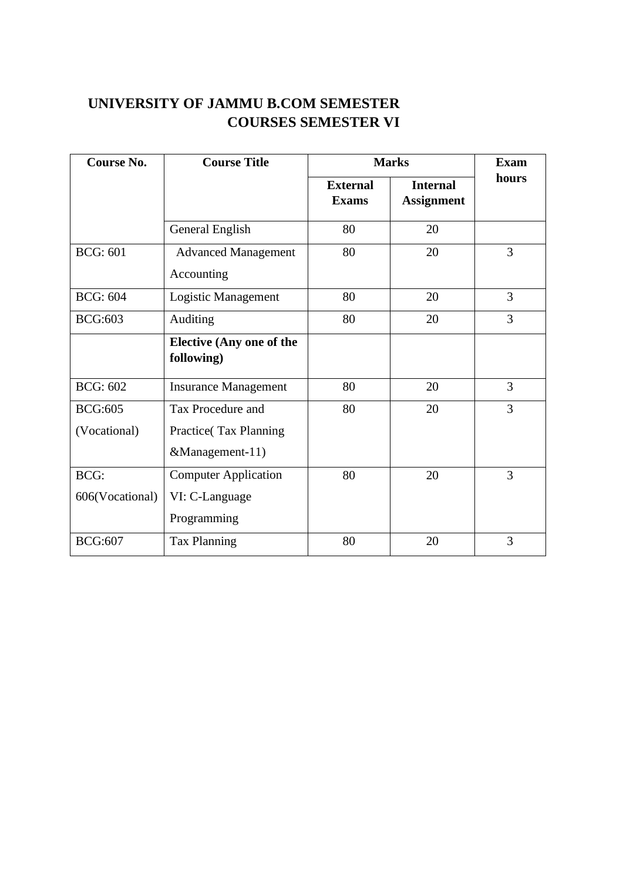# **UNIVERSITY OF JAMMU B.COM SEMESTER COURSES SEMESTER VI**

| <b>Course No.</b> | <b>Course Title</b>                               | <b>Marks</b>                    |                                      | <b>Exam</b> |
|-------------------|---------------------------------------------------|---------------------------------|--------------------------------------|-------------|
|                   |                                                   | <b>External</b><br><b>Exams</b> | <b>Internal</b><br><b>Assignment</b> | hours       |
|                   | General English                                   | 80                              | 20                                   |             |
| <b>BCG: 601</b>   | <b>Advanced Management</b><br>Accounting          | 80                              | 20                                   | 3           |
| <b>BCG: 604</b>   | Logistic Management                               | 80                              | 20                                   | 3           |
| <b>BCG:603</b>    | Auditing                                          | 80                              | 20                                   | 3           |
|                   | <b>Elective (Any one of the</b><br>following)     |                                 |                                      |             |
| <b>BCG: 602</b>   | <b>Insurance Management</b>                       | 80                              | 20                                   | 3           |
| <b>BCG:605</b>    | Tax Procedure and                                 | 80                              | 20                                   | 3           |
| (Vocational)      | <b>Practice</b> (Tax Planning)<br>&Management-11) |                                 |                                      |             |
| <b>BCG:</b>       | <b>Computer Application</b>                       | 80                              | 20                                   | 3           |
| 606(Vocational)   | VI: C-Language<br>Programming                     |                                 |                                      |             |
| <b>BCG:607</b>    | <b>Tax Planning</b>                               | 80                              | 20                                   | 3           |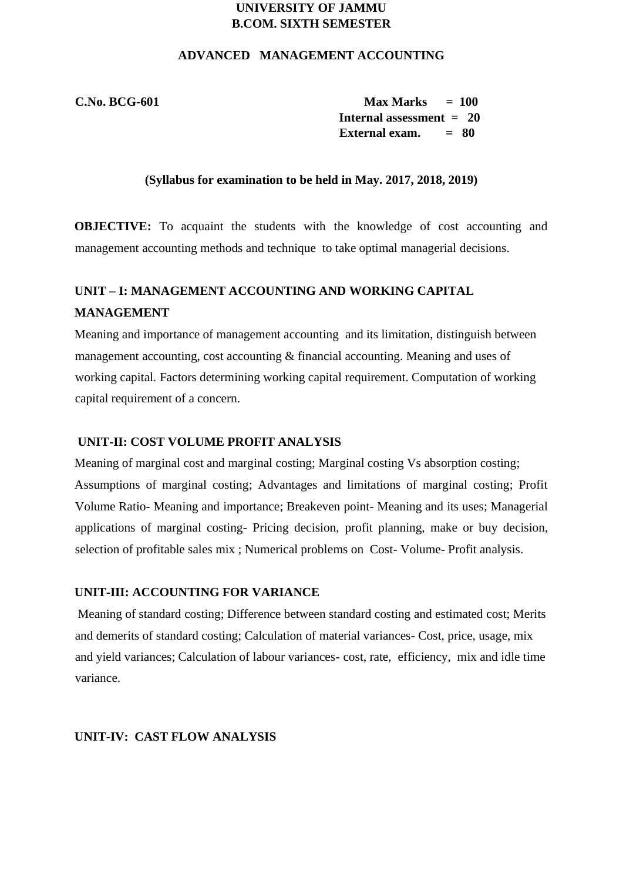# **UNIVERSITY OF JAMMU B.COM. SIXTH SEMESTER**

### **ADVANCED MANAGEMENT ACCOUNTING**

**C.No. BCG-601 Max Marks = 100 Internal assessment = 20 External exam. = 80** 

#### **(Syllabus for examination to be held in May. 2017, 2018, 2019)**

**OBJECTIVE:** To acquaint the students with the knowledge of cost accounting and management accounting methods and technique to take optimal managerial decisions.

# **UNIT – I: MANAGEMENT ACCOUNTING AND WORKING CAPITAL MANAGEMENT**

Meaning and importance of management accounting and its limitation, distinguish between management accounting, cost accounting & financial accounting. Meaning and uses of working capital. Factors determining working capital requirement. Computation of working capital requirement of a concern.

#### **UNIT-II: COST VOLUME PROFIT ANALYSIS**

Meaning of marginal cost and marginal costing; Marginal costing Vs absorption costing; Assumptions of marginal costing; Advantages and limitations of marginal costing; Profit Volume Ratio- Meaning and importance; Breakeven point- Meaning and its uses; Managerial applications of marginal costing- Pricing decision, profit planning, make or buy decision, selection of profitable sales mix ; Numerical problems on Cost- Volume- Profit analysis.

## **UNIT-III: ACCOUNTING FOR VARIANCE**

Meaning of standard costing; Difference between standard costing and estimated cost; Merits and demerits of standard costing; Calculation of material variances- Cost, price, usage, mix and yield variances; Calculation of labour variances- cost, rate, efficiency, mix and idle time variance.

## **UNIT-IV: CAST FLOW ANALYSIS**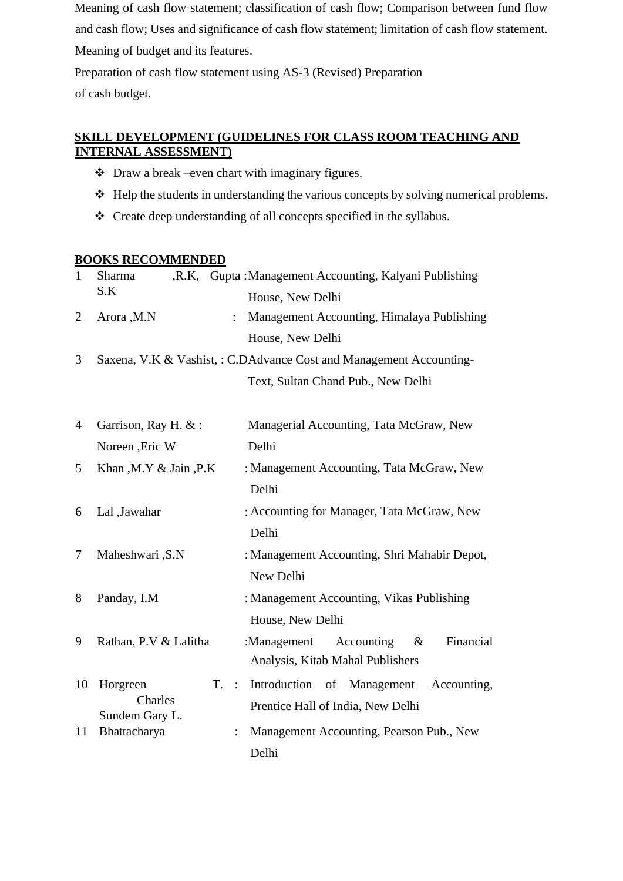Meaning of cash flow statement; classification of cash flow; Comparison between fund flow and cash flow; Uses and significance of cash flow statement; limitation of cash flow statement. Meaning of budget and its features.

Preparation of cash flow statement using AS-3 (Revised) Preparation

of cash budget.

# **SKILL DEVELOPMENT (GUIDELINES FOR CLASS ROOM TEACHING AND INTERNAL ASSESSMENT)**

- ❖ Draw a break –even chart with imaginary figures.
- ❖ Help the students in understanding the various concepts by solving numerical problems.
- ❖ Create deep understanding of all concepts specified in the syllabus.

## **BOOKS RECOMMENDED**

| $\mathbf{1}$   | Sharma                         | ,R.K, Gupta: Management Accounting, Kalyani Publishing              |
|----------------|--------------------------------|---------------------------------------------------------------------|
|                | S.K                            | House, New Delhi                                                    |
| $\overline{2}$ | Arora, M.N<br>$\ddot{\cdot}$   | Management Accounting, Himalaya Publishing                          |
|                |                                | House, New Delhi                                                    |
| 3              |                                | Saxena, V.K & Vashist, : C.DAdvance Cost and Management Accounting- |
|                |                                | Text, Sultan Chand Pub., New Delhi                                  |
|                |                                |                                                                     |
| 4              | Garrison, Ray H. &:            | Managerial Accounting, Tata McGraw, New                             |
|                | Noreen , Eric W                | Delhi                                                               |
| 5              | Khan, M.Y & Jain, P.K          | : Management Accounting, Tata McGraw, New                           |
|                |                                | Delhi                                                               |
| 6              | Lal ,Jawahar                   | : Accounting for Manager, Tata McGraw, New                          |
|                |                                | Delhi                                                               |
| 7              | Maheshwari , S.N               | : Management Accounting, Shri Mahabir Depot,                        |
|                |                                | New Delhi                                                           |
| 8              | Panday, I.M                    | : Management Accounting, Vikas Publishing                           |
|                |                                | House, New Delhi                                                    |
| 9              | Rathan, P.V & Lalitha          | Financial<br>:Management<br>Accounting<br>&                         |
|                |                                | Analysis, Kitab Mahal Publishers                                    |
| 10             | Horgreen<br>$T.$ :             | Introduction<br>of Management<br>Accounting,                        |
|                | Charles                        | Prentice Hall of India, New Delhi                                   |
| 11             | Sundem Gary L.<br>Bhattacharya | Management Accounting, Pearson Pub., New                            |
|                |                                | Delhi                                                               |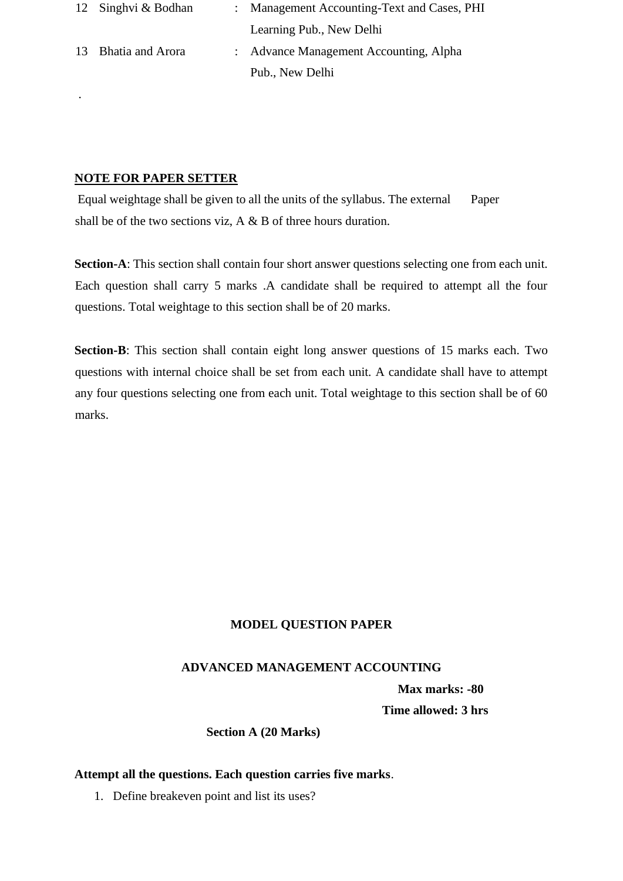| 12 Singhvi & Bodhan | : Management Accounting-Text and Cases, PHI |
|---------------------|---------------------------------------------|
|                     | Learning Pub., New Delhi                    |
| 13 Bhatia and Arora | : Advance Management Accounting, Alpha      |
|                     | Pub., New Delhi                             |

## **NOTE FOR PAPER SETTER**

.

Equal weightage shall be given to all the units of the syllabus. The external Paper shall be of the two sections viz, A & B of three hours duration.

**Section-A**: This section shall contain four short answer questions selecting one from each unit. Each question shall carry 5 marks .A candidate shall be required to attempt all the four questions. Total weightage to this section shall be of 20 marks.

**Section-B**: This section shall contain eight long answer questions of 15 marks each. Two questions with internal choice shall be set from each unit. A candidate shall have to attempt any four questions selecting one from each unit. Total weightage to this section shall be of 60 marks.

# **MODEL QUESTION PAPER**

## **ADVANCED MANAGEMENT ACCOUNTING**

 **Max marks: -80** 

 **Time allowed: 3 hrs** 

 **Section A (20 Marks)** 

#### **Attempt all the questions. Each question carries five marks**.

1. Define breakeven point and list its uses?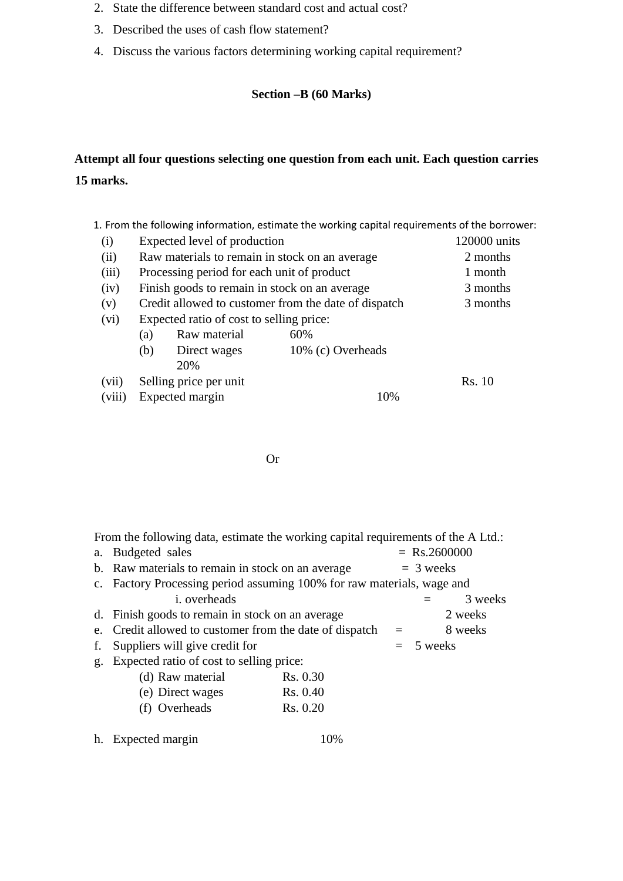- 2. State the difference between standard cost and actual cost?
- 3. Described the uses of cash flow statement?
- 4. Discuss the various factors determining working capital requirement?

## **Section –B (60 Marks)**

# **Attempt all four questions selecting one question from each unit. Each question carries 15 marks.**

1. From the following information, estimate the working capital requirements of the borrower:

| (i)   |     | Expected level of production                         | 120000 units                                   |          |
|-------|-----|------------------------------------------------------|------------------------------------------------|----------|
| (ii)  |     |                                                      | Raw materials to remain in stock on an average | 2 months |
| (iii) |     | Processing period for each unit of product           | 1 month                                        |          |
| (iv)  |     | Finish goods to remain in stock on an average        | 3 months                                       |          |
| (v)   |     | Credit allowed to customer from the date of dispatch | 3 months                                       |          |
| (vi)  |     | Expected ratio of cost to selling price:             |                                                |          |
|       | (a) | Raw material                                         | 60%                                            |          |
|       | (b) | Direct wages                                         | 10% (c) Overheads                              |          |
|       |     | 20%                                                  |                                                |          |
| (vii) |     | Selling price per unit                               |                                                | Rs. 10   |

(viii) Expected margin 10%

#### Or

|    | From the following data, estimate the working capital requirements of the A Ltd.: |          |             |             |                |
|----|-----------------------------------------------------------------------------------|----------|-------------|-------------|----------------|
| a. | Budgeted sales                                                                    |          |             |             | $=$ Rs.2600000 |
|    | b. Raw materials to remain in stock on an average                                 |          | $=$ 3 weeks |             |                |
|    | c. Factory Processing period assuming 100% for raw materials, wage and            |          |             |             |                |
|    | <i>i</i> . overheads                                                              |          |             |             | 3 weeks        |
|    | d. Finish goods to remain in stock on an average                                  |          |             |             | 2 weeks        |
|    | e. Credit allowed to customer from the date of dispatch                           |          |             |             | 8 weeks        |
| f. | Suppliers will give credit for                                                    |          |             | $= 5$ weeks |                |
| g. | Expected ratio of cost to selling price:                                          |          |             |             |                |
|    | (d) Raw material                                                                  | Rs. 0.30 |             |             |                |
|    | (e) Direct wages                                                                  | Rs. 0.40 |             |             |                |
|    | (f) Overheads                                                                     | Rs. 0.20 |             |             |                |
|    |                                                                                   |          |             |             |                |

h. Expected margin 10%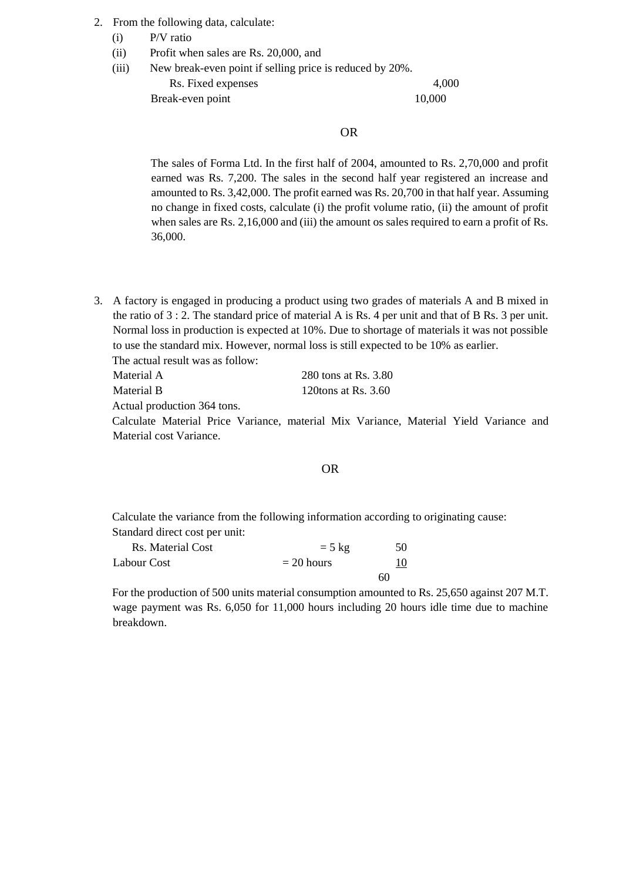- 2. From the following data, calculate:
	- (i) P/V ratio
	- (ii) Profit when sales are Rs. 20,000, and
	- (iii) New break-even point if selling price is reduced by 20%. Rs. Fixed expenses 4,000

Break-even point 10,000

#### OR

The sales of Forma Ltd. In the first half of 2004, amounted to Rs. 2,70,000 and profit earned was Rs. 7,200. The sales in the second half year registered an increase and amounted to Rs. 3,42,000. The profit earned was Rs. 20,700 in that half year. Assuming no change in fixed costs, calculate (i) the profit volume ratio, (ii) the amount of profit when sales are Rs. 2,16,000 and (iii) the amount os sales required to earn a profit of Rs. 36,000.

3. A factory is engaged in producing a product using two grades of materials A and B mixed in the ratio of 3 : 2. The standard price of material A is Rs. 4 per unit and that of B Rs. 3 per unit. Normal loss in production is expected at 10%. Due to shortage of materials it was not possible to use the standard mix. However, normal loss is still expected to be 10% as earlier. The actual result was as follow:

| Material A | 280 tons at Rs. 3.80   |
|------------|------------------------|
| Material B | 120 tons at Rs. $3.60$ |

Actual production 364 tons.

Calculate Material Price Variance, material Mix Variance, Material Yield Variance and Material cost Variance.

#### OR

Calculate the variance from the following information according to originating cause: Standard direct cost per unit:

| Rs. Material Cost | $= 5 \text{ kg}$ | 50 |
|-------------------|------------------|----|
| Labour Cost       | $= 20$ hours     |    |
|                   |                  | 60 |

For the production of 500 units material consumption amounted to Rs. 25,650 against 207 M.T. wage payment was Rs. 6,050 for 11,000 hours including 20 hours idle time due to machine breakdown.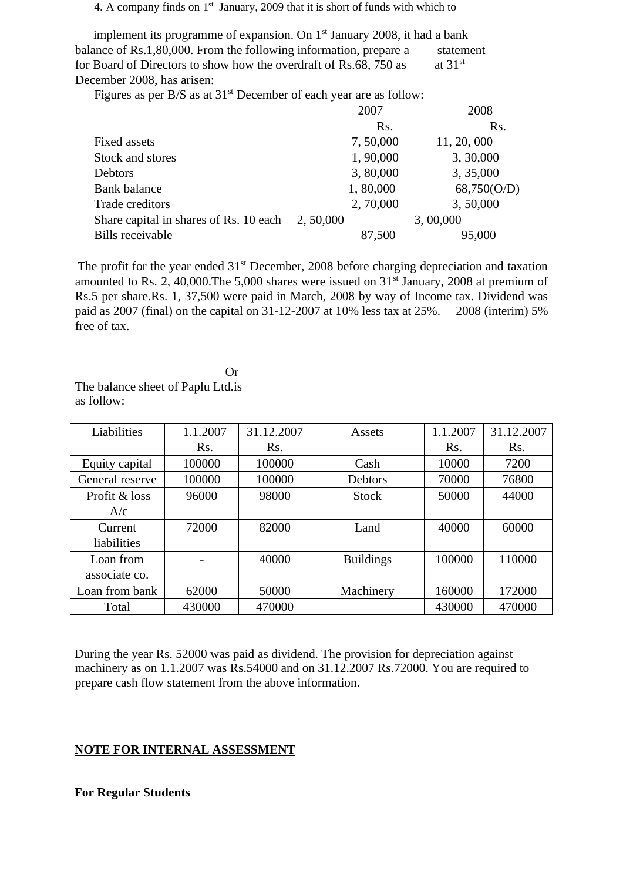#### 4. A company finds on 1<sup>st</sup> January, 2009 that it is short of funds with which to

implement its programme of expansion. On  $1<sup>st</sup>$  January 2008, it had a bank balance of Rs.1,80,000. From the following information, prepare a statement for Board of Directors to show how the overdraft of Rs.68, 750 as at  $31<sup>st</sup>$ December 2008, has arisen:

Figures as per B/S as at  $31<sup>st</sup>$  December of each year are as follow:

|                                        | 2007      | 2008        |
|----------------------------------------|-----------|-------------|
|                                        | Rs.       | Rs.         |
| Fixed assets                           | 7,50,000  | 11, 20, 000 |
| Stock and stores                       | 1,90,000  | 3, 30,000   |
| Debtors                                | 3,80,000  | 3, 35,000   |
| <b>Bank</b> balance                    | 1,80,000  | 68,750(O/D) |
| Trade creditors                        | 2, 70,000 | 3,50,000    |
| Share capital in shares of Rs. 10 each | 2,50,000  | 3,00,000    |
| Bills receivable                       | 87,500    | 95,000      |

The profit for the year ended 31<sup>st</sup> December, 2008 before charging depreciation and taxation amounted to Rs. 2, 40,000. The 5,000 shares were issued on  $31<sup>st</sup>$  January, 2008 at premium of Rs.5 per share.Rs. 1, 37,500 were paid in March, 2008 by way of Income tax. Dividend was paid as 2007 (final) on the capital on 31-12-2007 at 10% less tax at 25%. 2008 (interim) 5% free of tax.

**Or** Or The balance sheet of Paplu Ltd.is as follow:

| Liabilities     | 1.1.2007 | 31.12.2007 | Assets           | 1.1.2007 | 31.12.2007 |
|-----------------|----------|------------|------------------|----------|------------|
|                 | Rs.      | Rs.        |                  | Rs.      | Rs.        |
| Equity capital  | 100000   | 100000     | Cash             | 10000    | 7200       |
| General reserve | 100000   | 100000     | Debtors          | 70000    | 76800      |
| Profit & loss   | 96000    | 98000      | <b>Stock</b>     | 50000    | 44000      |
| A/c             |          |            |                  |          |            |
| Current         | 72000    | 82000      | Land             | 40000    | 60000      |
| liabilities     |          |            |                  |          |            |
| Loan from       |          | 40000      | <b>Buildings</b> | 100000   | 110000     |
| associate co.   |          |            |                  |          |            |
| Loan from bank  | 62000    | 50000      | Machinery        | 160000   | 172000     |
| Total           | 430000   | 470000     |                  | 430000   | 470000     |

During the year Rs. 52000 was paid as dividend. The provision for depreciation against machinery as on 1.1.2007 was Rs.54000 and on 31.12.2007 Rs.72000. You are required to prepare cash flow statement from the above information.

#### **NOTE FOR INTERNAL ASSESSMENT**

#### **For Regular Students**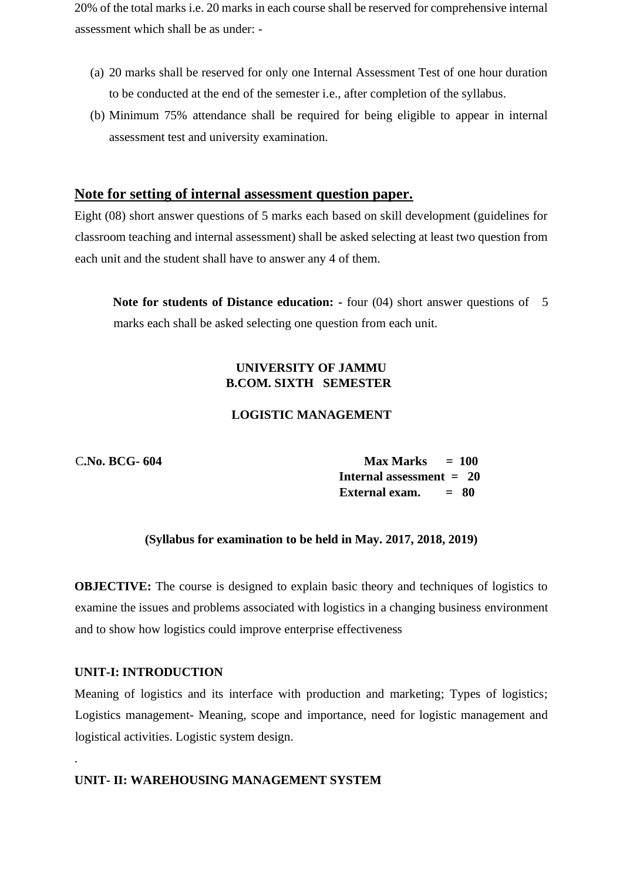20% of the total marks i.e. 20 marks in each course shall be reserved for comprehensive internal assessment which shall be as under: -

- (a) 20 marks shall be reserved for only one Internal Assessment Test of one hour duration to be conducted at the end of the semester i.e., after completion of the syllabus.
- (b) Minimum 75% attendance shall be required for being eligible to appear in internal assessment test and university examination.

## **Note for setting of internal assessment question paper.**

Eight (08) short answer questions of 5 marks each based on skill development (guidelines for classroom teaching and internal assessment) shall be asked selecting at least two question from each unit and the student shall have to answer any 4 of them.

**Note for students of Distance education: -** four (04) short answer questions of 5 marks each shall be asked selecting one question from each unit.

## **UNIVERSITY OF JAMMU B.COM. SIXTH SEMESTER**

## **LOGISTIC MANAGEMENT**

C**.No. BCG- 604 Max Marks = 100 Internal assessment = 20 External exam. = 80**

#### **(Syllabus for examination to be held in May. 2017, 2018, 2019)**

**OBJECTIVE:** The course is designed to explain basic theory and techniques of logistics to examine the issues and problems associated with logistics in a changing business environment and to show how logistics could improve enterprise effectiveness

#### **UNIT-I: INTRODUCTION**

.

Meaning of logistics and its interface with production and marketing; Types of logistics; Logistics management- Meaning, scope and importance, need for logistic management and logistical activities. Logistic system design.

## **UNIT- II: WAREHOUSING MANAGEMENT SYSTEM**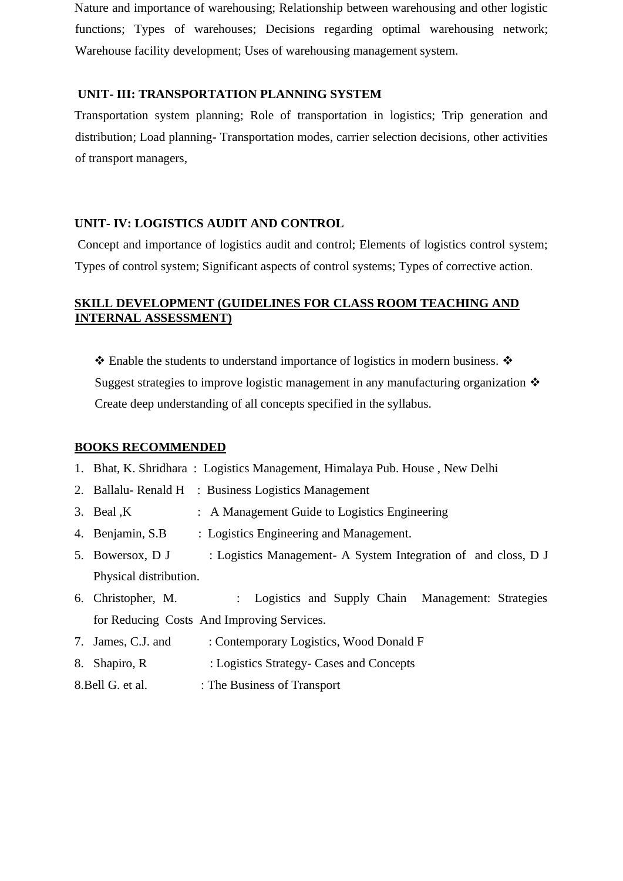Nature and importance of warehousing; Relationship between warehousing and other logistic functions; Types of warehouses; Decisions regarding optimal warehousing network; Warehouse facility development; Uses of warehousing management system.

#### **UNIT- III: TRANSPORTATION PLANNING SYSTEM**

Transportation system planning; Role of transportation in logistics; Trip generation and distribution; Load planning- Transportation modes, carrier selection decisions, other activities of transport managers,

## **UNIT- IV: LOGISTICS AUDIT AND CONTROL**

Concept and importance of logistics audit and control; Elements of logistics control system; Types of control system; Significant aspects of control systems; Types of corrective action.

## **SKILL DEVELOPMENT (GUIDELINES FOR CLASS ROOM TEACHING AND INTERNAL ASSESSMENT)**

❖ Enable the students to understand importance of logistics in modern business. ❖ Suggest strategies to improve logistic management in any manufacturing organization ❖ Create deep understanding of all concepts specified in the syllabus.

#### **BOOKS RECOMMENDED**

- 1. Bhat, K. Shridhara : Logistics Management, Himalaya Pub. House , New Delhi
- 2. Ballalu- Renald H : Business Logistics Management
- 3. Beal K : A Management Guide to Logistics Engineering
- 4. Benjamin, S.B : Logistics Engineering and Management.
- 5. Bowersox, D J : Logistics Management- A System Integration of and closs, D J Physical distribution.
- 6. Christopher, M. : Logistics and Supply Chain Management: Strategies for Reducing Costs And Improving Services.
- 7. James, C.J. and : Contemporary Logistics, Wood Donald F
- 8. Shapiro, R : Logistics Strategy- Cases and Concepts
- 8. Bell G. et al. : The Business of Transport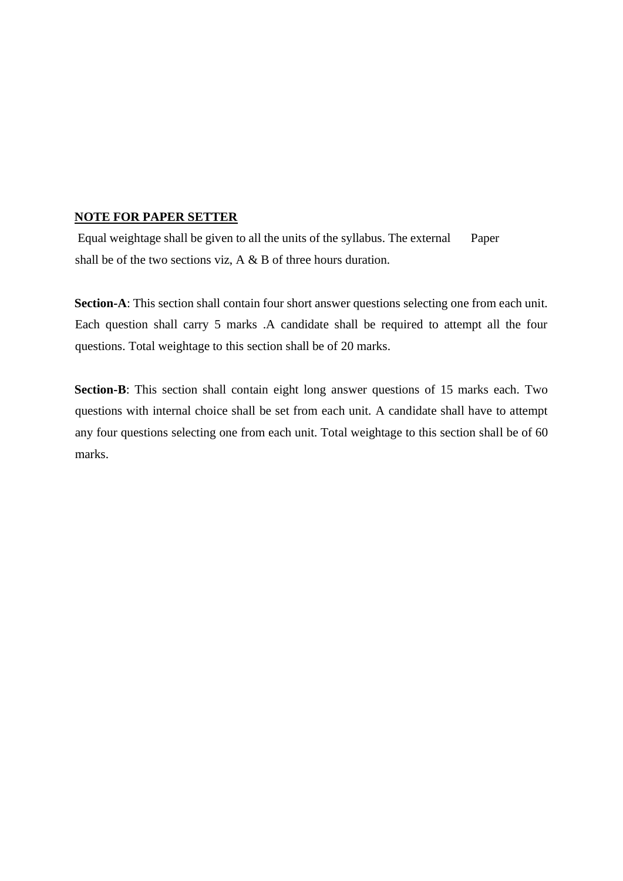#### **NOTE FOR PAPER SETTER**

Equal weightage shall be given to all the units of the syllabus. The external Paper shall be of the two sections viz, A & B of three hours duration.

**Section-A**: This section shall contain four short answer questions selecting one from each unit. Each question shall carry 5 marks .A candidate shall be required to attempt all the four questions. Total weightage to this section shall be of 20 marks.

**Section-B**: This section shall contain eight long answer questions of 15 marks each. Two questions with internal choice shall be set from each unit. A candidate shall have to attempt any four questions selecting one from each unit. Total weightage to this section shall be of 60 marks.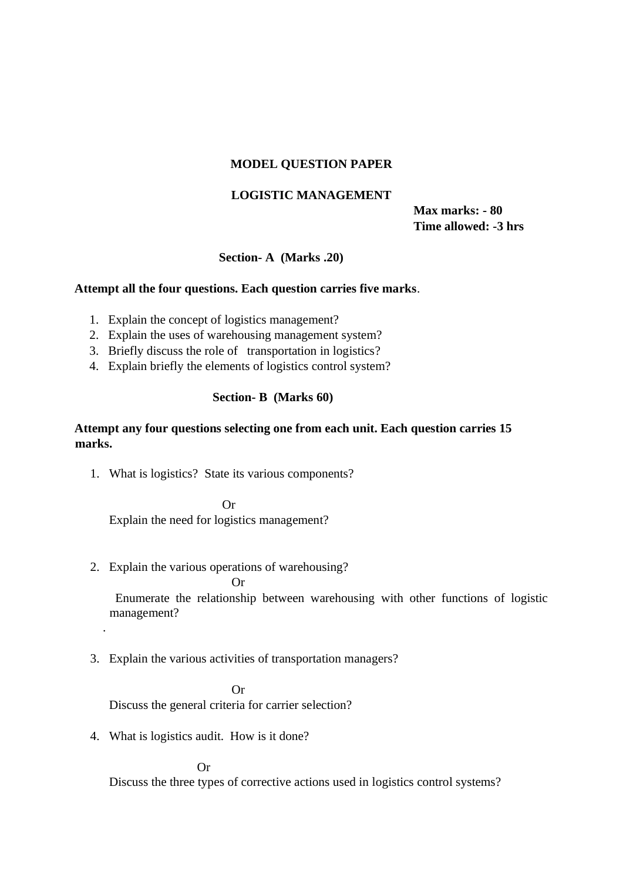### **MODEL QUESTION PAPER**

## **LOGISTIC MANAGEMENT**

**Max marks: - 80 Time allowed: -3 hrs** 

## **Section- A (Marks .20)**

#### **Attempt all the four questions. Each question carries five marks**.

- 1. Explain the concept of logistics management?
- 2. Explain the uses of warehousing management system?
- 3. Briefly discuss the role of transportation in logistics?
- 4. Explain briefly the elements of logistics control system?

#### **Section- B (Marks 60)**

### **Attempt any four questions selecting one from each unit. Each question carries 15 marks.**

1. What is logistics? State its various components?

Or

Explain the need for logistics management?

- 2. Explain the various operations of warehousing?
	- Or

 Enumerate the relationship between warehousing with other functions of logistic management?

## 3. Explain the various activities of transportation managers?

Or

Discuss the general criteria for carrier selection?

4. What is logistics audit. How is it done?

.

Or

Discuss the three types of corrective actions used in logistics control systems?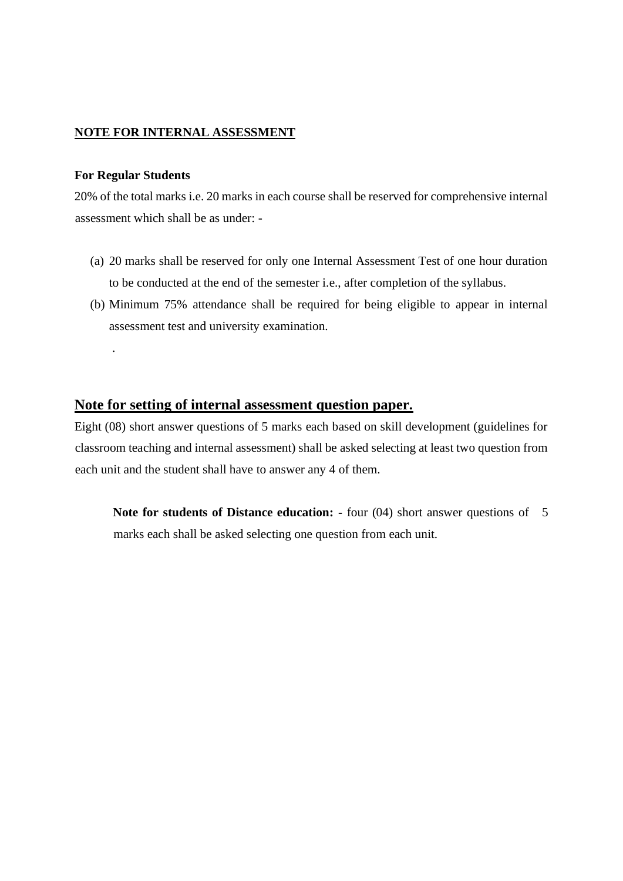### **NOTE FOR INTERNAL ASSESSMENT**

#### **For Regular Students**

.

20% of the total marks i.e. 20 marks in each course shall be reserved for comprehensive internal assessment which shall be as under: -

- (a) 20 marks shall be reserved for only one Internal Assessment Test of one hour duration to be conducted at the end of the semester i.e., after completion of the syllabus.
- (b) Minimum 75% attendance shall be required for being eligible to appear in internal assessment test and university examination.

## **Note for setting of internal assessment question paper.**

Eight (08) short answer questions of 5 marks each based on skill development (guidelines for classroom teaching and internal assessment) shall be asked selecting at least two question from each unit and the student shall have to answer any 4 of them.

**Note for students of Distance education: -** four (04) short answer questions of 5 marks each shall be asked selecting one question from each unit.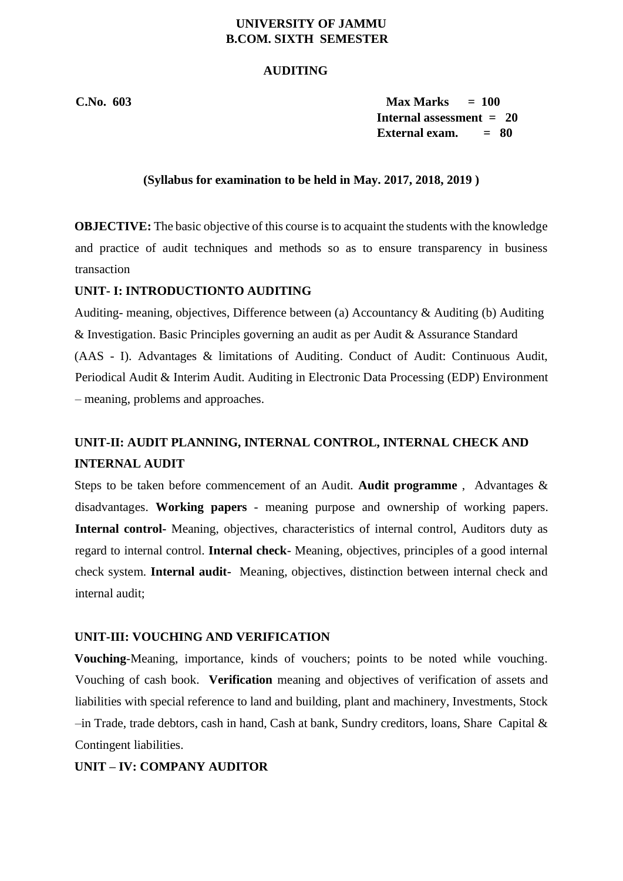## **UNIVERSITY OF JAMMU B.COM. SIXTH SEMESTER**

#### **AUDITING**

**C.No. 603 Max Marks = 100 Internal assessment = 20 External exam. = 80** 

#### **(Syllabus for examination to be held in May. 2017, 2018, 2019 )**

**OBJECTIVE:** The basic objective of this course is to acquaint the students with the knowledge and practice of audit techniques and methods so as to ensure transparency in business transaction

#### **UNIT- I: INTRODUCTIONTO AUDITING**

Auditing- meaning, objectives, Difference between (a) Accountancy & Auditing (b) Auditing & Investigation. Basic Principles governing an audit as per Audit & Assurance Standard (AAS - I). Advantages & limitations of Auditing. Conduct of Audit: Continuous Audit, Periodical Audit & Interim Audit. Auditing in Electronic Data Processing (EDP) Environment – meaning, problems and approaches.

# **UNIT-II: AUDIT PLANNING, INTERNAL CONTROL, INTERNAL CHECK AND INTERNAL AUDIT**

Steps to be taken before commencement of an Audit. **Audit programme** , Advantages & disadvantages. **Working papers** - meaning purpose and ownership of working papers. **Internal control-** Meaning, objectives, characteristics of internal control, Auditors duty as regard to internal control. **Internal check**- Meaning, objectives, principles of a good internal check system. **Internal audit-** Meaning, objectives, distinction between internal check and internal audit;

#### **UNIT-III: VOUCHING AND VERIFICATION**

**Vouching**-Meaning, importance, kinds of vouchers; points to be noted while vouching. Vouching of cash book. **Verification** meaning and objectives of verification of assets and liabilities with special reference to land and building, plant and machinery, Investments, Stock –in Trade, trade debtors, cash in hand, Cash at bank, Sundry creditors, loans, Share Capital & Contingent liabilities.

#### **UNIT – IV: COMPANY AUDITOR**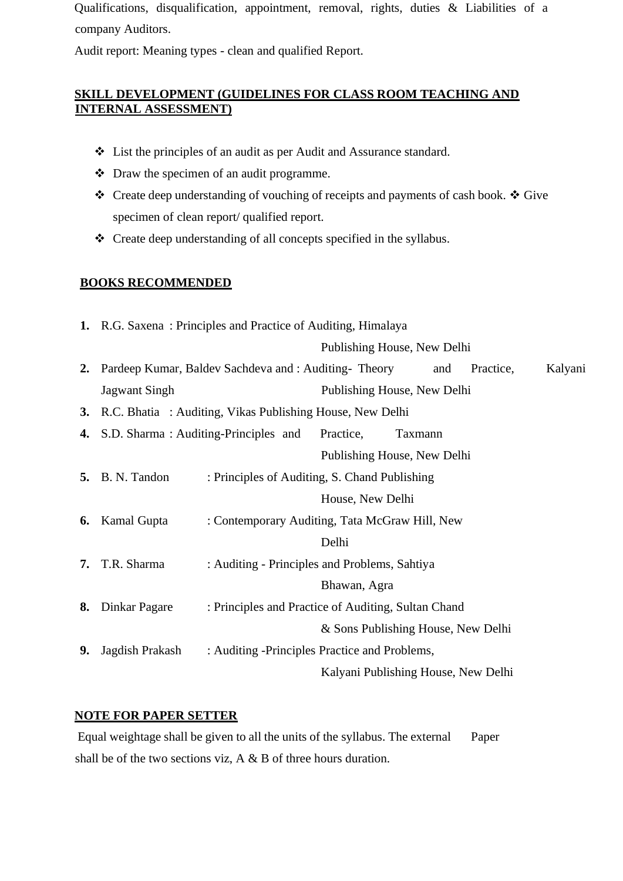Qualifications, disqualification, appointment, removal, rights, duties & Liabilities of a company Auditors.

Audit report: Meaning types - clean and qualified Report.

# **SKILL DEVELOPMENT (GUIDELINES FOR CLASS ROOM TEACHING AND INTERNAL ASSESSMENT)**

- ❖ List the principles of an audit as per Audit and Assurance standard.
- ❖ Draw the specimen of an audit programme.
- ❖ Create deep understanding of vouching of receipts and payments of cash book. ❖ Give specimen of clean report/ qualified report.
- ❖ Create deep understanding of all concepts specified in the syllabus.

## **BOOKS RECOMMENDED**

|    | 1. R.G. Saxena: Principles and Practice of Auditing, Himalaya |                                                           |                  |                                     |           |         |
|----|---------------------------------------------------------------|-----------------------------------------------------------|------------------|-------------------------------------|-----------|---------|
|    |                                                               |                                                           |                  | Publishing House, New Delhi         |           |         |
|    |                                                               | 2. Pardeep Kumar, Baldev Sachdeva and : Auditing- Theory  |                  | and                                 | Practice, | Kalyani |
|    | <b>Jagwant Singh</b>                                          |                                                           |                  | Publishing House, New Delhi         |           |         |
| 3. |                                                               | R.C. Bhatia : Auditing, Vikas Publishing House, New Delhi |                  |                                     |           |         |
|    |                                                               | 4. S.D. Sharma: Auditing-Principles and Practice,         |                  | Taxmann                             |           |         |
|    |                                                               |                                                           |                  | Publishing House, New Delhi         |           |         |
|    | <b>5.</b> B. N. Tandon                                        | : Principles of Auditing, S. Chand Publishing             |                  |                                     |           |         |
|    |                                                               |                                                           | House, New Delhi |                                     |           |         |
|    | <b>6.</b> Kamal Gupta                                         | : Contemporary Auditing, Tata McGraw Hill, New            |                  |                                     |           |         |
|    |                                                               |                                                           | Delhi            |                                     |           |         |
| 7. | T.R. Sharma                                                   | : Auditing - Principles and Problems, Sahtiya             |                  |                                     |           |         |
|    |                                                               |                                                           | Bhawan, Agra     |                                     |           |         |
|    | 8. Dinkar Pagare                                              | : Principles and Practice of Auditing, Sultan Chand       |                  |                                     |           |         |
|    |                                                               |                                                           |                  | & Sons Publishing House, New Delhi  |           |         |
| 9. | Jagdish Prakash                                               | : Auditing -Principles Practice and Problems,             |                  |                                     |           |         |
|    |                                                               |                                                           |                  | Kalyani Publishing House, New Delhi |           |         |
|    |                                                               |                                                           |                  |                                     |           |         |

## **NOTE FOR PAPER SETTER**

Equal weightage shall be given to all the units of the syllabus. The external Paper shall be of the two sections viz, A & B of three hours duration.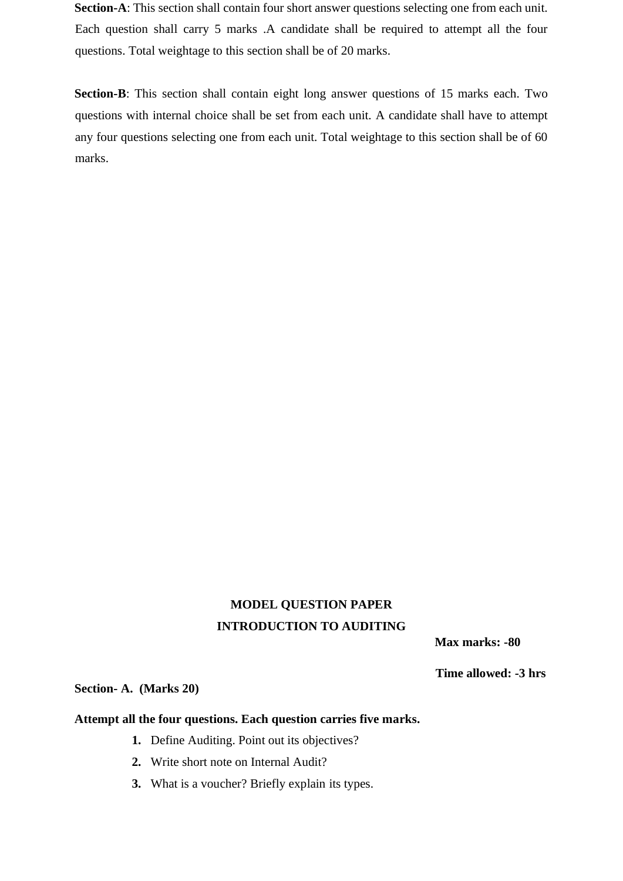**Section-A**: This section shall contain four short answer questions selecting one from each unit. Each question shall carry 5 marks .A candidate shall be required to attempt all the four questions. Total weightage to this section shall be of 20 marks.

**Section-B**: This section shall contain eight long answer questions of 15 marks each. Two questions with internal choice shall be set from each unit. A candidate shall have to attempt any four questions selecting one from each unit. Total weightage to this section shall be of 60 marks.

# **MODEL QUESTION PAPER INTRODUCTION TO AUDITING**

**Max marks: -80** 

 **Time allowed: -3 hrs** 

## **Section- A. (Marks 20)**

## **Attempt all the four questions. Each question carries five marks.**

- **1.** Define Auditing. Point out its objectives?
- **2.** Write short note on Internal Audit?
- **3.** What is a voucher? Briefly explain its types.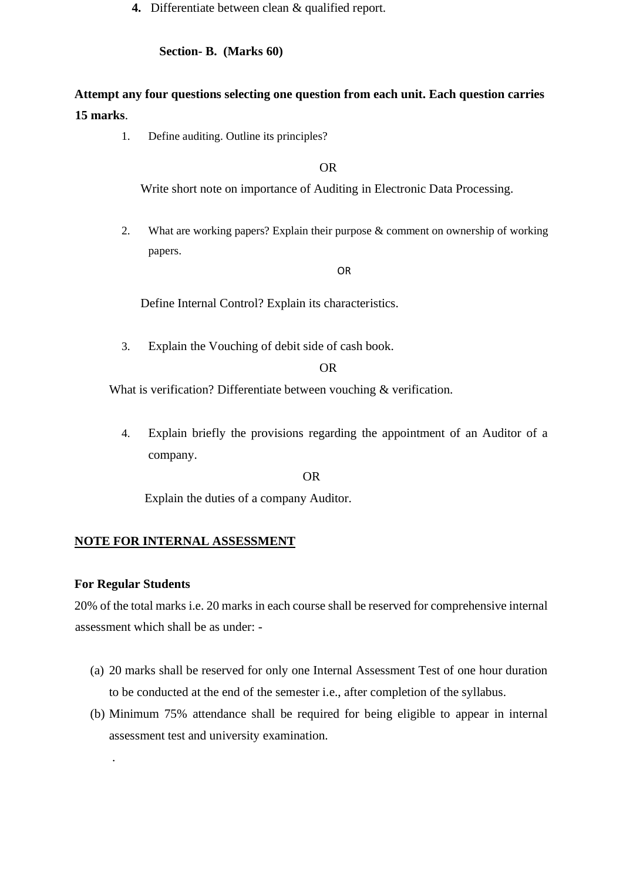**4.** Differentiate between clean & qualified report.

**Section- B. (Marks 60)** 

# **Attempt any four questions selecting one question from each unit. Each question carries 15 marks**.

1. Define auditing. Outline its principles?

OR

Write short note on importance of Auditing in Electronic Data Processing.

2. What are working papers? Explain their purpose & comment on ownership of working papers.

OR

Define Internal Control? Explain its characteristics.

3. Explain the Vouching of debit side of cash book.

OR

What is verification? Differentiate between vouching & verification.

4. Explain briefly the provisions regarding the appointment of an Auditor of a company.

OR

Explain the duties of a company Auditor.

#### **NOTE FOR INTERNAL ASSESSMENT**

#### **For Regular Students**

.

20% of the total marks i.e. 20 marks in each course shall be reserved for comprehensive internal assessment which shall be as under: -

- (a) 20 marks shall be reserved for only one Internal Assessment Test of one hour duration to be conducted at the end of the semester i.e., after completion of the syllabus.
- (b) Minimum 75% attendance shall be required for being eligible to appear in internal assessment test and university examination.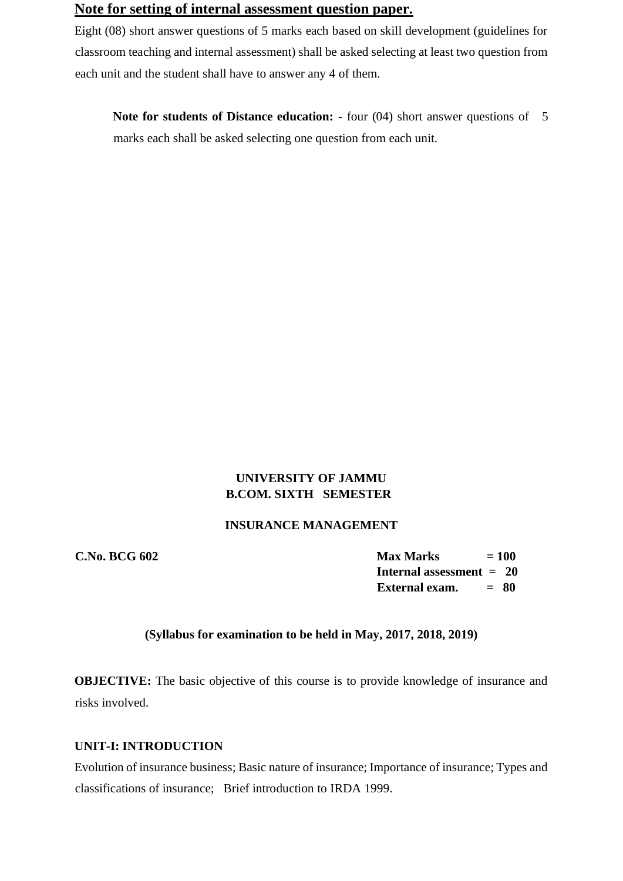# **Note for setting of internal assessment question paper.**

Eight (08) short answer questions of 5 marks each based on skill development (guidelines for classroom teaching and internal assessment) shall be asked selecting at least two question from each unit and the student shall have to answer any 4 of them.

**Note for students of Distance education: -** four (04) short answer questions of 5 marks each shall be asked selecting one question from each unit.

## **UNIVERSITY OF JAMMU B.COM. SIXTH SEMESTER**

### **INSURANCE MANAGEMENT**

**C.No. BCG 602** Max Marks  $= 100$ **Internal assessment = 20 External exam. = 80**

#### **(Syllabus for examination to be held in May, 2017, 2018, 2019)**

**OBJECTIVE:** The basic objective of this course is to provide knowledge of insurance and risks involved.

## **UNIT-I: INTRODUCTION**

Evolution of insurance business; Basic nature of insurance; Importance of insurance; Types and classifications of insurance; Brief introduction to IRDA 1999.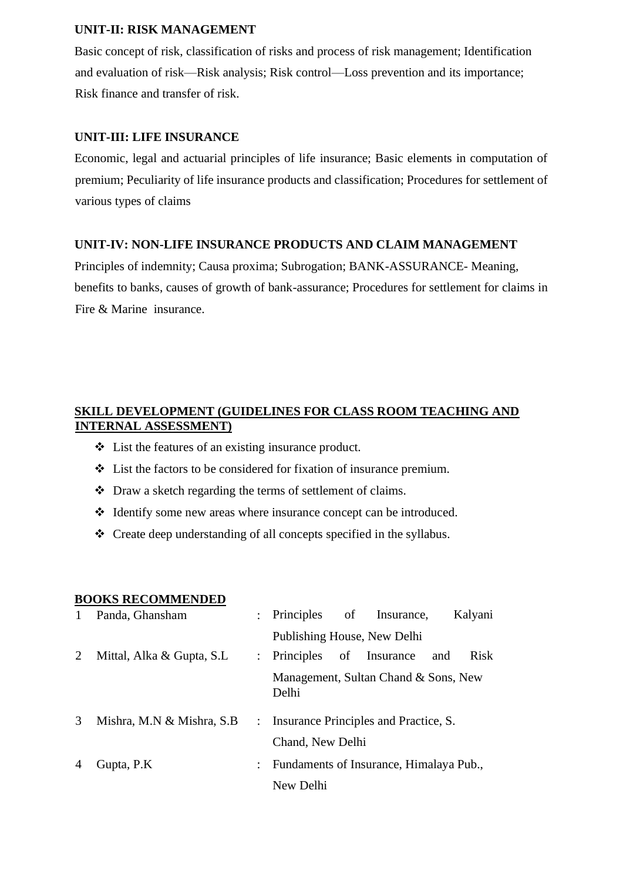## **UNIT-II: RISK MANAGEMENT**

Basic concept of risk, classification of risks and process of risk management; Identification and evaluation of risk—Risk analysis; Risk control—Loss prevention and its importance; Risk finance and transfer of risk.

## **UNIT-III: LIFE INSURANCE**

Economic, legal and actuarial principles of life insurance; Basic elements in computation of premium; Peculiarity of life insurance products and classification; Procedures for settlement of various types of claims

## **UNIT-IV: NON-LIFE INSURANCE PRODUCTS AND CLAIM MANAGEMENT**

Principles of indemnity; Causa proxima; Subrogation; BANK-ASSURANCE- Meaning, benefits to banks, causes of growth of bank-assurance; Procedures for settlement for claims in Fire & Marine insurance.

# **SKILL DEVELOPMENT (GUIDELINES FOR CLASS ROOM TEACHING AND INTERNAL ASSESSMENT)**

- ❖ List the features of an existing insurance product.
- ❖ List the factors to be considered for fixation of insurance premium.
- ❖ Draw a sketch regarding the terms of settlement of claims.
- ❖ Identify some new areas where insurance concept can be introduced.
- ❖ Create deep understanding of all concepts specified in the syllabus.

## **BOOKS RECOMMENDED**

|   | Panda, Ghansham           |                           | : Principles of Insurance,<br>Kalyani              |
|---|---------------------------|---------------------------|----------------------------------------------------|
|   |                           |                           | Publishing House, New Delhi                        |
| 2 | Mittal, Alka & Gupta, S.L |                           | : Principles<br>of Insurance<br><b>Risk</b><br>and |
|   |                           |                           | Management, Sultan Chand & Sons, New<br>Delhi      |
| 3 | Mishra, M.N & Mishra, S.B |                           | : Insurance Principles and Practice, S.            |
|   |                           |                           | Chand, New Delhi                                   |
|   | Gupta, P.K                | $\mathbb{R}^{\mathbb{Z}}$ | Fundaments of Insurance, Himalaya Pub.,            |
|   |                           |                           | New Delhi                                          |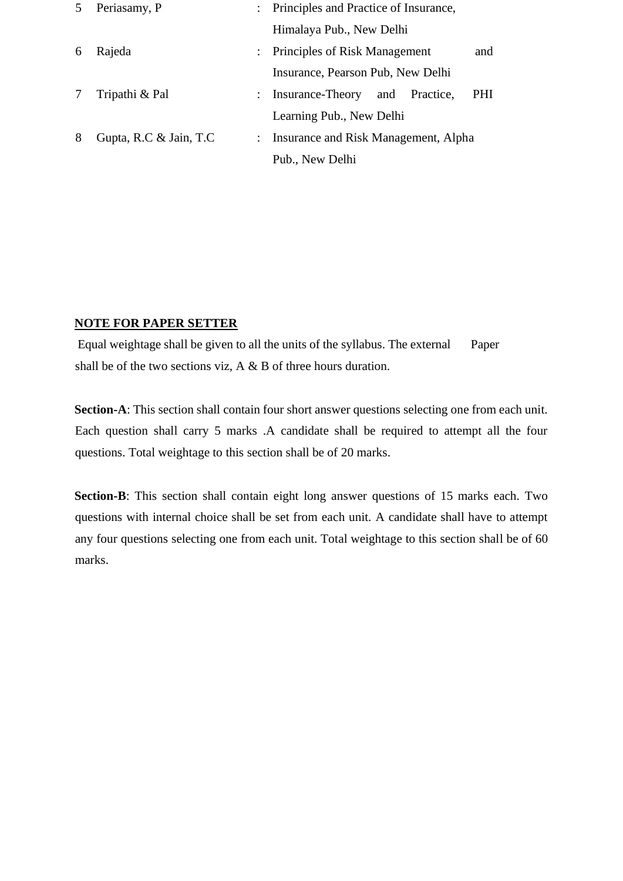| 5 | Periasamy, P           |                | : Principles and Practice of Insurance,              |
|---|------------------------|----------------|------------------------------------------------------|
|   |                        |                | Himalaya Pub., New Delhi                             |
| 6 | Rajeda                 | $\mathbb{R}^n$ | Principles of Risk Management<br>and                 |
|   |                        |                | Insurance, Pearson Pub, New Delhi                    |
|   | Tripathi & Pal         |                | <b>PHI</b><br>: Insurance-Theory<br>and<br>Practice. |
|   |                        |                | Learning Pub., New Delhi                             |
| 8 | Gupta, R.C & Jain, T.C |                | Insurance and Risk Management, Alpha                 |
|   |                        |                | Pub., New Delhi                                      |

## **NOTE FOR PAPER SETTER**

Equal weightage shall be given to all the units of the syllabus. The external Paper shall be of the two sections viz, A & B of three hours duration.

**Section-A**: This section shall contain four short answer questions selecting one from each unit. Each question shall carry 5 marks .A candidate shall be required to attempt all the four questions. Total weightage to this section shall be of 20 marks.

**Section-B**: This section shall contain eight long answer questions of 15 marks each. Two questions with internal choice shall be set from each unit. A candidate shall have to attempt any four questions selecting one from each unit. Total weightage to this section shall be of 60 marks.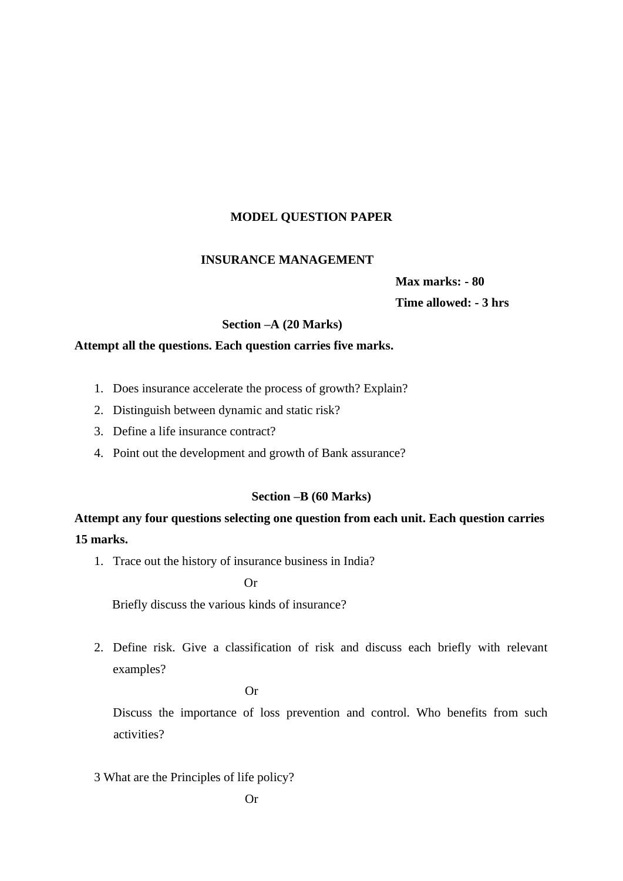#### **MODEL QUESTION PAPER**

#### **INSURANCE MANAGEMENT**

**Max marks: - 80 Time allowed: - 3 hrs** 

## **Section –A (20 Marks)**

#### **Attempt all the questions. Each question carries five marks.**

- 1. Does insurance accelerate the process of growth? Explain?
- 2. Distinguish between dynamic and static risk?
- 3. Define a life insurance contract?
- 4. Point out the development and growth of Bank assurance?

#### **Section –B (60 Marks)**

**Attempt any four questions selecting one question from each unit. Each question carries 15 marks.** 

1. Trace out the history of insurance business in India?

Or

Briefly discuss the various kinds of insurance?

2. Define risk. Give a classification of risk and discuss each briefly with relevant examples?

#### Or

Discuss the importance of loss prevention and control. Who benefits from such activities?

3 What are the Principles of life policy?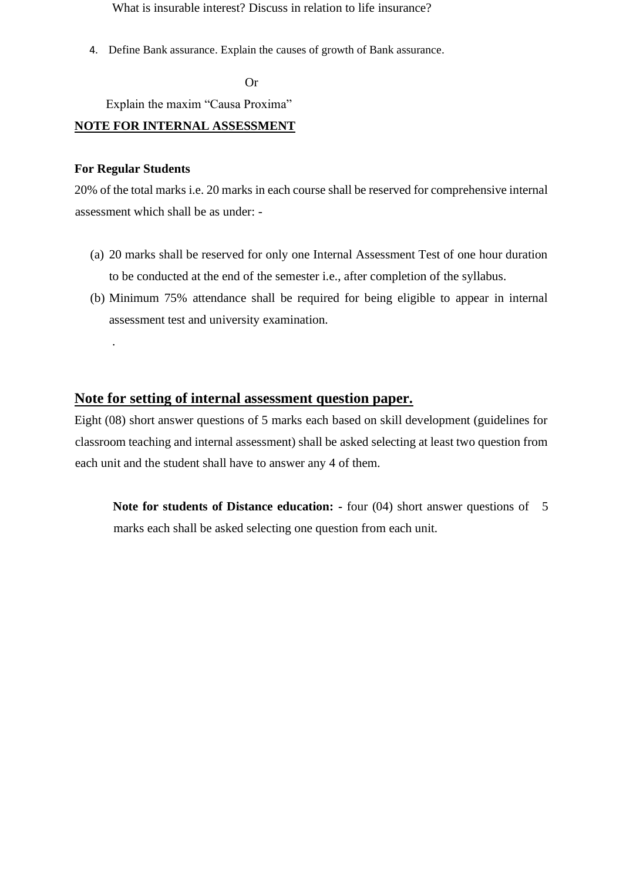What is insurable interest? Discuss in relation to life insurance?

4. Define Bank assurance. Explain the causes of growth of Bank assurance.

Or

Explain the maxim "Causa Proxima"

## **NOTE FOR INTERNAL ASSESSMENT**

#### **For Regular Students**

.

20% of the total marks i.e. 20 marks in each course shall be reserved for comprehensive internal assessment which shall be as under: -

- (a) 20 marks shall be reserved for only one Internal Assessment Test of one hour duration to be conducted at the end of the semester i.e., after completion of the syllabus.
- (b) Minimum 75% attendance shall be required for being eligible to appear in internal assessment test and university examination.

## **Note for setting of internal assessment question paper.**

Eight (08) short answer questions of 5 marks each based on skill development (guidelines for classroom teaching and internal assessment) shall be asked selecting at least two question from each unit and the student shall have to answer any 4 of them.

**Note for students of Distance education: -** four (04) short answer questions of 5 marks each shall be asked selecting one question from each unit.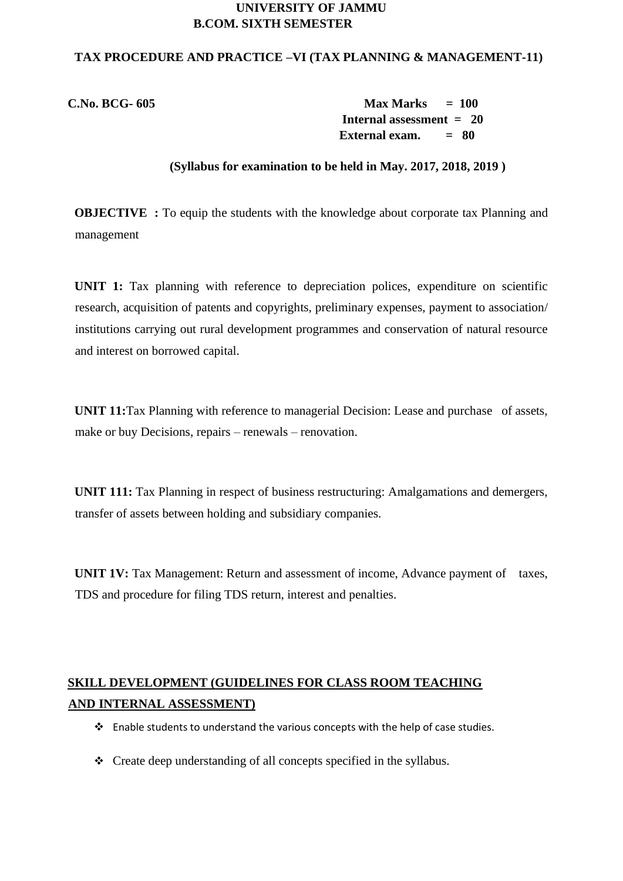#### **UNIVERSITY OF JAMMU B.COM. SIXTH SEMESTER**

#### **TAX PROCEDURE AND PRACTICE –VI (TAX PLANNING & MANAGEMENT-11)**

**C.No. BCG- 605 Max Marks = 100 Internal assessment = 20 External exam. = 80**

#### **(Syllabus for examination to be held in May. 2017, 2018, 2019 )**

**OBJECTIVE** : To equip the students with the knowledge about corporate tax Planning and management

**UNIT 1:** Tax planning with reference to depreciation polices, expenditure on scientific research, acquisition of patents and copyrights, preliminary expenses, payment to association/ institutions carrying out rural development programmes and conservation of natural resource and interest on borrowed capital.

**UNIT 11:**Tax Planning with reference to managerial Decision: Lease and purchase of assets, make or buy Decisions, repairs – renewals – renovation.

**UNIT 111:** Tax Planning in respect of business restructuring: Amalgamations and demergers, transfer of assets between holding and subsidiary companies.

**UNIT 1V:** Tax Management: Return and assessment of income, Advance payment of taxes, TDS and procedure for filing TDS return, interest and penalties.

## **SKILL DEVELOPMENT (GUIDELINES FOR CLASS ROOM TEACHING AND INTERNAL ASSESSMENT)**

- ❖ Enable students to understand the various concepts with the help of case studies.
- ❖ Create deep understanding of all concepts specified in the syllabus.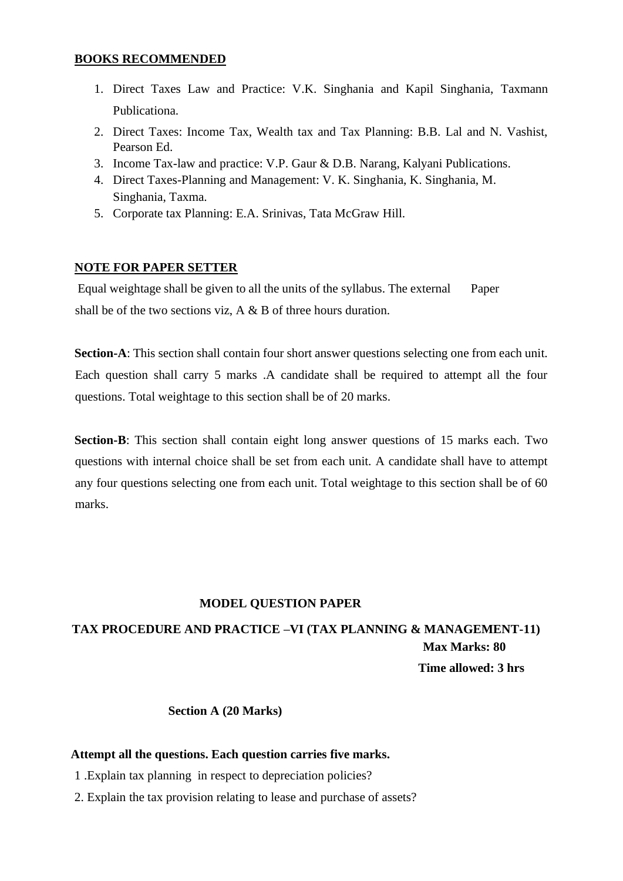#### **BOOKS RECOMMENDED**

- 1. Direct Taxes Law and Practice: V.K. Singhania and Kapil Singhania, Taxmann Publicationa.
- 2. Direct Taxes: Income Tax, Wealth tax and Tax Planning: B.B. Lal and N. Vashist, Pearson Ed.
- 3. Income Tax-law and practice: V.P. Gaur & D.B. Narang, Kalyani Publications.
- 4. Direct Taxes-Planning and Management: V. K. Singhania, K. Singhania, M. Singhania, Taxma.
- 5. Corporate tax Planning: E.A. Srinivas, Tata McGraw Hill.

## **NOTE FOR PAPER SETTER**

Equal weightage shall be given to all the units of the syllabus. The external Paper shall be of the two sections viz, A & B of three hours duration.

**Section-A**: This section shall contain four short answer questions selecting one from each unit. Each question shall carry 5 marks .A candidate shall be required to attempt all the four questions. Total weightage to this section shall be of 20 marks.

**Section-B**: This section shall contain eight long answer questions of 15 marks each. Two questions with internal choice shall be set from each unit. A candidate shall have to attempt any four questions selecting one from each unit. Total weightage to this section shall be of 60 marks.

## **MODEL QUESTION PAPER**

# **TAX PROCEDURE AND PRACTICE –VI (TAX PLANNING & MANAGEMENT-11) Max Marks: 80 Time allowed: 3 hrs**

## **Section A (20 Marks)**

## **Attempt all the questions. Each question carries five marks.**

- 1 .Explain tax planning in respect to depreciation policies?
- 2. Explain the tax provision relating to lease and purchase of assets?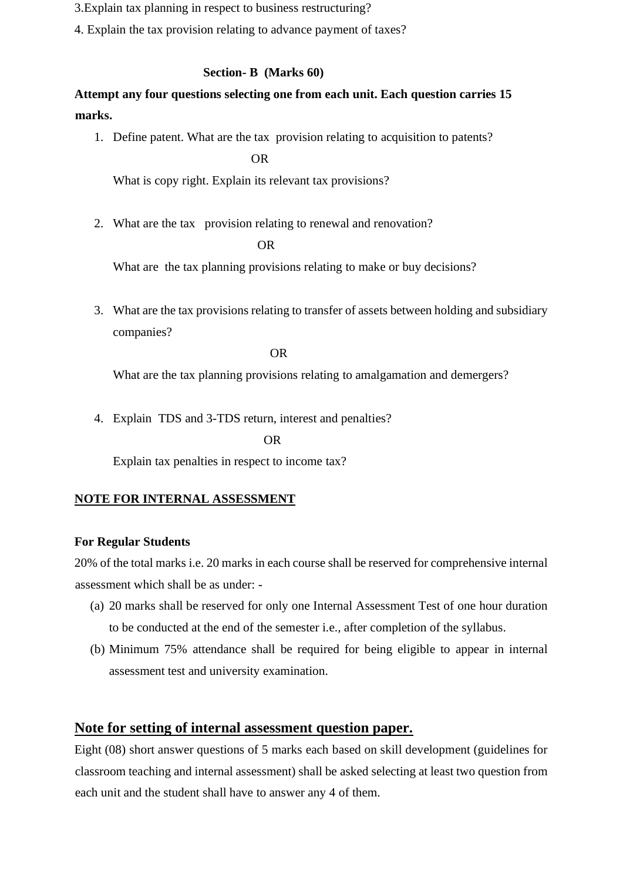- 3.Explain tax planning in respect to business restructuring?
- 4. Explain the tax provision relating to advance payment of taxes?

## **Section- B (Marks 60)**

## **Attempt any four questions selecting one from each unit. Each question carries 15 marks.**

1. Define patent. What are the tax provision relating to acquisition to patents?

OR

What is copy right. Explain its relevant tax provisions?

2. What are the tax provision relating to renewal and renovation?

OR

What are the tax planning provisions relating to make or buy decisions?

3. What are the tax provisions relating to transfer of assets between holding and subsidiary companies?

OR

What are the tax planning provisions relating to amalgamation and demergers?

4. Explain TDS and 3-TDS return, interest and penalties?

OR

Explain tax penalties in respect to income tax?

## **NOTE FOR INTERNAL ASSESSMENT**

## **For Regular Students**

20% of the total marks i.e. 20 marks in each course shall be reserved for comprehensive internal assessment which shall be as under: -

- (a) 20 marks shall be reserved for only one Internal Assessment Test of one hour duration to be conducted at the end of the semester i.e., after completion of the syllabus.
- (b) Minimum 75% attendance shall be required for being eligible to appear in internal assessment test and university examination.

## **Note for setting of internal assessment question paper.**

Eight (08) short answer questions of 5 marks each based on skill development (guidelines for classroom teaching and internal assessment) shall be asked selecting at least two question from each unit and the student shall have to answer any 4 of them.